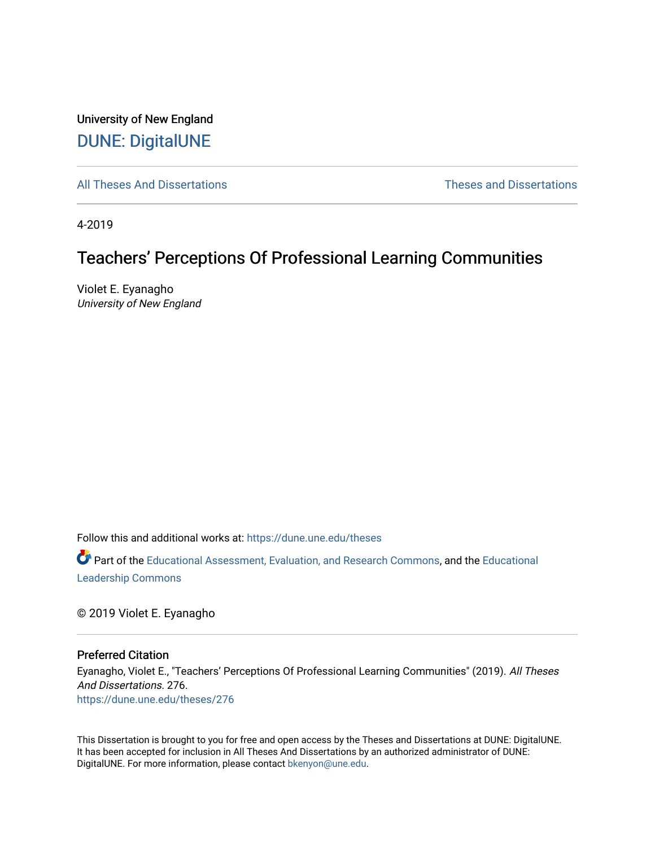University of New England [DUNE: DigitalUNE](https://dune.une.edu/) 

[All Theses And Dissertations](https://dune.une.edu/theses) [Theses and Dissertations](https://dune.une.edu/theses_dissertations) 

4-2019

# Teachers' Perceptions Of Professional Learning Communities

Violet E. Eyanagho University of New England

Follow this and additional works at: [https://dune.une.edu/theses](https://dune.une.edu/theses?utm_source=dune.une.edu%2Ftheses%2F276&utm_medium=PDF&utm_campaign=PDFCoverPages) 

Part of the [Educational Assessment, Evaluation, and Research Commons](http://network.bepress.com/hgg/discipline/796?utm_source=dune.une.edu%2Ftheses%2F276&utm_medium=PDF&utm_campaign=PDFCoverPages), and the [Educational](http://network.bepress.com/hgg/discipline/1230?utm_source=dune.une.edu%2Ftheses%2F276&utm_medium=PDF&utm_campaign=PDFCoverPages) [Leadership Commons](http://network.bepress.com/hgg/discipline/1230?utm_source=dune.une.edu%2Ftheses%2F276&utm_medium=PDF&utm_campaign=PDFCoverPages) 

© 2019 Violet E. Eyanagho

#### Preferred Citation

Eyanagho, Violet E., "Teachers' Perceptions Of Professional Learning Communities" (2019). All Theses And Dissertations. 276. [https://dune.une.edu/theses/276](https://dune.une.edu/theses/276?utm_source=dune.une.edu%2Ftheses%2F276&utm_medium=PDF&utm_campaign=PDFCoverPages)

This Dissertation is brought to you for free and open access by the Theses and Dissertations at DUNE: DigitalUNE. It has been accepted for inclusion in All Theses And Dissertations by an authorized administrator of DUNE: DigitalUNE. For more information, please contact [bkenyon@une.edu.](mailto:bkenyon@une.edu)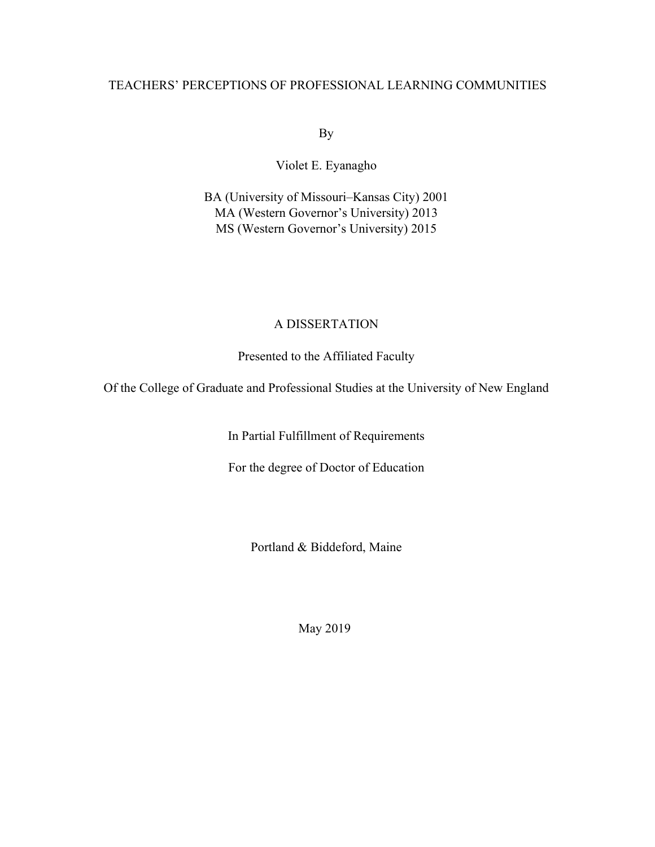## TEACHERS' PERCEPTIONS OF PROFESSIONAL LEARNING COMMUNITIES

By

Violet E. Eyanagho

BA (University of Missouri–Kansas City) 2001 MA (Western Governor's University) 2013 MS (Western Governor's University) 2015

## A DISSERTATION

Presented to the Affiliated Faculty

Of the College of Graduate and Professional Studies at the University of New England

In Partial Fulfillment of Requirements

For the degree of Doctor of Education

Portland & Biddeford, Maine

May 2019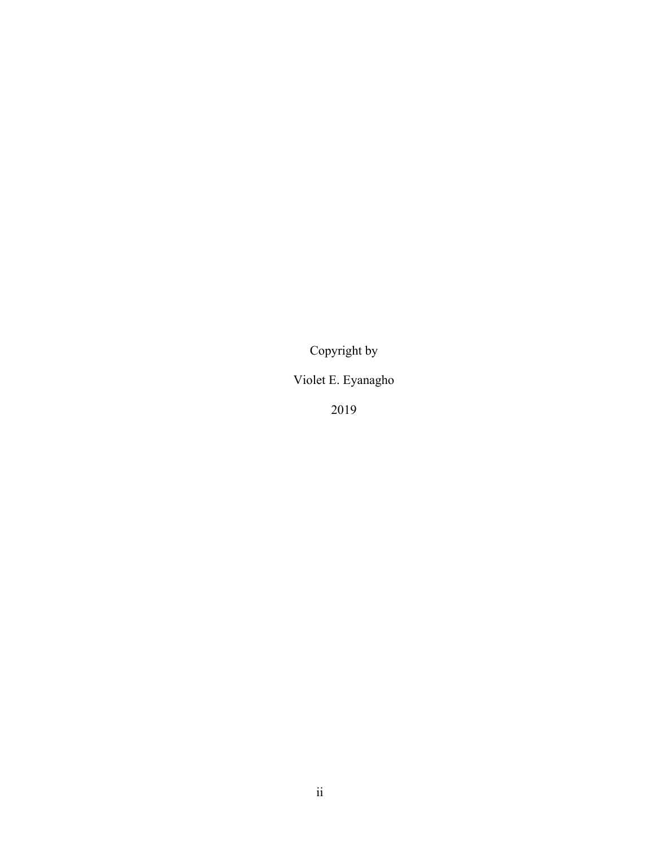Copyright by

Violet E. Eyanagho

2019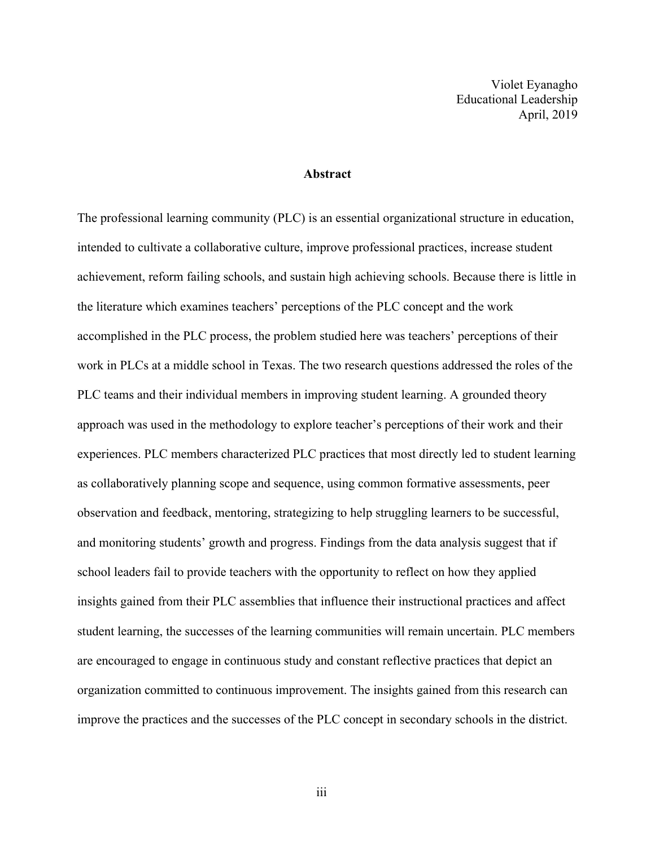Violet Eyanagho Educational Leadership April, 2019

## **Abstract**

The professional learning community (PLC) is an essential organizational structure in education, intended to cultivate a collaborative culture, improve professional practices, increase student achievement, reform failing schools, and sustain high achieving schools. Because there is little in the literature which examines teachers' perceptions of the PLC concept and the work accomplished in the PLC process, the problem studied here was teachers' perceptions of their work in PLCs at a middle school in Texas. The two research questions addressed the roles of the PLC teams and their individual members in improving student learning. A grounded theory approach was used in the methodology to explore teacher's perceptions of their work and their experiences. PLC members characterized PLC practices that most directly led to student learning as collaboratively planning scope and sequence, using common formative assessments, peer observation and feedback, mentoring, strategizing to help struggling learners to be successful, and monitoring students' growth and progress. Findings from the data analysis suggest that if school leaders fail to provide teachers with the opportunity to reflect on how they applied insights gained from their PLC assemblies that influence their instructional practices and affect student learning, the successes of the learning communities will remain uncertain. PLC members are encouraged to engage in continuous study and constant reflective practices that depict an organization committed to continuous improvement. The insights gained from this research can improve the practices and the successes of the PLC concept in secondary schools in the district.

iii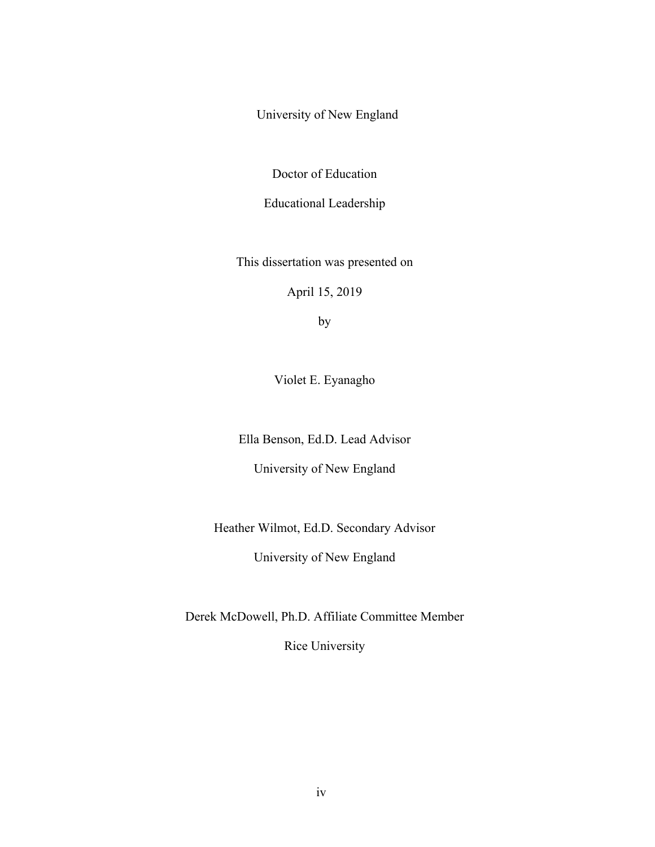University of New England

Doctor of Education

Educational Leadership

This dissertation was presented on

April 15, 2019

by

Violet E. Eyanagho

Ella Benson, Ed.D. Lead Advisor

University of New England

Heather Wilmot, Ed.D. Secondary Advisor

University of New England

Derek McDowell, Ph.D. Affiliate Committee Member

Rice University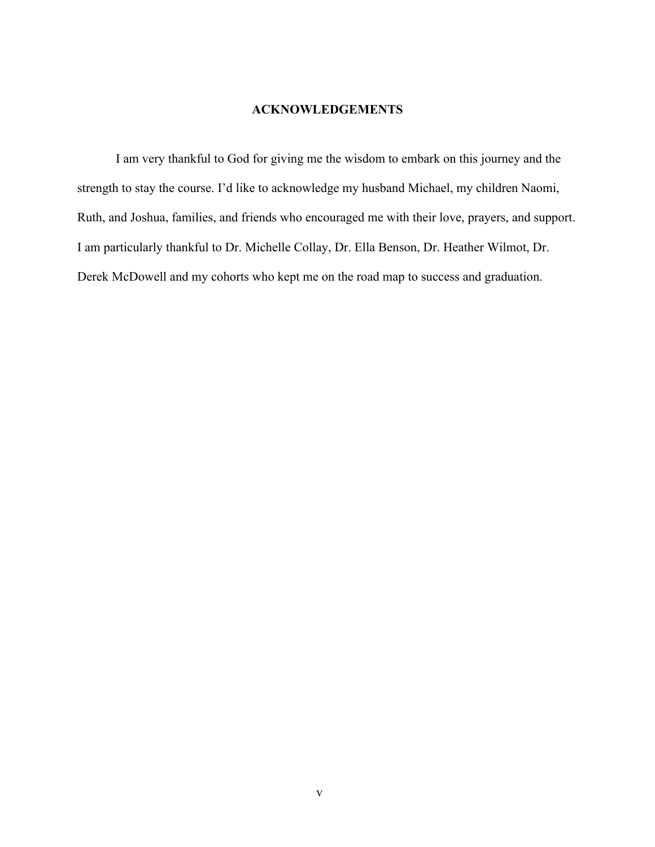## **ACKNOWLEDGEMENTS**

I am very thankful to God for giving me the wisdom to embark on this journey and the strength to stay the course. I'd like to acknowledge my husband Michael, my children Naomi, Ruth, and Joshua, families, and friends who encouraged me with their love, prayers, and support. I am particularly thankful to Dr. Michelle Collay, Dr. Ella Benson, Dr. Heather Wilmot, Dr. Derek McDowell and my cohorts who kept me on the road map to success and graduation.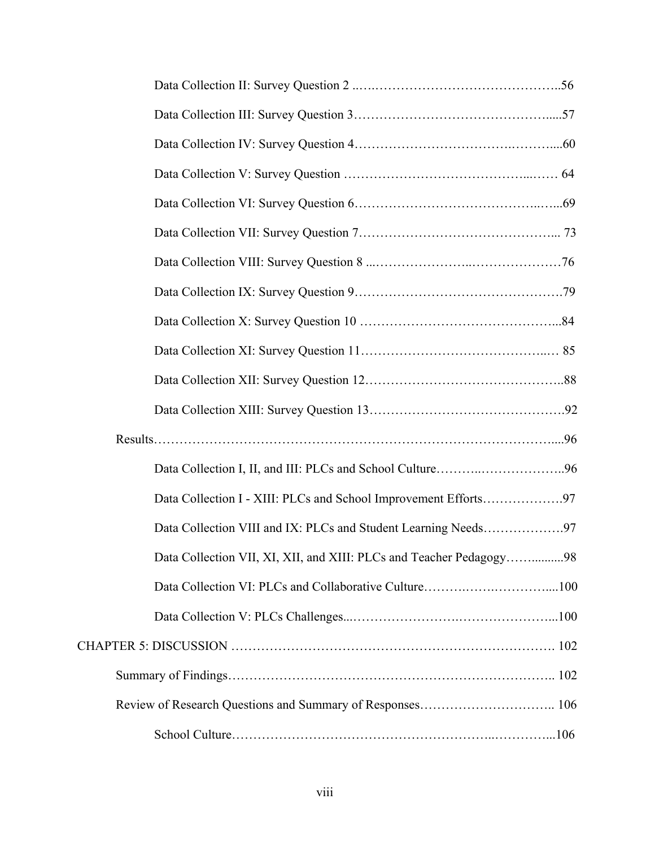| Data Collection I - XIII: PLCs and School Improvement Efforts97     |
|---------------------------------------------------------------------|
| Data Collection VIII and IX: PLCs and Student Learning Needs97      |
| Data Collection VII, XI, XII, and XIII: PLCs and Teacher Pedagogy98 |
|                                                                     |
|                                                                     |
|                                                                     |
|                                                                     |
|                                                                     |
|                                                                     |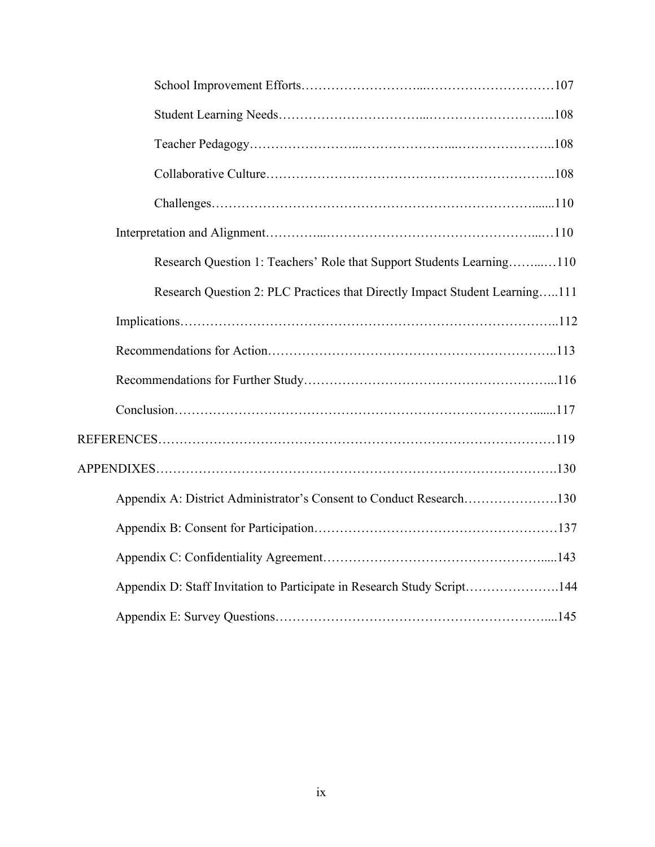| Research Question 1: Teachers' Role that Support Students Learning110       |
|-----------------------------------------------------------------------------|
| Research Question 2: PLC Practices that Directly Impact Student Learning111 |
|                                                                             |
|                                                                             |
|                                                                             |
|                                                                             |
|                                                                             |
|                                                                             |
| Appendix A: District Administrator's Consent to Conduct Research130         |
|                                                                             |
|                                                                             |
| Appendix D: Staff Invitation to Participate in Research Study Script144     |
|                                                                             |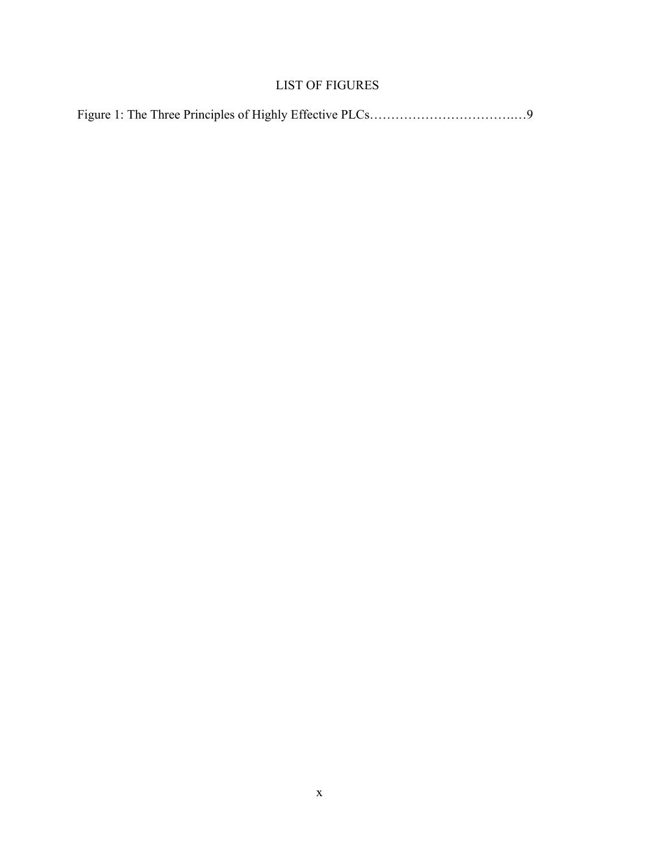## LIST OF FIGURES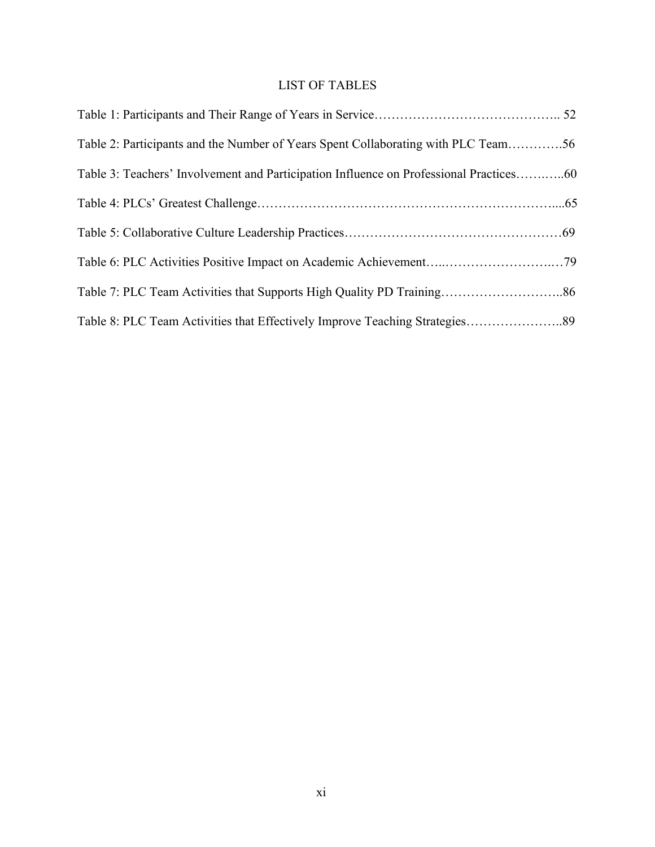# LIST OF TABLES

| Table 2: Participants and the Number of Years Spent Collaborating with PLC Team56      |  |
|----------------------------------------------------------------------------------------|--|
| Table 3: Teachers' Involvement and Participation Influence on Professional Practices60 |  |
|                                                                                        |  |
|                                                                                        |  |
|                                                                                        |  |
|                                                                                        |  |
|                                                                                        |  |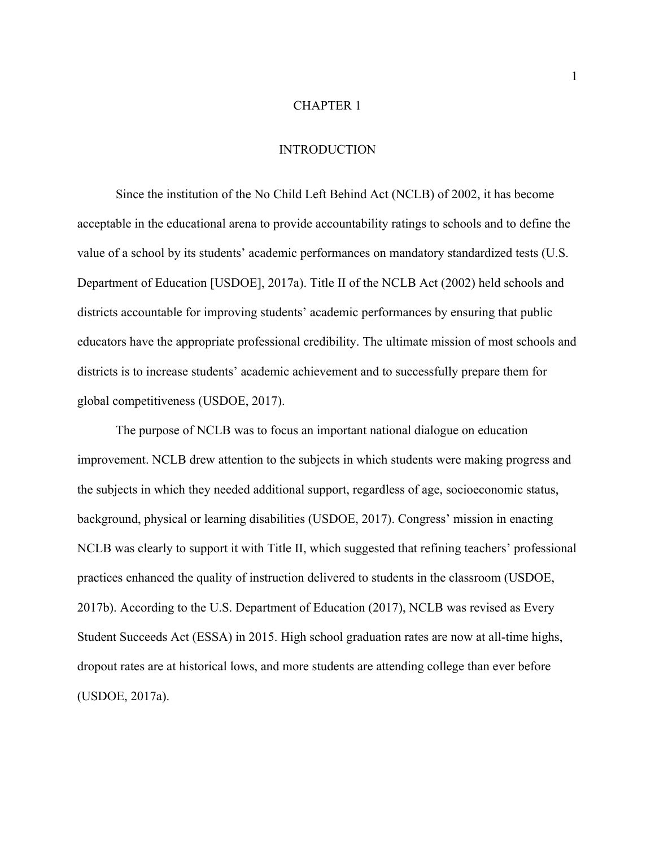## CHAPTER 1

## INTRODUCTION

Since the institution of the No Child Left Behind Act (NCLB) of 2002, it has become acceptable in the educational arena to provide accountability ratings to schools and to define the value of a school by its students' academic performances on mandatory standardized tests (U.S. Department of Education [USDOE], 2017a). Title II of the NCLB Act (2002) held schools and districts accountable for improving students' academic performances by ensuring that public educators have the appropriate professional credibility. The ultimate mission of most schools and districts is to increase students' academic achievement and to successfully prepare them for global competitiveness (USDOE, 2017).

The purpose of NCLB was to focus an important national dialogue on education improvement. NCLB drew attention to the subjects in which students were making progress and the subjects in which they needed additional support, regardless of age, socioeconomic status, background, physical or learning disabilities (USDOE, 2017). Congress' mission in enacting NCLB was clearly to support it with Title II, which suggested that refining teachers' professional practices enhanced the quality of instruction delivered to students in the classroom (USDOE, 2017b). According to the U.S. Department of Education (2017), NCLB was revised as Every Student Succeeds Act (ESSA) in 2015. High school graduation rates are now at all-time highs, dropout rates are at historical lows, and more students are attending college than ever before (USDOE, 2017a).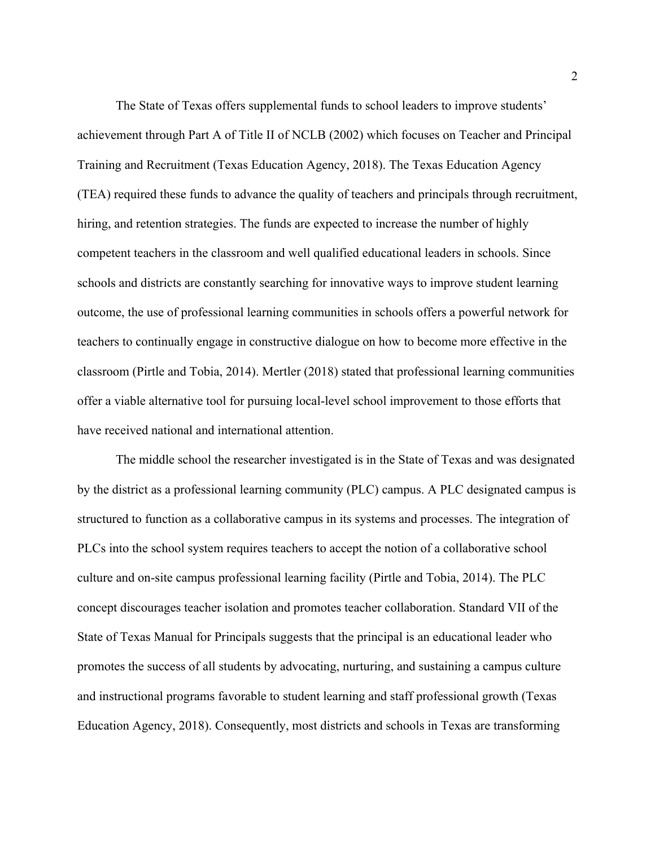The State of Texas offers supplemental funds to school leaders to improve students' achievement through Part A of Title II of NCLB (2002) which focuses on Teacher and Principal Training and Recruitment (Texas Education Agency, 2018). The Texas Education Agency (TEA) required these funds to advance the quality of teachers and principals through recruitment, hiring, and retention strategies. The funds are expected to increase the number of highly competent teachers in the classroom and well qualified educational leaders in schools. Since schools and districts are constantly searching for innovative ways to improve student learning outcome, the use of professional learning communities in schools offers a powerful network for teachers to continually engage in constructive dialogue on how to become more effective in the classroom (Pirtle and Tobia, 2014). Mertler (2018) stated that professional learning communities offer a viable alternative tool for pursuing local-level school improvement to those efforts that have received national and international attention.

The middle school the researcher investigated is in the State of Texas and was designated by the district as a professional learning community (PLC) campus. A PLC designated campus is structured to function as a collaborative campus in its systems and processes. The integration of PLCs into the school system requires teachers to accept the notion of a collaborative school culture and on-site campus professional learning facility (Pirtle and Tobia, 2014). The PLC concept discourages teacher isolation and promotes teacher collaboration. Standard VII of the State of Texas Manual for Principals suggests that the principal is an educational leader who promotes the success of all students by advocating, nurturing, and sustaining a campus culture and instructional programs favorable to student learning and staff professional growth (Texas Education Agency, 2018). Consequently, most districts and schools in Texas are transforming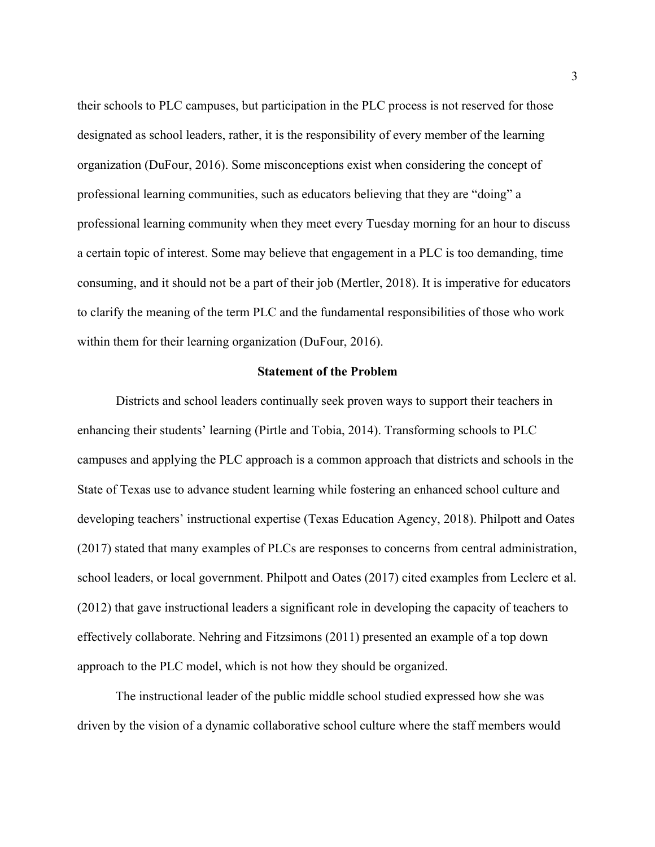their schools to PLC campuses, but participation in the PLC process is not reserved for those designated as school leaders, rather, it is the responsibility of every member of the learning organization (DuFour, 2016). Some misconceptions exist when considering the concept of professional learning communities, such as educators believing that they are "doing" a professional learning community when they meet every Tuesday morning for an hour to discuss a certain topic of interest. Some may believe that engagement in a PLC is too demanding, time consuming, and it should not be a part of their job (Mertler, 2018). It is imperative for educators to clarify the meaning of the term PLC and the fundamental responsibilities of those who work within them for their learning organization (DuFour, 2016).

## **Statement of the Problem**

Districts and school leaders continually seek proven ways to support their teachers in enhancing their students' learning (Pirtle and Tobia, 2014). Transforming schools to PLC campuses and applying the PLC approach is a common approach that districts and schools in the State of Texas use to advance student learning while fostering an enhanced school culture and developing teachers' instructional expertise (Texas Education Agency, 2018). Philpott and Oates (2017) stated that many examples of PLCs are responses to concerns from central administration, school leaders, or local government. Philpott and Oates (2017) cited examples from Leclerc et al. (2012) that gave instructional leaders a significant role in developing the capacity of teachers to effectively collaborate. Nehring and Fitzsimons (2011) presented an example of a top down approach to the PLC model, which is not how they should be organized.

The instructional leader of the public middle school studied expressed how she was driven by the vision of a dynamic collaborative school culture where the staff members would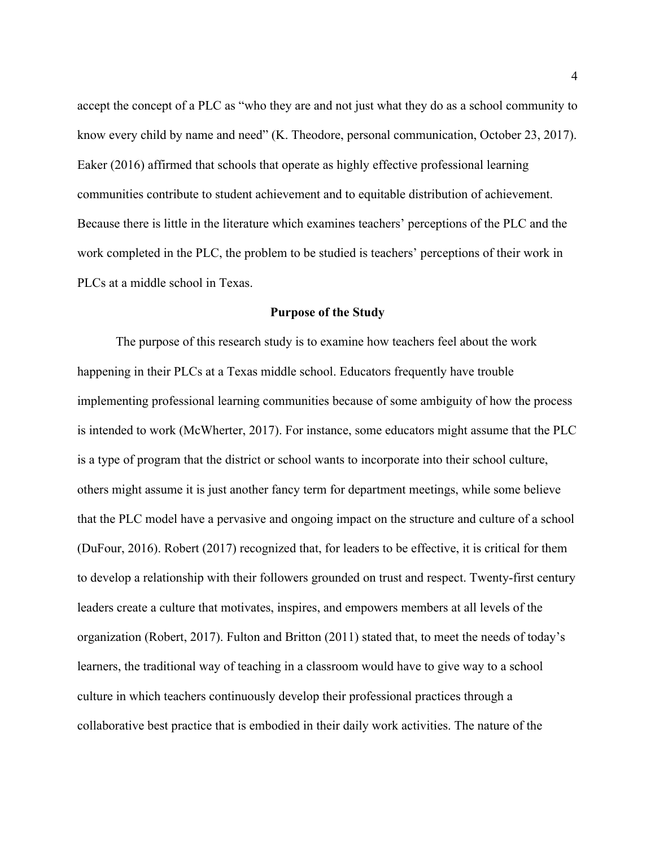accept the concept of a PLC as "who they are and not just what they do as a school community to know every child by name and need" (K. Theodore, personal communication, October 23, 2017). Eaker (2016) affirmed that schools that operate as highly effective professional learning communities contribute to student achievement and to equitable distribution of achievement. Because there is little in the literature which examines teachers' perceptions of the PLC and the work completed in the PLC, the problem to be studied is teachers' perceptions of their work in PLCs at a middle school in Texas.

#### **Purpose of the Study**

The purpose of this research study is to examine how teachers feel about the work happening in their PLCs at a Texas middle school. Educators frequently have trouble implementing professional learning communities because of some ambiguity of how the process is intended to work (McWherter, 2017). For instance, some educators might assume that the PLC is a type of program that the district or school wants to incorporate into their school culture, others might assume it is just another fancy term for department meetings, while some believe that the PLC model have a pervasive and ongoing impact on the structure and culture of a school (DuFour, 2016). Robert (2017) recognized that, for leaders to be effective, it is critical for them to develop a relationship with their followers grounded on trust and respect. Twenty-first century leaders create a culture that motivates, inspires, and empowers members at all levels of the organization (Robert, 2017). Fulton and Britton (2011) stated that, to meet the needs of today's learners, the traditional way of teaching in a classroom would have to give way to a school culture in which teachers continuously develop their professional practices through a collaborative best practice that is embodied in their daily work activities. The nature of the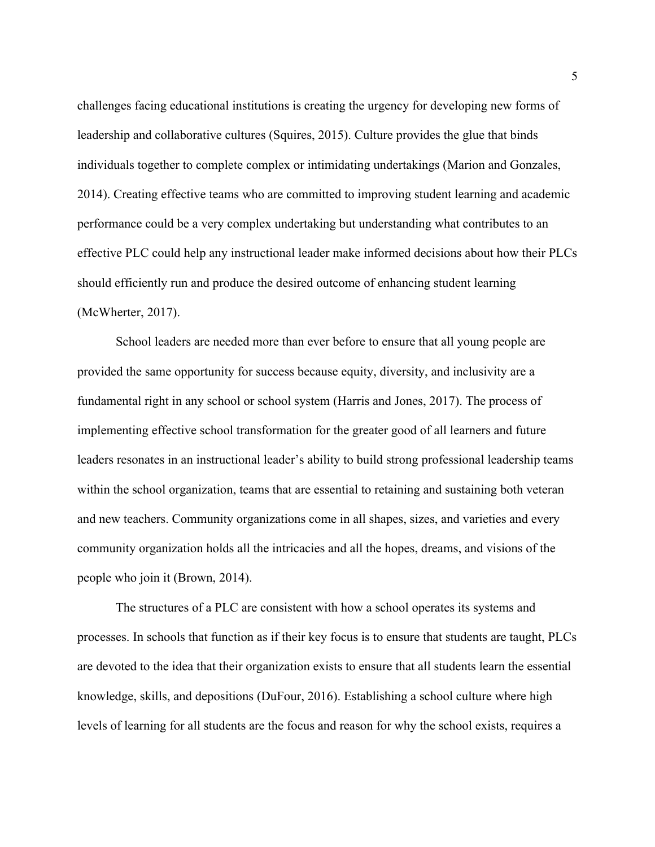challenges facing educational institutions is creating the urgency for developing new forms of leadership and collaborative cultures (Squires, 2015). Culture provides the glue that binds individuals together to complete complex or intimidating undertakings (Marion and Gonzales, 2014). Creating effective teams who are committed to improving student learning and academic performance could be a very complex undertaking but understanding what contributes to an effective PLC could help any instructional leader make informed decisions about how their PLCs should efficiently run and produce the desired outcome of enhancing student learning (McWherter, 2017).

School leaders are needed more than ever before to ensure that all young people are provided the same opportunity for success because equity, diversity, and inclusivity are a fundamental right in any school or school system (Harris and Jones, 2017). The process of implementing effective school transformation for the greater good of all learners and future leaders resonates in an instructional leader's ability to build strong professional leadership teams within the school organization, teams that are essential to retaining and sustaining both veteran and new teachers. Community organizations come in all shapes, sizes, and varieties and every community organization holds all the intricacies and all the hopes, dreams, and visions of the people who join it (Brown, 2014).

The structures of a PLC are consistent with how a school operates its systems and processes. In schools that function as if their key focus is to ensure that students are taught, PLCs are devoted to the idea that their organization exists to ensure that all students learn the essential knowledge, skills, and depositions (DuFour, 2016). Establishing a school culture where high levels of learning for all students are the focus and reason for why the school exists, requires a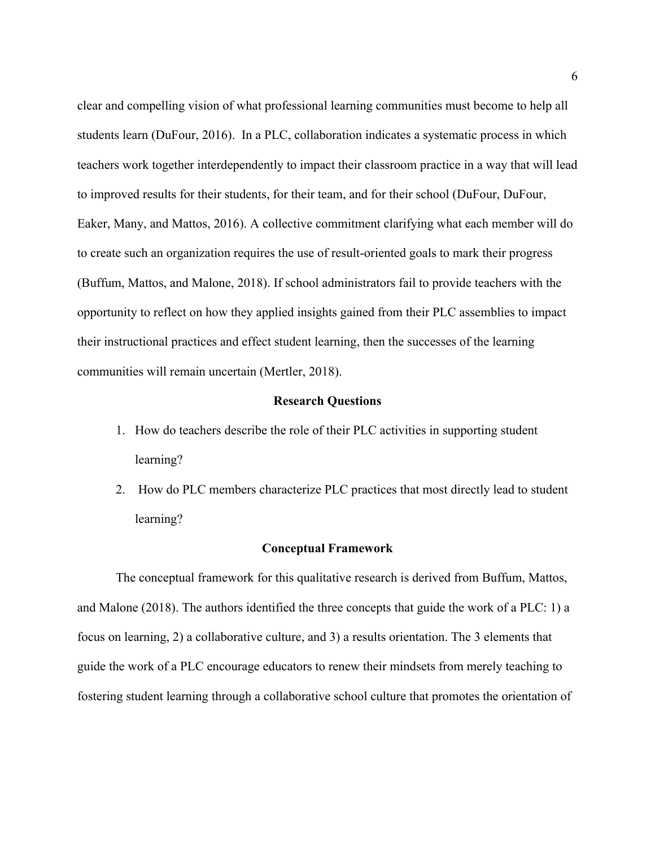clear and compelling vision of what professional learning communities must become to help all students learn (DuFour, 2016). In a PLC, collaboration indicates a systematic process in which teachers work together interdependently to impact their classroom practice in a way that will lead to improved results for their students, for their team, and for their school (DuFour, DuFour, Eaker, Many, and Mattos, 2016). A collective commitment clarifying what each member will do to create such an organization requires the use of result-oriented goals to mark their progress (Buffum, Mattos, and Malone, 2018). If school administrators fail to provide teachers with the opportunity to reflect on how they applied insights gained from their PLC assemblies to impact their instructional practices and effect student learning, then the successes of the learning communities will remain uncertain (Mertler, 2018).

#### **Research Questions**

- 1. How do teachers describe the role of their PLC activities in supporting student learning?
- 2. How do PLC members characterize PLC practices that most directly lead to student learning?

#### **Conceptual Framework**

The conceptual framework for this qualitative research is derived from Buffum, Mattos, and Malone (2018). The authors identified the three concepts that guide the work of a PLC: 1) a focus on learning, 2) a collaborative culture, and 3) a results orientation. The 3 elements that guide the work of a PLC encourage educators to renew their mindsets from merely teaching to fostering student learning through a collaborative school culture that promotes the orientation of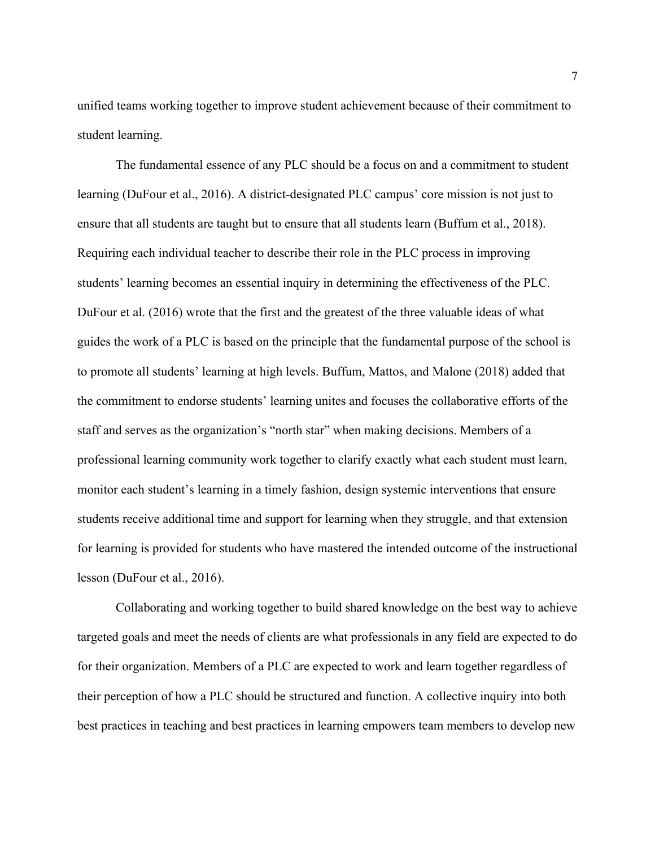unified teams working together to improve student achievement because of their commitment to student learning.

The fundamental essence of any PLC should be a focus on and a commitment to student learning (DuFour et al., 2016). A district-designated PLC campus' core mission is not just to ensure that all students are taught but to ensure that all students learn (Buffum et al., 2018). Requiring each individual teacher to describe their role in the PLC process in improving students' learning becomes an essential inquiry in determining the effectiveness of the PLC. DuFour et al. (2016) wrote that the first and the greatest of the three valuable ideas of what guides the work of a PLC is based on the principle that the fundamental purpose of the school is to promote all students' learning at high levels. Buffum, Mattos, and Malone (2018) added that the commitment to endorse students' learning unites and focuses the collaborative efforts of the staff and serves as the organization's "north star" when making decisions. Members of a professional learning community work together to clarify exactly what each student must learn, monitor each student's learning in a timely fashion, design systemic interventions that ensure students receive additional time and support for learning when they struggle, and that extension for learning is provided for students who have mastered the intended outcome of the instructional lesson (DuFour et al., 2016).

Collaborating and working together to build shared knowledge on the best way to achieve targeted goals and meet the needs of clients are what professionals in any field are expected to do for their organization. Members of a PLC are expected to work and learn together regardless of their perception of how a PLC should be structured and function. A collective inquiry into both best practices in teaching and best practices in learning empowers team members to develop new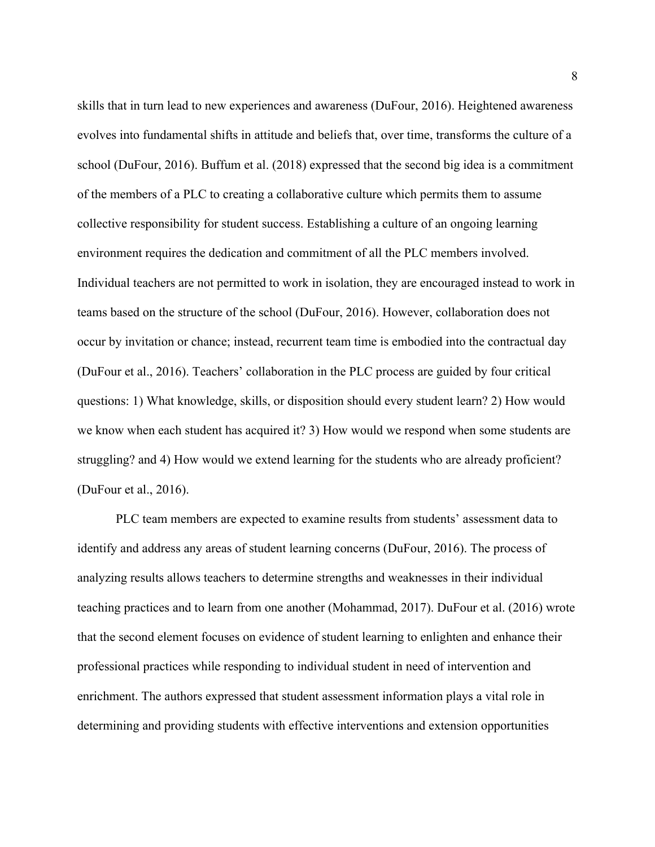skills that in turn lead to new experiences and awareness (DuFour, 2016). Heightened awareness evolves into fundamental shifts in attitude and beliefs that, over time, transforms the culture of a school (DuFour, 2016). Buffum et al. (2018) expressed that the second big idea is a commitment of the members of a PLC to creating a collaborative culture which permits them to assume collective responsibility for student success. Establishing a culture of an ongoing learning environment requires the dedication and commitment of all the PLC members involved. Individual teachers are not permitted to work in isolation, they are encouraged instead to work in teams based on the structure of the school (DuFour, 2016). However, collaboration does not occur by invitation or chance; instead, recurrent team time is embodied into the contractual day (DuFour et al., 2016). Teachers' collaboration in the PLC process are guided by four critical questions: 1) What knowledge, skills, or disposition should every student learn? 2) How would we know when each student has acquired it? 3) How would we respond when some students are struggling? and 4) How would we extend learning for the students who are already proficient? (DuFour et al., 2016).

PLC team members are expected to examine results from students' assessment data to identify and address any areas of student learning concerns (DuFour, 2016). The process of analyzing results allows teachers to determine strengths and weaknesses in their individual teaching practices and to learn from one another (Mohammad, 2017). DuFour et al. (2016) wrote that the second element focuses on evidence of student learning to enlighten and enhance their professional practices while responding to individual student in need of intervention and enrichment. The authors expressed that student assessment information plays a vital role in determining and providing students with effective interventions and extension opportunities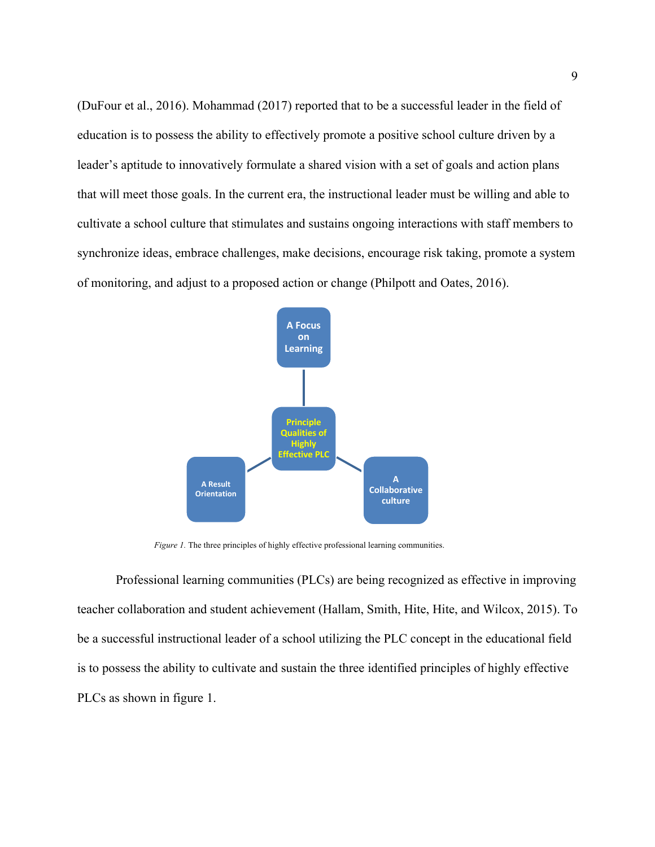(DuFour et al., 2016). Mohammad (2017) reported that to be a successful leader in the field of education is to possess the ability to effectively promote a positive school culture driven by a leader's aptitude to innovatively formulate a shared vision with a set of goals and action plans that will meet those goals. In the current era, the instructional leader must be willing and able to cultivate a school culture that stimulates and sustains ongoing interactions with staff members to synchronize ideas, embrace challenges, make decisions, encourage risk taking, promote a system of monitoring, and adjust to a proposed action or change (Philpott and Oates, 2016).



*Figure 1.* The three principles of highly effective professional learning communities.

Professional learning communities (PLCs) are being recognized as effective in improving teacher collaboration and student achievement (Hallam, Smith, Hite, Hite, and Wilcox, 2015). To be a successful instructional leader of a school utilizing the PLC concept in the educational field is to possess the ability to cultivate and sustain the three identified principles of highly effective PLCs as shown in figure 1.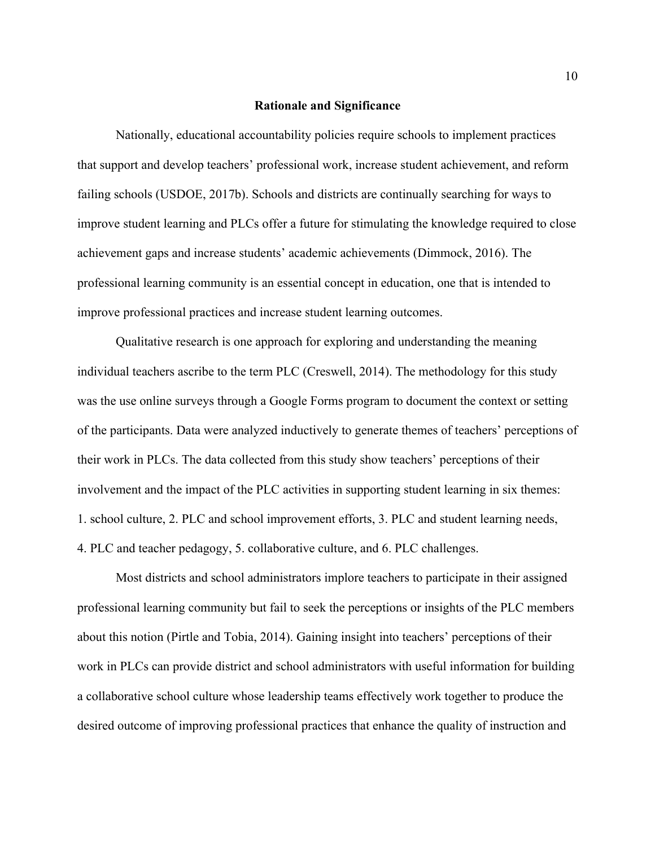#### **Rationale and Significance**

Nationally, educational accountability policies require schools to implement practices that support and develop teachers' professional work, increase student achievement, and reform failing schools (USDOE, 2017b). Schools and districts are continually searching for ways to improve student learning and PLCs offer a future for stimulating the knowledge required to close achievement gaps and increase students' academic achievements (Dimmock, 2016). The professional learning community is an essential concept in education, one that is intended to improve professional practices and increase student learning outcomes.

Qualitative research is one approach for exploring and understanding the meaning individual teachers ascribe to the term PLC (Creswell, 2014). The methodology for this study was the use online surveys through a Google Forms program to document the context or setting of the participants. Data were analyzed inductively to generate themes of teachers' perceptions of their work in PLCs. The data collected from this study show teachers' perceptions of their involvement and the impact of the PLC activities in supporting student learning in six themes: 1. school culture, 2. PLC and school improvement efforts, 3. PLC and student learning needs, 4. PLC and teacher pedagogy, 5. collaborative culture, and 6. PLC challenges.

Most districts and school administrators implore teachers to participate in their assigned professional learning community but fail to seek the perceptions or insights of the PLC members about this notion (Pirtle and Tobia, 2014). Gaining insight into teachers' perceptions of their work in PLCs can provide district and school administrators with useful information for building a collaborative school culture whose leadership teams effectively work together to produce the desired outcome of improving professional practices that enhance the quality of instruction and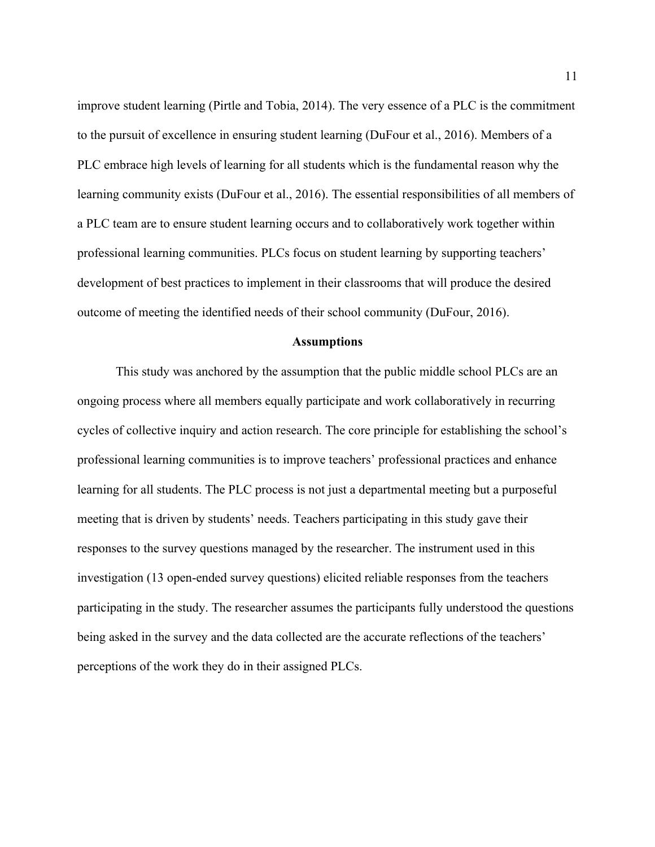improve student learning (Pirtle and Tobia, 2014). The very essence of a PLC is the commitment to the pursuit of excellence in ensuring student learning (DuFour et al., 2016). Members of a PLC embrace high levels of learning for all students which is the fundamental reason why the learning community exists (DuFour et al., 2016). The essential responsibilities of all members of a PLC team are to ensure student learning occurs and to collaboratively work together within professional learning communities. PLCs focus on student learning by supporting teachers' development of best practices to implement in their classrooms that will produce the desired outcome of meeting the identified needs of their school community (DuFour, 2016).

#### **Assumptions**

This study was anchored by the assumption that the public middle school PLCs are an ongoing process where all members equally participate and work collaboratively in recurring cycles of collective inquiry and action research. The core principle for establishing the school's professional learning communities is to improve teachers' professional practices and enhance learning for all students. The PLC process is not just a departmental meeting but a purposeful meeting that is driven by students' needs. Teachers participating in this study gave their responses to the survey questions managed by the researcher. The instrument used in this investigation (13 open-ended survey questions) elicited reliable responses from the teachers participating in the study. The researcher assumes the participants fully understood the questions being asked in the survey and the data collected are the accurate reflections of the teachers' perceptions of the work they do in their assigned PLCs.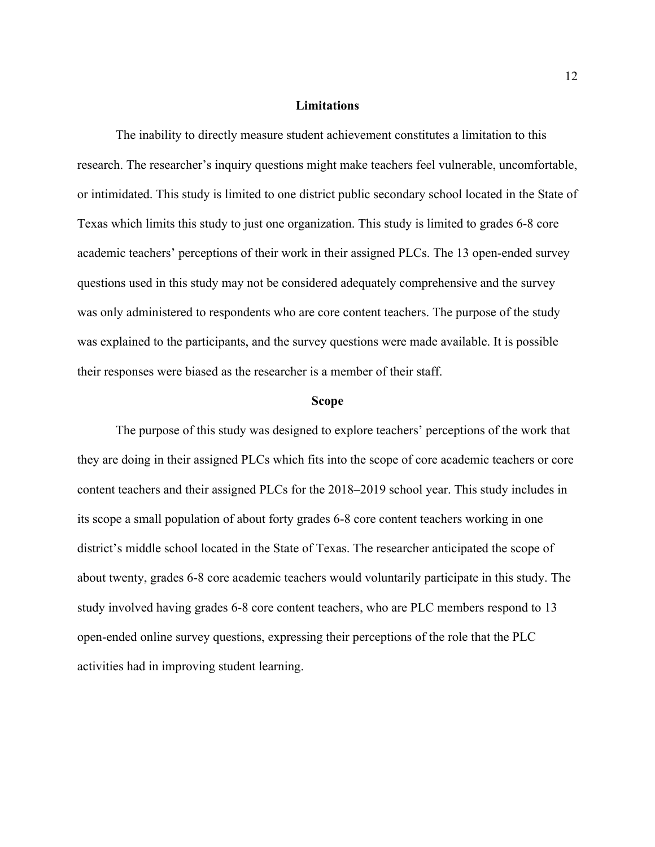## **Limitations**

The inability to directly measure student achievement constitutes a limitation to this research. The researcher's inquiry questions might make teachers feel vulnerable, uncomfortable, or intimidated. This study is limited to one district public secondary school located in the State of Texas which limits this study to just one organization. This study is limited to grades 6-8 core academic teachers' perceptions of their work in their assigned PLCs. The 13 open-ended survey questions used in this study may not be considered adequately comprehensive and the survey was only administered to respondents who are core content teachers. The purpose of the study was explained to the participants, and the survey questions were made available. It is possible their responses were biased as the researcher is a member of their staff.

#### **Scope**

The purpose of this study was designed to explore teachers' perceptions of the work that they are doing in their assigned PLCs which fits into the scope of core academic teachers or core content teachers and their assigned PLCs for the 2018–2019 school year. This study includes in its scope a small population of about forty grades 6-8 core content teachers working in one district's middle school located in the State of Texas. The researcher anticipated the scope of about twenty, grades 6-8 core academic teachers would voluntarily participate in this study. The study involved having grades 6-8 core content teachers, who are PLC members respond to 13 open-ended online survey questions, expressing their perceptions of the role that the PLC activities had in improving student learning.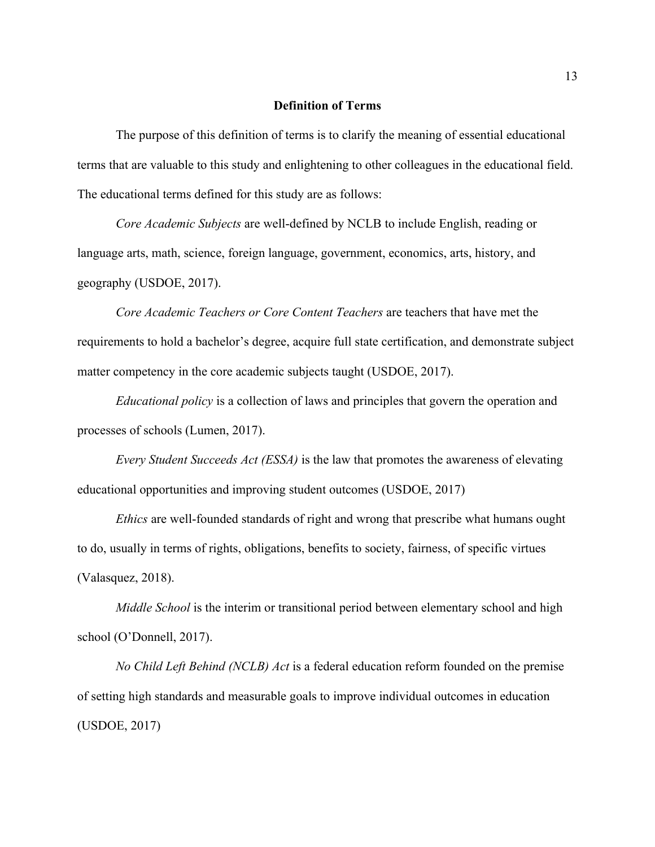## **Definition of Terms**

The purpose of this definition of terms is to clarify the meaning of essential educational terms that are valuable to this study and enlightening to other colleagues in the educational field. The educational terms defined for this study are as follows:

*Core Academic Subjects* are well-defined by NCLB to include English, reading or language arts, math, science, foreign language, government, economics, arts, history, and geography (USDOE, 2017).

*Core Academic Teachers or Core Content Teachers* are teachers that have met the requirements to hold a bachelor's degree, acquire full state certification, and demonstrate subject matter competency in the core academic subjects taught (USDOE, 2017).

*Educational policy* is a collection of laws and principles that govern the operation and processes of schools (Lumen, 2017).

*Every Student Succeeds Act (ESSA)* is the law that promotes the awareness of elevating educational opportunities and improving student outcomes (USDOE, 2017)

*Ethics* are well-founded standards of right and wrong that prescribe what humans ought to do, usually in terms of rights, obligations, benefits to society, fairness, of specific virtues (Valasquez, 2018).

*Middle School* is the interim or transitional period between elementary school and high school (O'Donnell, 2017).

*No Child Left Behind (NCLB) Act* is a federal education reform founded on the premise of setting high standards and measurable goals to improve individual outcomes in education (USDOE, 2017)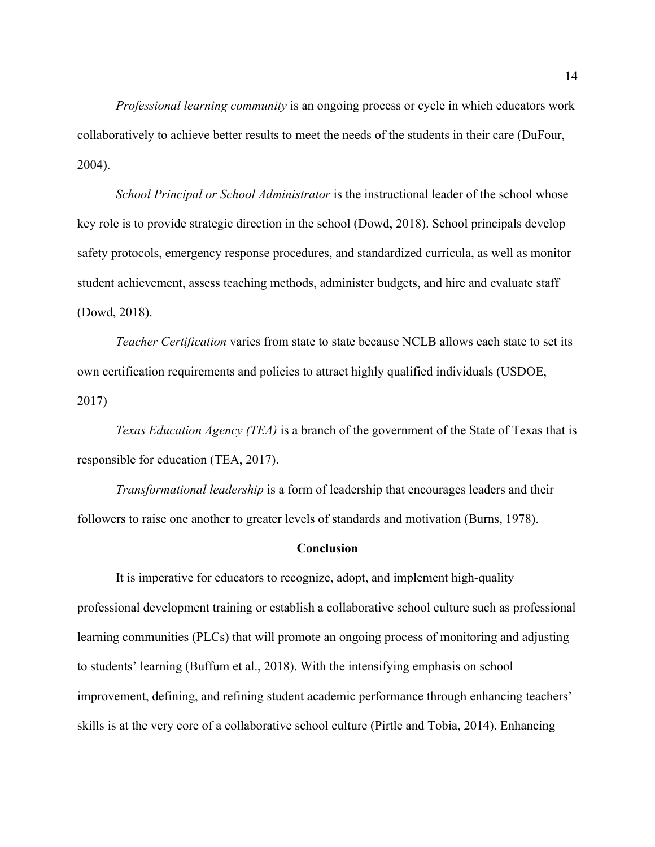*Professional learning community* is an ongoing process or cycle in which educators work collaboratively to achieve better results to meet the needs of the students in their care (DuFour, 2004).

*School Principal or School Administrator* is the instructional leader of the school whose key role is to provide strategic direction in the school (Dowd, 2018). School principals develop safety protocols, emergency response procedures, and standardized curricula, as well as monitor student achievement, assess teaching methods, administer budgets, and hire and evaluate staff (Dowd, 2018).

*Teacher Certification* varies from state to state because NCLB allows each state to set its own certification requirements and policies to attract highly qualified individuals (USDOE, 2017)

*Texas Education Agency (TEA)* is a branch of the government of the State of Texas that is responsible for education (TEA, 2017).

*Transformational leadership* is a form of leadership that encourages leaders and their followers to raise one another to greater levels of standards and motivation (Burns, 1978).

## **Conclusion**

It is imperative for educators to recognize, adopt, and implement high-quality professional development training or establish a collaborative school culture such as professional learning communities (PLCs) that will promote an ongoing process of monitoring and adjusting to students' learning (Buffum et al., 2018). With the intensifying emphasis on school improvement, defining, and refining student academic performance through enhancing teachers' skills is at the very core of a collaborative school culture (Pirtle and Tobia, 2014). Enhancing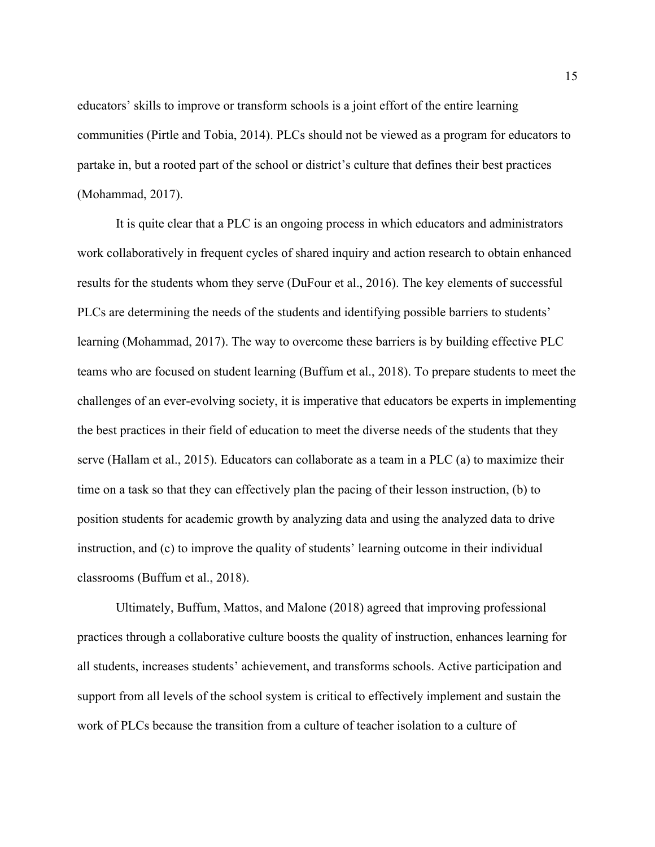educators' skills to improve or transform schools is a joint effort of the entire learning communities (Pirtle and Tobia, 2014). PLCs should not be viewed as a program for educators to partake in, but a rooted part of the school or district's culture that defines their best practices (Mohammad, 2017).

It is quite clear that a PLC is an ongoing process in which educators and administrators work collaboratively in frequent cycles of shared inquiry and action research to obtain enhanced results for the students whom they serve (DuFour et al., 2016). The key elements of successful PLCs are determining the needs of the students and identifying possible barriers to students' learning (Mohammad, 2017). The way to overcome these barriers is by building effective PLC teams who are focused on student learning (Buffum et al., 2018). To prepare students to meet the challenges of an ever-evolving society, it is imperative that educators be experts in implementing the best practices in their field of education to meet the diverse needs of the students that they serve (Hallam et al., 2015). Educators can collaborate as a team in a PLC (a) to maximize their time on a task so that they can effectively plan the pacing of their lesson instruction, (b) to position students for academic growth by analyzing data and using the analyzed data to drive instruction, and (c) to improve the quality of students' learning outcome in their individual classrooms (Buffum et al., 2018).

Ultimately, Buffum, Mattos, and Malone (2018) agreed that improving professional practices through a collaborative culture boosts the quality of instruction, enhances learning for all students, increases students' achievement, and transforms schools. Active participation and support from all levels of the school system is critical to effectively implement and sustain the work of PLCs because the transition from a culture of teacher isolation to a culture of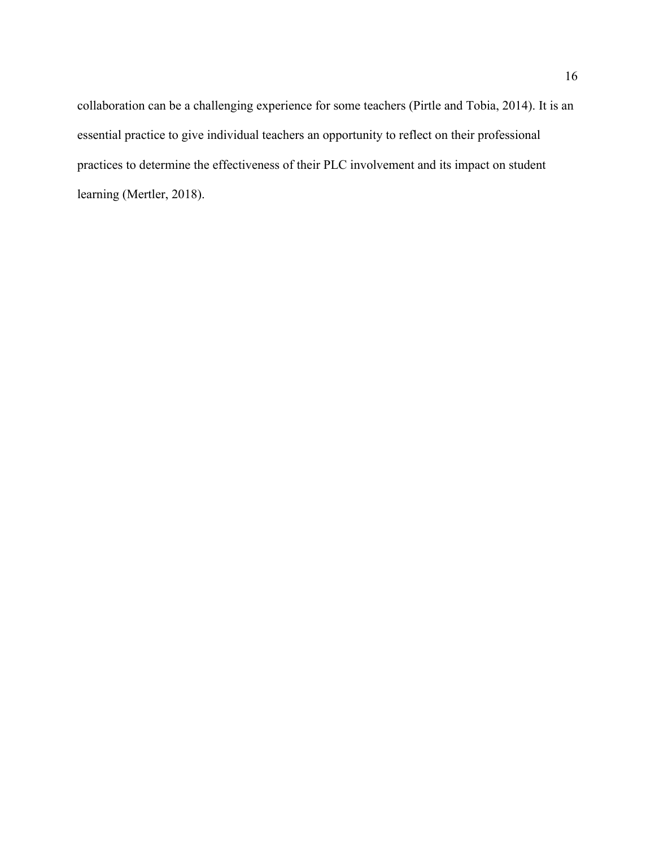collaboration can be a challenging experience for some teachers (Pirtle and Tobia, 2014). It is an essential practice to give individual teachers an opportunity to reflect on their professional practices to determine the effectiveness of their PLC involvement and its impact on student learning (Mertler, 2018).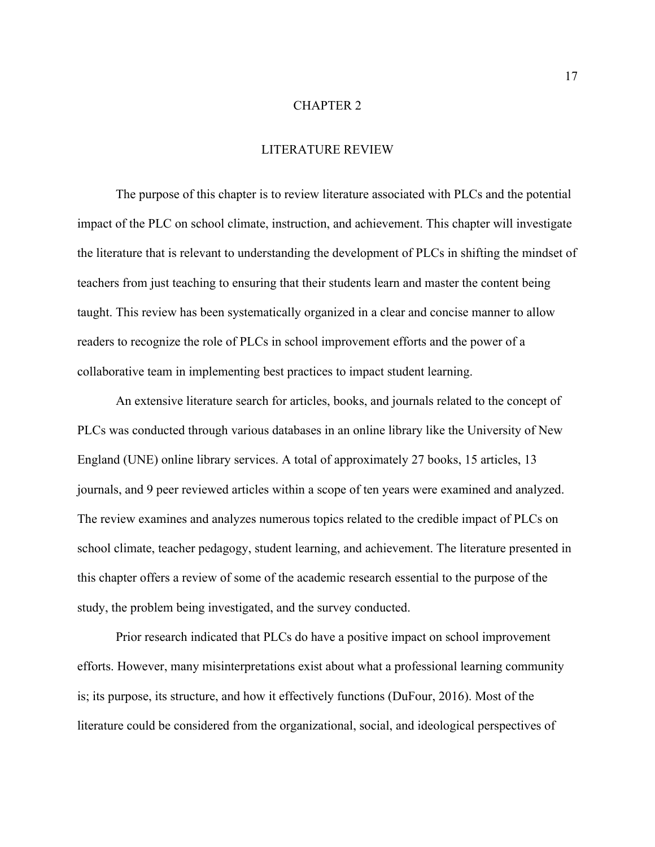## CHAPTER 2

## LITERATURE REVIEW

The purpose of this chapter is to review literature associated with PLCs and the potential impact of the PLC on school climate, instruction, and achievement. This chapter will investigate the literature that is relevant to understanding the development of PLCs in shifting the mindset of teachers from just teaching to ensuring that their students learn and master the content being taught. This review has been systematically organized in a clear and concise manner to allow readers to recognize the role of PLCs in school improvement efforts and the power of a collaborative team in implementing best practices to impact student learning.

An extensive literature search for articles, books, and journals related to the concept of PLCs was conducted through various databases in an online library like the University of New England (UNE) online library services. A total of approximately 27 books, 15 articles, 13 journals, and 9 peer reviewed articles within a scope of ten years were examined and analyzed. The review examines and analyzes numerous topics related to the credible impact of PLCs on school climate, teacher pedagogy, student learning, and achievement. The literature presented in this chapter offers a review of some of the academic research essential to the purpose of the study, the problem being investigated, and the survey conducted.

Prior research indicated that PLCs do have a positive impact on school improvement efforts. However, many misinterpretations exist about what a professional learning community is; its purpose, its structure, and how it effectively functions (DuFour, 2016). Most of the literature could be considered from the organizational, social, and ideological perspectives of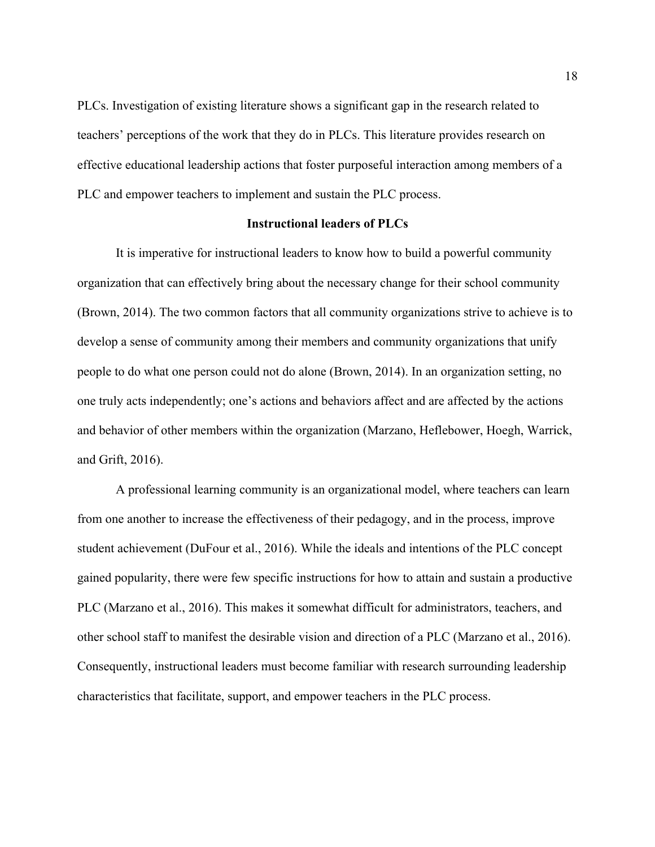PLCs. Investigation of existing literature shows a significant gap in the research related to teachers' perceptions of the work that they do in PLCs. This literature provides research on effective educational leadership actions that foster purposeful interaction among members of a PLC and empower teachers to implement and sustain the PLC process.

## **Instructional leaders of PLCs**

It is imperative for instructional leaders to know how to build a powerful community organization that can effectively bring about the necessary change for their school community (Brown, 2014). The two common factors that all community organizations strive to achieve is to develop a sense of community among their members and community organizations that unify people to do what one person could not do alone (Brown, 2014). In an organization setting, no one truly acts independently; one's actions and behaviors affect and are affected by the actions and behavior of other members within the organization (Marzano, Heflebower, Hoegh, Warrick, and Grift, 2016).

A professional learning community is an organizational model, where teachers can learn from one another to increase the effectiveness of their pedagogy, and in the process, improve student achievement (DuFour et al., 2016). While the ideals and intentions of the PLC concept gained popularity, there were few specific instructions for how to attain and sustain a productive PLC (Marzano et al., 2016). This makes it somewhat difficult for administrators, teachers, and other school staff to manifest the desirable vision and direction of a PLC (Marzano et al., 2016). Consequently, instructional leaders must become familiar with research surrounding leadership characteristics that facilitate, support, and empower teachers in the PLC process.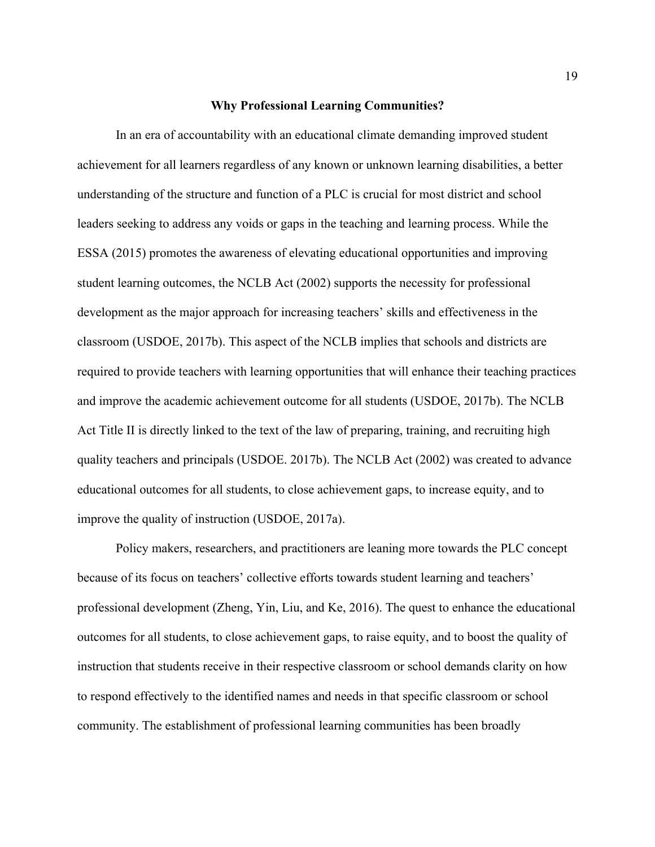#### **Why Professional Learning Communities?**

In an era of accountability with an educational climate demanding improved student achievement for all learners regardless of any known or unknown learning disabilities, a better understanding of the structure and function of a PLC is crucial for most district and school leaders seeking to address any voids or gaps in the teaching and learning process. While the ESSA (2015) promotes the awareness of elevating educational opportunities and improving student learning outcomes, the NCLB Act (2002) supports the necessity for professional development as the major approach for increasing teachers' skills and effectiveness in the classroom (USDOE, 2017b). This aspect of the NCLB implies that schools and districts are required to provide teachers with learning opportunities that will enhance their teaching practices and improve the academic achievement outcome for all students (USDOE, 2017b). The NCLB Act Title II is directly linked to the text of the law of preparing, training, and recruiting high quality teachers and principals (USDOE. 2017b). The NCLB Act (2002) was created to advance educational outcomes for all students, to close achievement gaps, to increase equity, and to improve the quality of instruction (USDOE, 2017a).

Policy makers, researchers, and practitioners are leaning more towards the PLC concept because of its focus on teachers' collective efforts towards student learning and teachers' professional development (Zheng, Yin, Liu, and Ke, 2016). The quest to enhance the educational outcomes for all students, to close achievement gaps, to raise equity, and to boost the quality of instruction that students receive in their respective classroom or school demands clarity on how to respond effectively to the identified names and needs in that specific classroom or school community. The establishment of professional learning communities has been broadly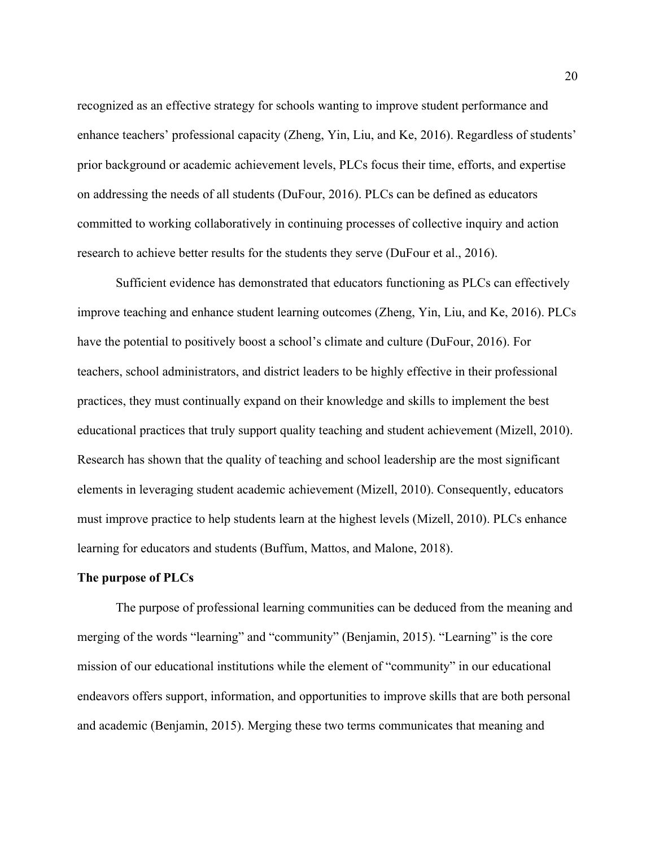recognized as an effective strategy for schools wanting to improve student performance and enhance teachers' professional capacity (Zheng, Yin, Liu, and Ke, 2016). Regardless of students' prior background or academic achievement levels, PLCs focus their time, efforts, and expertise on addressing the needs of all students (DuFour, 2016). PLCs can be defined as educators committed to working collaboratively in continuing processes of collective inquiry and action research to achieve better results for the students they serve (DuFour et al., 2016).

Sufficient evidence has demonstrated that educators functioning as PLCs can effectively improve teaching and enhance student learning outcomes (Zheng, Yin, Liu, and Ke, 2016). PLCs have the potential to positively boost a school's climate and culture (DuFour, 2016). For teachers, school administrators, and district leaders to be highly effective in their professional practices, they must continually expand on their knowledge and skills to implement the best educational practices that truly support quality teaching and student achievement (Mizell, 2010). Research has shown that the quality of teaching and school leadership are the most significant elements in leveraging student academic achievement (Mizell, 2010). Consequently, educators must improve practice to help students learn at the highest levels (Mizell, 2010). PLCs enhance learning for educators and students (Buffum, Mattos, and Malone, 2018).

#### **The purpose of PLCs**

The purpose of professional learning communities can be deduced from the meaning and merging of the words "learning" and "community" (Benjamin, 2015). "Learning" is the core mission of our educational institutions while the element of "community" in our educational endeavors offers support, information, and opportunities to improve skills that are both personal and academic (Benjamin, 2015). Merging these two terms communicates that meaning and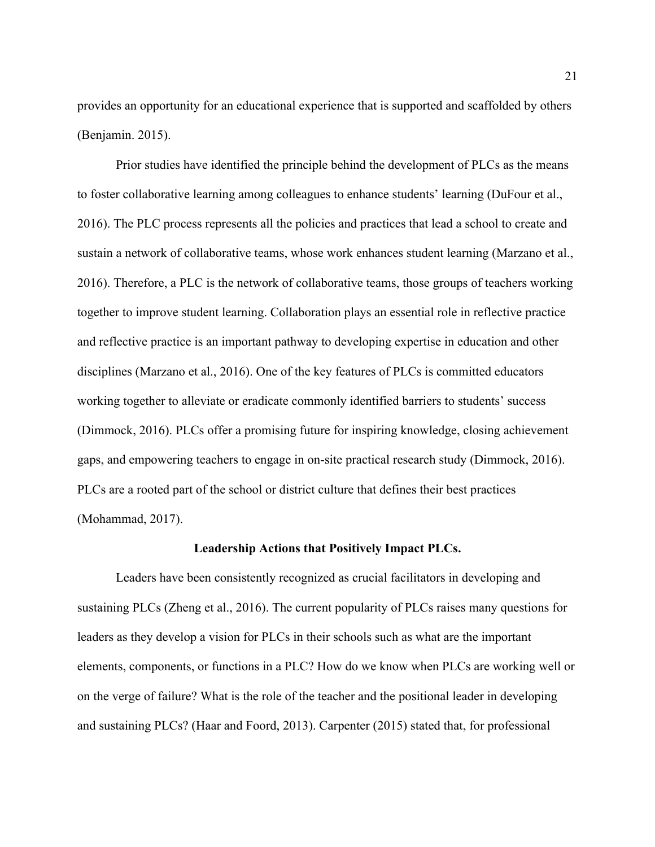provides an opportunity for an educational experience that is supported and scaffolded by others (Benjamin. 2015).

Prior studies have identified the principle behind the development of PLCs as the means to foster collaborative learning among colleagues to enhance students' learning (DuFour et al., 2016). The PLC process represents all the policies and practices that lead a school to create and sustain a network of collaborative teams, whose work enhances student learning (Marzano et al., 2016). Therefore, a PLC is the network of collaborative teams, those groups of teachers working together to improve student learning. Collaboration plays an essential role in reflective practice and reflective practice is an important pathway to developing expertise in education and other disciplines (Marzano et al., 2016). One of the key features of PLCs is committed educators working together to alleviate or eradicate commonly identified barriers to students' success (Dimmock, 2016). PLCs offer a promising future for inspiring knowledge, closing achievement gaps, and empowering teachers to engage in on-site practical research study (Dimmock, 2016). PLCs are a rooted part of the school or district culture that defines their best practices (Mohammad, 2017).

#### **Leadership Actions that Positively Impact PLCs.**

Leaders have been consistently recognized as crucial facilitators in developing and sustaining PLCs (Zheng et al., 2016). The current popularity of PLCs raises many questions for leaders as they develop a vision for PLCs in their schools such as what are the important elements, components, or functions in a PLC? How do we know when PLCs are working well or on the verge of failure? What is the role of the teacher and the positional leader in developing and sustaining PLCs? (Haar and Foord, 2013). Carpenter (2015) stated that, for professional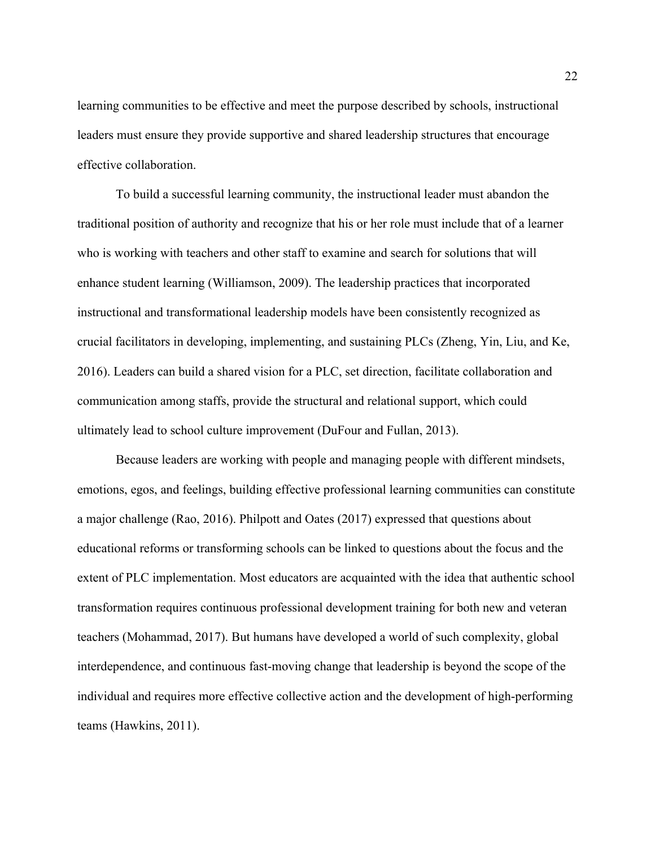learning communities to be effective and meet the purpose described by schools, instructional leaders must ensure they provide supportive and shared leadership structures that encourage effective collaboration.

To build a successful learning community, the instructional leader must abandon the traditional position of authority and recognize that his or her role must include that of a learner who is working with teachers and other staff to examine and search for solutions that will enhance student learning (Williamson, 2009). The leadership practices that incorporated instructional and transformational leadership models have been consistently recognized as crucial facilitators in developing, implementing, and sustaining PLCs (Zheng, Yin, Liu, and Ke, 2016). Leaders can build a shared vision for a PLC, set direction, facilitate collaboration and communication among staffs, provide the structural and relational support, which could ultimately lead to school culture improvement (DuFour and Fullan, 2013).

Because leaders are working with people and managing people with different mindsets, emotions, egos, and feelings, building effective professional learning communities can constitute a major challenge (Rao, 2016). Philpott and Oates (2017) expressed that questions about educational reforms or transforming schools can be linked to questions about the focus and the extent of PLC implementation. Most educators are acquainted with the idea that authentic school transformation requires continuous professional development training for both new and veteran teachers (Mohammad, 2017). But humans have developed a world of such complexity, global interdependence, and continuous fast-moving change that leadership is beyond the scope of the individual and requires more effective collective action and the development of high-performing teams (Hawkins, 2011).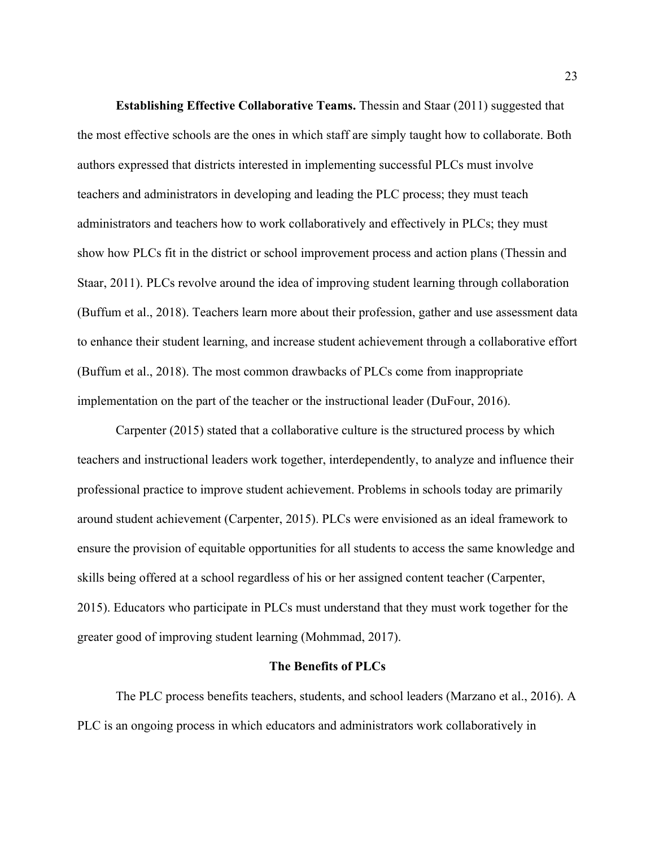**Establishing Effective Collaborative Teams.** Thessin and Staar (2011) suggested that the most effective schools are the ones in which staff are simply taught how to collaborate. Both authors expressed that districts interested in implementing successful PLCs must involve teachers and administrators in developing and leading the PLC process; they must teach administrators and teachers how to work collaboratively and effectively in PLCs; they must show how PLCs fit in the district or school improvement process and action plans (Thessin and Staar, 2011). PLCs revolve around the idea of improving student learning through collaboration (Buffum et al., 2018). Teachers learn more about their profession, gather and use assessment data to enhance their student learning, and increase student achievement through a collaborative effort (Buffum et al., 2018). The most common drawbacks of PLCs come from inappropriate implementation on the part of the teacher or the instructional leader (DuFour, 2016).

Carpenter (2015) stated that a collaborative culture is the structured process by which teachers and instructional leaders work together, interdependently, to analyze and influence their professional practice to improve student achievement. Problems in schools today are primarily around student achievement (Carpenter, 2015). PLCs were envisioned as an ideal framework to ensure the provision of equitable opportunities for all students to access the same knowledge and skills being offered at a school regardless of his or her assigned content teacher (Carpenter, 2015). Educators who participate in PLCs must understand that they must work together for the greater good of improving student learning (Mohmmad, 2017).

#### **The Benefits of PLCs**

The PLC process benefits teachers, students, and school leaders (Marzano et al., 2016). A PLC is an ongoing process in which educators and administrators work collaboratively in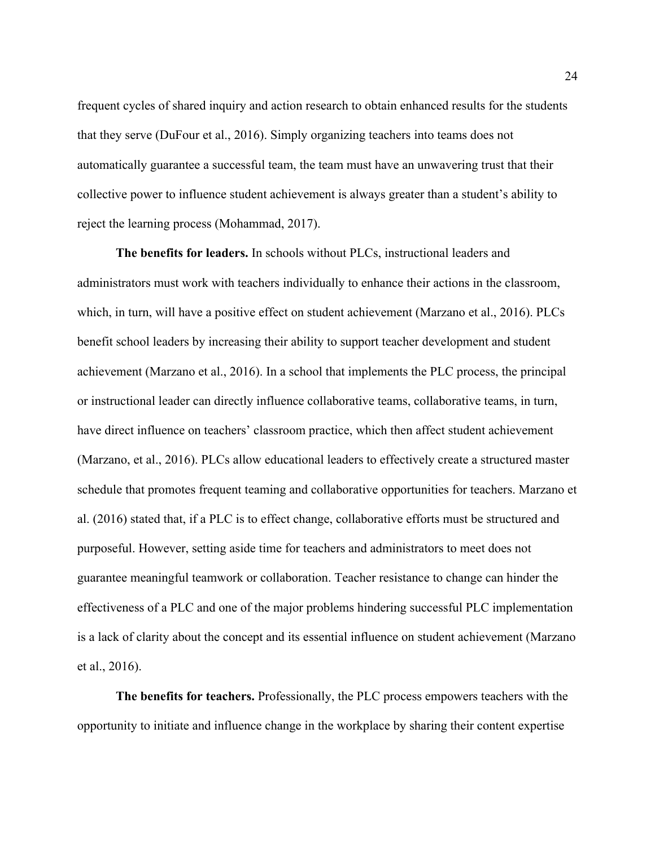frequent cycles of shared inquiry and action research to obtain enhanced results for the students that they serve (DuFour et al., 2016). Simply organizing teachers into teams does not automatically guarantee a successful team, the team must have an unwavering trust that their collective power to influence student achievement is always greater than a student's ability to reject the learning process (Mohammad, 2017).

**The benefits for leaders.** In schools without PLCs, instructional leaders and administrators must work with teachers individually to enhance their actions in the classroom, which, in turn, will have a positive effect on student achievement (Marzano et al., 2016). PLCs benefit school leaders by increasing their ability to support teacher development and student achievement (Marzano et al., 2016). In a school that implements the PLC process, the principal or instructional leader can directly influence collaborative teams, collaborative teams, in turn, have direct influence on teachers' classroom practice, which then affect student achievement (Marzano, et al., 2016). PLCs allow educational leaders to effectively create a structured master schedule that promotes frequent teaming and collaborative opportunities for teachers. Marzano et al. (2016) stated that, if a PLC is to effect change, collaborative efforts must be structured and purposeful. However, setting aside time for teachers and administrators to meet does not guarantee meaningful teamwork or collaboration. Teacher resistance to change can hinder the effectiveness of a PLC and one of the major problems hindering successful PLC implementation is a lack of clarity about the concept and its essential influence on student achievement (Marzano et al., 2016).

**The benefits for teachers.** Professionally, the PLC process empowers teachers with the opportunity to initiate and influence change in the workplace by sharing their content expertise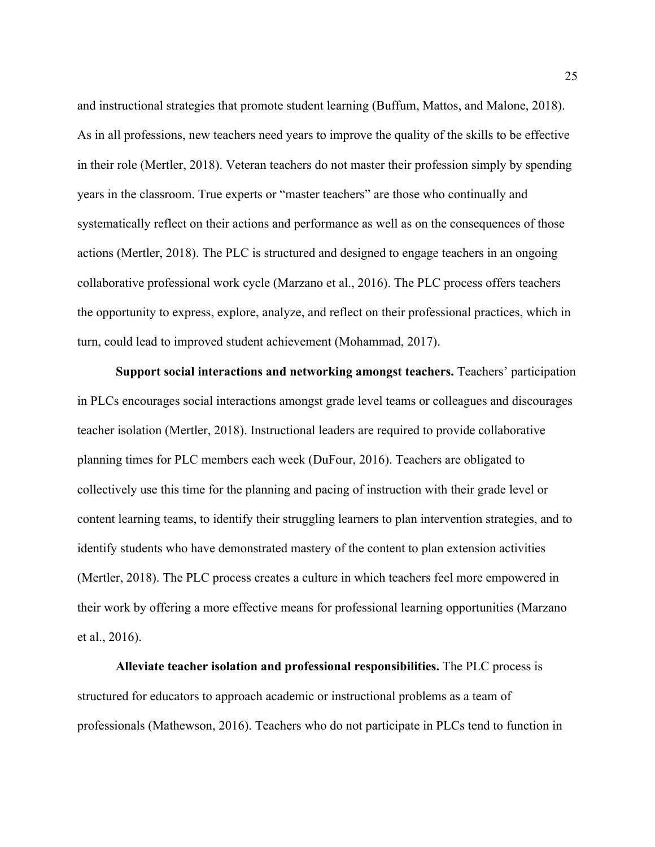and instructional strategies that promote student learning (Buffum, Mattos, and Malone, 2018). As in all professions, new teachers need years to improve the quality of the skills to be effective in their role (Mertler, 2018). Veteran teachers do not master their profession simply by spending years in the classroom. True experts or "master teachers" are those who continually and systematically reflect on their actions and performance as well as on the consequences of those actions (Mertler, 2018). The PLC is structured and designed to engage teachers in an ongoing collaborative professional work cycle (Marzano et al., 2016). The PLC process offers teachers the opportunity to express, explore, analyze, and reflect on their professional practices, which in turn, could lead to improved student achievement (Mohammad, 2017).

**Support social interactions and networking amongst teachers.** Teachers' participation in PLCs encourages social interactions amongst grade level teams or colleagues and discourages teacher isolation (Mertler, 2018). Instructional leaders are required to provide collaborative planning times for PLC members each week (DuFour, 2016). Teachers are obligated to collectively use this time for the planning and pacing of instruction with their grade level or content learning teams, to identify their struggling learners to plan intervention strategies, and to identify students who have demonstrated mastery of the content to plan extension activities (Mertler, 2018). The PLC process creates a culture in which teachers feel more empowered in their work by offering a more effective means for professional learning opportunities (Marzano et al., 2016).

**Alleviate teacher isolation and professional responsibilities.** The PLC process is structured for educators to approach academic or instructional problems as a team of professionals (Mathewson, 2016). Teachers who do not participate in PLCs tend to function in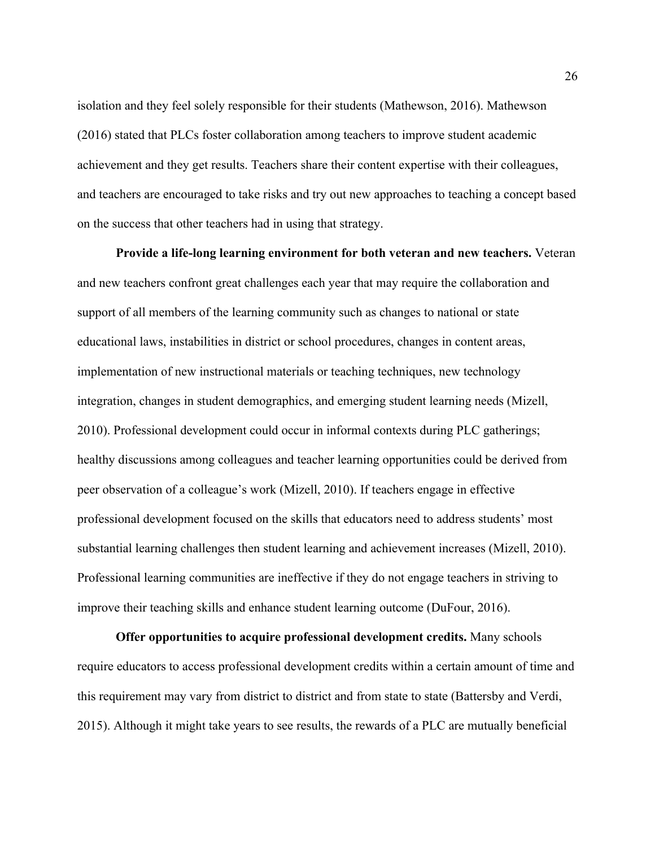isolation and they feel solely responsible for their students (Mathewson, 2016). Mathewson (2016) stated that PLCs foster collaboration among teachers to improve student academic achievement and they get results. Teachers share their content expertise with their colleagues, and teachers are encouraged to take risks and try out new approaches to teaching a concept based on the success that other teachers had in using that strategy.

**Provide a life-long learning environment for both veteran and new teachers.** Veteran and new teachers confront great challenges each year that may require the collaboration and support of all members of the learning community such as changes to national or state educational laws, instabilities in district or school procedures, changes in content areas, implementation of new instructional materials or teaching techniques, new technology integration, changes in student demographics, and emerging student learning needs (Mizell, 2010). Professional development could occur in informal contexts during PLC gatherings; healthy discussions among colleagues and teacher learning opportunities could be derived from peer observation of a colleague's work (Mizell, 2010). If teachers engage in effective professional development focused on the skills that educators need to address students' most substantial learning challenges then student learning and achievement increases (Mizell, 2010). Professional learning communities are ineffective if they do not engage teachers in striving to improve their teaching skills and enhance student learning outcome (DuFour, 2016).

**Offer opportunities to acquire professional development credits.** Many schools require educators to access professional development credits within a certain amount of time and this requirement may vary from district to district and from state to state (Battersby and Verdi, 2015). Although it might take years to see results, the rewards of a PLC are mutually beneficial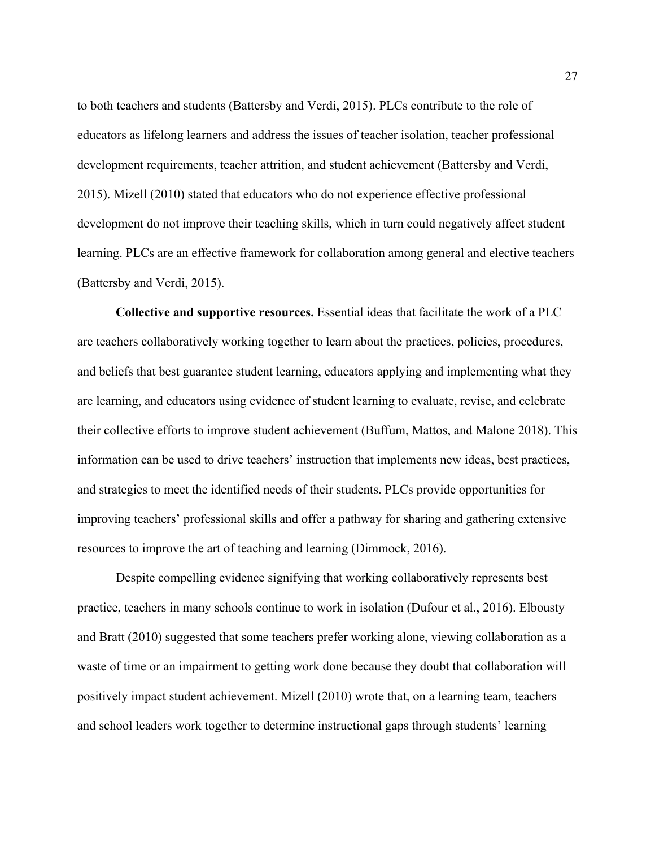to both teachers and students (Battersby and Verdi, 2015). PLCs contribute to the role of educators as lifelong learners and address the issues of teacher isolation, teacher professional development requirements, teacher attrition, and student achievement (Battersby and Verdi, 2015). Mizell (2010) stated that educators who do not experience effective professional development do not improve their teaching skills, which in turn could negatively affect student learning. PLCs are an effective framework for collaboration among general and elective teachers (Battersby and Verdi, 2015).

**Collective and supportive resources.** Essential ideas that facilitate the work of a PLC are teachers collaboratively working together to learn about the practices, policies, procedures, and beliefs that best guarantee student learning, educators applying and implementing what they are learning, and educators using evidence of student learning to evaluate, revise, and celebrate their collective efforts to improve student achievement (Buffum, Mattos, and Malone 2018). This information can be used to drive teachers' instruction that implements new ideas, best practices, and strategies to meet the identified needs of their students. PLCs provide opportunities for improving teachers' professional skills and offer a pathway for sharing and gathering extensive resources to improve the art of teaching and learning (Dimmock, 2016).

Despite compelling evidence signifying that working collaboratively represents best practice, teachers in many schools continue to work in isolation (Dufour et al., 2016). Elbousty and Bratt (2010) suggested that some teachers prefer working alone, viewing collaboration as a waste of time or an impairment to getting work done because they doubt that collaboration will positively impact student achievement. Mizell (2010) wrote that, on a learning team, teachers and school leaders work together to determine instructional gaps through students' learning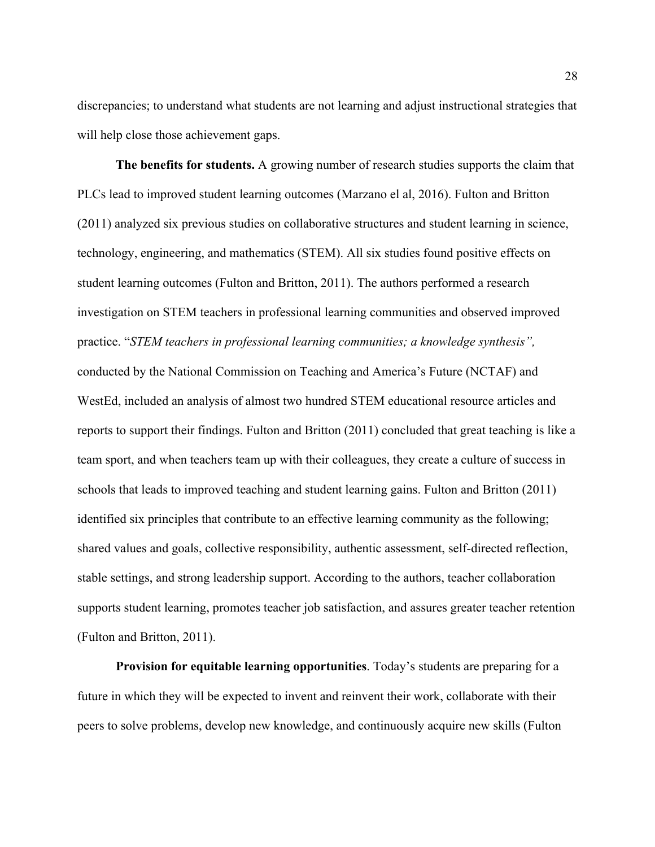discrepancies; to understand what students are not learning and adjust instructional strategies that will help close those achievement gaps.

**The benefits for students.** A growing number of research studies supports the claim that PLCs lead to improved student learning outcomes (Marzano el al, 2016). Fulton and Britton (2011) analyzed six previous studies on collaborative structures and student learning in science, technology, engineering, and mathematics (STEM). All six studies found positive effects on student learning outcomes (Fulton and Britton, 2011). The authors performed a research investigation on STEM teachers in professional learning communities and observed improved practice. "*STEM teachers in professional learning communities; a knowledge synthesis",*  conducted by the National Commission on Teaching and America's Future (NCTAF) and WestEd, included an analysis of almost two hundred STEM educational resource articles and reports to support their findings. Fulton and Britton (2011) concluded that great teaching is like a team sport, and when teachers team up with their colleagues, they create a culture of success in schools that leads to improved teaching and student learning gains. Fulton and Britton (2011) identified six principles that contribute to an effective learning community as the following; shared values and goals, collective responsibility, authentic assessment, self-directed reflection, stable settings, and strong leadership support. According to the authors, teacher collaboration supports student learning, promotes teacher job satisfaction, and assures greater teacher retention (Fulton and Britton, 2011).

**Provision for equitable learning opportunities**. Today's students are preparing for a future in which they will be expected to invent and reinvent their work, collaborate with their peers to solve problems, develop new knowledge, and continuously acquire new skills (Fulton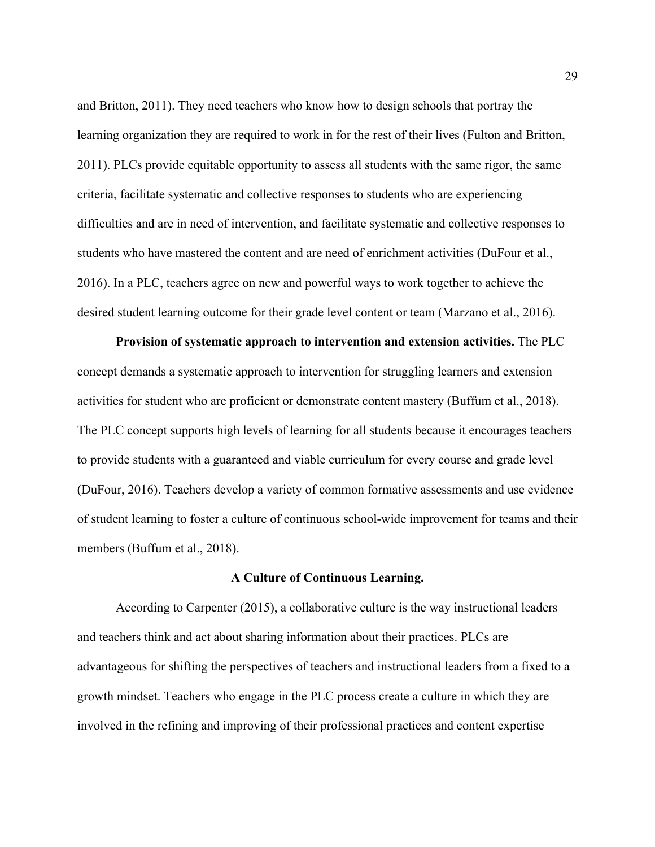and Britton, 2011). They need teachers who know how to design schools that portray the learning organization they are required to work in for the rest of their lives (Fulton and Britton, 2011). PLCs provide equitable opportunity to assess all students with the same rigor, the same criteria, facilitate systematic and collective responses to students who are experiencing difficulties and are in need of intervention, and facilitate systematic and collective responses to students who have mastered the content and are need of enrichment activities (DuFour et al., 2016). In a PLC, teachers agree on new and powerful ways to work together to achieve the desired student learning outcome for their grade level content or team (Marzano et al., 2016).

**Provision of systematic approach to intervention and extension activities.** The PLC concept demands a systematic approach to intervention for struggling learners and extension activities for student who are proficient or demonstrate content mastery (Buffum et al., 2018). The PLC concept supports high levels of learning for all students because it encourages teachers to provide students with a guaranteed and viable curriculum for every course and grade level (DuFour, 2016). Teachers develop a variety of common formative assessments and use evidence of student learning to foster a culture of continuous school-wide improvement for teams and their members (Buffum et al., 2018).

### **A Culture of Continuous Learning.**

According to Carpenter (2015), a collaborative culture is the way instructional leaders and teachers think and act about sharing information about their practices. PLCs are advantageous for shifting the perspectives of teachers and instructional leaders from a fixed to a growth mindset. Teachers who engage in the PLC process create a culture in which they are involved in the refining and improving of their professional practices and content expertise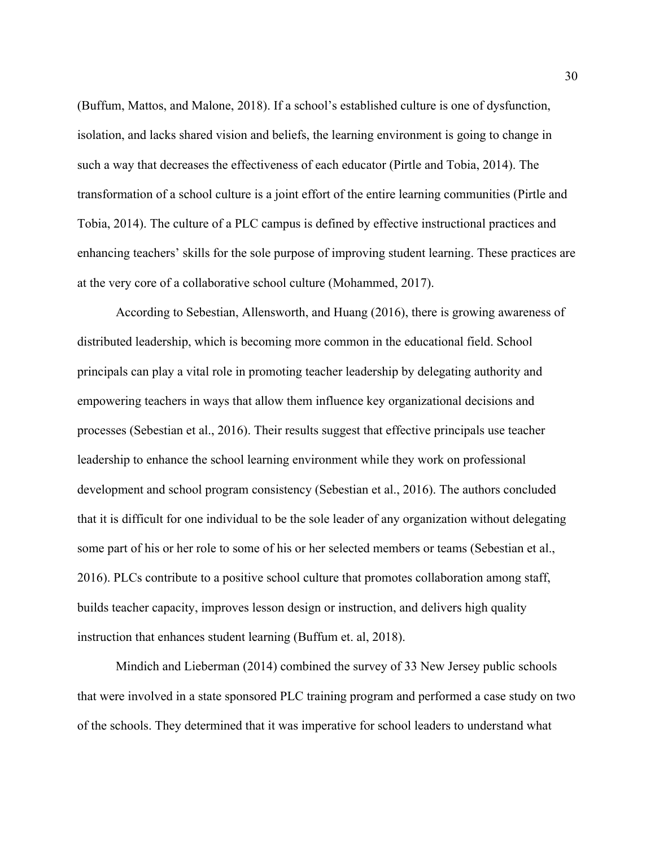(Buffum, Mattos, and Malone, 2018). If a school's established culture is one of dysfunction, isolation, and lacks shared vision and beliefs, the learning environment is going to change in such a way that decreases the effectiveness of each educator (Pirtle and Tobia, 2014). The transformation of a school culture is a joint effort of the entire learning communities (Pirtle and Tobia, 2014). The culture of a PLC campus is defined by effective instructional practices and enhancing teachers' skills for the sole purpose of improving student learning. These practices are at the very core of a collaborative school culture (Mohammed, 2017).

According to Sebestian, Allensworth, and Huang (2016), there is growing awareness of distributed leadership, which is becoming more common in the educational field. School principals can play a vital role in promoting teacher leadership by delegating authority and empowering teachers in ways that allow them influence key organizational decisions and processes (Sebestian et al., 2016). Their results suggest that effective principals use teacher leadership to enhance the school learning environment while they work on professional development and school program consistency (Sebestian et al., 2016). The authors concluded that it is difficult for one individual to be the sole leader of any organization without delegating some part of his or her role to some of his or her selected members or teams (Sebestian et al., 2016). PLCs contribute to a positive school culture that promotes collaboration among staff, builds teacher capacity, improves lesson design or instruction, and delivers high quality instruction that enhances student learning (Buffum et. al, 2018).

Mindich and Lieberman (2014) combined the survey of 33 New Jersey public schools that were involved in a state sponsored PLC training program and performed a case study on two of the schools. They determined that it was imperative for school leaders to understand what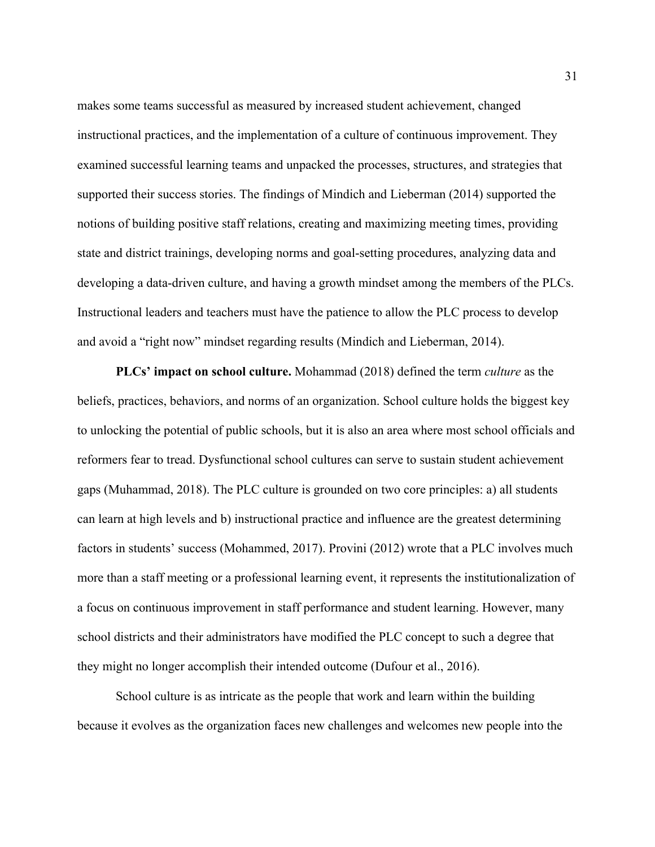makes some teams successful as measured by increased student achievement, changed instructional practices, and the implementation of a culture of continuous improvement. They examined successful learning teams and unpacked the processes, structures, and strategies that supported their success stories. The findings of Mindich and Lieberman (2014) supported the notions of building positive staff relations, creating and maximizing meeting times, providing state and district trainings, developing norms and goal-setting procedures, analyzing data and developing a data-driven culture, and having a growth mindset among the members of the PLCs. Instructional leaders and teachers must have the patience to allow the PLC process to develop and avoid a "right now" mindset regarding results (Mindich and Lieberman, 2014).

**PLCs' impact on school culture.** Mohammad (2018) defined the term *culture* as the beliefs, practices, behaviors, and norms of an organization. School culture holds the biggest key to unlocking the potential of public schools, but it is also an area where most school officials and reformers fear to tread. Dysfunctional school cultures can serve to sustain student achievement gaps (Muhammad, 2018). The PLC culture is grounded on two core principles: a) all students can learn at high levels and b) instructional practice and influence are the greatest determining factors in students' success (Mohammed, 2017). Provini (2012) wrote that a PLC involves much more than a staff meeting or a professional learning event, it represents the institutionalization of a focus on continuous improvement in staff performance and student learning. However, many school districts and their administrators have modified the PLC concept to such a degree that they might no longer accomplish their intended outcome (Dufour et al., 2016).

School culture is as intricate as the people that work and learn within the building because it evolves as the organization faces new challenges and welcomes new people into the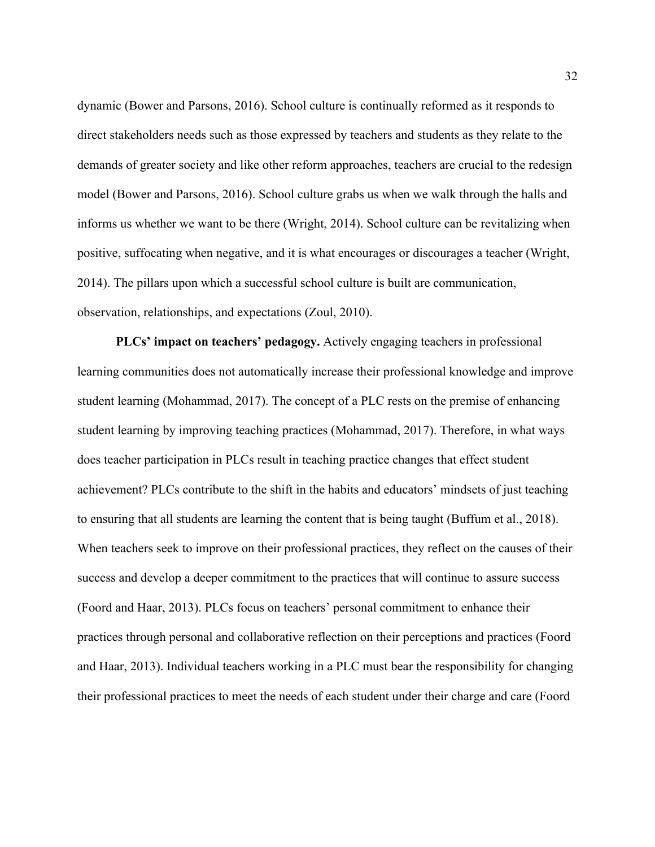dynamic (Bower and Parsons, 2016). School culture is continually reformed as it responds to direct stakeholders needs such as those expressed by teachers and students as they relate to the demands of greater society and like other reform approaches, teachers are crucial to the redesign model (Bower and Parsons, 2016). School culture grabs us when we walk through the halls and informs us whether we want to be there (Wright, 2014). School culture can be revitalizing when positive, suffocating when negative, and it is what encourages or discourages a teacher (Wright, 2014). The pillars upon which a successful school culture is built are communication, observation, relationships, and expectations (Zoul, 2010).

**PLCs' impact on teachers' pedagogy.** Actively engaging teachers in professional learning communities does not automatically increase their professional knowledge and improve student learning (Mohammad, 2017). The concept of a PLC rests on the premise of enhancing student learning by improving teaching practices (Mohammad, 2017). Therefore, in what ways does teacher participation in PLCs result in teaching practice changes that effect student achievement? PLCs contribute to the shift in the habits and educators' mindsets of just teaching to ensuring that all students are learning the content that is being taught (Buffum et al., 2018). When teachers seek to improve on their professional practices, they reflect on the causes of their success and develop a deeper commitment to the practices that will continue to assure success (Foord and Haar, 2013). PLCs focus on teachers' personal commitment to enhance their practices through personal and collaborative reflection on their perceptions and practices (Foord and Haar, 2013). Individual teachers working in a PLC must bear the responsibility for changing their professional practices to meet the needs of each student under their charge and care (Foord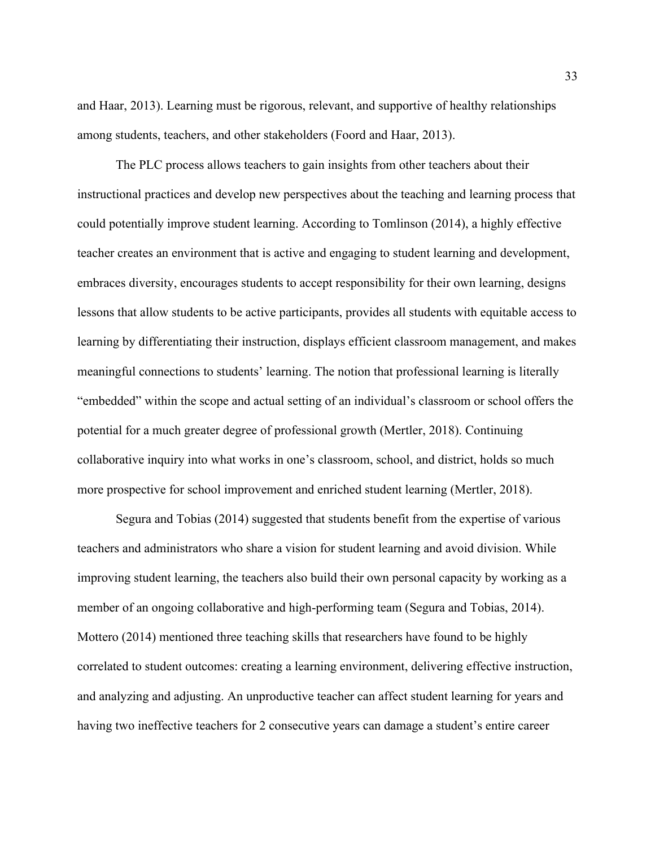and Haar, 2013). Learning must be rigorous, relevant, and supportive of healthy relationships among students, teachers, and other stakeholders (Foord and Haar, 2013).

The PLC process allows teachers to gain insights from other teachers about their instructional practices and develop new perspectives about the teaching and learning process that could potentially improve student learning. According to Tomlinson (2014), a highly effective teacher creates an environment that is active and engaging to student learning and development, embraces diversity, encourages students to accept responsibility for their own learning, designs lessons that allow students to be active participants, provides all students with equitable access to learning by differentiating their instruction, displays efficient classroom management, and makes meaningful connections to students' learning. The notion that professional learning is literally "embedded" within the scope and actual setting of an individual's classroom or school offers the potential for a much greater degree of professional growth (Mertler, 2018). Continuing collaborative inquiry into what works in one's classroom, school, and district, holds so much more prospective for school improvement and enriched student learning (Mertler, 2018).

Segura and Tobias (2014) suggested that students benefit from the expertise of various teachers and administrators who share a vision for student learning and avoid division. While improving student learning, the teachers also build their own personal capacity by working as a member of an ongoing collaborative and high-performing team (Segura and Tobias, 2014). Mottero (2014) mentioned three teaching skills that researchers have found to be highly correlated to student outcomes: creating a learning environment, delivering effective instruction, and analyzing and adjusting. An unproductive teacher can affect student learning for years and having two ineffective teachers for 2 consecutive years can damage a student's entire career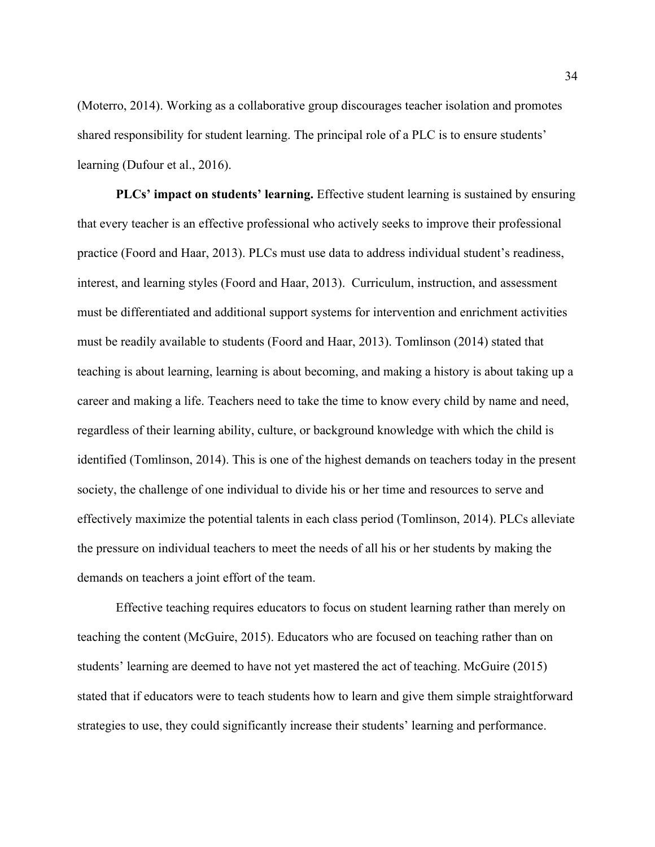(Moterro, 2014). Working as a collaborative group discourages teacher isolation and promotes shared responsibility for student learning. The principal role of a PLC is to ensure students' learning (Dufour et al., 2016).

**PLCs' impact on students' learning.** Effective student learning is sustained by ensuring that every teacher is an effective professional who actively seeks to improve their professional practice (Foord and Haar, 2013). PLCs must use data to address individual student's readiness, interest, and learning styles (Foord and Haar, 2013). Curriculum, instruction, and assessment must be differentiated and additional support systems for intervention and enrichment activities must be readily available to students (Foord and Haar, 2013). Tomlinson (2014) stated that teaching is about learning, learning is about becoming, and making a history is about taking up a career and making a life. Teachers need to take the time to know every child by name and need, regardless of their learning ability, culture, or background knowledge with which the child is identified (Tomlinson, 2014). This is one of the highest demands on teachers today in the present society, the challenge of one individual to divide his or her time and resources to serve and effectively maximize the potential talents in each class period (Tomlinson, 2014). PLCs alleviate the pressure on individual teachers to meet the needs of all his or her students by making the demands on teachers a joint effort of the team.

Effective teaching requires educators to focus on student learning rather than merely on teaching the content (McGuire, 2015). Educators who are focused on teaching rather than on students' learning are deemed to have not yet mastered the act of teaching. McGuire (2015) stated that if educators were to teach students how to learn and give them simple straightforward strategies to use, they could significantly increase their students' learning and performance.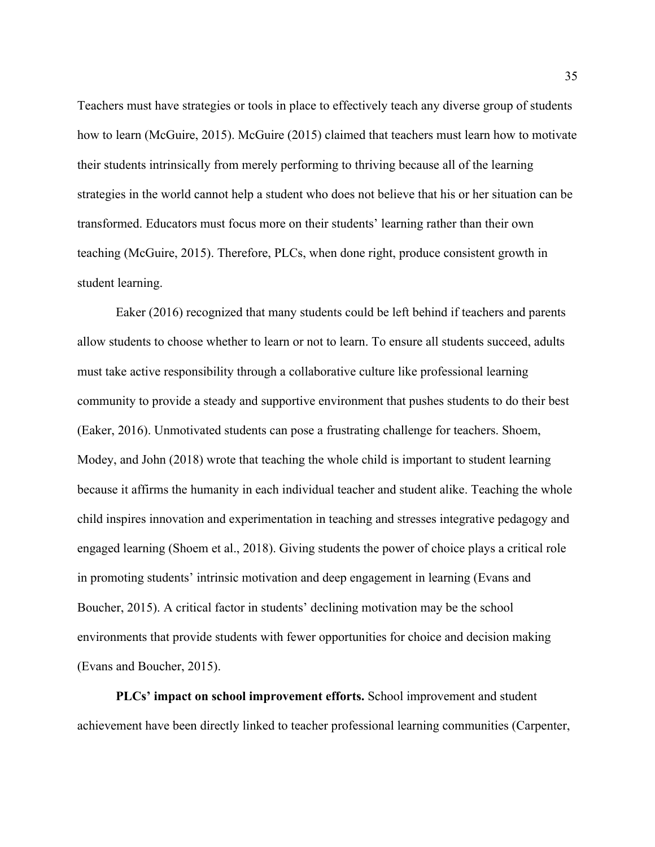Teachers must have strategies or tools in place to effectively teach any diverse group of students how to learn (McGuire, 2015). McGuire (2015) claimed that teachers must learn how to motivate their students intrinsically from merely performing to thriving because all of the learning strategies in the world cannot help a student who does not believe that his or her situation can be transformed. Educators must focus more on their students' learning rather than their own teaching (McGuire, 2015). Therefore, PLCs, when done right, produce consistent growth in student learning.

Eaker (2016) recognized that many students could be left behind if teachers and parents allow students to choose whether to learn or not to learn. To ensure all students succeed, adults must take active responsibility through a collaborative culture like professional learning community to provide a steady and supportive environment that pushes students to do their best (Eaker, 2016). Unmotivated students can pose a frustrating challenge for teachers. Shoem, Modey, and John (2018) wrote that teaching the whole child is important to student learning because it affirms the humanity in each individual teacher and student alike. Teaching the whole child inspires innovation and experimentation in teaching and stresses integrative pedagogy and engaged learning (Shoem et al., 2018). Giving students the power of choice plays a critical role in promoting students' intrinsic motivation and deep engagement in learning (Evans and Boucher, 2015). A critical factor in students' declining motivation may be the school environments that provide students with fewer opportunities for choice and decision making (Evans and Boucher, 2015).

**PLCs' impact on school improvement efforts.** School improvement and student achievement have been directly linked to teacher professional learning communities (Carpenter,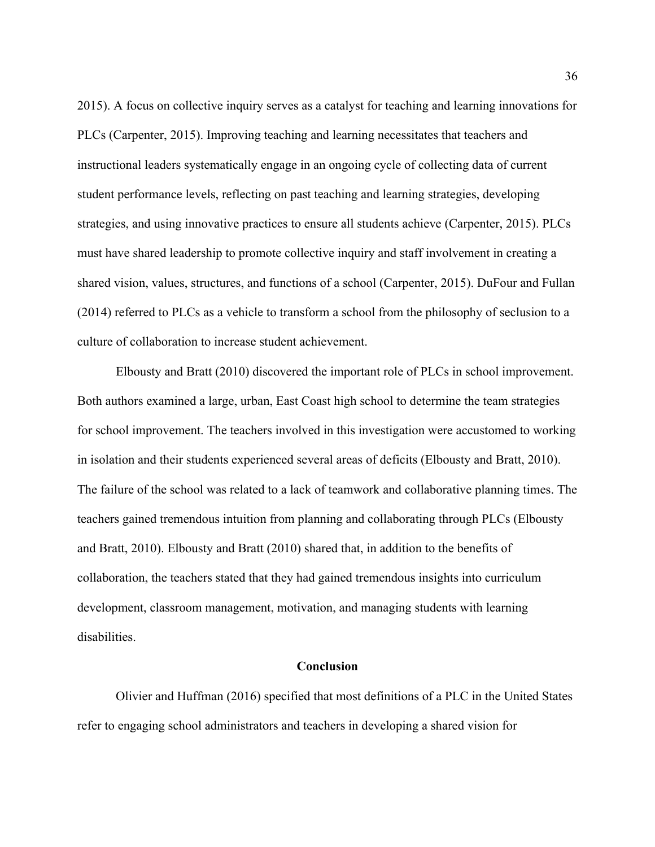2015). A focus on collective inquiry serves as a catalyst for teaching and learning innovations for PLCs (Carpenter, 2015). Improving teaching and learning necessitates that teachers and instructional leaders systematically engage in an ongoing cycle of collecting data of current student performance levels, reflecting on past teaching and learning strategies, developing strategies, and using innovative practices to ensure all students achieve (Carpenter, 2015). PLCs must have shared leadership to promote collective inquiry and staff involvement in creating a shared vision, values, structures, and functions of a school (Carpenter, 2015). DuFour and Fullan (2014) referred to PLCs as a vehicle to transform a school from the philosophy of seclusion to a culture of collaboration to increase student achievement.

Elbousty and Bratt (2010) discovered the important role of PLCs in school improvement. Both authors examined a large, urban, East Coast high school to determine the team strategies for school improvement. The teachers involved in this investigation were accustomed to working in isolation and their students experienced several areas of deficits (Elbousty and Bratt, 2010). The failure of the school was related to a lack of teamwork and collaborative planning times. The teachers gained tremendous intuition from planning and collaborating through PLCs (Elbousty and Bratt, 2010). Elbousty and Bratt (2010) shared that, in addition to the benefits of collaboration, the teachers stated that they had gained tremendous insights into curriculum development, classroom management, motivation, and managing students with learning disabilities.

### **Conclusion**

Olivier and Huffman (2016) specified that most definitions of a PLC in the United States refer to engaging school administrators and teachers in developing a shared vision for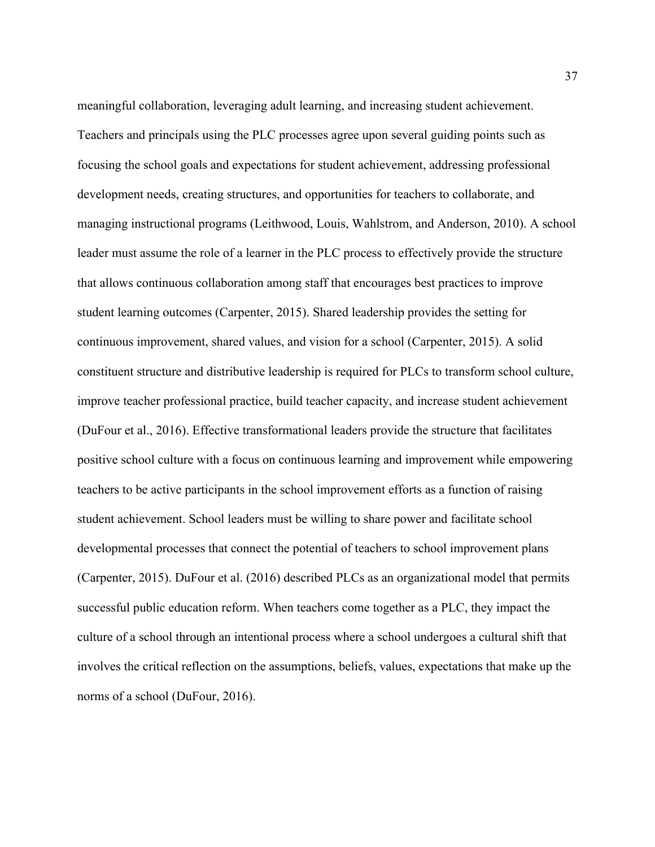meaningful collaboration, leveraging adult learning, and increasing student achievement. Teachers and principals using the PLC processes agree upon several guiding points such as focusing the school goals and expectations for student achievement, addressing professional development needs, creating structures, and opportunities for teachers to collaborate, and managing instructional programs (Leithwood, Louis, Wahlstrom, and Anderson, 2010). A school leader must assume the role of a learner in the PLC process to effectively provide the structure that allows continuous collaboration among staff that encourages best practices to improve student learning outcomes (Carpenter, 2015). Shared leadership provides the setting for continuous improvement, shared values, and vision for a school (Carpenter, 2015). A solid constituent structure and distributive leadership is required for PLCs to transform school culture, improve teacher professional practice, build teacher capacity, and increase student achievement (DuFour et al., 2016). Effective transformational leaders provide the structure that facilitates positive school culture with a focus on continuous learning and improvement while empowering teachers to be active participants in the school improvement efforts as a function of raising student achievement. School leaders must be willing to share power and facilitate school developmental processes that connect the potential of teachers to school improvement plans (Carpenter, 2015). DuFour et al. (2016) described PLCs as an organizational model that permits successful public education reform. When teachers come together as a PLC, they impact the culture of a school through an intentional process where a school undergoes a cultural shift that involves the critical reflection on the assumptions, beliefs, values, expectations that make up the norms of a school (DuFour, 2016).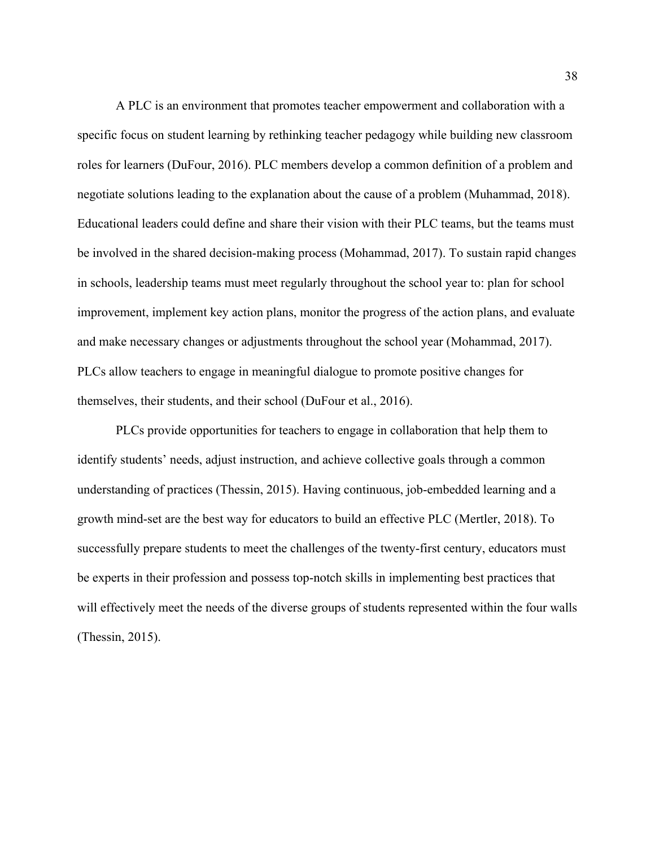A PLC is an environment that promotes teacher empowerment and collaboration with a specific focus on student learning by rethinking teacher pedagogy while building new classroom roles for learners (DuFour, 2016). PLC members develop a common definition of a problem and negotiate solutions leading to the explanation about the cause of a problem (Muhammad, 2018). Educational leaders could define and share their vision with their PLC teams, but the teams must be involved in the shared decision-making process (Mohammad, 2017). To sustain rapid changes in schools, leadership teams must meet regularly throughout the school year to: plan for school improvement, implement key action plans, monitor the progress of the action plans, and evaluate and make necessary changes or adjustments throughout the school year (Mohammad, 2017). PLCs allow teachers to engage in meaningful dialogue to promote positive changes for themselves, their students, and their school (DuFour et al., 2016).

PLCs provide opportunities for teachers to engage in collaboration that help them to identify students' needs, adjust instruction, and achieve collective goals through a common understanding of practices (Thessin, 2015). Having continuous, job-embedded learning and a growth mind-set are the best way for educators to build an effective PLC (Mertler, 2018). To successfully prepare students to meet the challenges of the twenty-first century, educators must be experts in their profession and possess top-notch skills in implementing best practices that will effectively meet the needs of the diverse groups of students represented within the four walls (Thessin, 2015).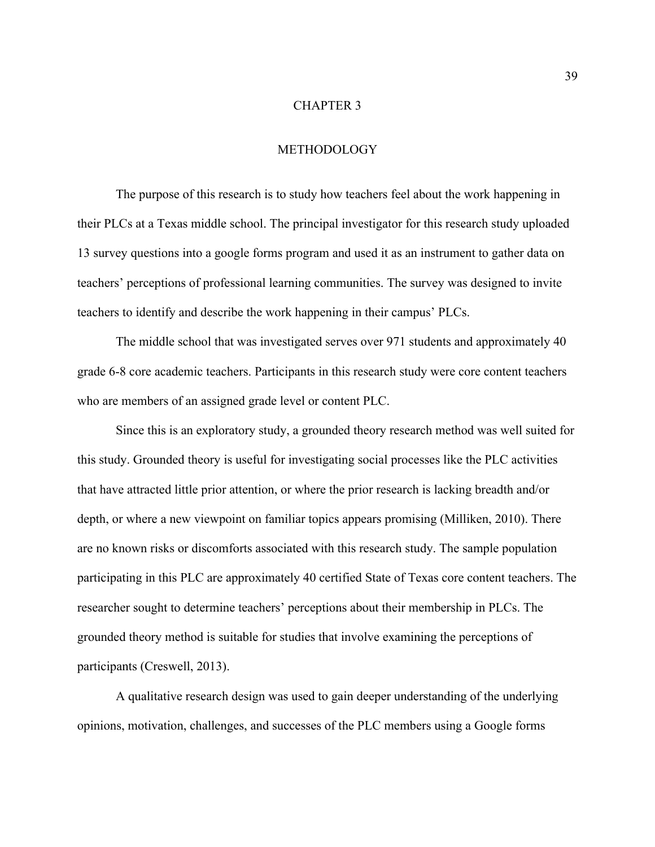## CHAPTER 3

### METHODOLOGY

The purpose of this research is to study how teachers feel about the work happening in their PLCs at a Texas middle school. The principal investigator for this research study uploaded 13 survey questions into a google forms program and used it as an instrument to gather data on teachers' perceptions of professional learning communities. The survey was designed to invite teachers to identify and describe the work happening in their campus' PLCs.

The middle school that was investigated serves over 971 students and approximately 40 grade 6-8 core academic teachers. Participants in this research study were core content teachers who are members of an assigned grade level or content PLC.

Since this is an exploratory study, a grounded theory research method was well suited for this study. Grounded theory is useful for investigating social processes like the PLC activities that have attracted little prior attention, or where the prior research is lacking breadth and/or depth, or where a new viewpoint on familiar topics appears promising (Milliken, 2010). There are no known risks or discomforts associated with this research study. The sample population participating in this PLC are approximately 40 certified State of Texas core content teachers. The researcher sought to determine teachers' perceptions about their membership in PLCs. The grounded theory method is suitable for studies that involve examining the perceptions of participants (Creswell, 2013).

A qualitative research design was used to gain deeper understanding of the underlying opinions, motivation, challenges, and successes of the PLC members using a Google forms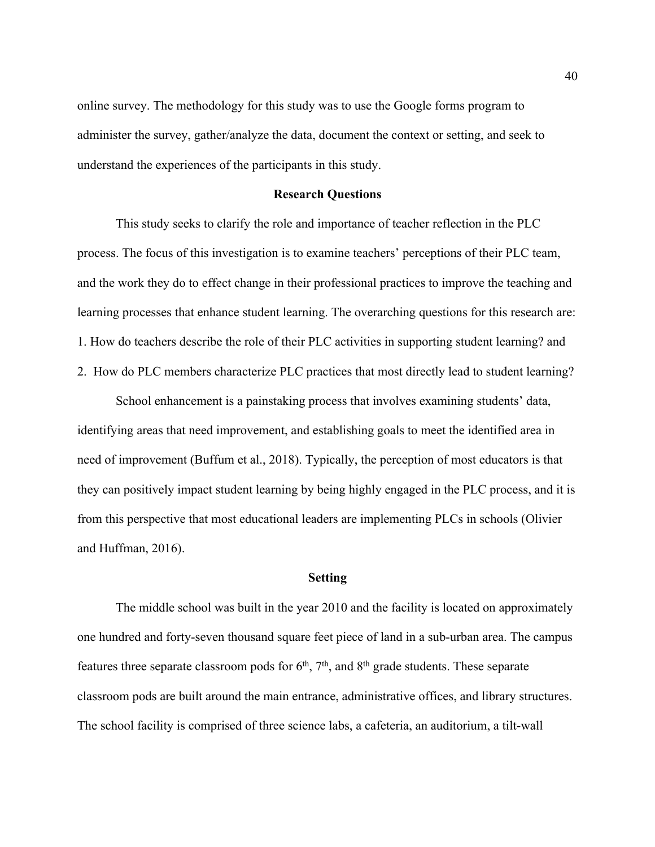online survey. The methodology for this study was to use the Google forms program to administer the survey, gather/analyze the data, document the context or setting, and seek to understand the experiences of the participants in this study.

# **Research Questions**

This study seeks to clarify the role and importance of teacher reflection in the PLC process. The focus of this investigation is to examine teachers' perceptions of their PLC team, and the work they do to effect change in their professional practices to improve the teaching and learning processes that enhance student learning. The overarching questions for this research are: 1. How do teachers describe the role of their PLC activities in supporting student learning? and 2. How do PLC members characterize PLC practices that most directly lead to student learning?

School enhancement is a painstaking process that involves examining students' data, identifying areas that need improvement, and establishing goals to meet the identified area in need of improvement (Buffum et al., 2018). Typically, the perception of most educators is that they can positively impact student learning by being highly engaged in the PLC process, and it is from this perspective that most educational leaders are implementing PLCs in schools (Olivier and Huffman, 2016).

### **Setting**

The middle school was built in the year 2010 and the facility is located on approximately one hundred and forty-seven thousand square feet piece of land in a sub-urban area. The campus features three separate classroom pods for  $6<sup>th</sup>$ ,  $7<sup>th</sup>$ , and  $8<sup>th</sup>$  grade students. These separate classroom pods are built around the main entrance, administrative offices, and library structures. The school facility is comprised of three science labs, a cafeteria, an auditorium, a tilt-wall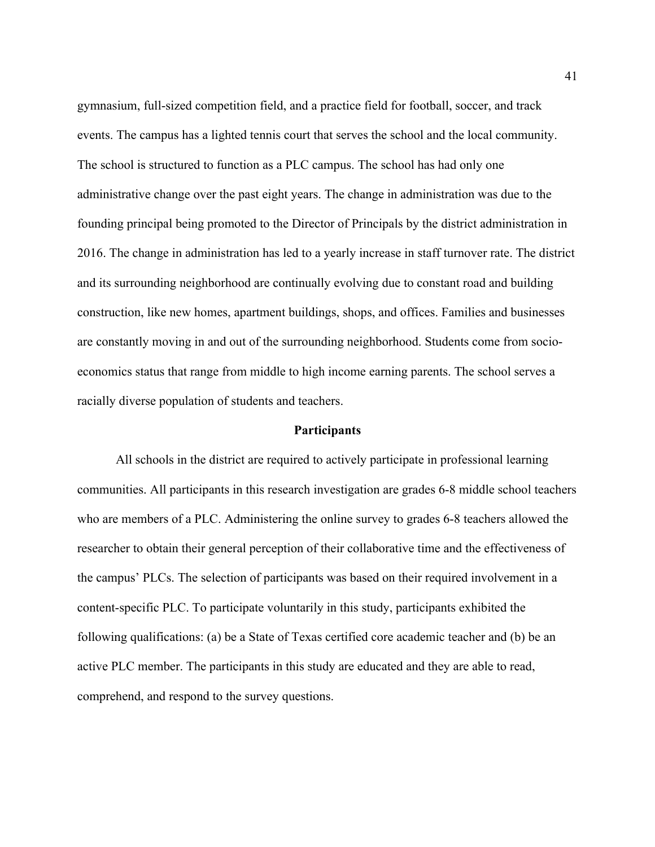gymnasium, full-sized competition field, and a practice field for football, soccer, and track events. The campus has a lighted tennis court that serves the school and the local community. The school is structured to function as a PLC campus. The school has had only one administrative change over the past eight years. The change in administration was due to the founding principal being promoted to the Director of Principals by the district administration in 2016. The change in administration has led to a yearly increase in staff turnover rate. The district and its surrounding neighborhood are continually evolving due to constant road and building construction, like new homes, apartment buildings, shops, and offices. Families and businesses are constantly moving in and out of the surrounding neighborhood. Students come from socioeconomics status that range from middle to high income earning parents. The school serves a racially diverse population of students and teachers.

### **Participants**

All schools in the district are required to actively participate in professional learning communities. All participants in this research investigation are grades 6-8 middle school teachers who are members of a PLC. Administering the online survey to grades 6-8 teachers allowed the researcher to obtain their general perception of their collaborative time and the effectiveness of the campus' PLCs. The selection of participants was based on their required involvement in a content-specific PLC. To participate voluntarily in this study, participants exhibited the following qualifications: (a) be a State of Texas certified core academic teacher and (b) be an active PLC member. The participants in this study are educated and they are able to read, comprehend, and respond to the survey questions.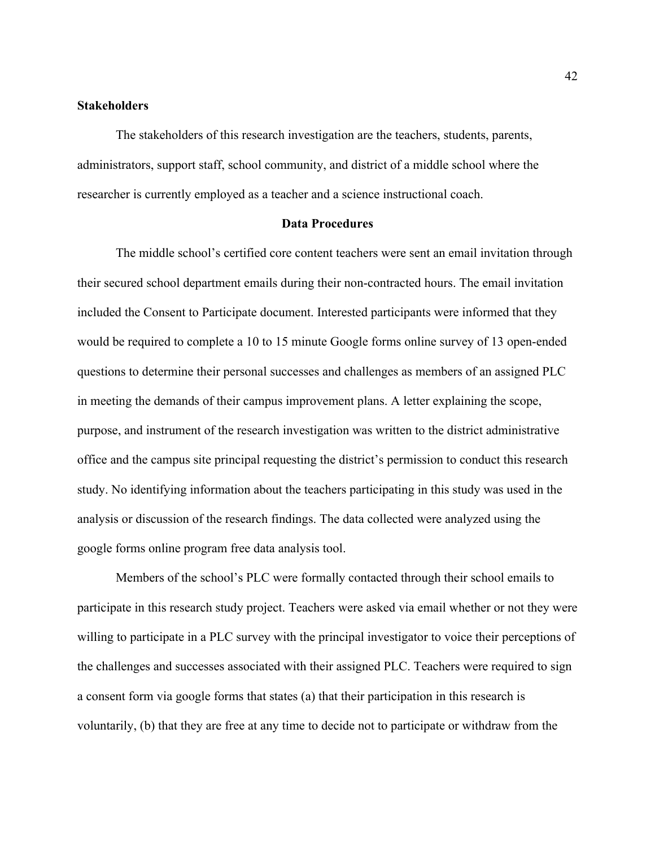# **Stakeholders**

The stakeholders of this research investigation are the teachers, students, parents, administrators, support staff, school community, and district of a middle school where the researcher is currently employed as a teacher and a science instructional coach.

### **Data Procedures**

The middle school's certified core content teachers were sent an email invitation through their secured school department emails during their non-contracted hours. The email invitation included the Consent to Participate document. Interested participants were informed that they would be required to complete a 10 to 15 minute Google forms online survey of 13 open-ended questions to determine their personal successes and challenges as members of an assigned PLC in meeting the demands of their campus improvement plans. A letter explaining the scope, purpose, and instrument of the research investigation was written to the district administrative office and the campus site principal requesting the district's permission to conduct this research study. No identifying information about the teachers participating in this study was used in the analysis or discussion of the research findings. The data collected were analyzed using the google forms online program free data analysis tool.

Members of the school's PLC were formally contacted through their school emails to participate in this research study project. Teachers were asked via email whether or not they were willing to participate in a PLC survey with the principal investigator to voice their perceptions of the challenges and successes associated with their assigned PLC. Teachers were required to sign a consent form via google forms that states (a) that their participation in this research is voluntarily, (b) that they are free at any time to decide not to participate or withdraw from the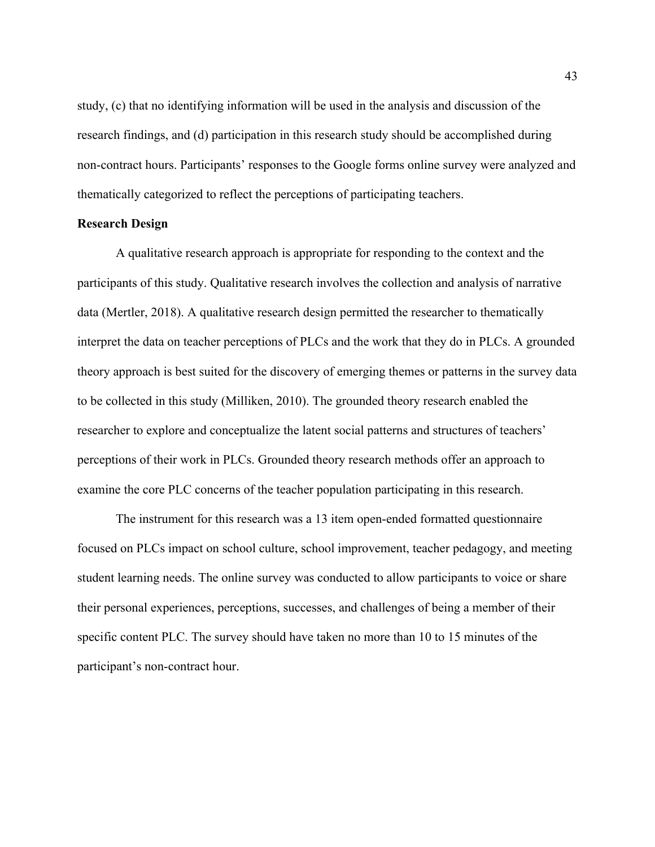study, (c) that no identifying information will be used in the analysis and discussion of the research findings, and (d) participation in this research study should be accomplished during non-contract hours. Participants' responses to the Google forms online survey were analyzed and thematically categorized to reflect the perceptions of participating teachers.

#### **Research Design**

A qualitative research approach is appropriate for responding to the context and the participants of this study. Qualitative research involves the collection and analysis of narrative data (Mertler, 2018). A qualitative research design permitted the researcher to thematically interpret the data on teacher perceptions of PLCs and the work that they do in PLCs. A grounded theory approach is best suited for the discovery of emerging themes or patterns in the survey data to be collected in this study (Milliken, 2010). The grounded theory research enabled the researcher to explore and conceptualize the latent social patterns and structures of teachers' perceptions of their work in PLCs. Grounded theory research methods offer an approach to examine the core PLC concerns of the teacher population participating in this research.

The instrument for this research was a 13 item open-ended formatted questionnaire focused on PLCs impact on school culture, school improvement, teacher pedagogy, and meeting student learning needs. The online survey was conducted to allow participants to voice or share their personal experiences, perceptions, successes, and challenges of being a member of their specific content PLC. The survey should have taken no more than 10 to 15 minutes of the participant's non-contract hour.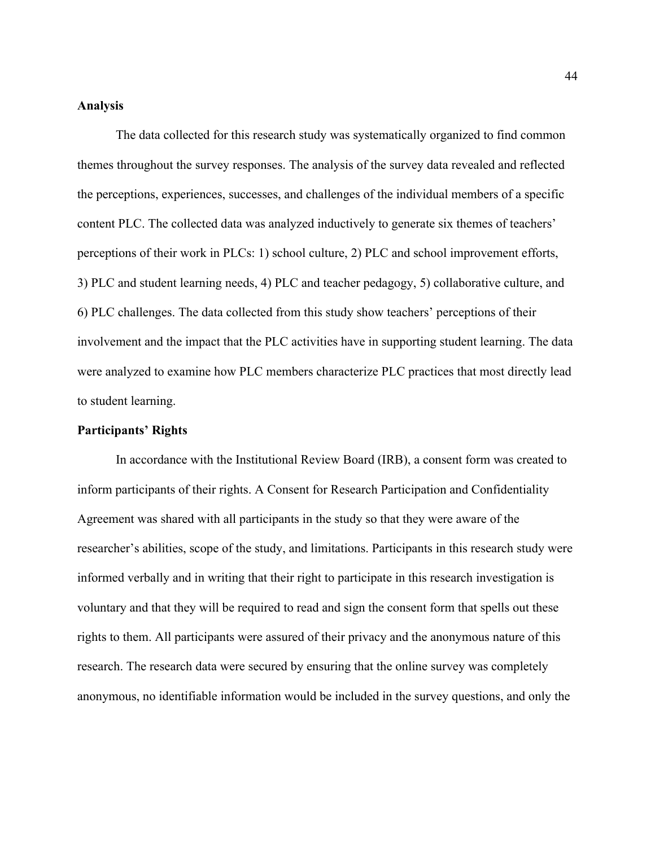### **Analysis**

The data collected for this research study was systematically organized to find common themes throughout the survey responses. The analysis of the survey data revealed and reflected the perceptions, experiences, successes, and challenges of the individual members of a specific content PLC. The collected data was analyzed inductively to generate six themes of teachers' perceptions of their work in PLCs: 1) school culture, 2) PLC and school improvement efforts, 3) PLC and student learning needs, 4) PLC and teacher pedagogy, 5) collaborative culture, and 6) PLC challenges. The data collected from this study show teachers' perceptions of their involvement and the impact that the PLC activities have in supporting student learning. The data were analyzed to examine how PLC members characterize PLC practices that most directly lead to student learning.

# **Participants' Rights**

In accordance with the Institutional Review Board (IRB), a consent form was created to inform participants of their rights. A Consent for Research Participation and Confidentiality Agreement was shared with all participants in the study so that they were aware of the researcher's abilities, scope of the study, and limitations. Participants in this research study were informed verbally and in writing that their right to participate in this research investigation is voluntary and that they will be required to read and sign the consent form that spells out these rights to them. All participants were assured of their privacy and the anonymous nature of this research. The research data were secured by ensuring that the online survey was completely anonymous, no identifiable information would be included in the survey questions, and only the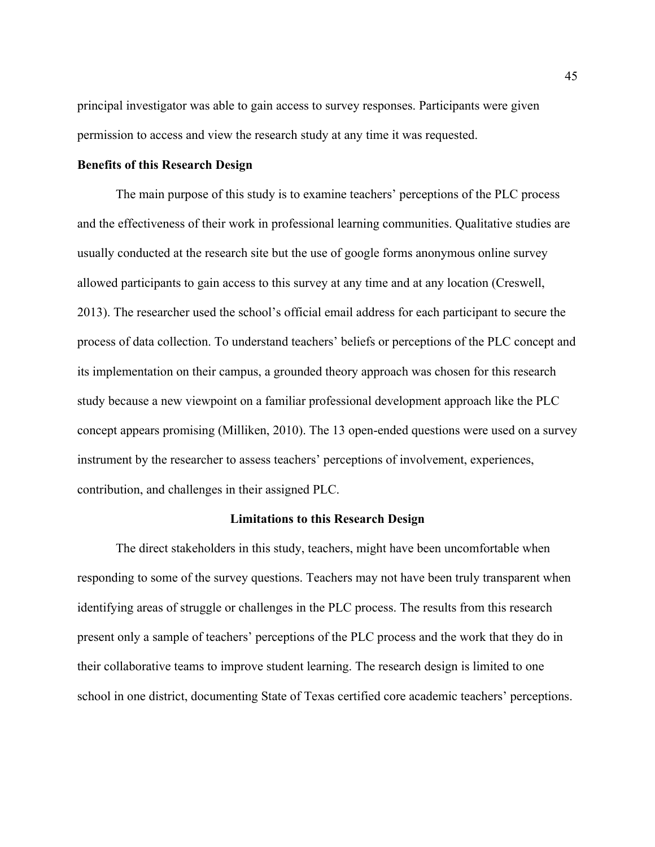principal investigator was able to gain access to survey responses. Participants were given permission to access and view the research study at any time it was requested.

# **Benefits of this Research Design**

The main purpose of this study is to examine teachers' perceptions of the PLC process and the effectiveness of their work in professional learning communities. Qualitative studies are usually conducted at the research site but the use of google forms anonymous online survey allowed participants to gain access to this survey at any time and at any location (Creswell, 2013). The researcher used the school's official email address for each participant to secure the process of data collection. To understand teachers' beliefs or perceptions of the PLC concept and its implementation on their campus, a grounded theory approach was chosen for this research study because a new viewpoint on a familiar professional development approach like the PLC concept appears promising (Milliken, 2010). The 13 open-ended questions were used on a survey instrument by the researcher to assess teachers' perceptions of involvement, experiences, contribution, and challenges in their assigned PLC.

### **Limitations to this Research Design**

The direct stakeholders in this study, teachers, might have been uncomfortable when responding to some of the survey questions. Teachers may not have been truly transparent when identifying areas of struggle or challenges in the PLC process. The results from this research present only a sample of teachers' perceptions of the PLC process and the work that they do in their collaborative teams to improve student learning. The research design is limited to one school in one district, documenting State of Texas certified core academic teachers' perceptions.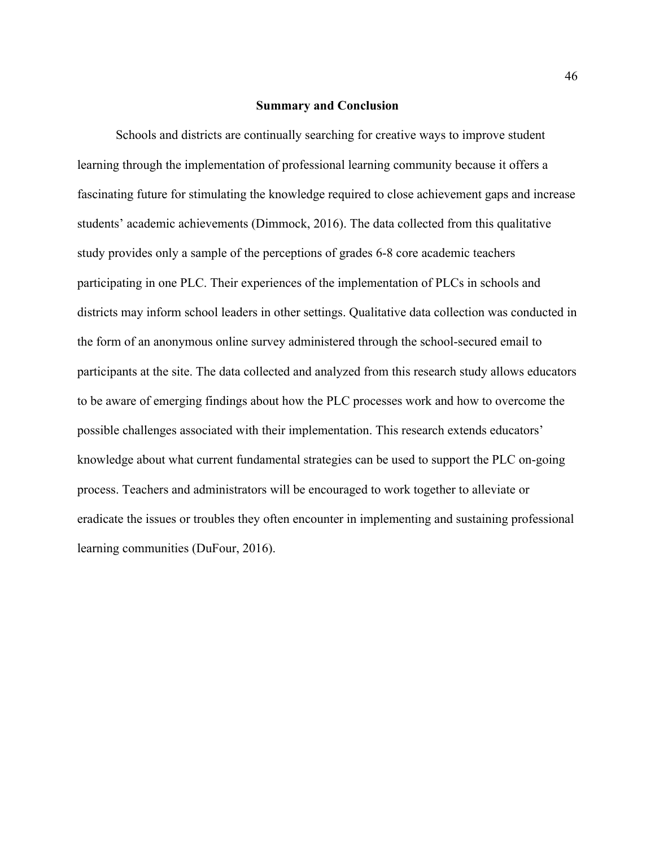### **Summary and Conclusion**

Schools and districts are continually searching for creative ways to improve student learning through the implementation of professional learning community because it offers a fascinating future for stimulating the knowledge required to close achievement gaps and increase students' academic achievements (Dimmock, 2016). The data collected from this qualitative study provides only a sample of the perceptions of grades 6-8 core academic teachers participating in one PLC. Their experiences of the implementation of PLCs in schools and districts may inform school leaders in other settings. Qualitative data collection was conducted in the form of an anonymous online survey administered through the school-secured email to participants at the site. The data collected and analyzed from this research study allows educators to be aware of emerging findings about how the PLC processes work and how to overcome the possible challenges associated with their implementation. This research extends educators' knowledge about what current fundamental strategies can be used to support the PLC on-going process. Teachers and administrators will be encouraged to work together to alleviate or eradicate the issues or troubles they often encounter in implementing and sustaining professional learning communities (DuFour, 2016).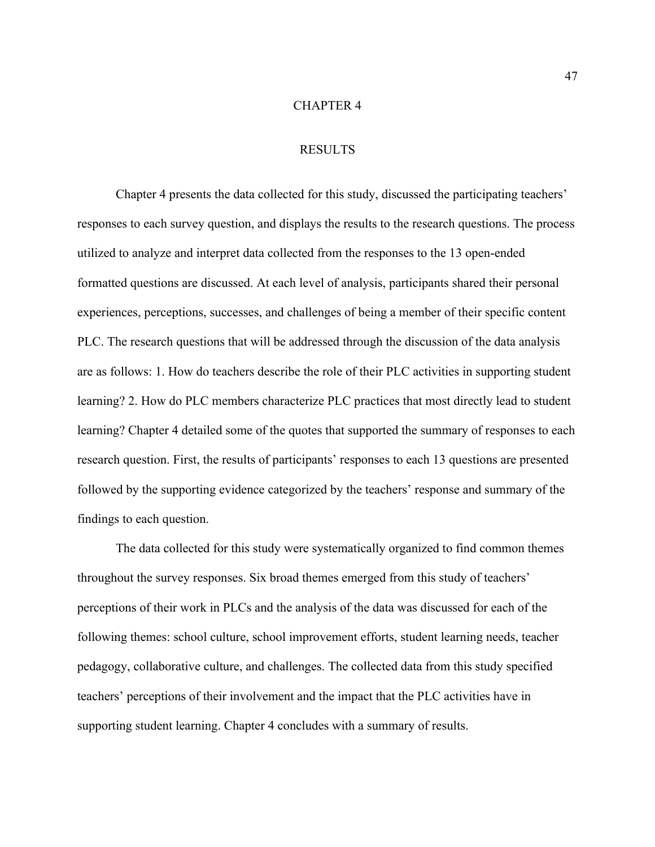### CHAPTER 4

### RESULTS

Chapter 4 presents the data collected for this study, discussed the participating teachers' responses to each survey question, and displays the results to the research questions. The process utilized to analyze and interpret data collected from the responses to the 13 open-ended formatted questions are discussed. At each level of analysis, participants shared their personal experiences, perceptions, successes, and challenges of being a member of their specific content PLC. The research questions that will be addressed through the discussion of the data analysis are as follows: 1. How do teachers describe the role of their PLC activities in supporting student learning? 2. How do PLC members characterize PLC practices that most directly lead to student learning? Chapter 4 detailed some of the quotes that supported the summary of responses to each research question. First, the results of participants' responses to each 13 questions are presented followed by the supporting evidence categorized by the teachers' response and summary of the findings to each question.

The data collected for this study were systematically organized to find common themes throughout the survey responses. Six broad themes emerged from this study of teachers' perceptions of their work in PLCs and the analysis of the data was discussed for each of the following themes: school culture, school improvement efforts, student learning needs, teacher pedagogy, collaborative culture, and challenges. The collected data from this study specified teachers' perceptions of their involvement and the impact that the PLC activities have in supporting student learning. Chapter 4 concludes with a summary of results.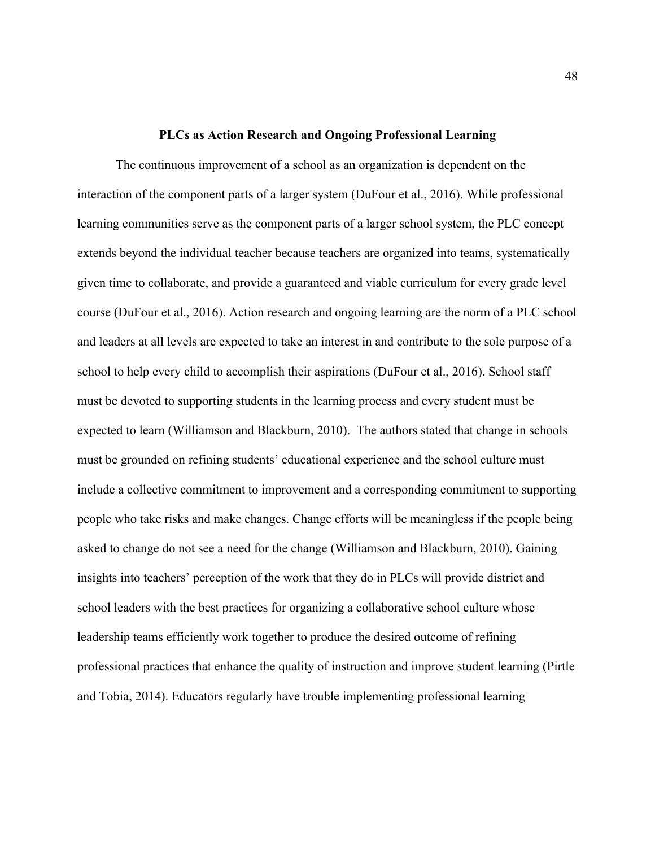#### **PLCs as Action Research and Ongoing Professional Learning**

The continuous improvement of a school as an organization is dependent on the interaction of the component parts of a larger system (DuFour et al., 2016). While professional learning communities serve as the component parts of a larger school system, the PLC concept extends beyond the individual teacher because teachers are organized into teams, systematically given time to collaborate, and provide a guaranteed and viable curriculum for every grade level course (DuFour et al., 2016). Action research and ongoing learning are the norm of a PLC school and leaders at all levels are expected to take an interest in and contribute to the sole purpose of a school to help every child to accomplish their aspirations (DuFour et al., 2016). School staff must be devoted to supporting students in the learning process and every student must be expected to learn (Williamson and Blackburn, 2010). The authors stated that change in schools must be grounded on refining students' educational experience and the school culture must include a collective commitment to improvement and a corresponding commitment to supporting people who take risks and make changes. Change efforts will be meaningless if the people being asked to change do not see a need for the change (Williamson and Blackburn, 2010). Gaining insights into teachers' perception of the work that they do in PLCs will provide district and school leaders with the best practices for organizing a collaborative school culture whose leadership teams efficiently work together to produce the desired outcome of refining professional practices that enhance the quality of instruction and improve student learning (Pirtle and Tobia, 2014). Educators regularly have trouble implementing professional learning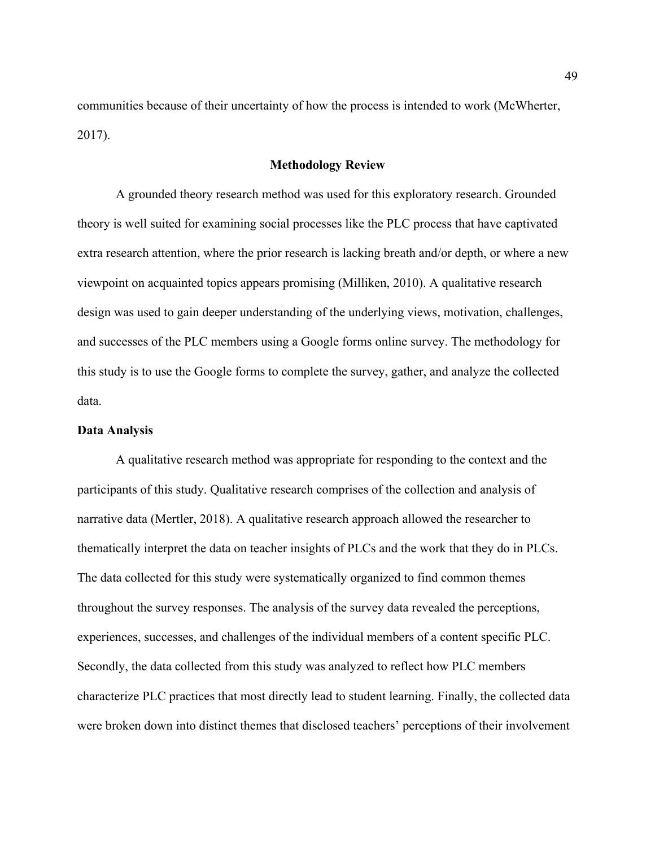communities because of their uncertainty of how the process is intended to work (McWherter, 2017).

# **Methodology Review**

A grounded theory research method was used for this exploratory research. Grounded theory is well suited for examining social processes like the PLC process that have captivated extra research attention, where the prior research is lacking breath and/or depth, or where a new viewpoint on acquainted topics appears promising (Milliken, 2010). A qualitative research design was used to gain deeper understanding of the underlying views, motivation, challenges, and successes of the PLC members using a Google forms online survey. The methodology for this study is to use the Google forms to complete the survey, gather, and analyze the collected data.

#### **Data Analysis**

A qualitative research method was appropriate for responding to the context and the participants of this study. Qualitative research comprises of the collection and analysis of narrative data (Mertler, 2018). A qualitative research approach allowed the researcher to thematically interpret the data on teacher insights of PLCs and the work that they do in PLCs. The data collected for this study were systematically organized to find common themes throughout the survey responses. The analysis of the survey data revealed the perceptions, experiences, successes, and challenges of the individual members of a content specific PLC. Secondly, the data collected from this study was analyzed to reflect how PLC members characterize PLC practices that most directly lead to student learning. Finally, the collected data were broken down into distinct themes that disclosed teachers' perceptions of their involvement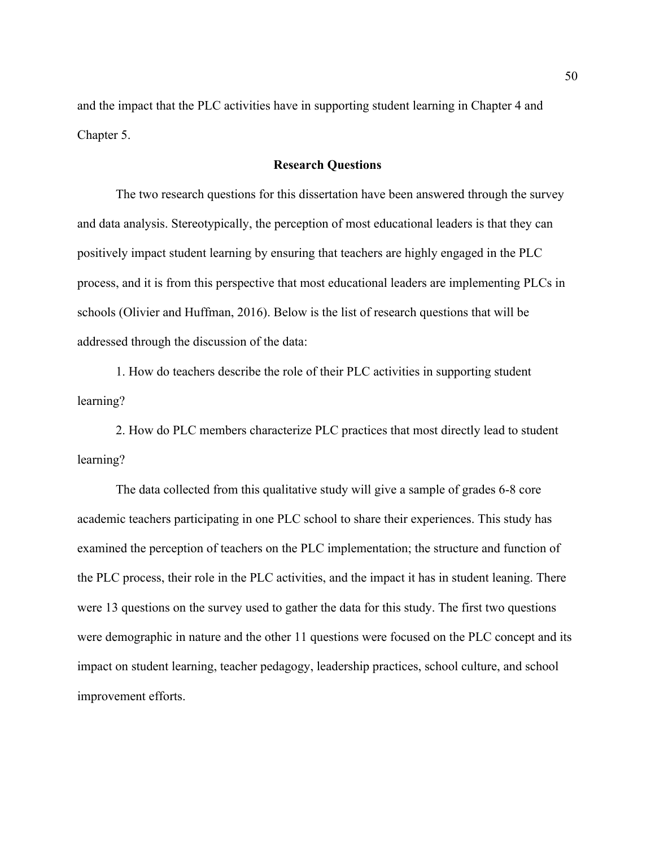and the impact that the PLC activities have in supporting student learning in Chapter 4 and Chapter 5.

# **Research Questions**

The two research questions for this dissertation have been answered through the survey and data analysis. Stereotypically, the perception of most educational leaders is that they can positively impact student learning by ensuring that teachers are highly engaged in the PLC process, and it is from this perspective that most educational leaders are implementing PLCs in schools (Olivier and Huffman, 2016). Below is the list of research questions that will be addressed through the discussion of the data:

1. How do teachers describe the role of their PLC activities in supporting student learning?

2. How do PLC members characterize PLC practices that most directly lead to student learning?

The data collected from this qualitative study will give a sample of grades 6-8 core academic teachers participating in one PLC school to share their experiences. This study has examined the perception of teachers on the PLC implementation; the structure and function of the PLC process, their role in the PLC activities, and the impact it has in student leaning. There were 13 questions on the survey used to gather the data for this study. The first two questions were demographic in nature and the other 11 questions were focused on the PLC concept and its impact on student learning, teacher pedagogy, leadership practices, school culture, and school improvement efforts.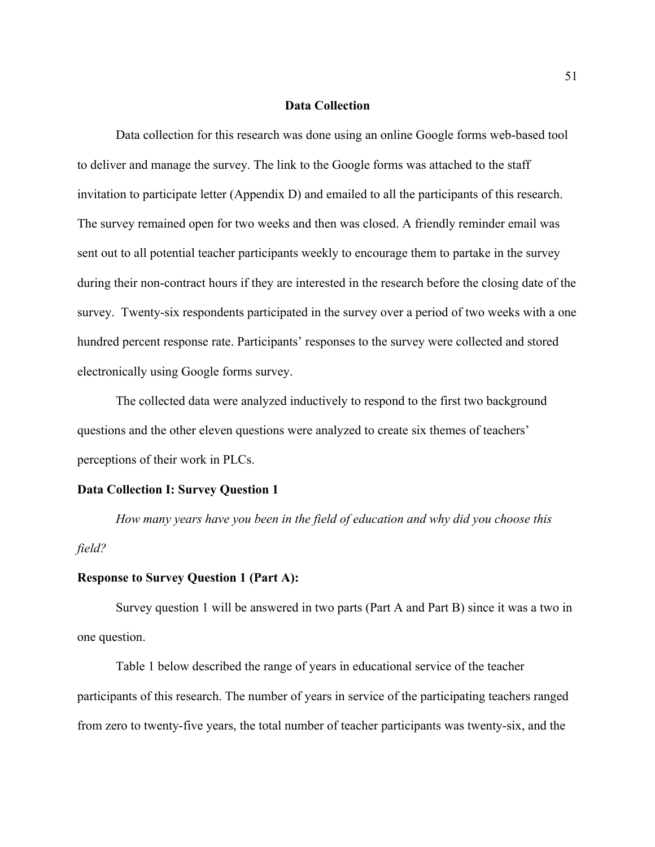## **Data Collection**

Data collection for this research was done using an online Google forms web-based tool to deliver and manage the survey. The link to the Google forms was attached to the staff invitation to participate letter (Appendix D) and emailed to all the participants of this research. The survey remained open for two weeks and then was closed. A friendly reminder email was sent out to all potential teacher participants weekly to encourage them to partake in the survey during their non-contract hours if they are interested in the research before the closing date of the survey. Twenty-six respondents participated in the survey over a period of two weeks with a one hundred percent response rate. Participants' responses to the survey were collected and stored electronically using Google forms survey.

The collected data were analyzed inductively to respond to the first two background questions and the other eleven questions were analyzed to create six themes of teachers' perceptions of their work in PLCs.

### **Data Collection I: Survey Question 1**

*How many years have you been in the field of education and why did you choose this field?*

# **Response to Survey Question 1 (Part A):**

Survey question 1 will be answered in two parts (Part A and Part B) since it was a two in one question.

Table 1 below described the range of years in educational service of the teacher participants of this research. The number of years in service of the participating teachers ranged from zero to twenty-five years, the total number of teacher participants was twenty-six, and the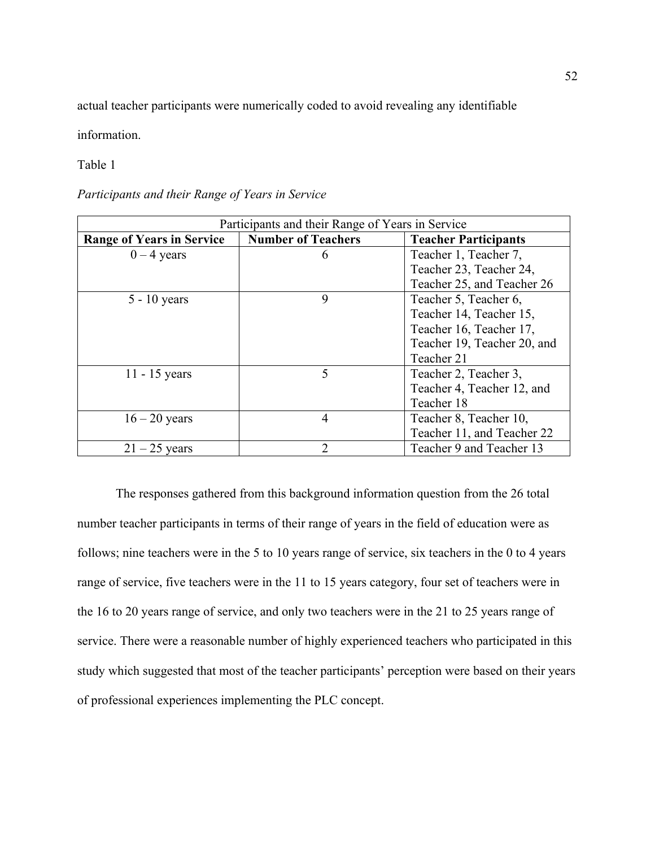actual teacher participants were numerically coded to avoid revealing any identifiable

information.

Table 1

*Participants and their Range of Years in Service*

| Participants and their Range of Years in Service |                           |                             |  |  |
|--------------------------------------------------|---------------------------|-----------------------------|--|--|
| <b>Range of Years in Service</b>                 | <b>Number of Teachers</b> | <b>Teacher Participants</b> |  |  |
| $0 - 4$ years                                    | 6                         | Teacher 1, Teacher 7,       |  |  |
|                                                  |                           | Teacher 23, Teacher 24,     |  |  |
|                                                  |                           | Teacher 25, and Teacher 26  |  |  |
| $5 - 10$ years                                   | 9                         | Teacher 5, Teacher 6,       |  |  |
|                                                  |                           | Teacher 14, Teacher 15,     |  |  |
|                                                  |                           | Teacher 16, Teacher 17,     |  |  |
|                                                  |                           | Teacher 19, Teacher 20, and |  |  |
|                                                  |                           | Teacher 21                  |  |  |
| $11 - 15$ years                                  | 5                         | Teacher 2, Teacher 3,       |  |  |
|                                                  |                           | Teacher 4, Teacher 12, and  |  |  |
|                                                  |                           | Teacher 18                  |  |  |
| $16 - 20$ years                                  | $\overline{4}$            | Teacher 8, Teacher 10,      |  |  |
|                                                  |                           | Teacher 11, and Teacher 22  |  |  |
| $21 - 25$ years                                  | $\overline{2}$            | Teacher 9 and Teacher 13    |  |  |

The responses gathered from this background information question from the 26 total number teacher participants in terms of their range of years in the field of education were as follows; nine teachers were in the 5 to 10 years range of service, six teachers in the 0 to 4 years range of service, five teachers were in the 11 to 15 years category, four set of teachers were in the 16 to 20 years range of service, and only two teachers were in the 21 to 25 years range of service. There were a reasonable number of highly experienced teachers who participated in this study which suggested that most of the teacher participants' perception were based on their years of professional experiences implementing the PLC concept.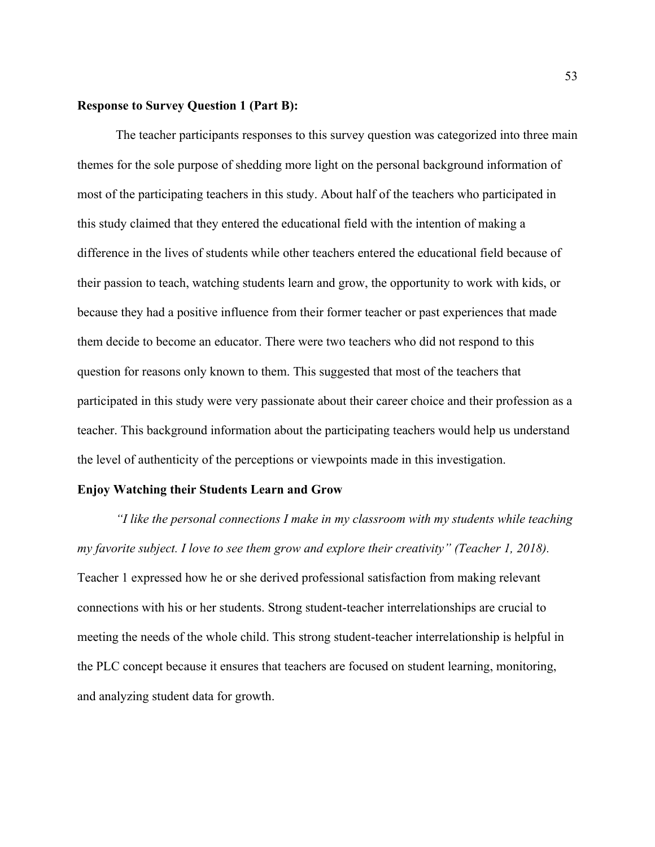### **Response to Survey Question 1 (Part B):**

The teacher participants responses to this survey question was categorized into three main themes for the sole purpose of shedding more light on the personal background information of most of the participating teachers in this study. About half of the teachers who participated in this study claimed that they entered the educational field with the intention of making a difference in the lives of students while other teachers entered the educational field because of their passion to teach, watching students learn and grow, the opportunity to work with kids, or because they had a positive influence from their former teacher or past experiences that made them decide to become an educator. There were two teachers who did not respond to this question for reasons only known to them. This suggested that most of the teachers that participated in this study were very passionate about their career choice and their profession as a teacher. This background information about the participating teachers would help us understand the level of authenticity of the perceptions or viewpoints made in this investigation.

### **Enjoy Watching their Students Learn and Grow**

*"I like the personal connections I make in my classroom with my students while teaching my favorite subject. I love to see them grow and explore their creativity" (Teacher 1, 2018).* Teacher 1 expressed how he or she derived professional satisfaction from making relevant connections with his or her students. Strong student-teacher interrelationships are crucial to meeting the needs of the whole child. This strong student-teacher interrelationship is helpful in the PLC concept because it ensures that teachers are focused on student learning, monitoring, and analyzing student data for growth.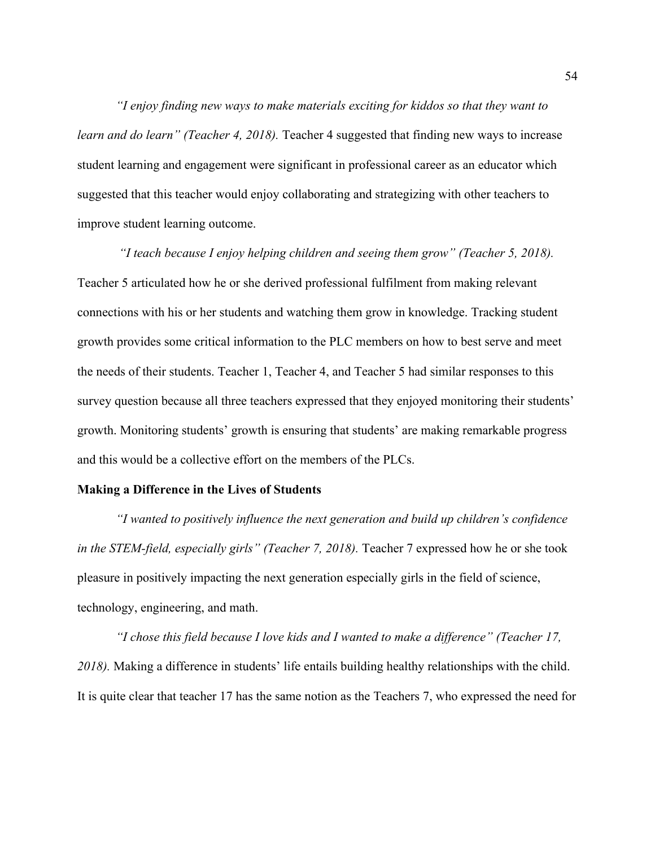*"I enjoy finding new ways to make materials exciting for kiddos so that they want to learn and do learn" (Teacher 4, 2018).* Teacher 4 suggested that finding new ways to increase student learning and engagement were significant in professional career as an educator which suggested that this teacher would enjoy collaborating and strategizing with other teachers to improve student learning outcome.

*"I teach because I enjoy helping children and seeing them grow" (Teacher 5, 2018).* Teacher 5 articulated how he or she derived professional fulfilment from making relevant connections with his or her students and watching them grow in knowledge. Tracking student growth provides some critical information to the PLC members on how to best serve and meet the needs of their students. Teacher 1, Teacher 4, and Teacher 5 had similar responses to this survey question because all three teachers expressed that they enjoyed monitoring their students' growth. Monitoring students' growth is ensuring that students' are making remarkable progress and this would be a collective effort on the members of the PLCs.

### **Making a Difference in the Lives of Students**

*"I wanted to positively influence the next generation and build up children's confidence in the STEM-field, especially girls" (Teacher 7, 2018).* Teacher 7 expressed how he or she took pleasure in positively impacting the next generation especially girls in the field of science, technology, engineering, and math.

*"I chose this field because I love kids and I wanted to make a difference" (Teacher 17, 2018).* Making a difference in students' life entails building healthy relationships with the child. It is quite clear that teacher 17 has the same notion as the Teachers 7, who expressed the need for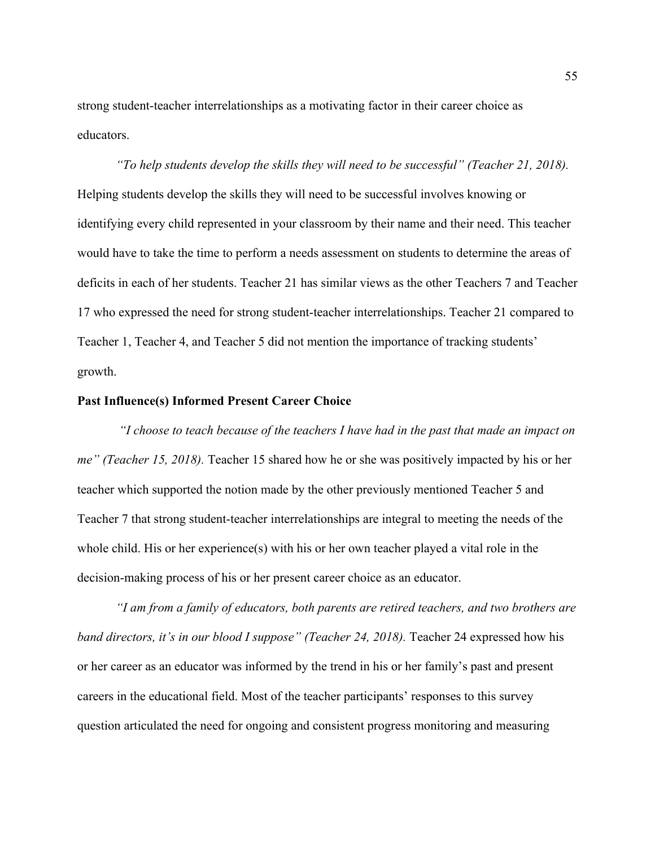strong student-teacher interrelationships as a motivating factor in their career choice as educators.

*"To help students develop the skills they will need to be successful" (Teacher 21, 2018).*  Helping students develop the skills they will need to be successful involves knowing or identifying every child represented in your classroom by their name and their need. This teacher would have to take the time to perform a needs assessment on students to determine the areas of deficits in each of her students. Teacher 21 has similar views as the other Teachers 7 and Teacher 17 who expressed the need for strong student-teacher interrelationships. Teacher 21 compared to Teacher 1, Teacher 4, and Teacher 5 did not mention the importance of tracking students' growth.

### **Past Influence(s) Informed Present Career Choice**

*"I choose to teach because of the teachers I have had in the past that made an impact on me" (Teacher 15, 2018).* Teacher 15 shared how he or she was positively impacted by his or her teacher which supported the notion made by the other previously mentioned Teacher 5 and Teacher 7 that strong student-teacher interrelationships are integral to meeting the needs of the whole child. His or her experience(s) with his or her own teacher played a vital role in the decision-making process of his or her present career choice as an educator.

*"I am from a family of educators, both parents are retired teachers, and two brothers are band directors, it's in our blood I suppose" (Teacher 24, 2018).* Teacher 24 expressed how his or her career as an educator was informed by the trend in his or her family's past and present careers in the educational field. Most of the teacher participants' responses to this survey question articulated the need for ongoing and consistent progress monitoring and measuring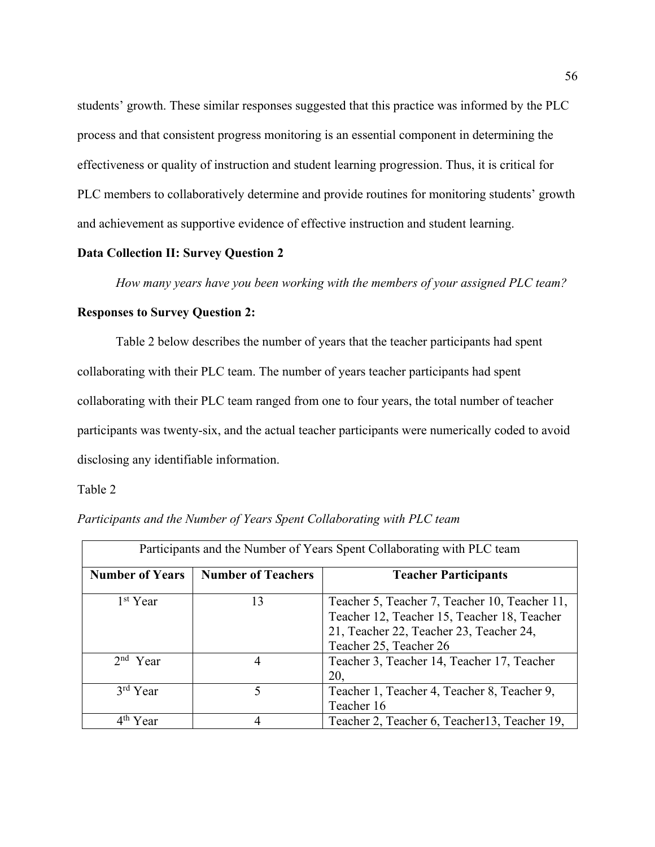students' growth. These similar responses suggested that this practice was informed by the PLC process and that consistent progress monitoring is an essential component in determining the effectiveness or quality of instruction and student learning progression. Thus, it is critical for PLC members to collaboratively determine and provide routines for monitoring students' growth and achievement as supportive evidence of effective instruction and student learning.

# **Data Collection II: Survey Question 2**

*How many years have you been working with the members of your assigned PLC team?*

# **Responses to Survey Question 2:**

Table 2 below describes the number of years that the teacher participants had spent collaborating with their PLC team. The number of years teacher participants had spent collaborating with their PLC team ranged from one to four years, the total number of teacher participants was twenty-six, and the actual teacher participants were numerically coded to avoid disclosing any identifiable information.

## Table 2

| Participants and the Number of Years Spent Collaborating with PLC team |                           |                                                                                                                                                                   |  |  |  |
|------------------------------------------------------------------------|---------------------------|-------------------------------------------------------------------------------------------------------------------------------------------------------------------|--|--|--|
| <b>Number of Years</b>                                                 | <b>Number of Teachers</b> | <b>Teacher Participants</b>                                                                                                                                       |  |  |  |
| 1 <sup>st</sup> Year                                                   | 13                        | Teacher 5, Teacher 7, Teacher 10, Teacher 11,<br>Teacher 12, Teacher 15, Teacher 18, Teacher<br>21, Teacher 22, Teacher 23, Teacher 24,<br>Teacher 25, Teacher 26 |  |  |  |
| $2nd$ Year                                                             | 4                         | Teacher 3, Teacher 14, Teacher 17, Teacher<br>20,                                                                                                                 |  |  |  |
| $3rd$ Year                                                             | 5                         | Teacher 1, Teacher 4, Teacher 8, Teacher 9,<br>Teacher 16                                                                                                         |  |  |  |
| Year                                                                   | 4                         | Teacher 2, Teacher 6, Teacher 13, Teacher 19,                                                                                                                     |  |  |  |

*Participants and the Number of Years Spent Collaborating with PLC team*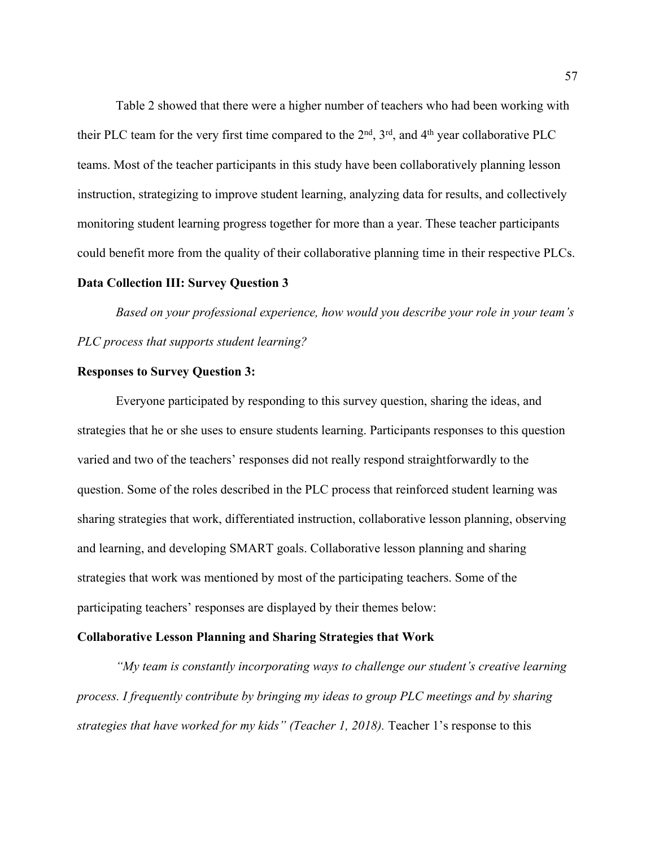Table 2 showed that there were a higher number of teachers who had been working with their PLC team for the very first time compared to the  $2<sup>nd</sup>$ ,  $3<sup>rd</sup>$ , and  $4<sup>th</sup>$  year collaborative PLC teams. Most of the teacher participants in this study have been collaboratively planning lesson instruction, strategizing to improve student learning, analyzing data for results, and collectively monitoring student learning progress together for more than a year. These teacher participants could benefit more from the quality of their collaborative planning time in their respective PLCs.

## **Data Collection III: Survey Question 3**

*Based on your professional experience, how would you describe your role in your team's PLC process that supports student learning?*

## **Responses to Survey Question 3:**

Everyone participated by responding to this survey question, sharing the ideas, and strategies that he or she uses to ensure students learning. Participants responses to this question varied and two of the teachers' responses did not really respond straightforwardly to the question. Some of the roles described in the PLC process that reinforced student learning was sharing strategies that work, differentiated instruction, collaborative lesson planning, observing and learning, and developing SMART goals. Collaborative lesson planning and sharing strategies that work was mentioned by most of the participating teachers. Some of the participating teachers' responses are displayed by their themes below:

### **Collaborative Lesson Planning and Sharing Strategies that Work**

*"My team is constantly incorporating ways to challenge our student's creative learning process. I frequently contribute by bringing my ideas to group PLC meetings and by sharing strategies that have worked for my kids" (Teacher 1, 2018).* Teacher 1's response to this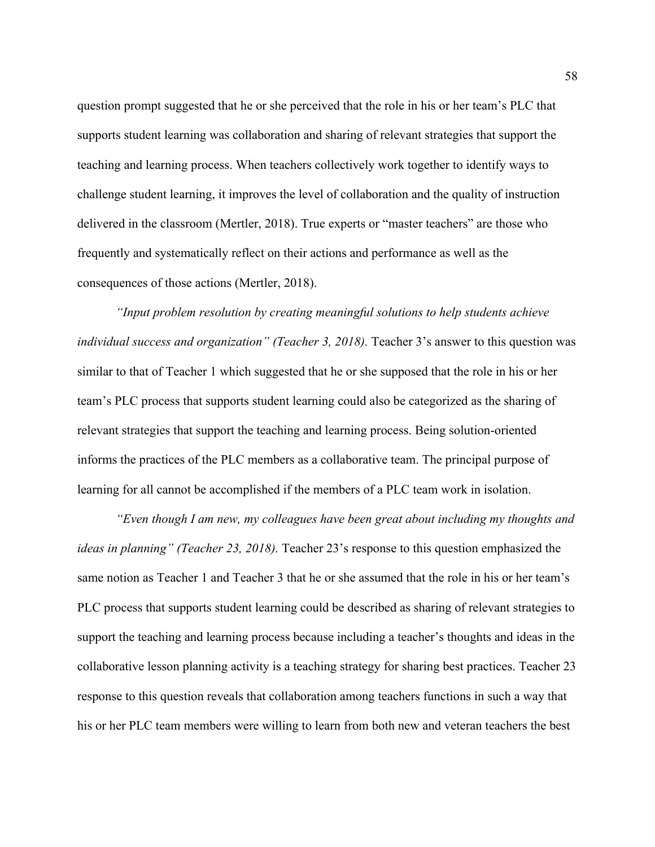question prompt suggested that he or she perceived that the role in his or her team's PLC that supports student learning was collaboration and sharing of relevant strategies that support the teaching and learning process. When teachers collectively work together to identify ways to challenge student learning, it improves the level of collaboration and the quality of instruction delivered in the classroom (Mertler, 2018). True experts or "master teachers" are those who frequently and systematically reflect on their actions and performance as well as the consequences of those actions (Mertler, 2018).

*"Input problem resolution by creating meaningful solutions to help students achieve individual success and organization" (Teacher 3, 2018).* Teacher 3's answer to this question was similar to that of Teacher 1 which suggested that he or she supposed that the role in his or her team's PLC process that supports student learning could also be categorized as the sharing of relevant strategies that support the teaching and learning process. Being solution-oriented informs the practices of the PLC members as a collaborative team. The principal purpose of learning for all cannot be accomplished if the members of a PLC team work in isolation.

*"Even though I am new, my colleagues have been great about including my thoughts and ideas in planning" (Teacher 23, 2018).* Teacher 23's response to this question emphasized the same notion as Teacher 1 and Teacher 3 that he or she assumed that the role in his or her team's PLC process that supports student learning could be described as sharing of relevant strategies to support the teaching and learning process because including a teacher's thoughts and ideas in the collaborative lesson planning activity is a teaching strategy for sharing best practices. Teacher 23 response to this question reveals that collaboration among teachers functions in such a way that his or her PLC team members were willing to learn from both new and veteran teachers the best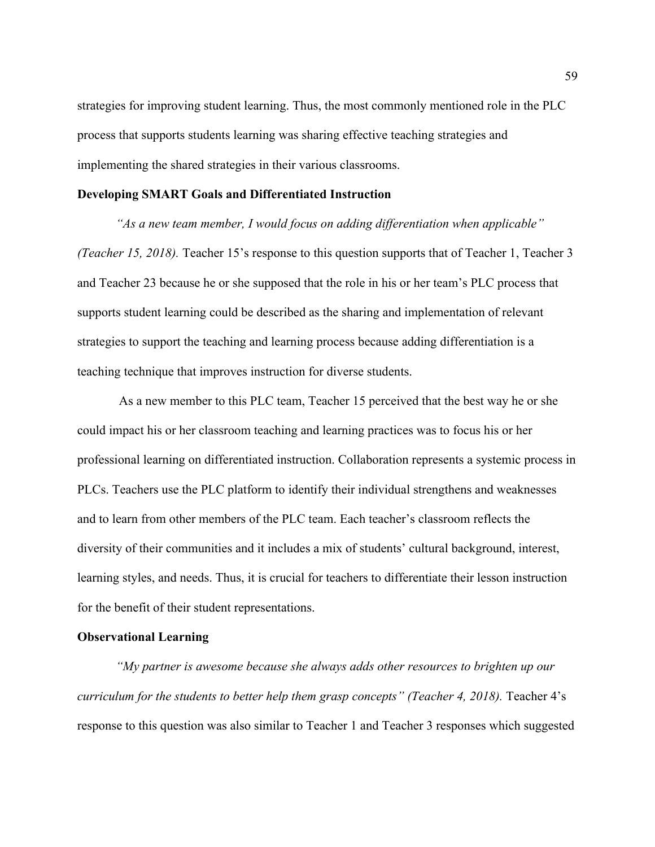strategies for improving student learning. Thus, the most commonly mentioned role in the PLC process that supports students learning was sharing effective teaching strategies and implementing the shared strategies in their various classrooms.

### **Developing SMART Goals and Differentiated Instruction**

*"As a new team member, I would focus on adding differentiation when applicable" (Teacher 15, 2018).* Teacher 15's response to this question supports that of Teacher 1, Teacher 3 and Teacher 23 because he or she supposed that the role in his or her team's PLC process that supports student learning could be described as the sharing and implementation of relevant strategies to support the teaching and learning process because adding differentiation is a teaching technique that improves instruction for diverse students.

As a new member to this PLC team, Teacher 15 perceived that the best way he or she could impact his or her classroom teaching and learning practices was to focus his or her professional learning on differentiated instruction. Collaboration represents a systemic process in PLCs. Teachers use the PLC platform to identify their individual strengthens and weaknesses and to learn from other members of the PLC team. Each teacher's classroom reflects the diversity of their communities and it includes a mix of students' cultural background, interest, learning styles, and needs. Thus, it is crucial for teachers to differentiate their lesson instruction for the benefit of their student representations.

### **Observational Learning**

*"My partner is awesome because she always adds other resources to brighten up our curriculum for the students to better help them grasp concepts" (Teacher 4, 2018).* Teacher 4's response to this question was also similar to Teacher 1 and Teacher 3 responses which suggested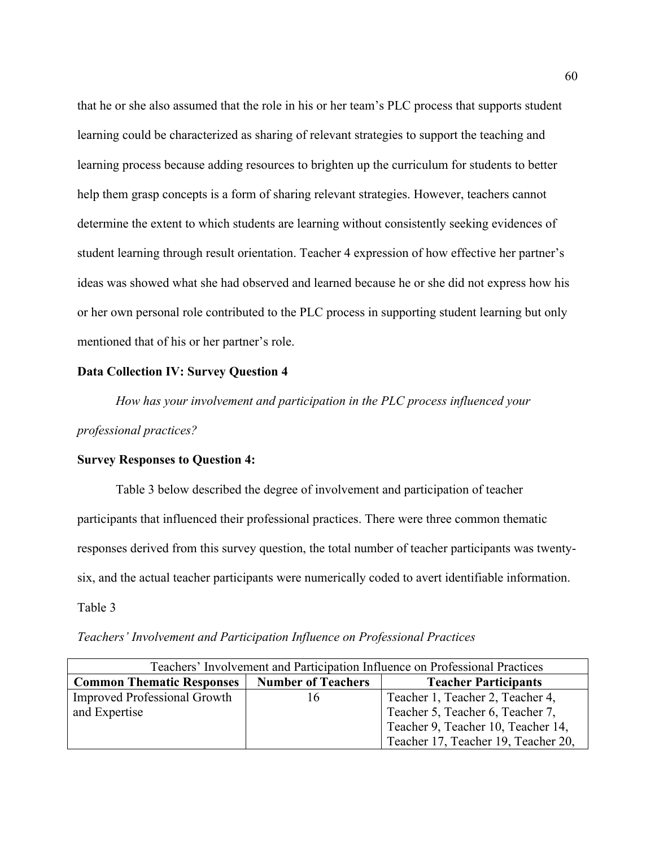that he or she also assumed that the role in his or her team's PLC process that supports student learning could be characterized as sharing of relevant strategies to support the teaching and learning process because adding resources to brighten up the curriculum for students to better help them grasp concepts is a form of sharing relevant strategies. However, teachers cannot determine the extent to which students are learning without consistently seeking evidences of student learning through result orientation. Teacher 4 expression of how effective her partner's ideas was showed what she had observed and learned because he or she did not express how his or her own personal role contributed to the PLC process in supporting student learning but only mentioned that of his or her partner's role.

# **Data Collection IV: Survey Question 4**

*How has your involvement and participation in the PLC process influenced your professional practices?*

# **Survey Responses to Question 4:**

Table 3 below described the degree of involvement and participation of teacher participants that influenced their professional practices. There were three common thematic responses derived from this survey question, the total number of teacher participants was twentysix, and the actual teacher participants were numerically coded to avert identifiable information.

Table 3

| Teachers' Involvement and Participation Influence on Professional Practices |  |  |
|-----------------------------------------------------------------------------|--|--|
|                                                                             |  |  |

| Teachers' Involvement and Participation Influence on Professional Practices |                           |                                     |  |  |
|-----------------------------------------------------------------------------|---------------------------|-------------------------------------|--|--|
| <b>Common Thematic Responses</b>                                            | <b>Number of Teachers</b> | <b>Teacher Participants</b>         |  |  |
| <b>Improved Professional Growth</b>                                         |                           | Teacher 1, Teacher 2, Teacher 4,    |  |  |
| and Expertise                                                               |                           | Teacher 5, Teacher 6, Teacher 7,    |  |  |
|                                                                             |                           | Teacher 9, Teacher 10, Teacher 14,  |  |  |
|                                                                             |                           | Teacher 17, Teacher 19, Teacher 20, |  |  |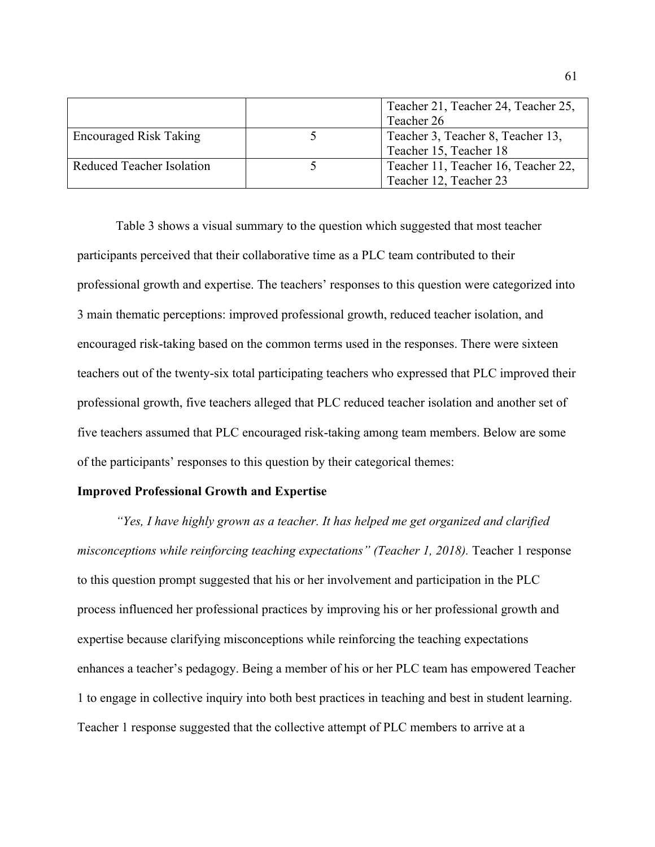|                               | Teacher 21, Teacher 24, Teacher 25,<br>Teacher 26 |
|-------------------------------|---------------------------------------------------|
| <b>Encouraged Risk Taking</b> | Teacher 3, Teacher 8, Teacher 13,                 |
|                               | Teacher 15, Teacher 18                            |
| Reduced Teacher Isolation     | Teacher 11, Teacher 16, Teacher 22,               |
|                               | Teacher 12, Teacher 23                            |

Table 3 shows a visual summary to the question which suggested that most teacher participants perceived that their collaborative time as a PLC team contributed to their professional growth and expertise. The teachers' responses to this question were categorized into 3 main thematic perceptions: improved professional growth, reduced teacher isolation, and encouraged risk-taking based on the common terms used in the responses. There were sixteen teachers out of the twenty-six total participating teachers who expressed that PLC improved their professional growth, five teachers alleged that PLC reduced teacher isolation and another set of five teachers assumed that PLC encouraged risk-taking among team members. Below are some of the participants' responses to this question by their categorical themes:

## **Improved Professional Growth and Expertise**

*"Yes, I have highly grown as a teacher. It has helped me get organized and clarified misconceptions while reinforcing teaching expectations" (Teacher 1, 2018).* Teacher 1 response to this question prompt suggested that his or her involvement and participation in the PLC process influenced her professional practices by improving his or her professional growth and expertise because clarifying misconceptions while reinforcing the teaching expectations enhances a teacher's pedagogy. Being a member of his or her PLC team has empowered Teacher 1 to engage in collective inquiry into both best practices in teaching and best in student learning. Teacher 1 response suggested that the collective attempt of PLC members to arrive at a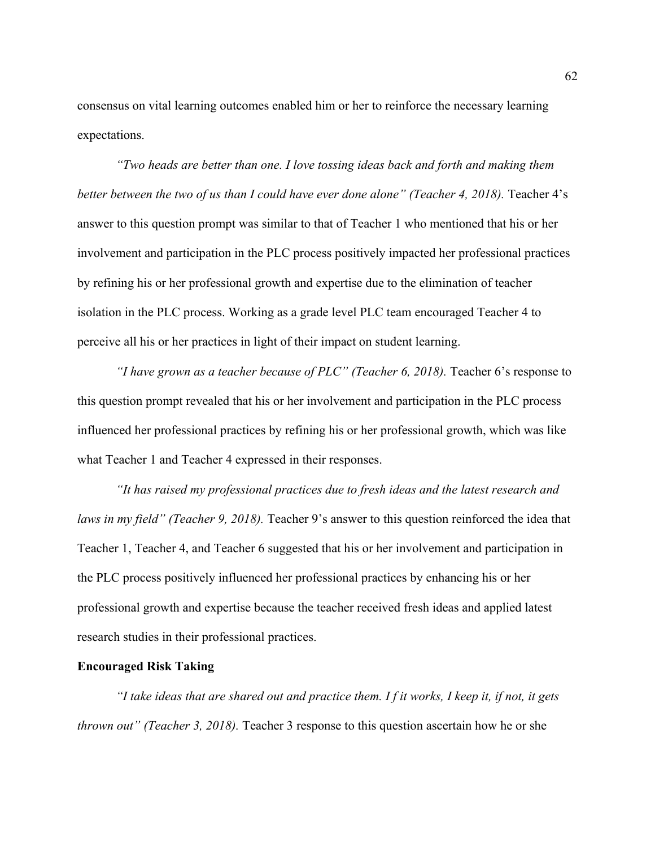consensus on vital learning outcomes enabled him or her to reinforce the necessary learning expectations.

*"Two heads are better than one. I love tossing ideas back and forth and making them better between the two of us than I could have ever done alone" (Teacher 4, 2018).* Teacher 4's answer to this question prompt was similar to that of Teacher 1 who mentioned that his or her involvement and participation in the PLC process positively impacted her professional practices by refining his or her professional growth and expertise due to the elimination of teacher isolation in the PLC process. Working as a grade level PLC team encouraged Teacher 4 to perceive all his or her practices in light of their impact on student learning.

*"I have grown as a teacher because of PLC" (Teacher 6, 2018).* Teacher 6's response to this question prompt revealed that his or her involvement and participation in the PLC process influenced her professional practices by refining his or her professional growth, which was like what Teacher 1 and Teacher 4 expressed in their responses.

*"It has raised my professional practices due to fresh ideas and the latest research and laws in my field" (Teacher 9, 2018).* Teacher 9's answer to this question reinforced the idea that Teacher 1, Teacher 4, and Teacher 6 suggested that his or her involvement and participation in the PLC process positively influenced her professional practices by enhancing his or her professional growth and expertise because the teacher received fresh ideas and applied latest research studies in their professional practices.

### **Encouraged Risk Taking**

*"I take ideas that are shared out and practice them. I f it works, I keep it, if not, it gets thrown out" (Teacher 3, 2018).* Teacher 3 response to this question ascertain how he or she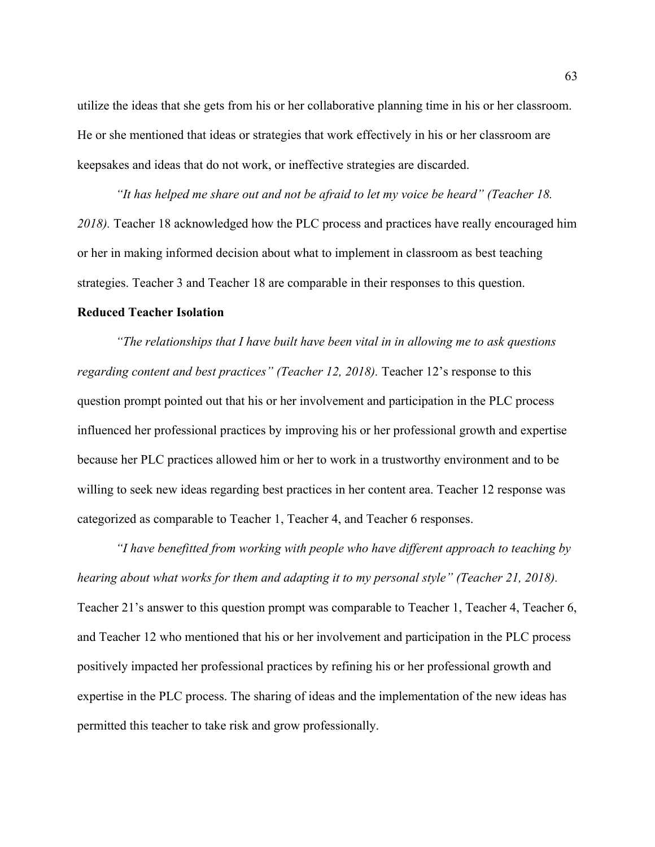utilize the ideas that she gets from his or her collaborative planning time in his or her classroom. He or she mentioned that ideas or strategies that work effectively in his or her classroom are keepsakes and ideas that do not work, or ineffective strategies are discarded.

*"It has helped me share out and not be afraid to let my voice be heard" (Teacher 18. 2018).* Teacher 18 acknowledged how the PLC process and practices have really encouraged him or her in making informed decision about what to implement in classroom as best teaching strategies. Teacher 3 and Teacher 18 are comparable in their responses to this question.

## **Reduced Teacher Isolation**

*"The relationships that I have built have been vital in in allowing me to ask questions regarding content and best practices" (Teacher 12, 2018).* Teacher 12's response to this question prompt pointed out that his or her involvement and participation in the PLC process influenced her professional practices by improving his or her professional growth and expertise because her PLC practices allowed him or her to work in a trustworthy environment and to be willing to seek new ideas regarding best practices in her content area. Teacher 12 response was categorized as comparable to Teacher 1, Teacher 4, and Teacher 6 responses.

*"I have benefitted from working with people who have different approach to teaching by hearing about what works for them and adapting it to my personal style" (Teacher 21, 2018).* Teacher 21's answer to this question prompt was comparable to Teacher 1, Teacher 4, Teacher 6, and Teacher 12 who mentioned that his or her involvement and participation in the PLC process positively impacted her professional practices by refining his or her professional growth and expertise in the PLC process. The sharing of ideas and the implementation of the new ideas has permitted this teacher to take risk and grow professionally.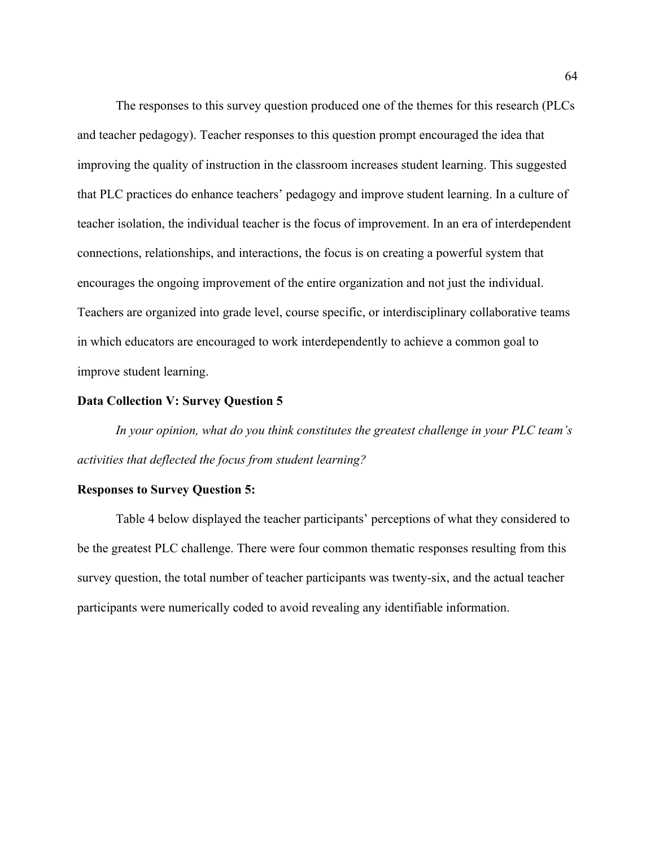The responses to this survey question produced one of the themes for this research (PLCs and teacher pedagogy). Teacher responses to this question prompt encouraged the idea that improving the quality of instruction in the classroom increases student learning. This suggested that PLC practices do enhance teachers' pedagogy and improve student learning. In a culture of teacher isolation, the individual teacher is the focus of improvement. In an era of interdependent connections, relationships, and interactions, the focus is on creating a powerful system that encourages the ongoing improvement of the entire organization and not just the individual. Teachers are organized into grade level, course specific, or interdisciplinary collaborative teams in which educators are encouraged to work interdependently to achieve a common goal to improve student learning.

#### **Data Collection V: Survey Question 5**

*In your opinion, what do you think constitutes the greatest challenge in your PLC team's activities that deflected the focus from student learning?*

### **Responses to Survey Question 5:**

Table 4 below displayed the teacher participants' perceptions of what they considered to be the greatest PLC challenge. There were four common thematic responses resulting from this survey question, the total number of teacher participants was twenty-six, and the actual teacher participants were numerically coded to avoid revealing any identifiable information.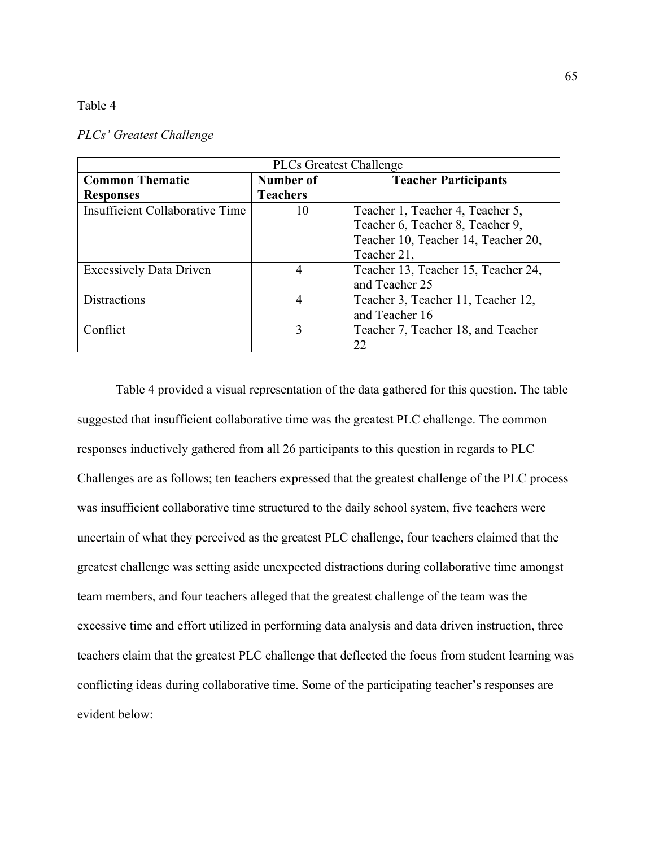## Table 4

| <b>PLCs Greatest Challenge</b>  |                 |                                     |
|---------------------------------|-----------------|-------------------------------------|
| <b>Common Thematic</b>          | Number of       | <b>Teacher Participants</b>         |
| <b>Responses</b>                | <b>Teachers</b> |                                     |
| Insufficient Collaborative Time | 10              | Teacher 1, Teacher 4, Teacher 5,    |
|                                 |                 | Teacher 6, Teacher 8, Teacher 9,    |
|                                 |                 | Teacher 10, Teacher 14, Teacher 20, |
|                                 |                 | Teacher 21,                         |
| <b>Excessively Data Driven</b>  | 4               | Teacher 13, Teacher 15, Teacher 24, |
|                                 |                 | and Teacher 25                      |
| <b>Distractions</b>             | 4               | Teacher 3, Teacher 11, Teacher 12,  |
|                                 |                 | and Teacher 16                      |
| Conflict                        | 3               | Teacher 7, Teacher 18, and Teacher  |
|                                 |                 | 22                                  |

#### *PLCs' Greatest Challenge*

Table 4 provided a visual representation of the data gathered for this question. The table suggested that insufficient collaborative time was the greatest PLC challenge. The common responses inductively gathered from all 26 participants to this question in regards to PLC Challenges are as follows; ten teachers expressed that the greatest challenge of the PLC process was insufficient collaborative time structured to the daily school system, five teachers were uncertain of what they perceived as the greatest PLC challenge, four teachers claimed that the greatest challenge was setting aside unexpected distractions during collaborative time amongst team members, and four teachers alleged that the greatest challenge of the team was the excessive time and effort utilized in performing data analysis and data driven instruction, three teachers claim that the greatest PLC challenge that deflected the focus from student learning was conflicting ideas during collaborative time. Some of the participating teacher's responses are evident below: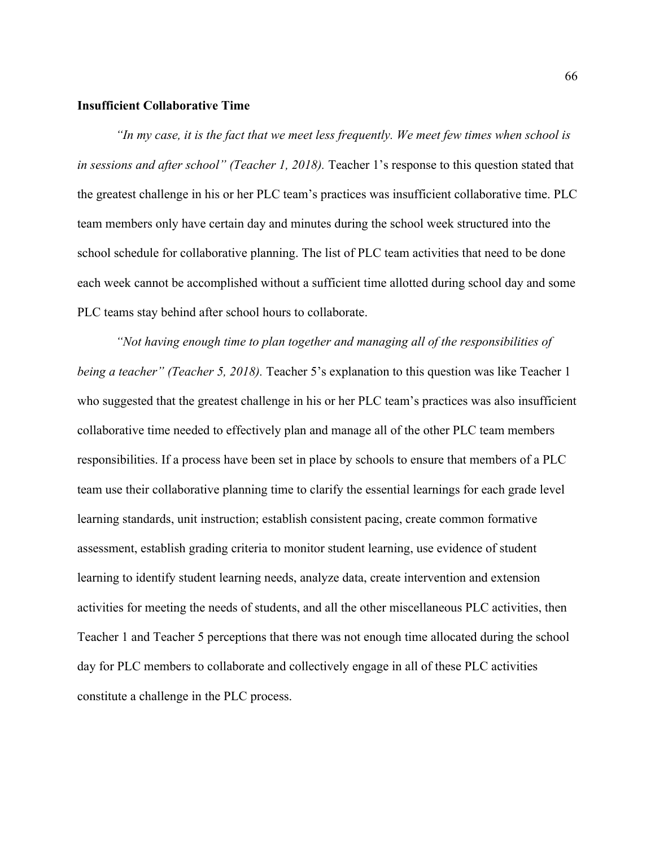# **Insufficient Collaborative Time**

*"In my case, it is the fact that we meet less frequently. We meet few times when school is in sessions and after school" (Teacher 1, 2018).* Teacher 1's response to this question stated that the greatest challenge in his or her PLC team's practices was insufficient collaborative time. PLC team members only have certain day and minutes during the school week structured into the school schedule for collaborative planning. The list of PLC team activities that need to be done each week cannot be accomplished without a sufficient time allotted during school day and some PLC teams stay behind after school hours to collaborate.

*"Not having enough time to plan together and managing all of the responsibilities of being a teacher" (Teacher 5, 2018).* Teacher 5's explanation to this question was like Teacher 1 who suggested that the greatest challenge in his or her PLC team's practices was also insufficient collaborative time needed to effectively plan and manage all of the other PLC team members responsibilities. If a process have been set in place by schools to ensure that members of a PLC team use their collaborative planning time to clarify the essential learnings for each grade level learning standards, unit instruction; establish consistent pacing, create common formative assessment, establish grading criteria to monitor student learning, use evidence of student learning to identify student learning needs, analyze data, create intervention and extension activities for meeting the needs of students, and all the other miscellaneous PLC activities, then Teacher 1 and Teacher 5 perceptions that there was not enough time allocated during the school day for PLC members to collaborate and collectively engage in all of these PLC activities constitute a challenge in the PLC process.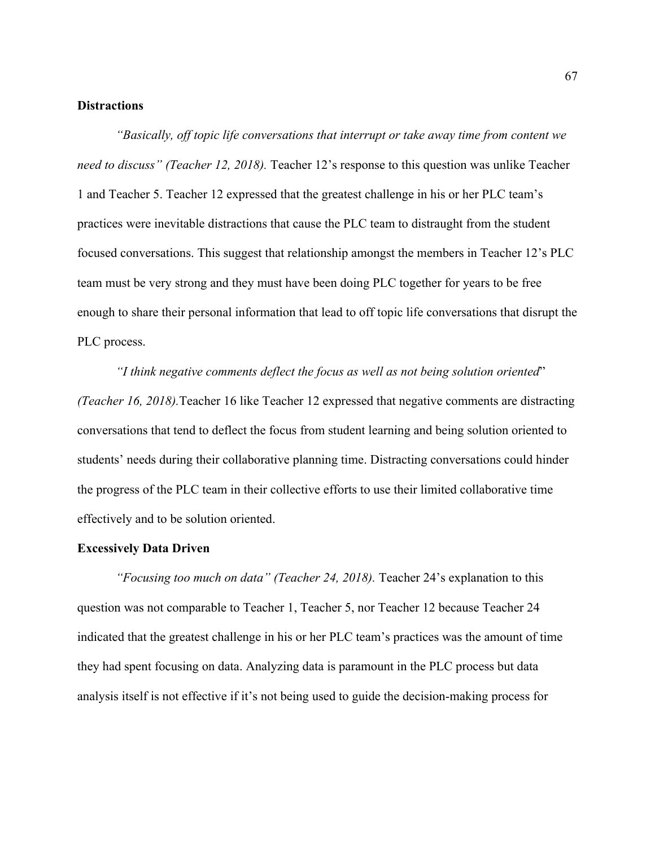# **Distractions**

*"Basically, off topic life conversations that interrupt or take away time from content we need to discuss" (Teacher 12, 2018).* Teacher 12's response to this question was unlike Teacher 1 and Teacher 5. Teacher 12 expressed that the greatest challenge in his or her PLC team's practices were inevitable distractions that cause the PLC team to distraught from the student focused conversations. This suggest that relationship amongst the members in Teacher 12's PLC team must be very strong and they must have been doing PLC together for years to be free enough to share their personal information that lead to off topic life conversations that disrupt the PLC process.

*"I think negative comments deflect the focus as well as not being solution oriented*" *(Teacher 16, 2018).*Teacher 16 like Teacher 12 expressed that negative comments are distracting conversations that tend to deflect the focus from student learning and being solution oriented to students' needs during their collaborative planning time. Distracting conversations could hinder the progress of the PLC team in their collective efforts to use their limited collaborative time effectively and to be solution oriented.

#### **Excessively Data Driven**

*"Focusing too much on data" (Teacher 24, 2018).* Teacher 24's explanation to this question was not comparable to Teacher 1, Teacher 5, nor Teacher 12 because Teacher 24 indicated that the greatest challenge in his or her PLC team's practices was the amount of time they had spent focusing on data. Analyzing data is paramount in the PLC process but data analysis itself is not effective if it's not being used to guide the decision-making process for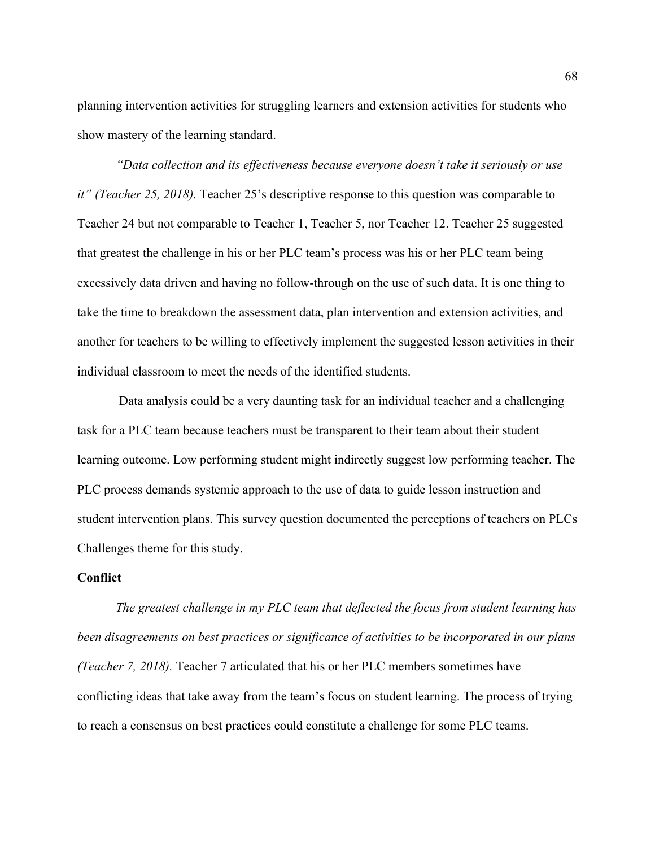planning intervention activities for struggling learners and extension activities for students who show mastery of the learning standard.

*"Data collection and its effectiveness because everyone doesn't take it seriously or use it" (Teacher 25, 2018).* Teacher 25's descriptive response to this question was comparable to Teacher 24 but not comparable to Teacher 1, Teacher 5, nor Teacher 12. Teacher 25 suggested that greatest the challenge in his or her PLC team's process was his or her PLC team being excessively data driven and having no follow-through on the use of such data. It is one thing to take the time to breakdown the assessment data, plan intervention and extension activities, and another for teachers to be willing to effectively implement the suggested lesson activities in their individual classroom to meet the needs of the identified students.

Data analysis could be a very daunting task for an individual teacher and a challenging task for a PLC team because teachers must be transparent to their team about their student learning outcome. Low performing student might indirectly suggest low performing teacher. The PLC process demands systemic approach to the use of data to guide lesson instruction and student intervention plans. This survey question documented the perceptions of teachers on PLCs Challenges theme for this study.

# **Conflict**

*The greatest challenge in my PLC team that deflected the focus from student learning has been disagreements on best practices or significance of activities to be incorporated in our plans (Teacher 7, 2018).* Teacher 7 articulated that his or her PLC members sometimes have conflicting ideas that take away from the team's focus on student learning. The process of trying to reach a consensus on best practices could constitute a challenge for some PLC teams.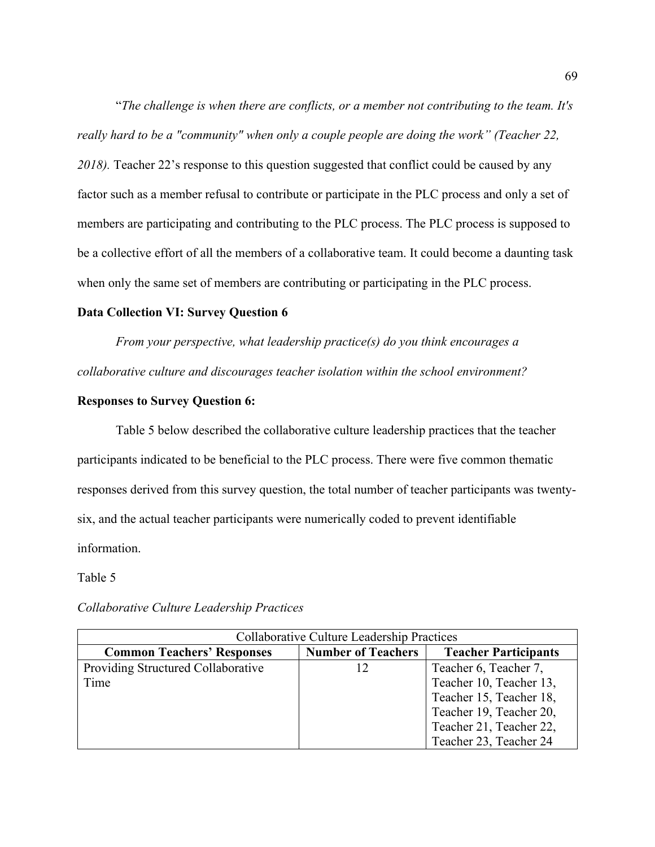"*The challenge is when there are conflicts, or a member not contributing to the team. It's really hard to be a "community" when only a couple people are doing the work" (Teacher 22, 2018).* Teacher 22's response to this question suggested that conflict could be caused by any factor such as a member refusal to contribute or participate in the PLC process and only a set of members are participating and contributing to the PLC process. The PLC process is supposed to be a collective effort of all the members of a collaborative team. It could become a daunting task when only the same set of members are contributing or participating in the PLC process.

# **Data Collection VI: Survey Question 6**

*From your perspective, what leadership practice(s) do you think encourages a collaborative culture and discourages teacher isolation within the school environment?*

### **Responses to Survey Question 6:**

Table 5 below described the collaborative culture leadership practices that the teacher participants indicated to be beneficial to the PLC process. There were five common thematic responses derived from this survey question, the total number of teacher participants was twentysix, and the actual teacher participants were numerically coded to prevent identifiable information.

### Table 5

#### Collaborative Culture Leadership Practices **Common Teachers' Responses Number of Teachers Teacher Participants** Providing Structured Collaborative Time 12 Teacher 6, Teacher 7, Teacher 10, Teacher 13, Teacher 15, Teacher 18, Teacher 19, Teacher 20, Teacher 21, Teacher 22, Teacher 23, Teacher 24

#### *Collaborative Culture Leadership Practices*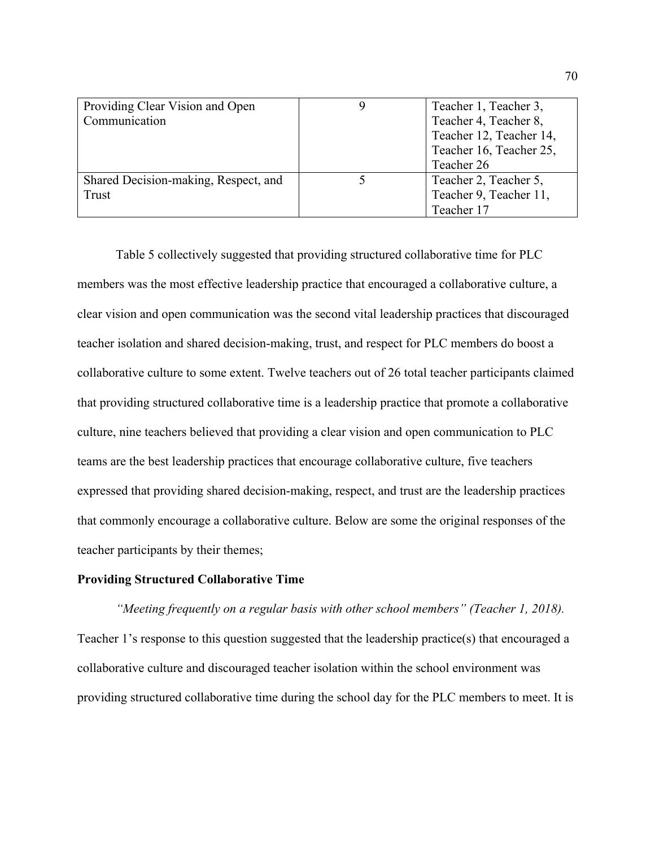| Providing Clear Vision and Open      | Teacher 1, Teacher 3,   |
|--------------------------------------|-------------------------|
| Communication                        | Teacher 4, Teacher 8,   |
|                                      | Teacher 12, Teacher 14, |
|                                      | Teacher 16, Teacher 25, |
|                                      | Teacher 26              |
| Shared Decision-making, Respect, and | Teacher 2, Teacher 5,   |
| Trust                                | Teacher 9, Teacher 11,  |
|                                      | Teacher 17              |

Table 5 collectively suggested that providing structured collaborative time for PLC members was the most effective leadership practice that encouraged a collaborative culture, a clear vision and open communication was the second vital leadership practices that discouraged teacher isolation and shared decision-making, trust, and respect for PLC members do boost a collaborative culture to some extent. Twelve teachers out of 26 total teacher participants claimed that providing structured collaborative time is a leadership practice that promote a collaborative culture, nine teachers believed that providing a clear vision and open communication to PLC teams are the best leadership practices that encourage collaborative culture, five teachers expressed that providing shared decision-making, respect, and trust are the leadership practices that commonly encourage a collaborative culture. Below are some the original responses of the teacher participants by their themes;

## **Providing Structured Collaborative Time**

*"Meeting frequently on a regular basis with other school members" (Teacher 1, 2018).* Teacher 1's response to this question suggested that the leadership practice(s) that encouraged a collaborative culture and discouraged teacher isolation within the school environment was providing structured collaborative time during the school day for the PLC members to meet. It is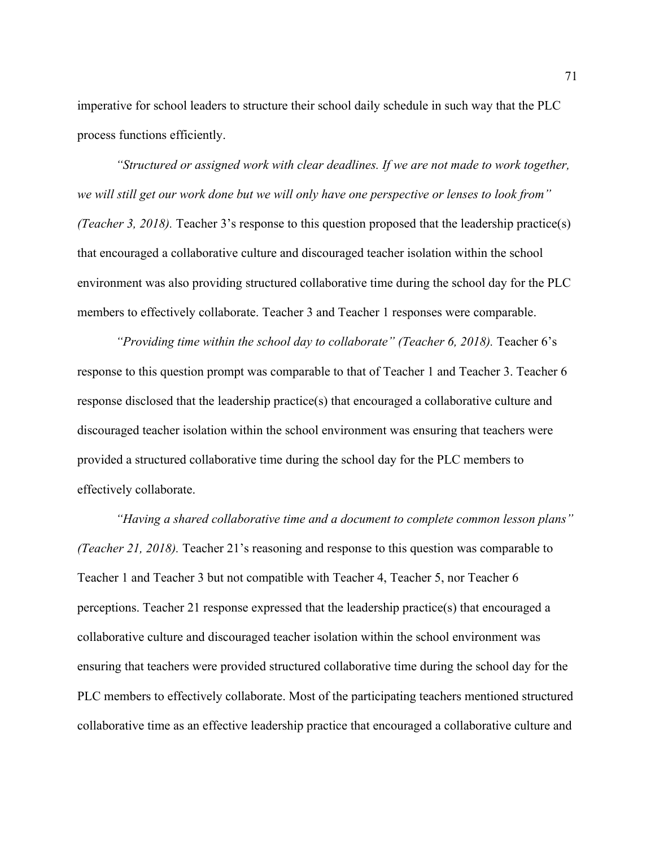imperative for school leaders to structure their school daily schedule in such way that the PLC process functions efficiently.

*"Structured or assigned work with clear deadlines. If we are not made to work together, we will still get our work done but we will only have one perspective or lenses to look from" (Teacher 3, 2018).* Teacher 3's response to this question proposed that the leadership practice(s) that encouraged a collaborative culture and discouraged teacher isolation within the school environment was also providing structured collaborative time during the school day for the PLC members to effectively collaborate. Teacher 3 and Teacher 1 responses were comparable.

*"Providing time within the school day to collaborate" (Teacher 6, 2018).* Teacher 6's response to this question prompt was comparable to that of Teacher 1 and Teacher 3. Teacher 6 response disclosed that the leadership practice(s) that encouraged a collaborative culture and discouraged teacher isolation within the school environment was ensuring that teachers were provided a structured collaborative time during the school day for the PLC members to effectively collaborate.

*"Having a shared collaborative time and a document to complete common lesson plans" (Teacher 21, 2018).* Teacher 21's reasoning and response to this question was comparable to Teacher 1 and Teacher 3 but not compatible with Teacher 4, Teacher 5, nor Teacher 6 perceptions. Teacher 21 response expressed that the leadership practice(s) that encouraged a collaborative culture and discouraged teacher isolation within the school environment was ensuring that teachers were provided structured collaborative time during the school day for the PLC members to effectively collaborate. Most of the participating teachers mentioned structured collaborative time as an effective leadership practice that encouraged a collaborative culture and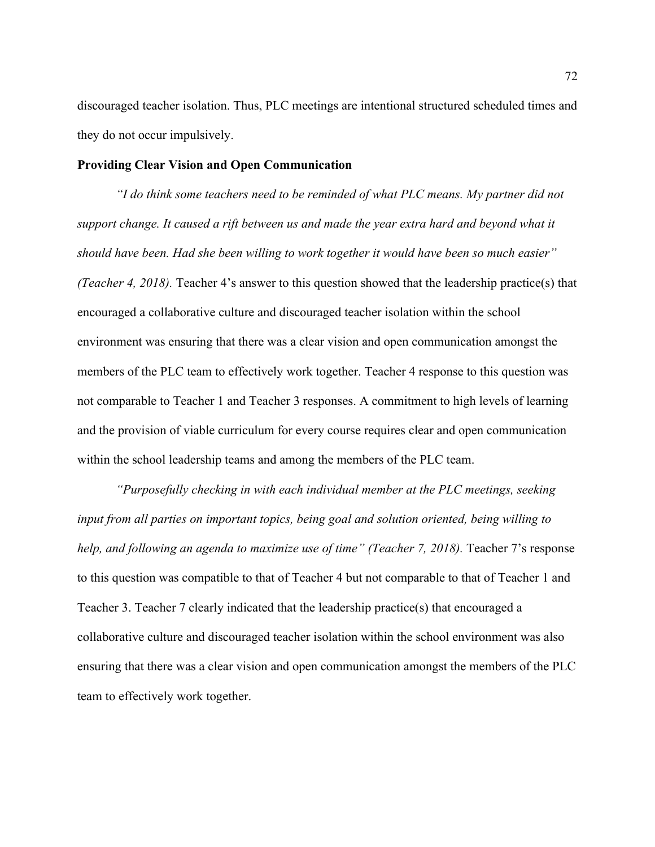discouraged teacher isolation. Thus, PLC meetings are intentional structured scheduled times and they do not occur impulsively.

# **Providing Clear Vision and Open Communication**

*"I do think some teachers need to be reminded of what PLC means. My partner did not support change. It caused a rift between us and made the year extra hard and beyond what it should have been. Had she been willing to work together it would have been so much easier" (Teacher 4, 2018).* Teacher 4's answer to this question showed that the leadership practice(s) that encouraged a collaborative culture and discouraged teacher isolation within the school environment was ensuring that there was a clear vision and open communication amongst the members of the PLC team to effectively work together. Teacher 4 response to this question was not comparable to Teacher 1 and Teacher 3 responses. A commitment to high levels of learning and the provision of viable curriculum for every course requires clear and open communication within the school leadership teams and among the members of the PLC team.

*"Purposefully checking in with each individual member at the PLC meetings, seeking input from all parties on important topics, being goal and solution oriented, being willing to help, and following an agenda to maximize use of time" (Teacher 7, 2018).* Teacher 7's response to this question was compatible to that of Teacher 4 but not comparable to that of Teacher 1 and Teacher 3. Teacher 7 clearly indicated that the leadership practice(s) that encouraged a collaborative culture and discouraged teacher isolation within the school environment was also ensuring that there was a clear vision and open communication amongst the members of the PLC team to effectively work together.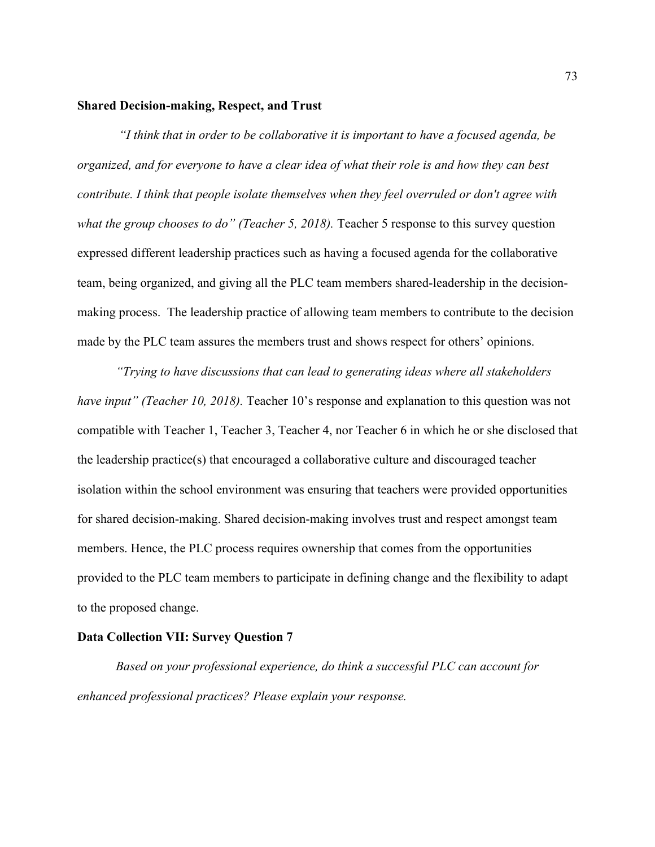## **Shared Decision-making, Respect, and Trust**

*"I think that in order to be collaborative it is important to have a focused agenda, be organized, and for everyone to have a clear idea of what their role is and how they can best contribute. I think that people isolate themselves when they feel overruled or don't agree with what the group chooses to do" (Teacher 5, 2018).* Teacher 5 response to this survey question expressed different leadership practices such as having a focused agenda for the collaborative team, being organized, and giving all the PLC team members shared-leadership in the decisionmaking process. The leadership practice of allowing team members to contribute to the decision made by the PLC team assures the members trust and shows respect for others' opinions.

*"Trying to have discussions that can lead to generating ideas where all stakeholders have input" (Teacher 10, 2018).* Teacher 10's response and explanation to this question was not compatible with Teacher 1, Teacher 3, Teacher 4, nor Teacher 6 in which he or she disclosed that the leadership practice(s) that encouraged a collaborative culture and discouraged teacher isolation within the school environment was ensuring that teachers were provided opportunities for shared decision-making. Shared decision-making involves trust and respect amongst team members. Hence, the PLC process requires ownership that comes from the opportunities provided to the PLC team members to participate in defining change and the flexibility to adapt to the proposed change.

### **Data Collection VII: Survey Question 7**

*Based on your professional experience, do think a successful PLC can account for enhanced professional practices? Please explain your response.*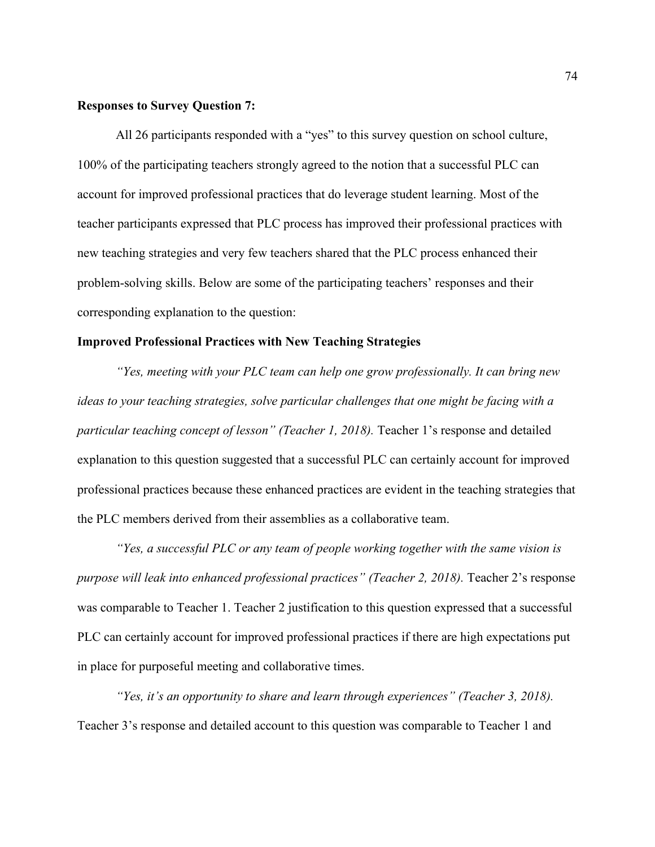# **Responses to Survey Question 7:**

All 26 participants responded with a "yes" to this survey question on school culture, 100% of the participating teachers strongly agreed to the notion that a successful PLC can account for improved professional practices that do leverage student learning. Most of the teacher participants expressed that PLC process has improved their professional practices with new teaching strategies and very few teachers shared that the PLC process enhanced their problem-solving skills. Below are some of the participating teachers' responses and their corresponding explanation to the question:

### **Improved Professional Practices with New Teaching Strategies**

*"Yes, meeting with your PLC team can help one grow professionally. It can bring new ideas to your teaching strategies, solve particular challenges that one might be facing with a particular teaching concept of lesson" (Teacher 1, 2018).* Teacher 1's response and detailed explanation to this question suggested that a successful PLC can certainly account for improved professional practices because these enhanced practices are evident in the teaching strategies that the PLC members derived from their assemblies as a collaborative team.

*"Yes, a successful PLC or any team of people working together with the same vision is purpose will leak into enhanced professional practices" (Teacher 2, 2018).* Teacher 2's response was comparable to Teacher 1. Teacher 2 justification to this question expressed that a successful PLC can certainly account for improved professional practices if there are high expectations put in place for purposeful meeting and collaborative times.

*"Yes, it's an opportunity to share and learn through experiences" (Teacher 3, 2018).* Teacher 3's response and detailed account to this question was comparable to Teacher 1 and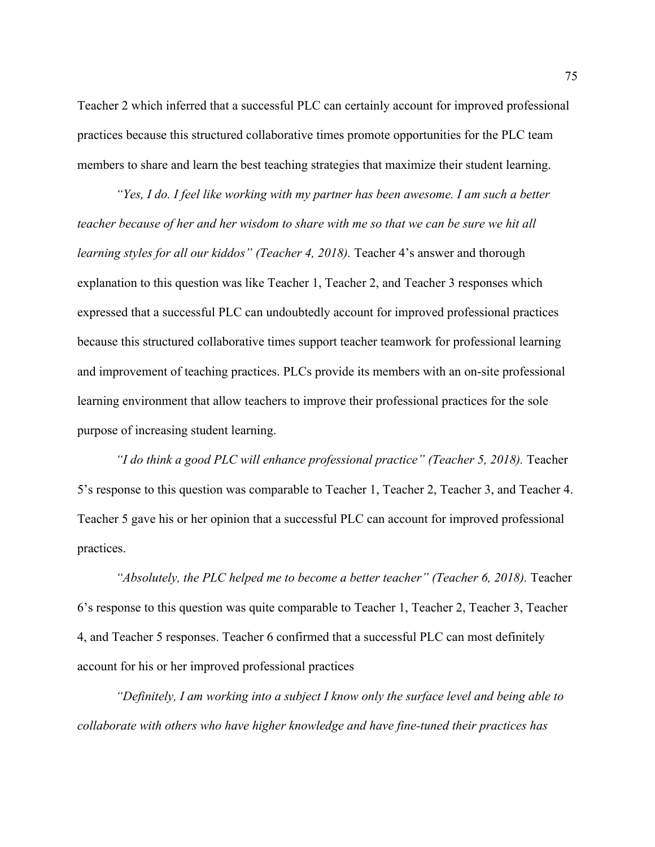Teacher 2 which inferred that a successful PLC can certainly account for improved professional practices because this structured collaborative times promote opportunities for the PLC team members to share and learn the best teaching strategies that maximize their student learning.

*"Yes, I do. I feel like working with my partner has been awesome. I am such a better teacher because of her and her wisdom to share with me so that we can be sure we hit all learning styles for all our kiddos" (Teacher 4, 2018).* Teacher 4's answer and thorough explanation to this question was like Teacher 1, Teacher 2, and Teacher 3 responses which expressed that a successful PLC can undoubtedly account for improved professional practices because this structured collaborative times support teacher teamwork for professional learning and improvement of teaching practices. PLCs provide its members with an on-site professional learning environment that allow teachers to improve their professional practices for the sole purpose of increasing student learning.

*"I do think a good PLC will enhance professional practice" (Teacher 5, 2018).* Teacher 5's response to this question was comparable to Teacher 1, Teacher 2, Teacher 3, and Teacher 4. Teacher 5 gave his or her opinion that a successful PLC can account for improved professional practices.

*"Absolutely, the PLC helped me to become a better teacher" (Teacher 6, 2018).* Teacher 6's response to this question was quite comparable to Teacher 1, Teacher 2, Teacher 3, Teacher 4, and Teacher 5 responses. Teacher 6 confirmed that a successful PLC can most definitely account for his or her improved professional practices

*"Definitely, I am working into a subject I know only the surface level and being able to collaborate with others who have higher knowledge and have fine-tuned their practices has*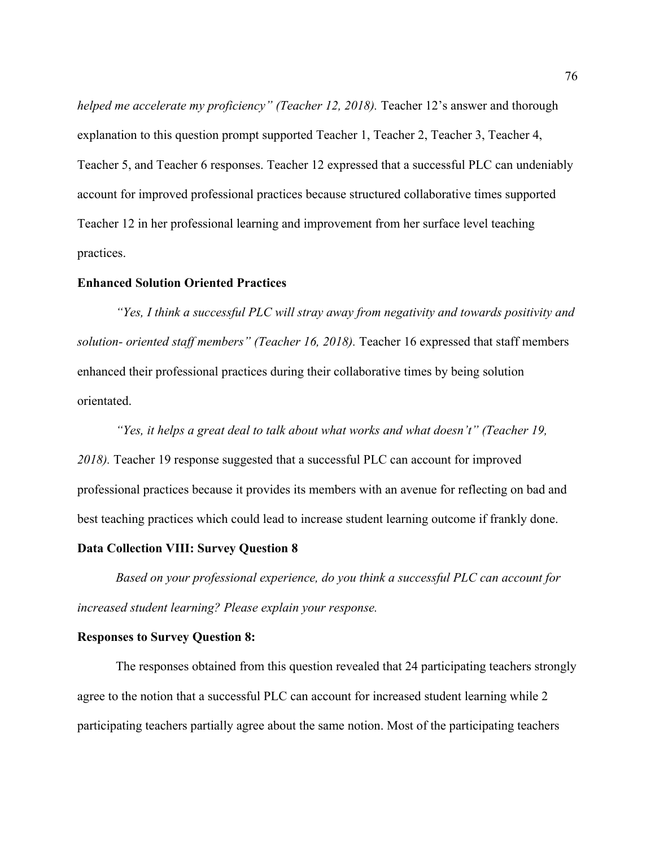*helped me accelerate my proficiency" (Teacher 12, 2018).* Teacher 12's answer and thorough explanation to this question prompt supported Teacher 1, Teacher 2, Teacher 3, Teacher 4, Teacher 5, and Teacher 6 responses. Teacher 12 expressed that a successful PLC can undeniably account for improved professional practices because structured collaborative times supported Teacher 12 in her professional learning and improvement from her surface level teaching practices.

## **Enhanced Solution Oriented Practices**

*"Yes, I think a successful PLC will stray away from negativity and towards positivity and solution- oriented staff members" (Teacher 16, 2018).* Teacher 16 expressed that staff members enhanced their professional practices during their collaborative times by being solution orientated.

*"Yes, it helps a great deal to talk about what works and what doesn't" (Teacher 19, 2018).* Teacher 19 response suggested that a successful PLC can account for improved professional practices because it provides its members with an avenue for reflecting on bad and best teaching practices which could lead to increase student learning outcome if frankly done.

### **Data Collection VIII: Survey Question 8**

*Based on your professional experience, do you think a successful PLC can account for increased student learning? Please explain your response.*

#### **Responses to Survey Question 8:**

The responses obtained from this question revealed that 24 participating teachers strongly agree to the notion that a successful PLC can account for increased student learning while 2 participating teachers partially agree about the same notion. Most of the participating teachers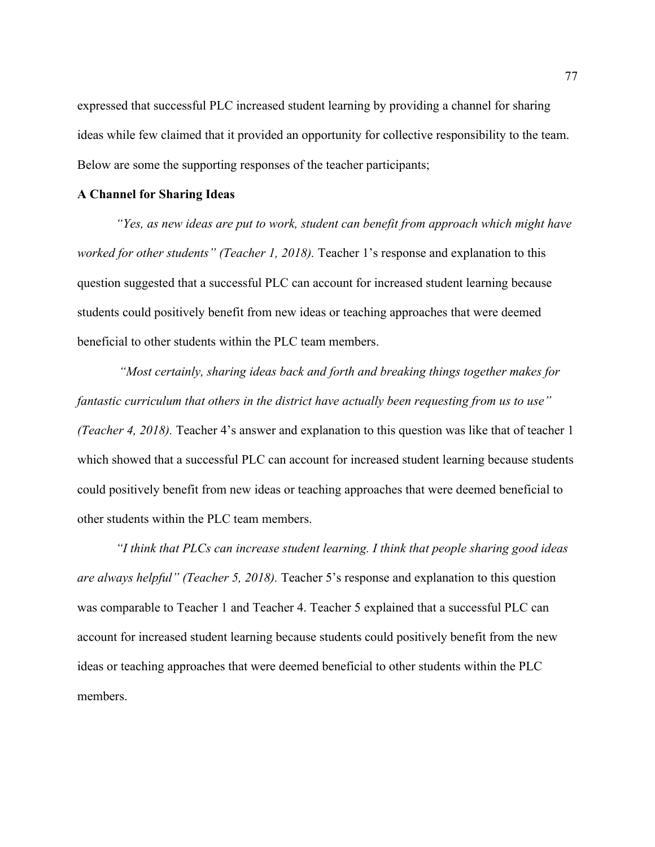expressed that successful PLC increased student learning by providing a channel for sharing ideas while few claimed that it provided an opportunity for collective responsibility to the team. Below are some the supporting responses of the teacher participants;

# **A Channel for Sharing Ideas**

*"Yes, as new ideas are put to work, student can benefit from approach which might have worked for other students" (Teacher 1, 2018).* Teacher 1's response and explanation to this question suggested that a successful PLC can account for increased student learning because students could positively benefit from new ideas or teaching approaches that were deemed beneficial to other students within the PLC team members.

*"Most certainly, sharing ideas back and forth and breaking things together makes for fantastic curriculum that others in the district have actually been requesting from us to use" (Teacher 4, 2018).* Teacher 4's answer and explanation to this question was like that of teacher 1 which showed that a successful PLC can account for increased student learning because students could positively benefit from new ideas or teaching approaches that were deemed beneficial to other students within the PLC team members.

*"I think that PLCs can increase student learning. I think that people sharing good ideas are always helpful" (Teacher 5, 2018).* Teacher 5's response and explanation to this question was comparable to Teacher 1 and Teacher 4. Teacher 5 explained that a successful PLC can account for increased student learning because students could positively benefit from the new ideas or teaching approaches that were deemed beneficial to other students within the PLC members.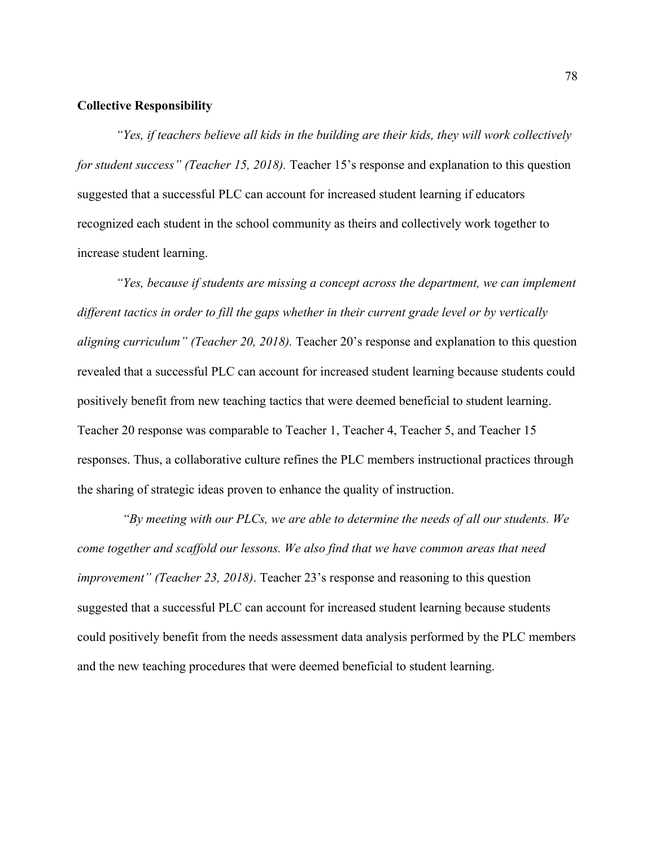### **Collective Responsibility**

*"Yes, if teachers believe all kids in the building are their kids, they will work collectively for student success" (Teacher 15, 2018).* Teacher 15's response and explanation to this question suggested that a successful PLC can account for increased student learning if educators recognized each student in the school community as theirs and collectively work together to increase student learning.

*"Yes, because if students are missing a concept across the department, we can implement different tactics in order to fill the gaps whether in their current grade level or by vertically aligning curriculum" (Teacher 20, 2018).* Teacher 20's response and explanation to this question revealed that a successful PLC can account for increased student learning because students could positively benefit from new teaching tactics that were deemed beneficial to student learning. Teacher 20 response was comparable to Teacher 1, Teacher 4, Teacher 5, and Teacher 15 responses. Thus, a collaborative culture refines the PLC members instructional practices through the sharing of strategic ideas proven to enhance the quality of instruction.

*"By meeting with our PLCs, we are able to determine the needs of all our students. We come together and scaffold our lessons. We also find that we have common areas that need improvement" (Teacher 23, 2018)*. Teacher 23's response and reasoning to this question suggested that a successful PLC can account for increased student learning because students could positively benefit from the needs assessment data analysis performed by the PLC members and the new teaching procedures that were deemed beneficial to student learning.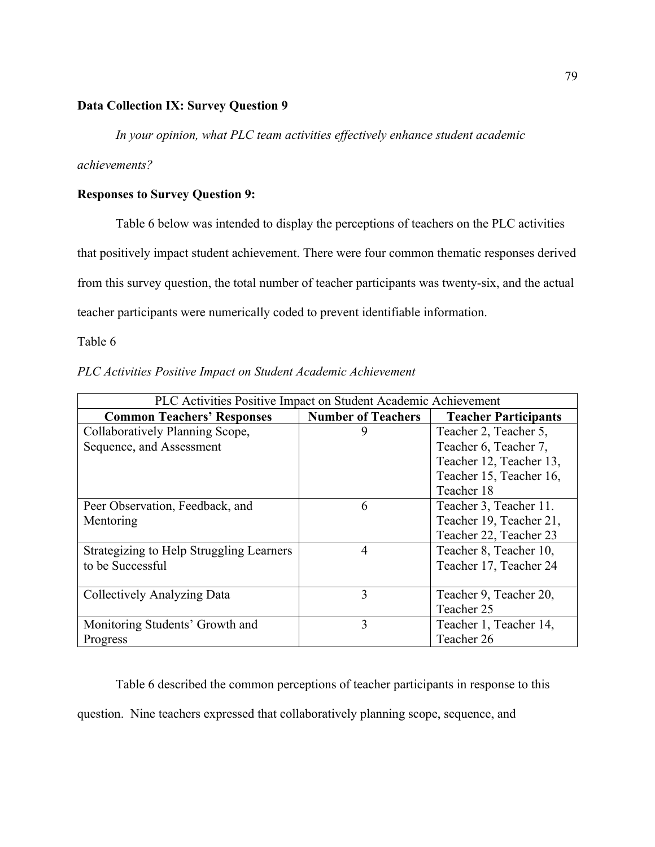# **Data Collection IX: Survey Question 9**

*In your opinion, what PLC team activities effectively enhance student academic* 

*achievements?*

# **Responses to Survey Question 9:**

Table 6 below was intended to display the perceptions of teachers on the PLC activities that positively impact student achievement. There were four common thematic responses derived from this survey question, the total number of teacher participants was twenty-six, and the actual teacher participants were numerically coded to prevent identifiable information.

Table 6

| PLC Activities Positive Impact on Student Academic Achievement |  |
|----------------------------------------------------------------|--|
|----------------------------------------------------------------|--|

| PLC Activities Positive Impact on Student Academic Achievement |                           |                             |
|----------------------------------------------------------------|---------------------------|-----------------------------|
| <b>Common Teachers' Responses</b>                              | <b>Number of Teachers</b> | <b>Teacher Participants</b> |
| Collaboratively Planning Scope,                                |                           | Teacher 2, Teacher 5,       |
| Sequence, and Assessment                                       |                           | Teacher 6, Teacher 7,       |
|                                                                |                           | Teacher 12, Teacher 13,     |
|                                                                |                           | Teacher 15, Teacher 16,     |
|                                                                |                           | Teacher 18                  |
| Peer Observation, Feedback, and                                | 6                         | Teacher 3, Teacher 11.      |
| Mentoring                                                      |                           | Teacher 19, Teacher 21,     |
|                                                                |                           | Teacher 22, Teacher 23      |
| Strategizing to Help Struggling Learners                       | $\overline{4}$            | Teacher 8, Teacher 10,      |
| to be Successful                                               |                           | Teacher 17, Teacher 24      |
|                                                                |                           |                             |
| Collectively Analyzing Data                                    | $\mathbf{3}$              | Teacher 9, Teacher 20,      |
|                                                                |                           | Teacher 25                  |
| Monitoring Students' Growth and                                | 3                         | Teacher 1, Teacher 14,      |
| Progress                                                       |                           | Teacher 26                  |

Table 6 described the common perceptions of teacher participants in response to this question. Nine teachers expressed that collaboratively planning scope, sequence, and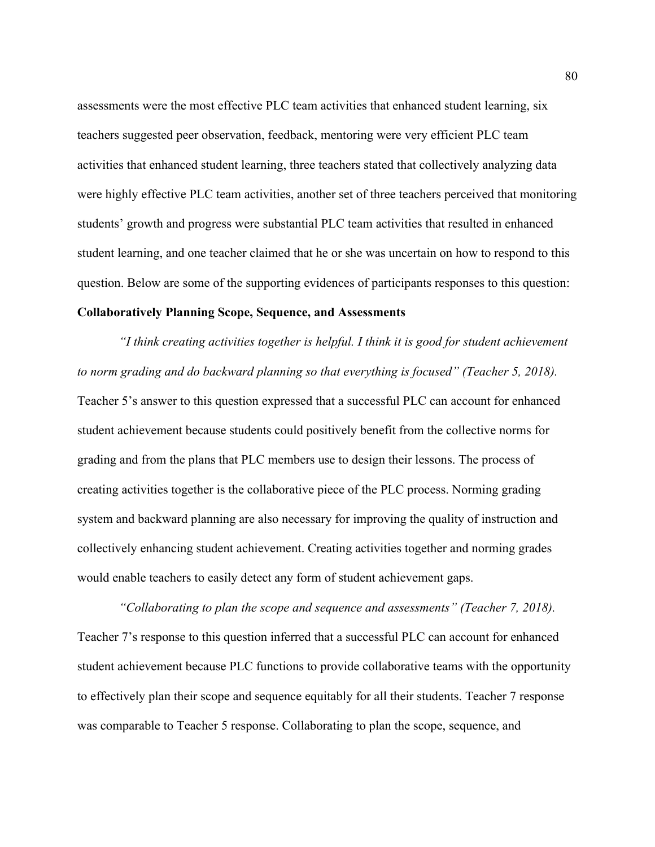assessments were the most effective PLC team activities that enhanced student learning, six teachers suggested peer observation, feedback, mentoring were very efficient PLC team activities that enhanced student learning, three teachers stated that collectively analyzing data were highly effective PLC team activities, another set of three teachers perceived that monitoring students' growth and progress were substantial PLC team activities that resulted in enhanced student learning, and one teacher claimed that he or she was uncertain on how to respond to this question. Below are some of the supporting evidences of participants responses to this question:

## **Collaboratively Planning Scope, Sequence, and Assessments**

*"I think creating activities together is helpful. I think it is good for student achievement to norm grading and do backward planning so that everything is focused" (Teacher 5, 2018).* Teacher 5's answer to this question expressed that a successful PLC can account for enhanced student achievement because students could positively benefit from the collective norms for grading and from the plans that PLC members use to design their lessons. The process of creating activities together is the collaborative piece of the PLC process. Norming grading system and backward planning are also necessary for improving the quality of instruction and collectively enhancing student achievement. Creating activities together and norming grades would enable teachers to easily detect any form of student achievement gaps.

*"Collaborating to plan the scope and sequence and assessments" (Teacher 7, 2018).* Teacher 7's response to this question inferred that a successful PLC can account for enhanced student achievement because PLC functions to provide collaborative teams with the opportunity to effectively plan their scope and sequence equitably for all their students. Teacher 7 response was comparable to Teacher 5 response. Collaborating to plan the scope, sequence, and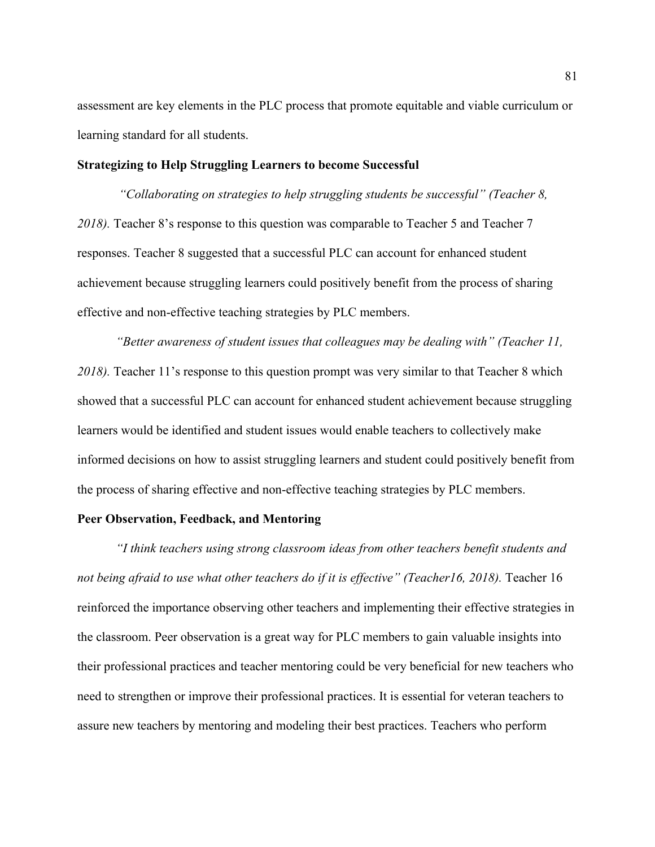assessment are key elements in the PLC process that promote equitable and viable curriculum or learning standard for all students.

# **Strategizing to Help Struggling Learners to become Successful**

*"Collaborating on strategies to help struggling students be successful" (Teacher 8, 2018).* Teacher 8's response to this question was comparable to Teacher 5 and Teacher 7 responses. Teacher 8 suggested that a successful PLC can account for enhanced student achievement because struggling learners could positively benefit from the process of sharing effective and non-effective teaching strategies by PLC members.

*"Better awareness of student issues that colleagues may be dealing with" (Teacher 11, 2018).* Teacher 11's response to this question prompt was very similar to that Teacher 8 which showed that a successful PLC can account for enhanced student achievement because struggling learners would be identified and student issues would enable teachers to collectively make informed decisions on how to assist struggling learners and student could positively benefit from the process of sharing effective and non-effective teaching strategies by PLC members.

### **Peer Observation, Feedback, and Mentoring**

*"I think teachers using strong classroom ideas from other teachers benefit students and*  not being afraid to use what other teachers do if it is effective" (Teacher16, 2018). Teacher 16 reinforced the importance observing other teachers and implementing their effective strategies in the classroom. Peer observation is a great way for PLC members to gain valuable insights into their professional practices and teacher mentoring could be very beneficial for new teachers who need to strengthen or improve their professional practices. It is essential for veteran teachers to assure new teachers by mentoring and modeling their best practices. Teachers who perform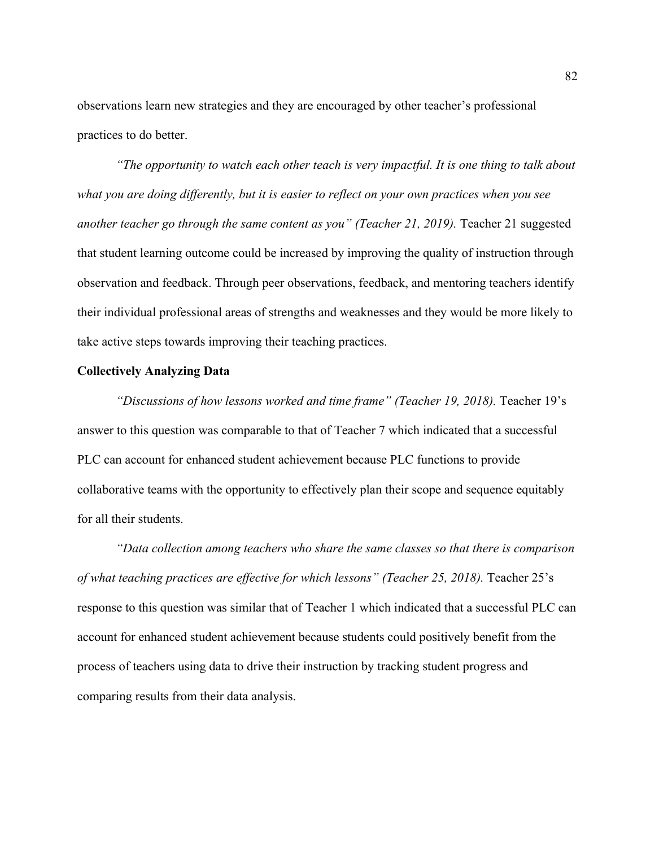observations learn new strategies and they are encouraged by other teacher's professional practices to do better.

*"The opportunity to watch each other teach is very impactful. It is one thing to talk about what you are doing differently, but it is easier to reflect on your own practices when you see another teacher go through the same content as you" (Teacher 21, 2019).* Teacher 21 suggested that student learning outcome could be increased by improving the quality of instruction through observation and feedback. Through peer observations, feedback, and mentoring teachers identify their individual professional areas of strengths and weaknesses and they would be more likely to take active steps towards improving their teaching practices.

#### **Collectively Analyzing Data**

*"Discussions of how lessons worked and time frame" (Teacher 19, 2018).* Teacher 19's answer to this question was comparable to that of Teacher 7 which indicated that a successful PLC can account for enhanced student achievement because PLC functions to provide collaborative teams with the opportunity to effectively plan their scope and sequence equitably for all their students.

*"Data collection among teachers who share the same classes so that there is comparison of what teaching practices are effective for which lessons" (Teacher 25, 2018).* Teacher 25's response to this question was similar that of Teacher 1 which indicated that a successful PLC can account for enhanced student achievement because students could positively benefit from the process of teachers using data to drive their instruction by tracking student progress and comparing results from their data analysis.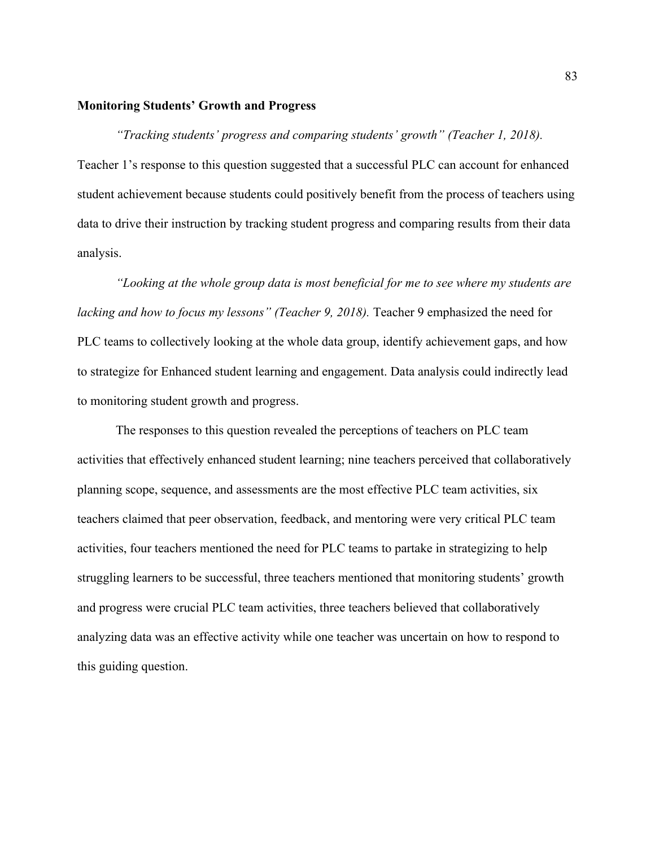# **Monitoring Students' Growth and Progress**

*"Tracking students' progress and comparing students' growth" (Teacher 1, 2018).* Teacher 1's response to this question suggested that a successful PLC can account for enhanced student achievement because students could positively benefit from the process of teachers using data to drive their instruction by tracking student progress and comparing results from their data analysis.

*"Looking at the whole group data is most beneficial for me to see where my students are lacking and how to focus my lessons" (Teacher 9, 2018).* Teacher 9 emphasized the need for PLC teams to collectively looking at the whole data group, identify achievement gaps, and how to strategize for Enhanced student learning and engagement. Data analysis could indirectly lead to monitoring student growth and progress.

The responses to this question revealed the perceptions of teachers on PLC team activities that effectively enhanced student learning; nine teachers perceived that collaboratively planning scope, sequence, and assessments are the most effective PLC team activities, six teachers claimed that peer observation, feedback, and mentoring were very critical PLC team activities, four teachers mentioned the need for PLC teams to partake in strategizing to help struggling learners to be successful, three teachers mentioned that monitoring students' growth and progress were crucial PLC team activities, three teachers believed that collaboratively analyzing data was an effective activity while one teacher was uncertain on how to respond to this guiding question.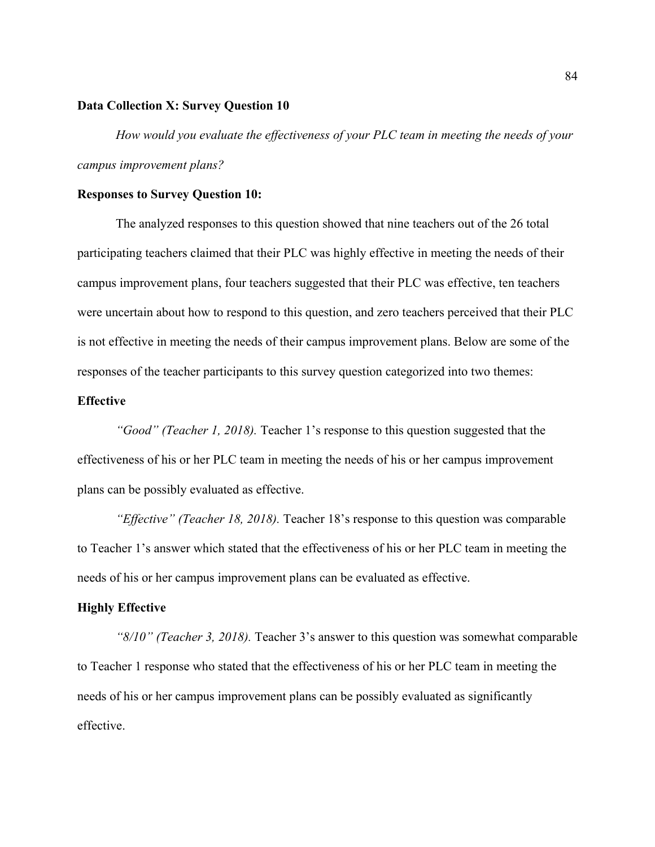### **Data Collection X: Survey Question 10**

*How would you evaluate the effectiveness of your PLC team in meeting the needs of your campus improvement plans?*

### **Responses to Survey Question 10:**

The analyzed responses to this question showed that nine teachers out of the 26 total participating teachers claimed that their PLC was highly effective in meeting the needs of their campus improvement plans, four teachers suggested that their PLC was effective, ten teachers were uncertain about how to respond to this question, and zero teachers perceived that their PLC is not effective in meeting the needs of their campus improvement plans. Below are some of the responses of the teacher participants to this survey question categorized into two themes:

# **Effective**

*"Good" (Teacher 1, 2018).* Teacher 1's response to this question suggested that the effectiveness of his or her PLC team in meeting the needs of his or her campus improvement plans can be possibly evaluated as effective.

*"Effective" (Teacher 18, 2018).* Teacher 18's response to this question was comparable to Teacher 1's answer which stated that the effectiveness of his or her PLC team in meeting the needs of his or her campus improvement plans can be evaluated as effective.

#### **Highly Effective**

*"8/10" (Teacher 3, 2018).* Teacher 3's answer to this question was somewhat comparable to Teacher 1 response who stated that the effectiveness of his or her PLC team in meeting the needs of his or her campus improvement plans can be possibly evaluated as significantly effective.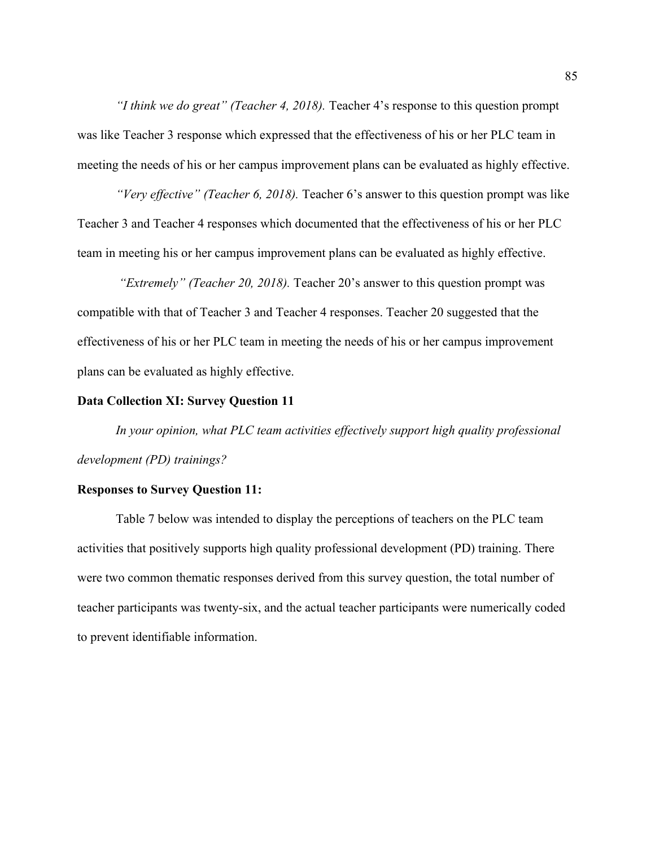*"I think we do great" (Teacher 4, 2018).* Teacher 4's response to this question prompt was like Teacher 3 response which expressed that the effectiveness of his or her PLC team in meeting the needs of his or her campus improvement plans can be evaluated as highly effective.

*"Very effective" (Teacher 6, 2018).* Teacher 6's answer to this question prompt was like Teacher 3 and Teacher 4 responses which documented that the effectiveness of his or her PLC team in meeting his or her campus improvement plans can be evaluated as highly effective.

*"Extremely" (Teacher 20, 2018).* Teacher 20's answer to this question prompt was compatible with that of Teacher 3 and Teacher 4 responses. Teacher 20 suggested that the effectiveness of his or her PLC team in meeting the needs of his or her campus improvement plans can be evaluated as highly effective.

### **Data Collection XI: Survey Question 11**

*In your opinion, what PLC team activities effectively support high quality professional development (PD) trainings?*

## **Responses to Survey Question 11:**

Table 7 below was intended to display the perceptions of teachers on the PLC team activities that positively supports high quality professional development (PD) training. There were two common thematic responses derived from this survey question, the total number of teacher participants was twenty-six, and the actual teacher participants were numerically coded to prevent identifiable information.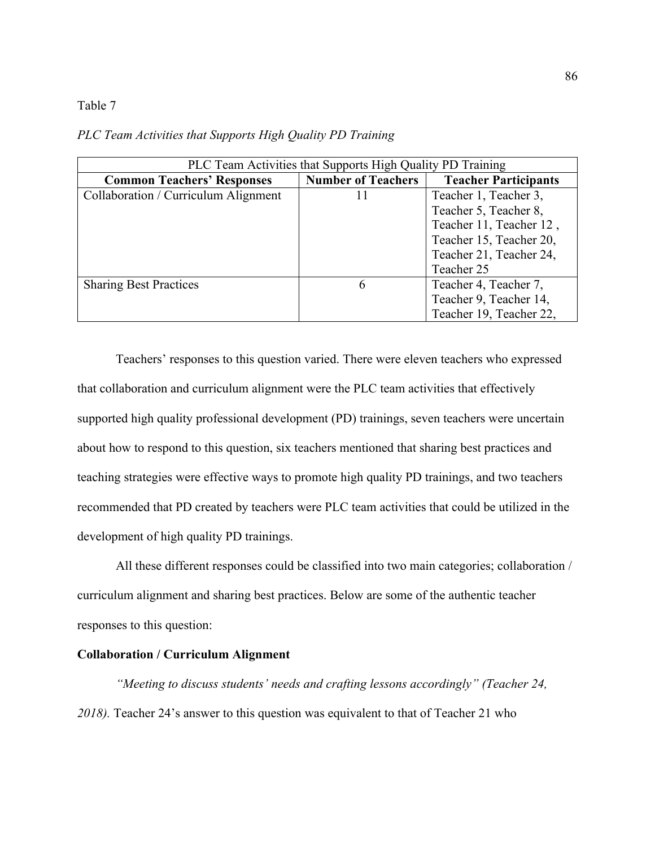## Table 7

| PLC Team Activities that Supports High Quality PD Training |                           |                             |
|------------------------------------------------------------|---------------------------|-----------------------------|
| <b>Common Teachers' Responses</b>                          | <b>Number of Teachers</b> | <b>Teacher Participants</b> |
| Collaboration / Curriculum Alignment                       | 11                        | Teacher 1, Teacher 3,       |
|                                                            |                           | Teacher 5, Teacher 8,       |
|                                                            |                           | Teacher 11, Teacher 12,     |
|                                                            |                           | Teacher 15, Teacher 20,     |
|                                                            |                           | Teacher 21, Teacher 24,     |
|                                                            |                           | Teacher 25                  |
| <b>Sharing Best Practices</b>                              | 6                         | Teacher 4, Teacher 7,       |
|                                                            |                           | Teacher 9, Teacher 14,      |
|                                                            |                           | Teacher 19, Teacher 22,     |

*PLC Team Activities that Supports High Quality PD Training*

Teachers' responses to this question varied. There were eleven teachers who expressed that collaboration and curriculum alignment were the PLC team activities that effectively supported high quality professional development (PD) trainings, seven teachers were uncertain about how to respond to this question, six teachers mentioned that sharing best practices and teaching strategies were effective ways to promote high quality PD trainings, and two teachers recommended that PD created by teachers were PLC team activities that could be utilized in the development of high quality PD trainings.

All these different responses could be classified into two main categories; collaboration / curriculum alignment and sharing best practices. Below are some of the authentic teacher responses to this question:

### **Collaboration / Curriculum Alignment**

*"Meeting to discuss students' needs and crafting lessons accordingly" (Teacher 24, 2018).* Teacher 24's answer to this question was equivalent to that of Teacher 21 who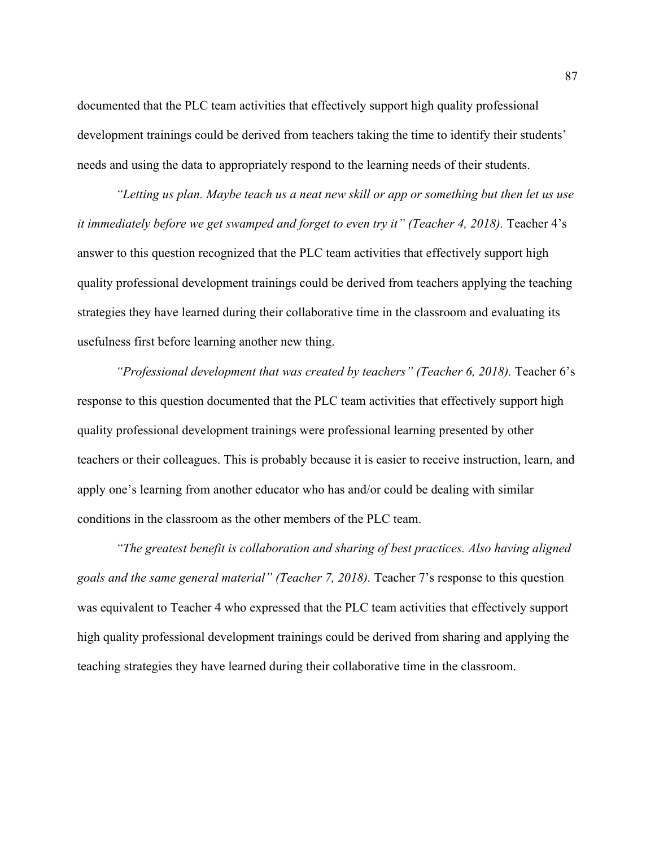documented that the PLC team activities that effectively support high quality professional development trainings could be derived from teachers taking the time to identify their students' needs and using the data to appropriately respond to the learning needs of their students.

*"Letting us plan. Maybe teach us a neat new skill or app or something but then let us use it immediately before we get swamped and forget to even try it" (Teacher 4, 2018).* Teacher 4's answer to this question recognized that the PLC team activities that effectively support high quality professional development trainings could be derived from teachers applying the teaching strategies they have learned during their collaborative time in the classroom and evaluating its usefulness first before learning another new thing.

*"Professional development that was created by teachers" (Teacher 6, 2018).* Teacher 6's response to this question documented that the PLC team activities that effectively support high quality professional development trainings were professional learning presented by other teachers or their colleagues. This is probably because it is easier to receive instruction, learn, and apply one's learning from another educator who has and/or could be dealing with similar conditions in the classroom as the other members of the PLC team.

*"The greatest benefit is collaboration and sharing of best practices. Also having aligned goals and the same general material" (Teacher 7, 2018).* Teacher 7's response to this question was equivalent to Teacher 4 who expressed that the PLC team activities that effectively support high quality professional development trainings could be derived from sharing and applying the teaching strategies they have learned during their collaborative time in the classroom.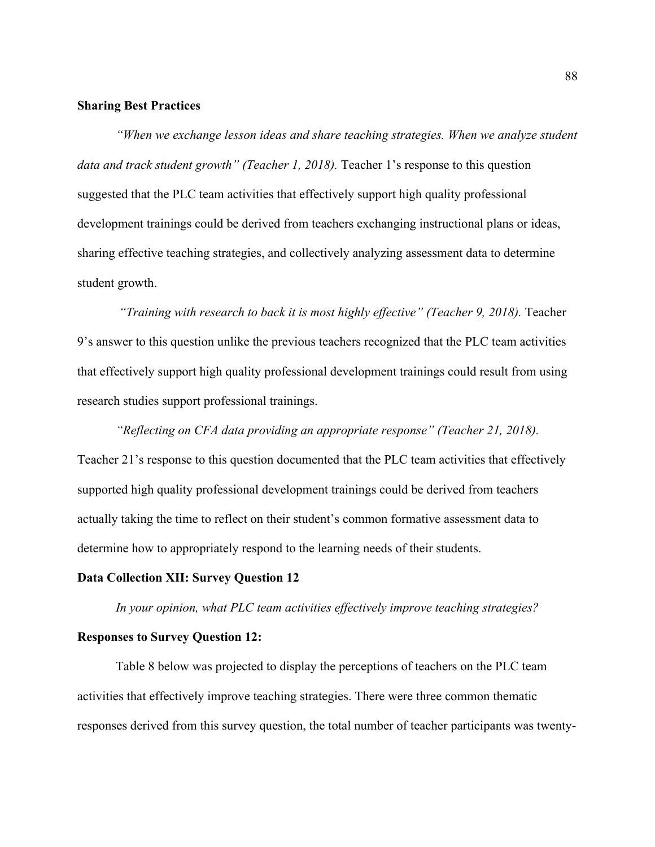# **Sharing Best Practices**

*"When we exchange lesson ideas and share teaching strategies. When we analyze student data and track student growth" (Teacher 1, 2018).* Teacher 1's response to this question suggested that the PLC team activities that effectively support high quality professional development trainings could be derived from teachers exchanging instructional plans or ideas, sharing effective teaching strategies, and collectively analyzing assessment data to determine student growth.

*"Training with research to back it is most highly effective" (Teacher 9, 2018).* Teacher 9's answer to this question unlike the previous teachers recognized that the PLC team activities that effectively support high quality professional development trainings could result from using research studies support professional trainings.

*"Reflecting on CFA data providing an appropriate response" (Teacher 21, 2018).* Teacher 21's response to this question documented that the PLC team activities that effectively supported high quality professional development trainings could be derived from teachers actually taking the time to reflect on their student's common formative assessment data to determine how to appropriately respond to the learning needs of their students.

# **Data Collection XII: Survey Question 12**

*In your opinion, what PLC team activities effectively improve teaching strategies?*

### **Responses to Survey Question 12:**

Table 8 below was projected to display the perceptions of teachers on the PLC team activities that effectively improve teaching strategies. There were three common thematic responses derived from this survey question, the total number of teacher participants was twenty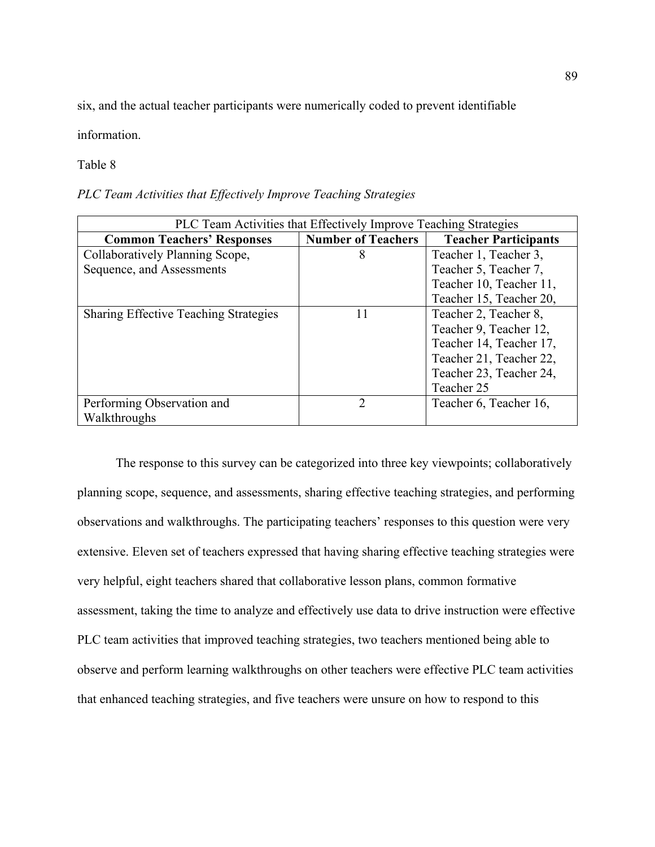six, and the actual teacher participants were numerically coded to prevent identifiable

information.

Table 8

*PLC Team Activities that Effectively Improve Teaching Strategies*

| PLC Team Activities that Effectively Improve Teaching Strategies |                           |                             |
|------------------------------------------------------------------|---------------------------|-----------------------------|
| <b>Common Teachers' Responses</b>                                | <b>Number of Teachers</b> | <b>Teacher Participants</b> |
| Collaboratively Planning Scope,                                  | 8                         | Teacher 1, Teacher 3,       |
| Sequence, and Assessments                                        |                           | Teacher 5, Teacher 7,       |
|                                                                  |                           | Teacher 10, Teacher 11,     |
|                                                                  |                           | Teacher 15, Teacher 20,     |
| <b>Sharing Effective Teaching Strategies</b>                     | 11                        | Teacher 2, Teacher 8,       |
|                                                                  |                           | Teacher 9, Teacher 12,      |
|                                                                  |                           | Teacher 14, Teacher 17,     |
|                                                                  |                           | Teacher 21, Teacher 22,     |
|                                                                  |                           | Teacher 23, Teacher 24,     |
|                                                                  |                           | Teacher 25                  |
| Performing Observation and                                       | $\overline{2}$            | Teacher 6, Teacher 16,      |
| Walkthroughs                                                     |                           |                             |

The response to this survey can be categorized into three key viewpoints; collaboratively planning scope, sequence, and assessments, sharing effective teaching strategies, and performing observations and walkthroughs. The participating teachers' responses to this question were very extensive. Eleven set of teachers expressed that having sharing effective teaching strategies were very helpful, eight teachers shared that collaborative lesson plans, common formative assessment, taking the time to analyze and effectively use data to drive instruction were effective PLC team activities that improved teaching strategies, two teachers mentioned being able to observe and perform learning walkthroughs on other teachers were effective PLC team activities that enhanced teaching strategies, and five teachers were unsure on how to respond to this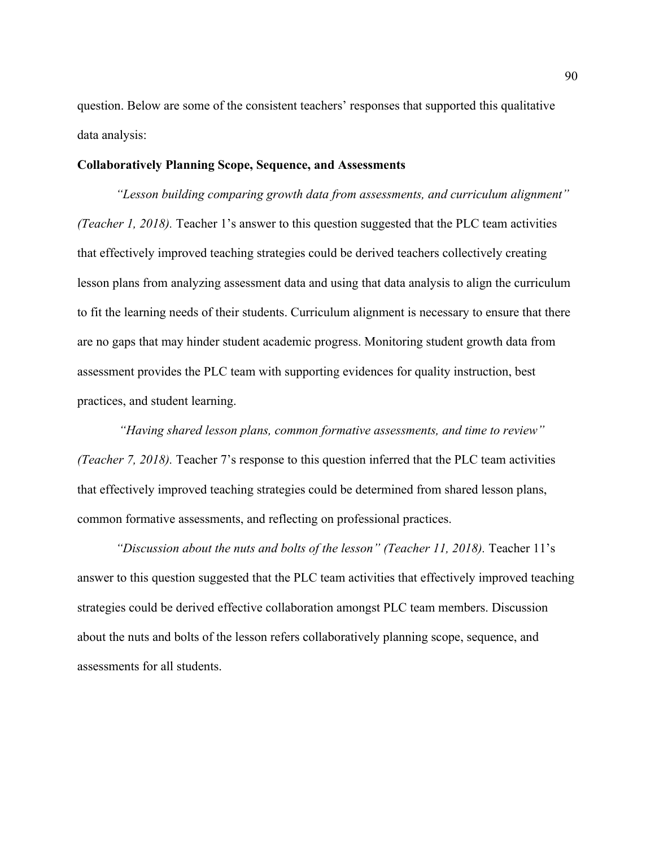question. Below are some of the consistent teachers' responses that supported this qualitative data analysis:

# **Collaboratively Planning Scope, Sequence, and Assessments**

*"Lesson building comparing growth data from assessments, and curriculum alignment" (Teacher 1, 2018).* Teacher 1's answer to this question suggested that the PLC team activities that effectively improved teaching strategies could be derived teachers collectively creating lesson plans from analyzing assessment data and using that data analysis to align the curriculum to fit the learning needs of their students. Curriculum alignment is necessary to ensure that there are no gaps that may hinder student academic progress. Monitoring student growth data from assessment provides the PLC team with supporting evidences for quality instruction, best practices, and student learning.

*"Having shared lesson plans, common formative assessments, and time to review" (Teacher 7, 2018).* Teacher 7's response to this question inferred that the PLC team activities that effectively improved teaching strategies could be determined from shared lesson plans, common formative assessments, and reflecting on professional practices.

*"Discussion about the nuts and bolts of the lesson" (Teacher 11, 2018).* Teacher 11's answer to this question suggested that the PLC team activities that effectively improved teaching strategies could be derived effective collaboration amongst PLC team members. Discussion about the nuts and bolts of the lesson refers collaboratively planning scope, sequence, and assessments for all students.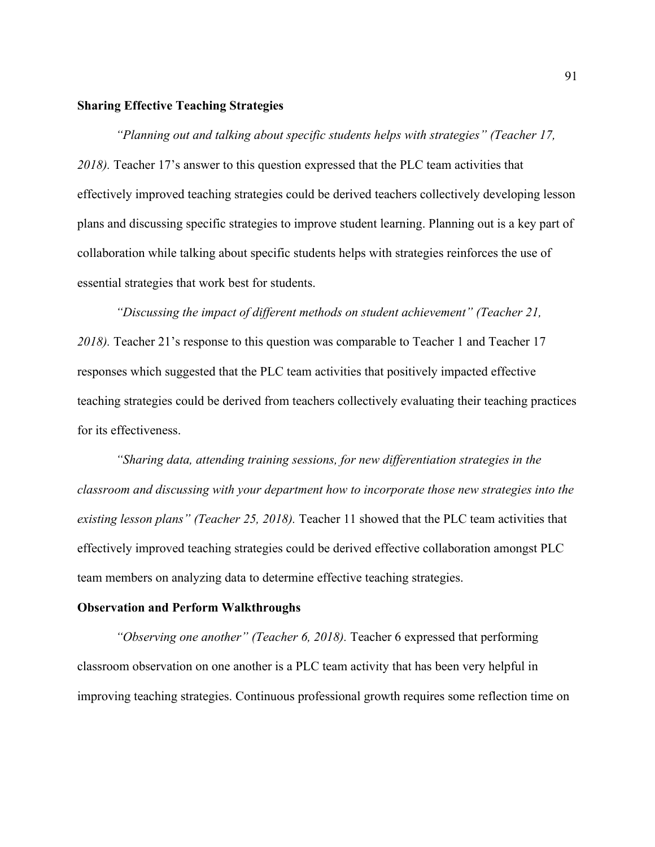# **Sharing Effective Teaching Strategies**

*"Planning out and talking about specific students helps with strategies" (Teacher 17, 2018).* Teacher 17's answer to this question expressed that the PLC team activities that effectively improved teaching strategies could be derived teachers collectively developing lesson plans and discussing specific strategies to improve student learning. Planning out is a key part of collaboration while talking about specific students helps with strategies reinforces the use of essential strategies that work best for students.

*"Discussing the impact of different methods on student achievement" (Teacher 21,*  2018). Teacher 21's response to this question was comparable to Teacher 1 and Teacher 17 responses which suggested that the PLC team activities that positively impacted effective teaching strategies could be derived from teachers collectively evaluating their teaching practices for its effectiveness.

*"Sharing data, attending training sessions, for new differentiation strategies in the classroom and discussing with your department how to incorporate those new strategies into the existing lesson plans" (Teacher 25, 2018).* Teacher 11 showed that the PLC team activities that effectively improved teaching strategies could be derived effective collaboration amongst PLC team members on analyzing data to determine effective teaching strategies.

#### **Observation and Perform Walkthroughs**

*"Observing one another" (Teacher 6, 2018).* Teacher 6 expressed that performing classroom observation on one another is a PLC team activity that has been very helpful in improving teaching strategies. Continuous professional growth requires some reflection time on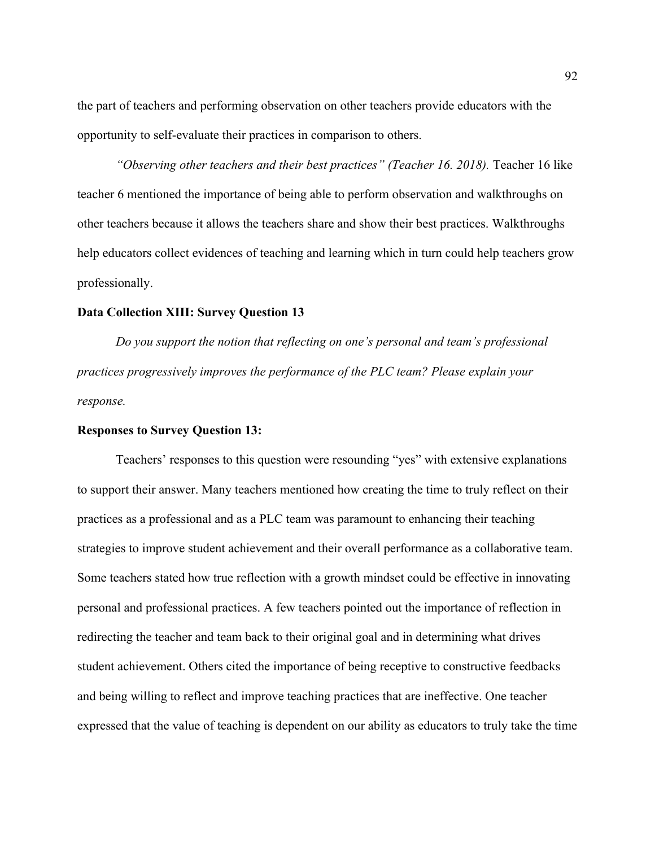the part of teachers and performing observation on other teachers provide educators with the opportunity to self-evaluate their practices in comparison to others.

"Observing other teachers and their best practices" (Teacher 16. 2018). Teacher 16 like teacher 6 mentioned the importance of being able to perform observation and walkthroughs on other teachers because it allows the teachers share and show their best practices. Walkthroughs help educators collect evidences of teaching and learning which in turn could help teachers grow professionally.

## **Data Collection XIII: Survey Question 13**

*Do you support the notion that reflecting on one's personal and team's professional practices progressively improves the performance of the PLC team? Please explain your response.*

#### **Responses to Survey Question 13:**

Teachers' responses to this question were resounding "yes" with extensive explanations to support their answer. Many teachers mentioned how creating the time to truly reflect on their practices as a professional and as a PLC team was paramount to enhancing their teaching strategies to improve student achievement and their overall performance as a collaborative team. Some teachers stated how true reflection with a growth mindset could be effective in innovating personal and professional practices. A few teachers pointed out the importance of reflection in redirecting the teacher and team back to their original goal and in determining what drives student achievement. Others cited the importance of being receptive to constructive feedbacks and being willing to reflect and improve teaching practices that are ineffective. One teacher expressed that the value of teaching is dependent on our ability as educators to truly take the time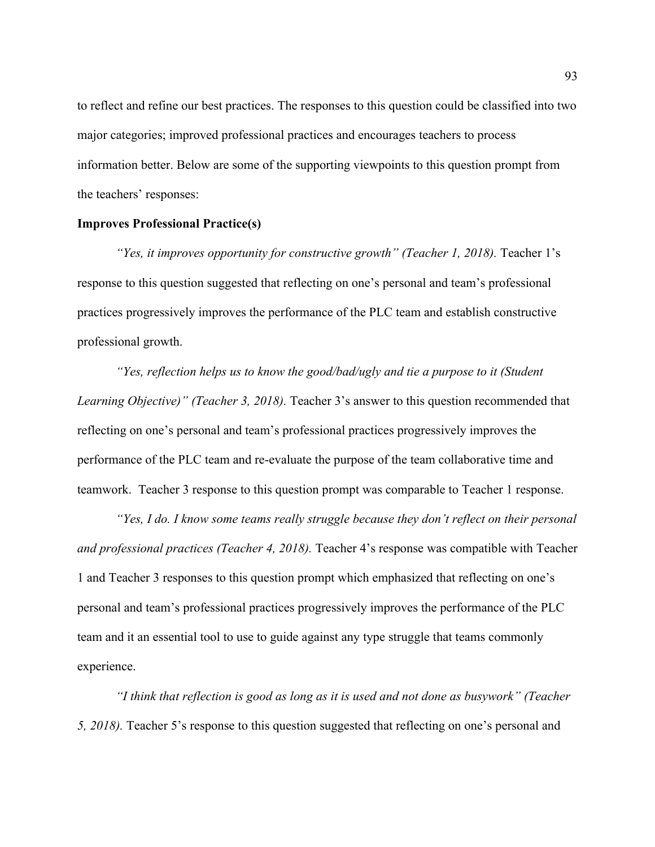to reflect and refine our best practices. The responses to this question could be classified into two major categories; improved professional practices and encourages teachers to process information better. Below are some of the supporting viewpoints to this question prompt from the teachers' responses:

### **Improves Professional Practice(s)**

*"Yes, it improves opportunity for constructive growth" (Teacher 1, 2018).* Teacher 1's response to this question suggested that reflecting on one's personal and team's professional practices progressively improves the performance of the PLC team and establish constructive professional growth.

*"Yes, reflection helps us to know the good/bad/ugly and tie a purpose to it (Student Learning Objective)" (Teacher 3, 2018).* Teacher 3's answer to this question recommended that reflecting on one's personal and team's professional practices progressively improves the performance of the PLC team and re-evaluate the purpose of the team collaborative time and teamwork. Teacher 3 response to this question prompt was comparable to Teacher 1 response.

*"Yes, I do. I know some teams really struggle because they don't reflect on their personal and professional practices (Teacher 4, 2018).* Teacher 4's response was compatible with Teacher 1 and Teacher 3 responses to this question prompt which emphasized that reflecting on one's personal and team's professional practices progressively improves the performance of the PLC team and it an essential tool to use to guide against any type struggle that teams commonly experience.

*"I think that reflection is good as long as it is used and not done as busywork" (Teacher 5, 2018).* Teacher 5's response to this question suggested that reflecting on one's personal and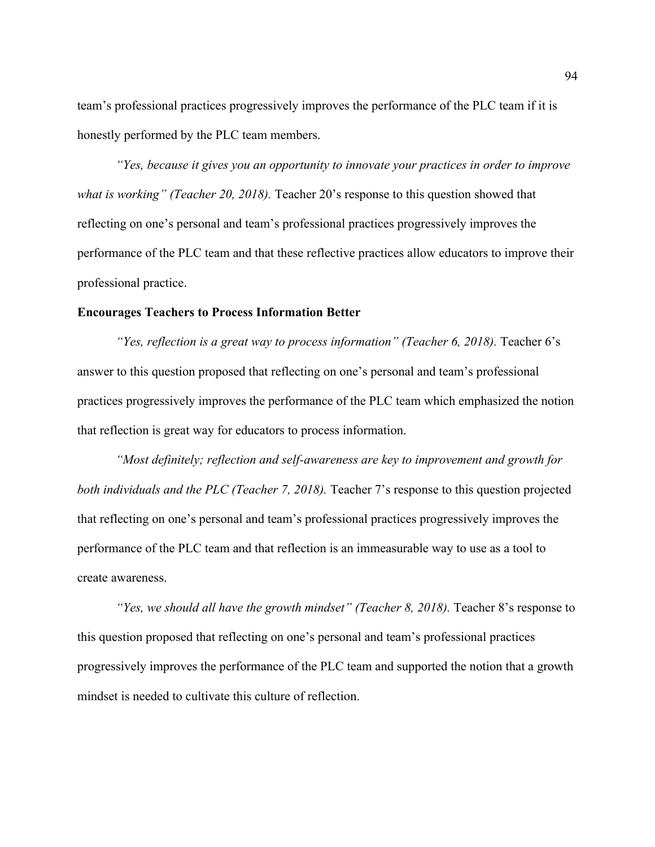team's professional practices progressively improves the performance of the PLC team if it is honestly performed by the PLC team members.

*"Yes, because it gives you an opportunity to innovate your practices in order to improve what is working" (Teacher 20, 2018).* Teacher 20's response to this question showed that reflecting on one's personal and team's professional practices progressively improves the performance of the PLC team and that these reflective practices allow educators to improve their professional practice.

## **Encourages Teachers to Process Information Better**

*"Yes, reflection is a great way to process information" (Teacher 6, 2018).* Teacher 6's answer to this question proposed that reflecting on one's personal and team's professional practices progressively improves the performance of the PLC team which emphasized the notion that reflection is great way for educators to process information.

*"Most definitely; reflection and self-awareness are key to improvement and growth for both individuals and the PLC (Teacher 7, 2018).* Teacher 7's response to this question projected that reflecting on one's personal and team's professional practices progressively improves the performance of the PLC team and that reflection is an immeasurable way to use as a tool to create awareness.

*"Yes, we should all have the growth mindset" (Teacher 8, 2018).* Teacher 8's response to this question proposed that reflecting on one's personal and team's professional practices progressively improves the performance of the PLC team and supported the notion that a growth mindset is needed to cultivate this culture of reflection.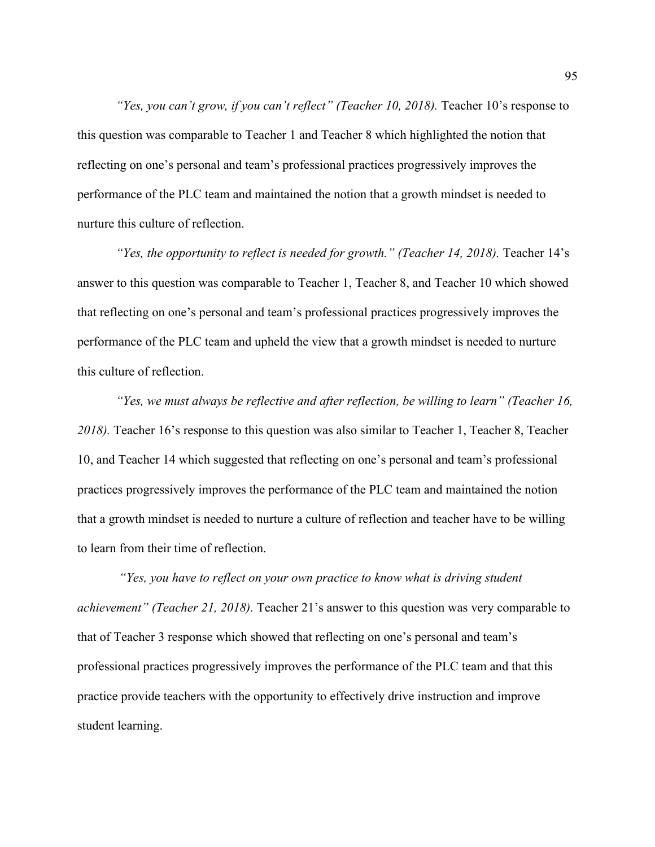*"Yes, you can't grow, if you can't reflect" (Teacher 10, 2018).* Teacher 10's response to this question was comparable to Teacher 1 and Teacher 8 which highlighted the notion that reflecting on one's personal and team's professional practices progressively improves the performance of the PLC team and maintained the notion that a growth mindset is needed to nurture this culture of reflection.

*"Yes, the opportunity to reflect is needed for growth." (Teacher 14, 2018).* Teacher 14's answer to this question was comparable to Teacher 1, Teacher 8, and Teacher 10 which showed that reflecting on one's personal and team's professional practices progressively improves the performance of the PLC team and upheld the view that a growth mindset is needed to nurture this culture of reflection.

*"Yes, we must always be reflective and after reflection, be willing to learn" (Teacher 16, 2018).* Teacher 16's response to this question was also similar to Teacher 1, Teacher 8, Teacher 10, and Teacher 14 which suggested that reflecting on one's personal and team's professional practices progressively improves the performance of the PLC team and maintained the notion that a growth mindset is needed to nurture a culture of reflection and teacher have to be willing to learn from their time of reflection.

*"Yes, you have to reflect on your own practice to know what is driving student achievement" (Teacher 21, 2018).* Teacher 21's answer to this question was very comparable to that of Teacher 3 response which showed that reflecting on one's personal and team's professional practices progressively improves the performance of the PLC team and that this practice provide teachers with the opportunity to effectively drive instruction and improve student learning.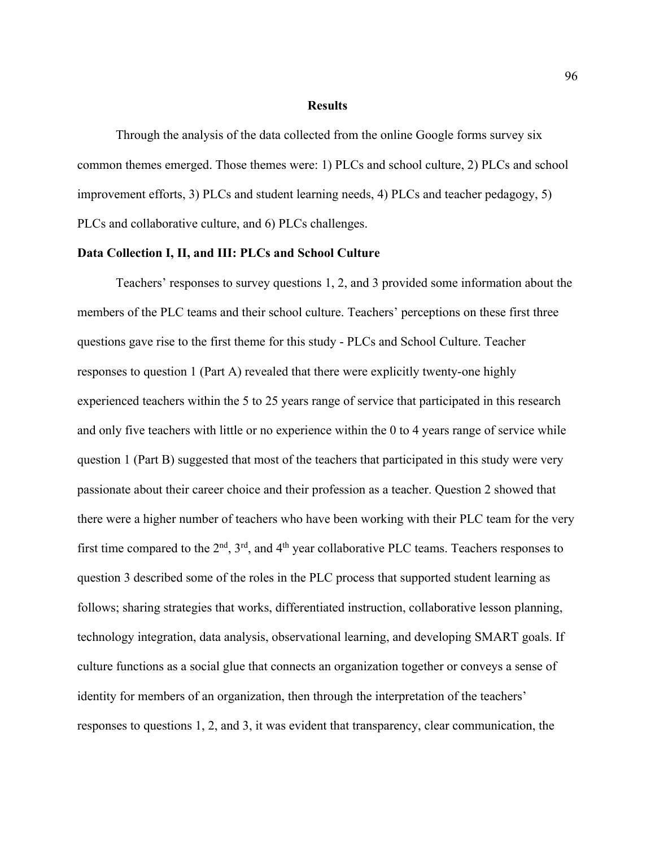### **Results**

Through the analysis of the data collected from the online Google forms survey six common themes emerged. Those themes were: 1) PLCs and school culture, 2) PLCs and school improvement efforts, 3) PLCs and student learning needs, 4) PLCs and teacher pedagogy, 5) PLCs and collaborative culture, and 6) PLCs challenges.

### **Data Collection I, II, and III: PLCs and School Culture**

Teachers' responses to survey questions 1, 2, and 3 provided some information about the members of the PLC teams and their school culture. Teachers' perceptions on these first three questions gave rise to the first theme for this study - PLCs and School Culture. Teacher responses to question 1 (Part A) revealed that there were explicitly twenty-one highly experienced teachers within the 5 to 25 years range of service that participated in this research and only five teachers with little or no experience within the 0 to 4 years range of service while question 1 (Part B) suggested that most of the teachers that participated in this study were very passionate about their career choice and their profession as a teacher. Question 2 showed that there were a higher number of teachers who have been working with their PLC team for the very first time compared to the  $2<sup>nd</sup>$ ,  $3<sup>rd</sup>$ , and  $4<sup>th</sup>$  year collaborative PLC teams. Teachers responses to question 3 described some of the roles in the PLC process that supported student learning as follows; sharing strategies that works, differentiated instruction, collaborative lesson planning, technology integration, data analysis, observational learning, and developing SMART goals. If culture functions as a social glue that connects an organization together or conveys a sense of identity for members of an organization, then through the interpretation of the teachers' responses to questions 1, 2, and 3, it was evident that transparency, clear communication, the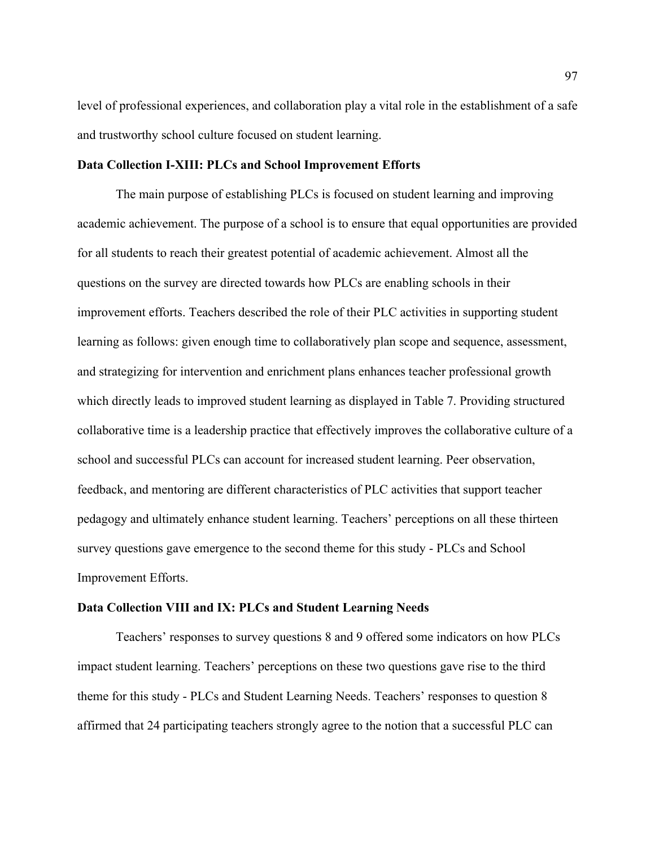level of professional experiences, and collaboration play a vital role in the establishment of a safe and trustworthy school culture focused on student learning.

## **Data Collection I-XIII: PLCs and School Improvement Efforts**

The main purpose of establishing PLCs is focused on student learning and improving academic achievement. The purpose of a school is to ensure that equal opportunities are provided for all students to reach their greatest potential of academic achievement. Almost all the questions on the survey are directed towards how PLCs are enabling schools in their improvement efforts. Teachers described the role of their PLC activities in supporting student learning as follows: given enough time to collaboratively plan scope and sequence, assessment, and strategizing for intervention and enrichment plans enhances teacher professional growth which directly leads to improved student learning as displayed in Table 7. Providing structured collaborative time is a leadership practice that effectively improves the collaborative culture of a school and successful PLCs can account for increased student learning. Peer observation, feedback, and mentoring are different characteristics of PLC activities that support teacher pedagogy and ultimately enhance student learning. Teachers' perceptions on all these thirteen survey questions gave emergence to the second theme for this study - PLCs and School Improvement Efforts.

## **Data Collection VIII and IX: PLCs and Student Learning Needs**

Teachers' responses to survey questions 8 and 9 offered some indicators on how PLCs impact student learning. Teachers' perceptions on these two questions gave rise to the third theme for this study - PLCs and Student Learning Needs. Teachers' responses to question 8 affirmed that 24 participating teachers strongly agree to the notion that a successful PLC can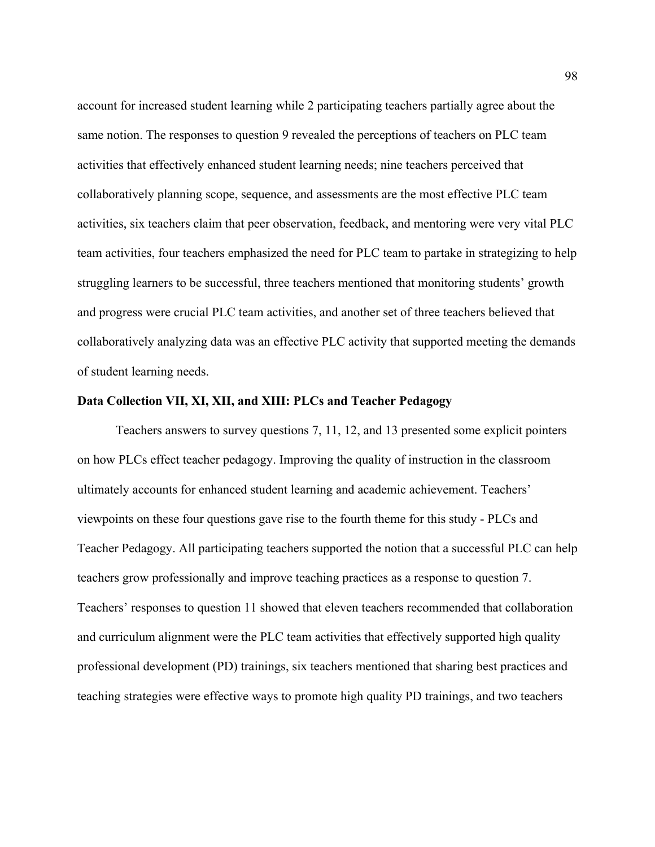account for increased student learning while 2 participating teachers partially agree about the same notion. The responses to question 9 revealed the perceptions of teachers on PLC team activities that effectively enhanced student learning needs; nine teachers perceived that collaboratively planning scope, sequence, and assessments are the most effective PLC team activities, six teachers claim that peer observation, feedback, and mentoring were very vital PLC team activities, four teachers emphasized the need for PLC team to partake in strategizing to help struggling learners to be successful, three teachers mentioned that monitoring students' growth and progress were crucial PLC team activities, and another set of three teachers believed that collaboratively analyzing data was an effective PLC activity that supported meeting the demands of student learning needs.

## **Data Collection VII, XI, XII, and XIII: PLCs and Teacher Pedagogy**

Teachers answers to survey questions 7, 11, 12, and 13 presented some explicit pointers on how PLCs effect teacher pedagogy. Improving the quality of instruction in the classroom ultimately accounts for enhanced student learning and academic achievement. Teachers' viewpoints on these four questions gave rise to the fourth theme for this study - PLCs and Teacher Pedagogy. All participating teachers supported the notion that a successful PLC can help teachers grow professionally and improve teaching practices as a response to question 7. Teachers' responses to question 11 showed that eleven teachers recommended that collaboration and curriculum alignment were the PLC team activities that effectively supported high quality professional development (PD) trainings, six teachers mentioned that sharing best practices and teaching strategies were effective ways to promote high quality PD trainings, and two teachers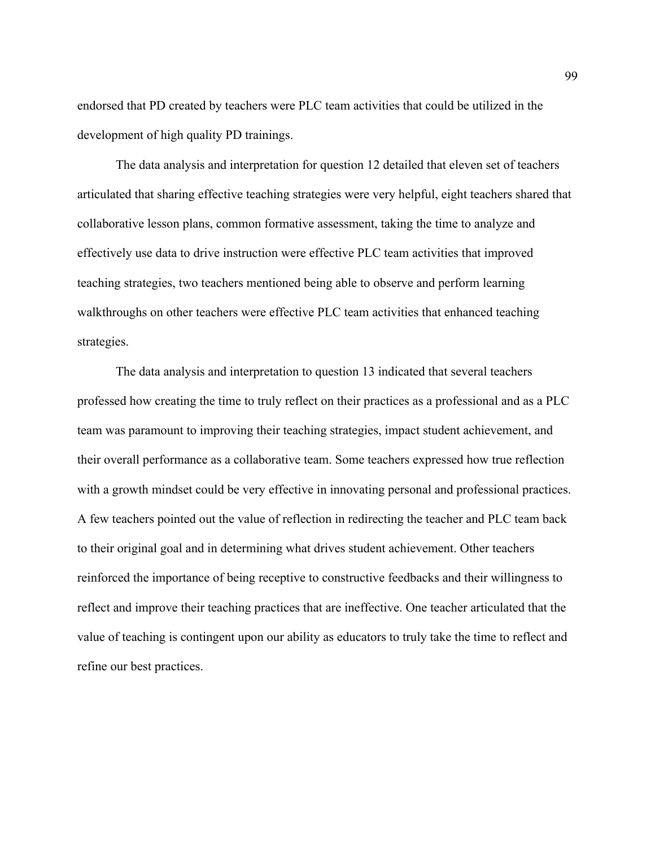endorsed that PD created by teachers were PLC team activities that could be utilized in the development of high quality PD trainings.

The data analysis and interpretation for question 12 detailed that eleven set of teachers articulated that sharing effective teaching strategies were very helpful, eight teachers shared that collaborative lesson plans, common formative assessment, taking the time to analyze and effectively use data to drive instruction were effective PLC team activities that improved teaching strategies, two teachers mentioned being able to observe and perform learning walkthroughs on other teachers were effective PLC team activities that enhanced teaching strategies.

The data analysis and interpretation to question 13 indicated that several teachers professed how creating the time to truly reflect on their practices as a professional and as a PLC team was paramount to improving their teaching strategies, impact student achievement, and their overall performance as a collaborative team. Some teachers expressed how true reflection with a growth mindset could be very effective in innovating personal and professional practices. A few teachers pointed out the value of reflection in redirecting the teacher and PLC team back to their original goal and in determining what drives student achievement. Other teachers reinforced the importance of being receptive to constructive feedbacks and their willingness to reflect and improve their teaching practices that are ineffective. One teacher articulated that the value of teaching is contingent upon our ability as educators to truly take the time to reflect and refine our best practices.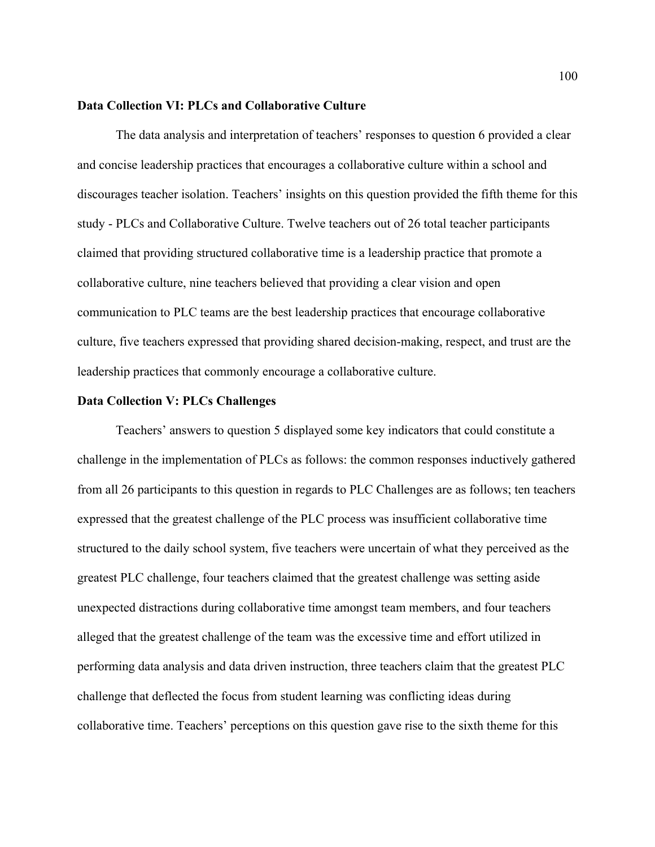## **Data Collection VI: PLCs and Collaborative Culture**

The data analysis and interpretation of teachers' responses to question 6 provided a clear and concise leadership practices that encourages a collaborative culture within a school and discourages teacher isolation. Teachers' insights on this question provided the fifth theme for this study - PLCs and Collaborative Culture. Twelve teachers out of 26 total teacher participants claimed that providing structured collaborative time is a leadership practice that promote a collaborative culture, nine teachers believed that providing a clear vision and open communication to PLC teams are the best leadership practices that encourage collaborative culture, five teachers expressed that providing shared decision-making, respect, and trust are the leadership practices that commonly encourage a collaborative culture.

#### **Data Collection V: PLCs Challenges**

Teachers' answers to question 5 displayed some key indicators that could constitute a challenge in the implementation of PLCs as follows: the common responses inductively gathered from all 26 participants to this question in regards to PLC Challenges are as follows; ten teachers expressed that the greatest challenge of the PLC process was insufficient collaborative time structured to the daily school system, five teachers were uncertain of what they perceived as the greatest PLC challenge, four teachers claimed that the greatest challenge was setting aside unexpected distractions during collaborative time amongst team members, and four teachers alleged that the greatest challenge of the team was the excessive time and effort utilized in performing data analysis and data driven instruction, three teachers claim that the greatest PLC challenge that deflected the focus from student learning was conflicting ideas during collaborative time. Teachers' perceptions on this question gave rise to the sixth theme for this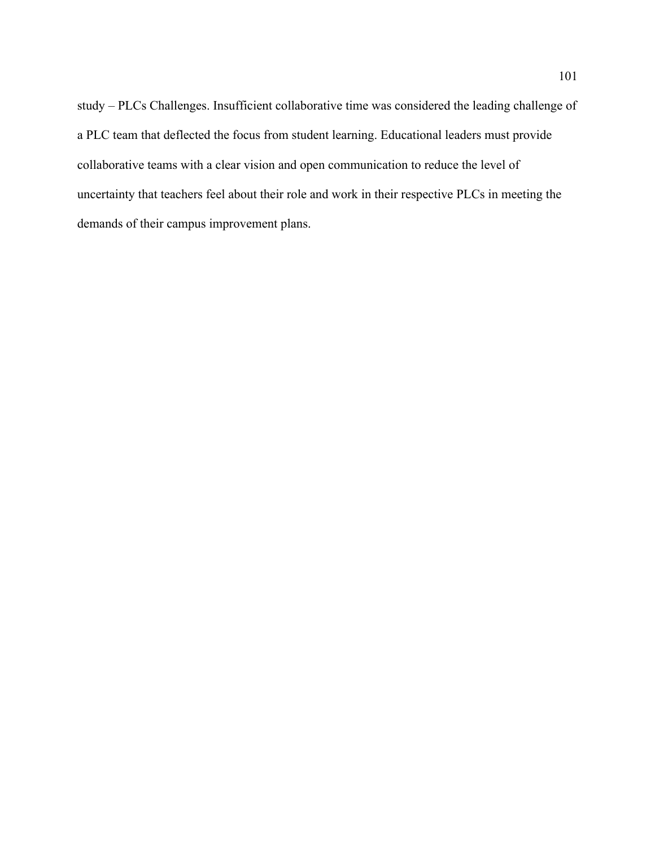study – PLCs Challenges. Insufficient collaborative time was considered the leading challenge of a PLC team that deflected the focus from student learning. Educational leaders must provide collaborative teams with a clear vision and open communication to reduce the level of uncertainty that teachers feel about their role and work in their respective PLCs in meeting the demands of their campus improvement plans.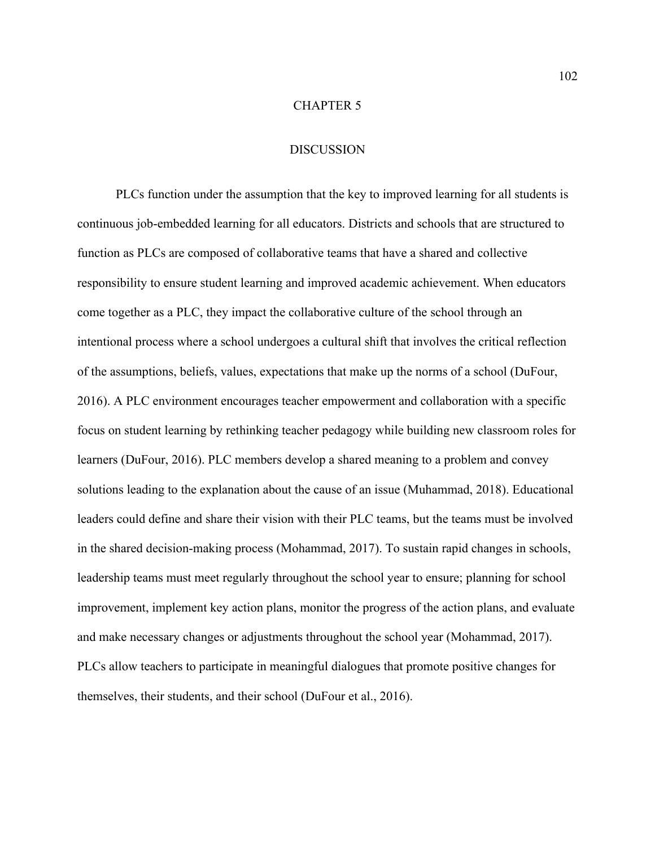## CHAPTER 5

## **DISCUSSION**

PLCs function under the assumption that the key to improved learning for all students is continuous job-embedded learning for all educators. Districts and schools that are structured to function as PLCs are composed of collaborative teams that have a shared and collective responsibility to ensure student learning and improved academic achievement. When educators come together as a PLC, they impact the collaborative culture of the school through an intentional process where a school undergoes a cultural shift that involves the critical reflection of the assumptions, beliefs, values, expectations that make up the norms of a school (DuFour, 2016). A PLC environment encourages teacher empowerment and collaboration with a specific focus on student learning by rethinking teacher pedagogy while building new classroom roles for learners (DuFour, 2016). PLC members develop a shared meaning to a problem and convey solutions leading to the explanation about the cause of an issue (Muhammad, 2018). Educational leaders could define and share their vision with their PLC teams, but the teams must be involved in the shared decision-making process (Mohammad, 2017). To sustain rapid changes in schools, leadership teams must meet regularly throughout the school year to ensure; planning for school improvement, implement key action plans, monitor the progress of the action plans, and evaluate and make necessary changes or adjustments throughout the school year (Mohammad, 2017). PLCs allow teachers to participate in meaningful dialogues that promote positive changes for themselves, their students, and their school (DuFour et al., 2016).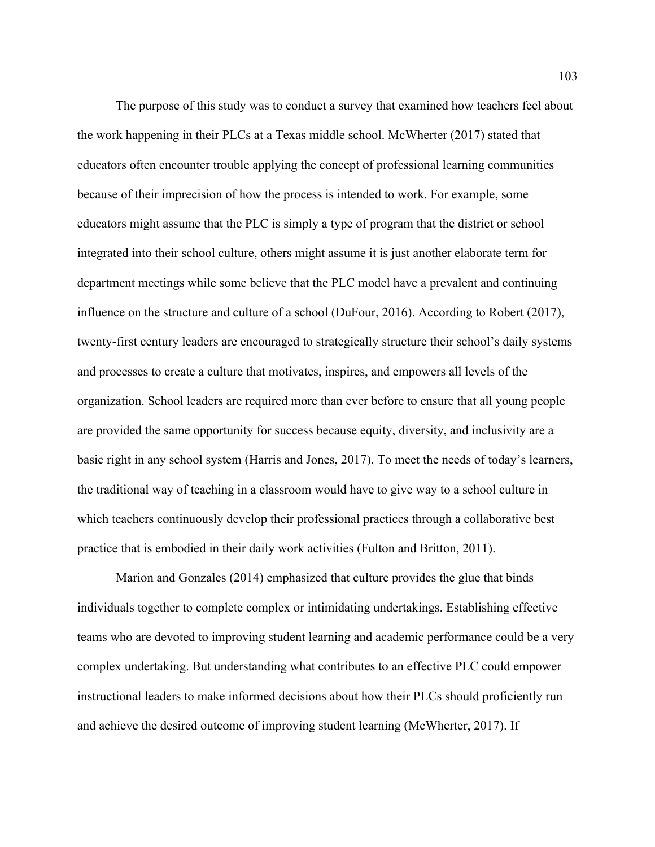The purpose of this study was to conduct a survey that examined how teachers feel about the work happening in their PLCs at a Texas middle school. McWherter (2017) stated that educators often encounter trouble applying the concept of professional learning communities because of their imprecision of how the process is intended to work. For example, some educators might assume that the PLC is simply a type of program that the district or school integrated into their school culture, others might assume it is just another elaborate term for department meetings while some believe that the PLC model have a prevalent and continuing influence on the structure and culture of a school (DuFour, 2016). According to Robert (2017), twenty-first century leaders are encouraged to strategically structure their school's daily systems and processes to create a culture that motivates, inspires, and empowers all levels of the organization. School leaders are required more than ever before to ensure that all young people are provided the same opportunity for success because equity, diversity, and inclusivity are a basic right in any school system (Harris and Jones, 2017). To meet the needs of today's learners, the traditional way of teaching in a classroom would have to give way to a school culture in which teachers continuously develop their professional practices through a collaborative best practice that is embodied in their daily work activities (Fulton and Britton, 2011).

Marion and Gonzales (2014) emphasized that culture provides the glue that binds individuals together to complete complex or intimidating undertakings. Establishing effective teams who are devoted to improving student learning and academic performance could be a very complex undertaking. But understanding what contributes to an effective PLC could empower instructional leaders to make informed decisions about how their PLCs should proficiently run and achieve the desired outcome of improving student learning (McWherter, 2017). If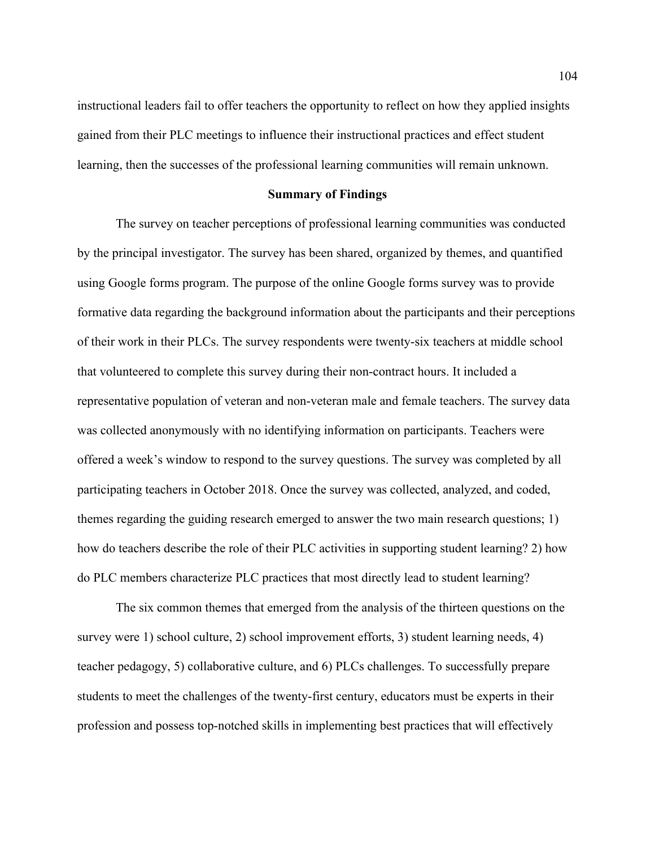instructional leaders fail to offer teachers the opportunity to reflect on how they applied insights gained from their PLC meetings to influence their instructional practices and effect student learning, then the successes of the professional learning communities will remain unknown.

## **Summary of Findings**

The survey on teacher perceptions of professional learning communities was conducted by the principal investigator. The survey has been shared, organized by themes, and quantified using Google forms program. The purpose of the online Google forms survey was to provide formative data regarding the background information about the participants and their perceptions of their work in their PLCs. The survey respondents were twenty-six teachers at middle school that volunteered to complete this survey during their non-contract hours. It included a representative population of veteran and non-veteran male and female teachers. The survey data was collected anonymously with no identifying information on participants. Teachers were offered a week's window to respond to the survey questions. The survey was completed by all participating teachers in October 2018. Once the survey was collected, analyzed, and coded, themes regarding the guiding research emerged to answer the two main research questions; 1) how do teachers describe the role of their PLC activities in supporting student learning? 2) how do PLC members characterize PLC practices that most directly lead to student learning?

The six common themes that emerged from the analysis of the thirteen questions on the survey were 1) school culture, 2) school improvement efforts, 3) student learning needs, 4) teacher pedagogy, 5) collaborative culture, and 6) PLCs challenges. To successfully prepare students to meet the challenges of the twenty-first century, educators must be experts in their profession and possess top-notched skills in implementing best practices that will effectively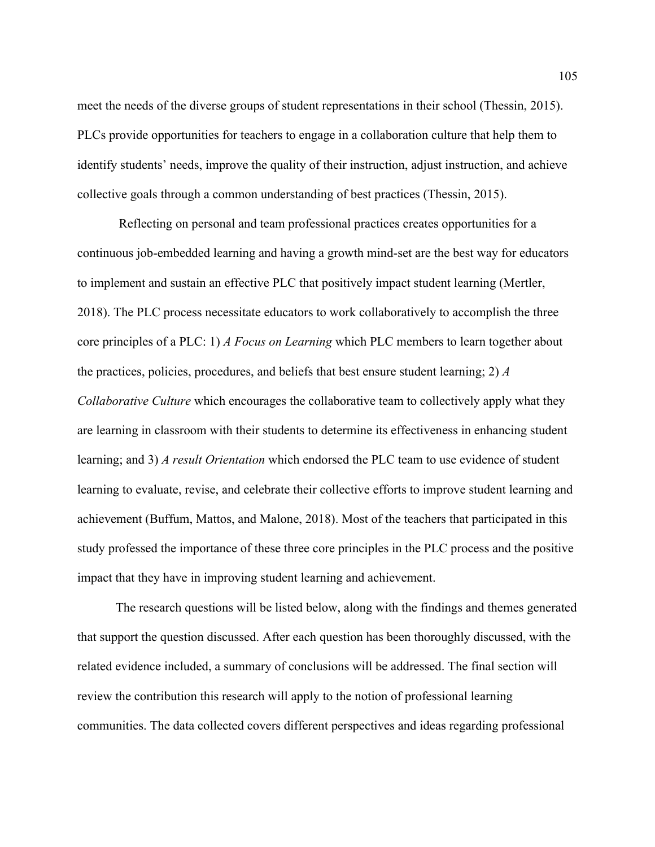meet the needs of the diverse groups of student representations in their school (Thessin, 2015). PLCs provide opportunities for teachers to engage in a collaboration culture that help them to identify students' needs, improve the quality of their instruction, adjust instruction, and achieve collective goals through a common understanding of best practices (Thessin, 2015).

Reflecting on personal and team professional practices creates opportunities for a continuous job-embedded learning and having a growth mind-set are the best way for educators to implement and sustain an effective PLC that positively impact student learning (Mertler, 2018). The PLC process necessitate educators to work collaboratively to accomplish the three core principles of a PLC: 1) *A Focus on Learning* which PLC members to learn together about the practices, policies, procedures, and beliefs that best ensure student learning; 2) *A Collaborative Culture* which encourages the collaborative team to collectively apply what they are learning in classroom with their students to determine its effectiveness in enhancing student learning; and 3) *A result Orientation* which endorsed the PLC team to use evidence of student learning to evaluate, revise, and celebrate their collective efforts to improve student learning and achievement (Buffum, Mattos, and Malone, 2018). Most of the teachers that participated in this study professed the importance of these three core principles in the PLC process and the positive impact that they have in improving student learning and achievement.

The research questions will be listed below, along with the findings and themes generated that support the question discussed. After each question has been thoroughly discussed, with the related evidence included, a summary of conclusions will be addressed. The final section will review the contribution this research will apply to the notion of professional learning communities. The data collected covers different perspectives and ideas regarding professional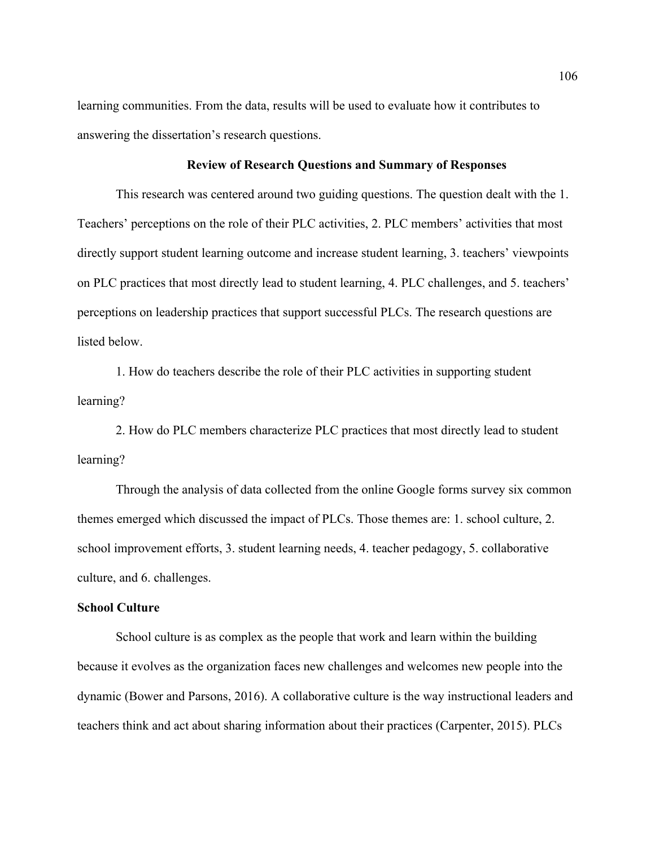learning communities. From the data, results will be used to evaluate how it contributes to answering the dissertation's research questions.

## **Review of Research Questions and Summary of Responses**

This research was centered around two guiding questions. The question dealt with the 1. Teachers' perceptions on the role of their PLC activities, 2. PLC members' activities that most directly support student learning outcome and increase student learning, 3. teachers' viewpoints on PLC practices that most directly lead to student learning, 4. PLC challenges, and 5. teachers' perceptions on leadership practices that support successful PLCs. The research questions are listed below.

1. How do teachers describe the role of their PLC activities in supporting student learning?

2. How do PLC members characterize PLC practices that most directly lead to student learning?

Through the analysis of data collected from the online Google forms survey six common themes emerged which discussed the impact of PLCs. Those themes are: 1. school culture, 2. school improvement efforts, 3. student learning needs, 4. teacher pedagogy, 5. collaborative culture, and 6. challenges.

## **School Culture**

School culture is as complex as the people that work and learn within the building because it evolves as the organization faces new challenges and welcomes new people into the dynamic (Bower and Parsons, 2016). A collaborative culture is the way instructional leaders and teachers think and act about sharing information about their practices (Carpenter, 2015). PLCs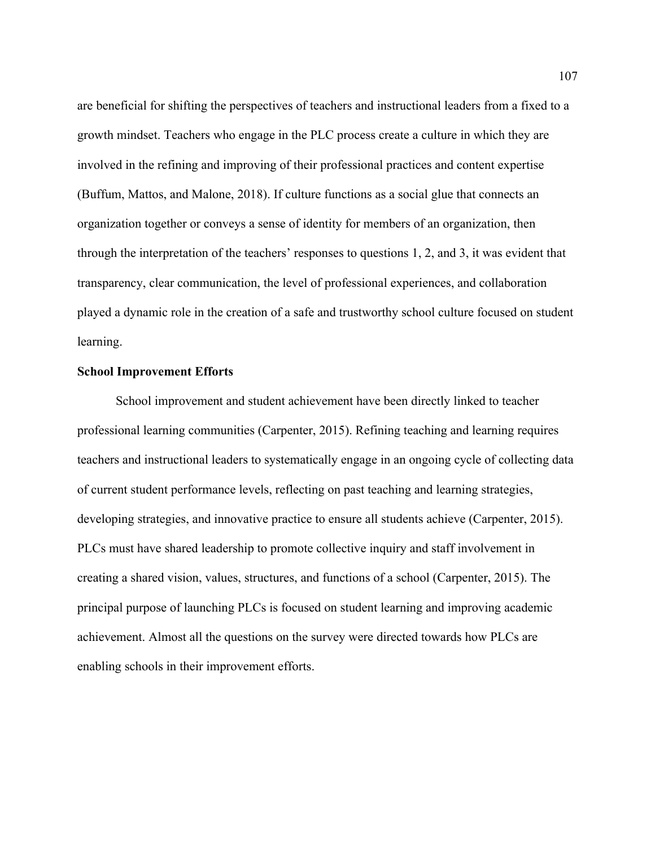are beneficial for shifting the perspectives of teachers and instructional leaders from a fixed to a growth mindset. Teachers who engage in the PLC process create a culture in which they are involved in the refining and improving of their professional practices and content expertise (Buffum, Mattos, and Malone, 2018). If culture functions as a social glue that connects an organization together or conveys a sense of identity for members of an organization, then through the interpretation of the teachers' responses to questions 1, 2, and 3, it was evident that transparency, clear communication, the level of professional experiences, and collaboration played a dynamic role in the creation of a safe and trustworthy school culture focused on student learning.

## **School Improvement Efforts**

School improvement and student achievement have been directly linked to teacher professional learning communities (Carpenter, 2015). Refining teaching and learning requires teachers and instructional leaders to systematically engage in an ongoing cycle of collecting data of current student performance levels, reflecting on past teaching and learning strategies, developing strategies, and innovative practice to ensure all students achieve (Carpenter, 2015). PLCs must have shared leadership to promote collective inquiry and staff involvement in creating a shared vision, values, structures, and functions of a school (Carpenter, 2015). The principal purpose of launching PLCs is focused on student learning and improving academic achievement. Almost all the questions on the survey were directed towards how PLCs are enabling schools in their improvement efforts.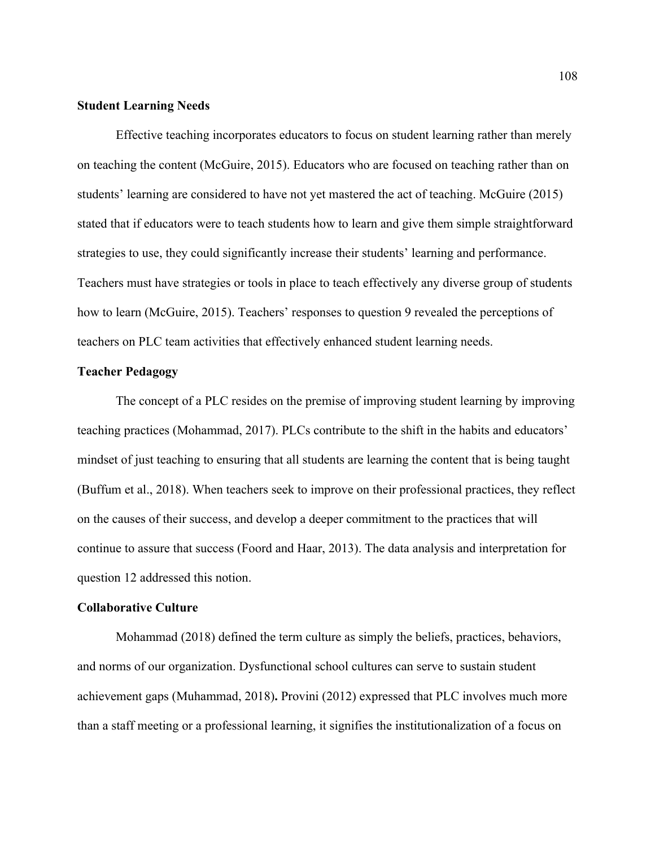## **Student Learning Needs**

Effective teaching incorporates educators to focus on student learning rather than merely on teaching the content (McGuire, 2015). Educators who are focused on teaching rather than on students' learning are considered to have not yet mastered the act of teaching. McGuire (2015) stated that if educators were to teach students how to learn and give them simple straightforward strategies to use, they could significantly increase their students' learning and performance. Teachers must have strategies or tools in place to teach effectively any diverse group of students how to learn (McGuire, 2015). Teachers' responses to question 9 revealed the perceptions of teachers on PLC team activities that effectively enhanced student learning needs.

## **Teacher Pedagogy**

The concept of a PLC resides on the premise of improving student learning by improving teaching practices (Mohammad, 2017). PLCs contribute to the shift in the habits and educators' mindset of just teaching to ensuring that all students are learning the content that is being taught (Buffum et al., 2018). When teachers seek to improve on their professional practices, they reflect on the causes of their success, and develop a deeper commitment to the practices that will continue to assure that success (Foord and Haar, 2013). The data analysis and interpretation for question 12 addressed this notion.

## **Collaborative Culture**

Mohammad (2018) defined the term culture as simply the beliefs, practices, behaviors, and norms of our organization. Dysfunctional school cultures can serve to sustain student achievement gaps (Muhammad, 2018)**.** Provini (2012) expressed that PLC involves much more than a staff meeting or a professional learning, it signifies the institutionalization of a focus on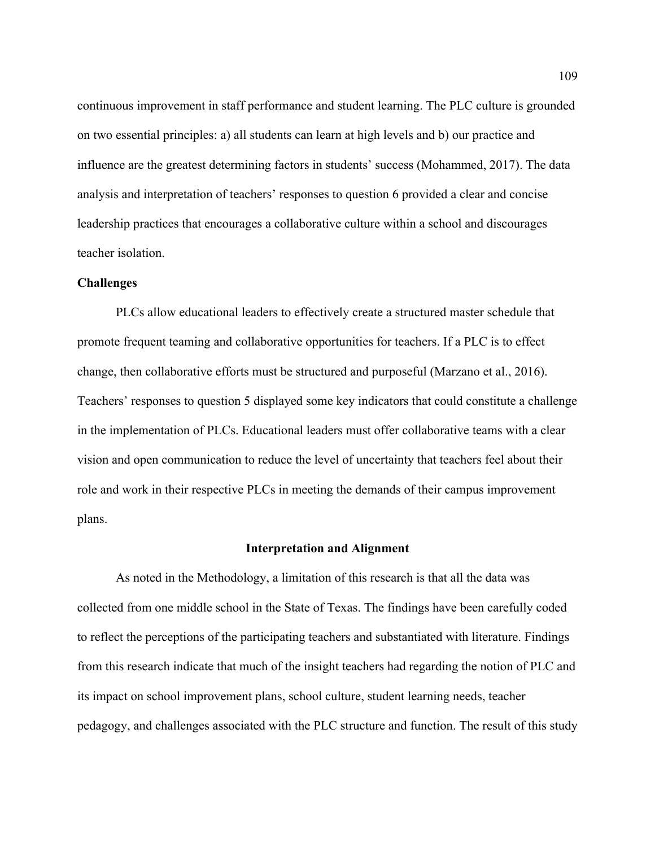continuous improvement in staff performance and student learning. The PLC culture is grounded on two essential principles: a) all students can learn at high levels and b) our practice and influence are the greatest determining factors in students' success (Mohammed, 2017). The data analysis and interpretation of teachers' responses to question 6 provided a clear and concise leadership practices that encourages a collaborative culture within a school and discourages teacher isolation.

#### **Challenges**

PLCs allow educational leaders to effectively create a structured master schedule that promote frequent teaming and collaborative opportunities for teachers. If a PLC is to effect change, then collaborative efforts must be structured and purposeful (Marzano et al., 2016). Teachers' responses to question 5 displayed some key indicators that could constitute a challenge in the implementation of PLCs. Educational leaders must offer collaborative teams with a clear vision and open communication to reduce the level of uncertainty that teachers feel about their role and work in their respective PLCs in meeting the demands of their campus improvement plans.

#### **Interpretation and Alignment**

As noted in the Methodology, a limitation of this research is that all the data was collected from one middle school in the State of Texas. The findings have been carefully coded to reflect the perceptions of the participating teachers and substantiated with literature. Findings from this research indicate that much of the insight teachers had regarding the notion of PLC and its impact on school improvement plans, school culture, student learning needs, teacher pedagogy, and challenges associated with the PLC structure and function. The result of this study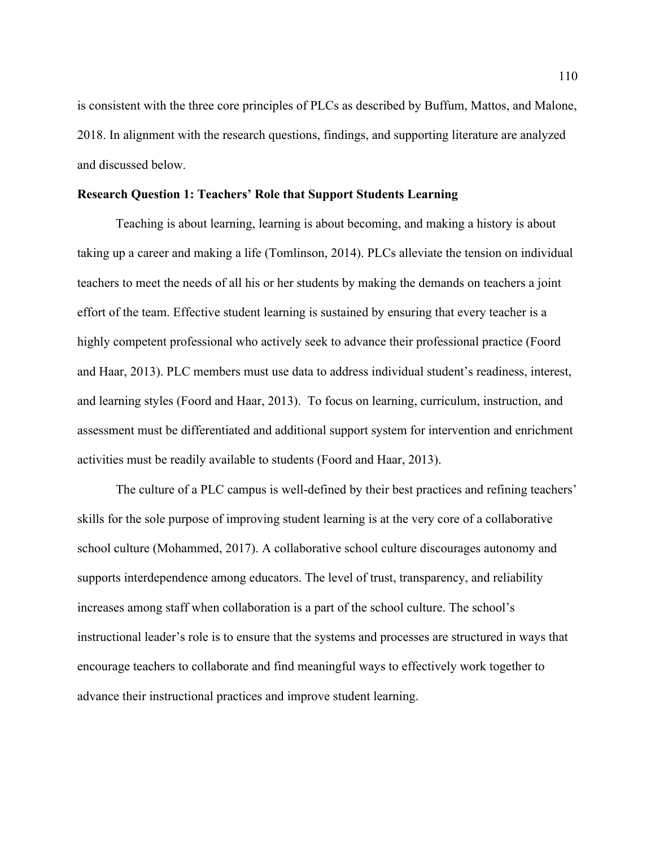is consistent with the three core principles of PLCs as described by Buffum, Mattos, and Malone, 2018. In alignment with the research questions, findings, and supporting literature are analyzed and discussed below.

#### **Research Question 1: Teachers' Role that Support Students Learning**

Teaching is about learning, learning is about becoming, and making a history is about taking up a career and making a life (Tomlinson, 2014). PLCs alleviate the tension on individual teachers to meet the needs of all his or her students by making the demands on teachers a joint effort of the team. Effective student learning is sustained by ensuring that every teacher is a highly competent professional who actively seek to advance their professional practice (Foord and Haar, 2013). PLC members must use data to address individual student's readiness, interest, and learning styles (Foord and Haar, 2013). To focus on learning, curriculum, instruction, and assessment must be differentiated and additional support system for intervention and enrichment activities must be readily available to students (Foord and Haar, 2013).

The culture of a PLC campus is well-defined by their best practices and refining teachers' skills for the sole purpose of improving student learning is at the very core of a collaborative school culture (Mohammed, 2017). A collaborative school culture discourages autonomy and supports interdependence among educators. The level of trust, transparency, and reliability increases among staff when collaboration is a part of the school culture. The school's instructional leader's role is to ensure that the systems and processes are structured in ways that encourage teachers to collaborate and find meaningful ways to effectively work together to advance their instructional practices and improve student learning.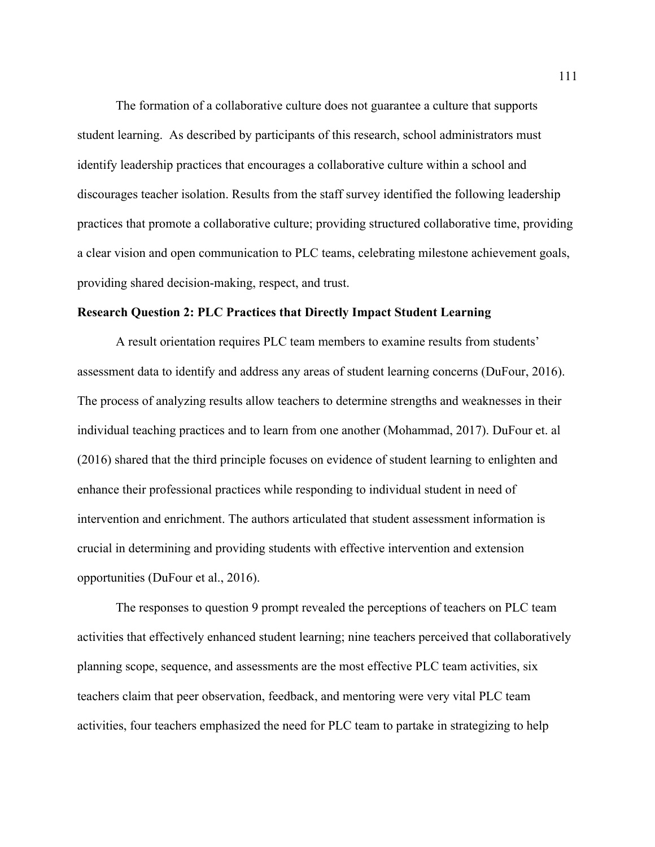The formation of a collaborative culture does not guarantee a culture that supports student learning. As described by participants of this research, school administrators must identify leadership practices that encourages a collaborative culture within a school and discourages teacher isolation. Results from the staff survey identified the following leadership practices that promote a collaborative culture; providing structured collaborative time, providing a clear vision and open communication to PLC teams, celebrating milestone achievement goals, providing shared decision-making, respect, and trust.

## **Research Question 2: PLC Practices that Directly Impact Student Learning**

A result orientation requires PLC team members to examine results from students' assessment data to identify and address any areas of student learning concerns (DuFour, 2016). The process of analyzing results allow teachers to determine strengths and weaknesses in their individual teaching practices and to learn from one another (Mohammad, 2017). DuFour et. al (2016) shared that the third principle focuses on evidence of student learning to enlighten and enhance their professional practices while responding to individual student in need of intervention and enrichment. The authors articulated that student assessment information is crucial in determining and providing students with effective intervention and extension opportunities (DuFour et al., 2016).

The responses to question 9 prompt revealed the perceptions of teachers on PLC team activities that effectively enhanced student learning; nine teachers perceived that collaboratively planning scope, sequence, and assessments are the most effective PLC team activities, six teachers claim that peer observation, feedback, and mentoring were very vital PLC team activities, four teachers emphasized the need for PLC team to partake in strategizing to help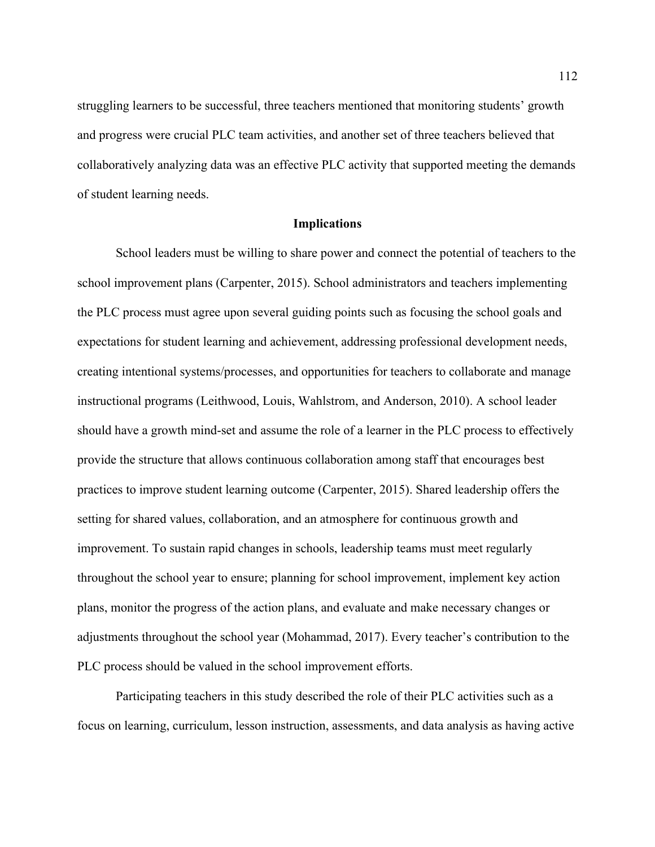struggling learners to be successful, three teachers mentioned that monitoring students' growth and progress were crucial PLC team activities, and another set of three teachers believed that collaboratively analyzing data was an effective PLC activity that supported meeting the demands of student learning needs.

#### **Implications**

School leaders must be willing to share power and connect the potential of teachers to the school improvement plans (Carpenter, 2015). School administrators and teachers implementing the PLC process must agree upon several guiding points such as focusing the school goals and expectations for student learning and achievement, addressing professional development needs, creating intentional systems/processes, and opportunities for teachers to collaborate and manage instructional programs (Leithwood, Louis, Wahlstrom, and Anderson, 2010). A school leader should have a growth mind-set and assume the role of a learner in the PLC process to effectively provide the structure that allows continuous collaboration among staff that encourages best practices to improve student learning outcome (Carpenter, 2015). Shared leadership offers the setting for shared values, collaboration, and an atmosphere for continuous growth and improvement. To sustain rapid changes in schools, leadership teams must meet regularly throughout the school year to ensure; planning for school improvement, implement key action plans, monitor the progress of the action plans, and evaluate and make necessary changes or adjustments throughout the school year (Mohammad, 2017). Every teacher's contribution to the PLC process should be valued in the school improvement efforts.

Participating teachers in this study described the role of their PLC activities such as a focus on learning, curriculum, lesson instruction, assessments, and data analysis as having active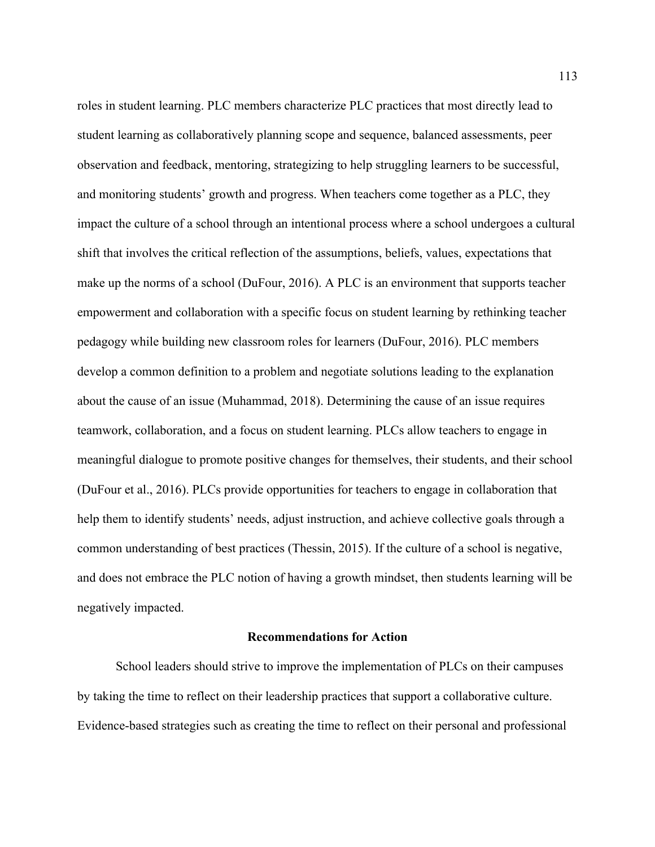roles in student learning. PLC members characterize PLC practices that most directly lead to student learning as collaboratively planning scope and sequence, balanced assessments, peer observation and feedback, mentoring, strategizing to help struggling learners to be successful, and monitoring students' growth and progress. When teachers come together as a PLC, they impact the culture of a school through an intentional process where a school undergoes a cultural shift that involves the critical reflection of the assumptions, beliefs, values, expectations that make up the norms of a school (DuFour, 2016). A PLC is an environment that supports teacher empowerment and collaboration with a specific focus on student learning by rethinking teacher pedagogy while building new classroom roles for learners (DuFour, 2016). PLC members develop a common definition to a problem and negotiate solutions leading to the explanation about the cause of an issue (Muhammad, 2018). Determining the cause of an issue requires teamwork, collaboration, and a focus on student learning. PLCs allow teachers to engage in meaningful dialogue to promote positive changes for themselves, their students, and their school (DuFour et al., 2016). PLCs provide opportunities for teachers to engage in collaboration that help them to identify students' needs, adjust instruction, and achieve collective goals through a common understanding of best practices (Thessin, 2015). If the culture of a school is negative, and does not embrace the PLC notion of having a growth mindset, then students learning will be negatively impacted.

## **Recommendations for Action**

School leaders should strive to improve the implementation of PLCs on their campuses by taking the time to reflect on their leadership practices that support a collaborative culture. Evidence-based strategies such as creating the time to reflect on their personal and professional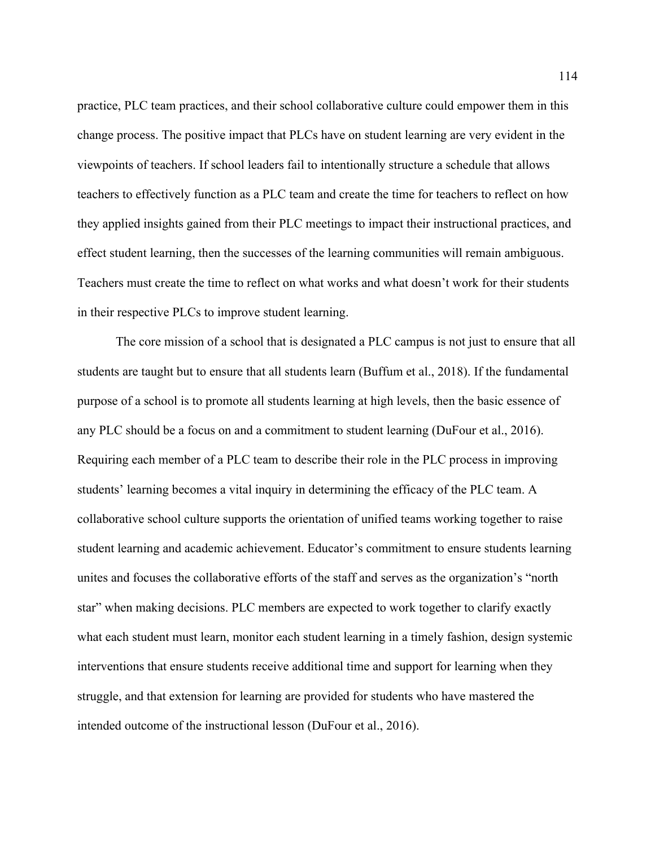practice, PLC team practices, and their school collaborative culture could empower them in this change process. The positive impact that PLCs have on student learning are very evident in the viewpoints of teachers. If school leaders fail to intentionally structure a schedule that allows teachers to effectively function as a PLC team and create the time for teachers to reflect on how they applied insights gained from their PLC meetings to impact their instructional practices, and effect student learning, then the successes of the learning communities will remain ambiguous. Teachers must create the time to reflect on what works and what doesn't work for their students in their respective PLCs to improve student learning.

The core mission of a school that is designated a PLC campus is not just to ensure that all students are taught but to ensure that all students learn (Buffum et al., 2018). If the fundamental purpose of a school is to promote all students learning at high levels, then the basic essence of any PLC should be a focus on and a commitment to student learning (DuFour et al., 2016). Requiring each member of a PLC team to describe their role in the PLC process in improving students' learning becomes a vital inquiry in determining the efficacy of the PLC team. A collaborative school culture supports the orientation of unified teams working together to raise student learning and academic achievement. Educator's commitment to ensure students learning unites and focuses the collaborative efforts of the staff and serves as the organization's "north star" when making decisions. PLC members are expected to work together to clarify exactly what each student must learn, monitor each student learning in a timely fashion, design systemic interventions that ensure students receive additional time and support for learning when they struggle, and that extension for learning are provided for students who have mastered the intended outcome of the instructional lesson (DuFour et al., 2016).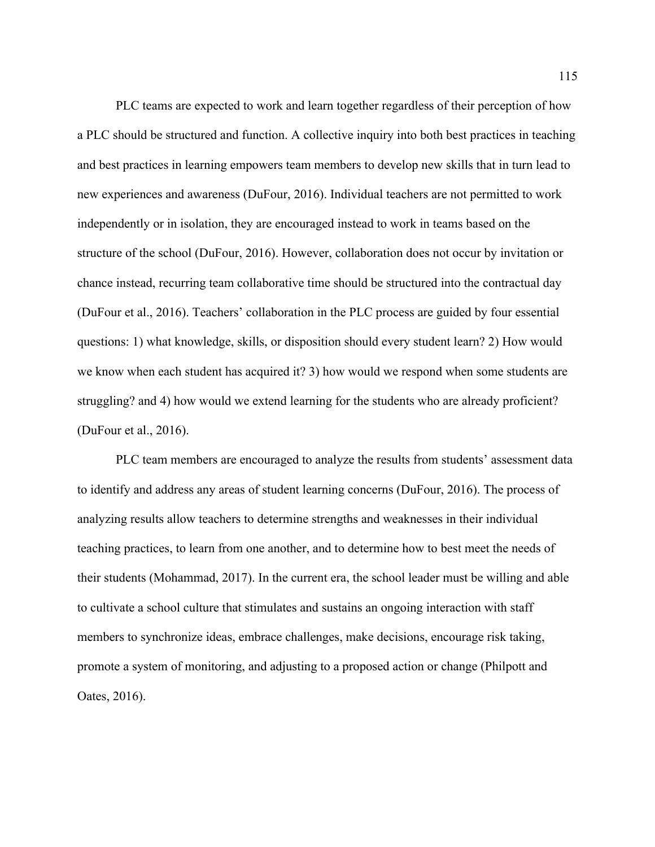PLC teams are expected to work and learn together regardless of their perception of how a PLC should be structured and function. A collective inquiry into both best practices in teaching and best practices in learning empowers team members to develop new skills that in turn lead to new experiences and awareness (DuFour, 2016). Individual teachers are not permitted to work independently or in isolation, they are encouraged instead to work in teams based on the structure of the school (DuFour, 2016). However, collaboration does not occur by invitation or chance instead, recurring team collaborative time should be structured into the contractual day (DuFour et al., 2016). Teachers' collaboration in the PLC process are guided by four essential questions: 1) what knowledge, skills, or disposition should every student learn? 2) How would we know when each student has acquired it? 3) how would we respond when some students are struggling? and 4) how would we extend learning for the students who are already proficient? (DuFour et al., 2016).

PLC team members are encouraged to analyze the results from students' assessment data to identify and address any areas of student learning concerns (DuFour, 2016). The process of analyzing results allow teachers to determine strengths and weaknesses in their individual teaching practices, to learn from one another, and to determine how to best meet the needs of their students (Mohammad, 2017). In the current era, the school leader must be willing and able to cultivate a school culture that stimulates and sustains an ongoing interaction with staff members to synchronize ideas, embrace challenges, make decisions, encourage risk taking, promote a system of monitoring, and adjusting to a proposed action or change (Philpott and Oates, 2016).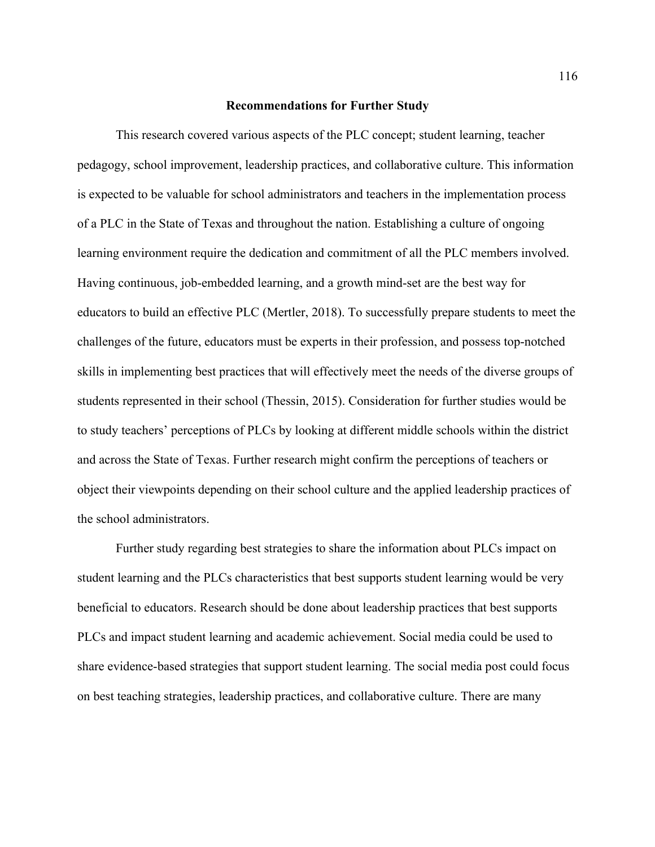#### **Recommendations for Further Study**

This research covered various aspects of the PLC concept; student learning, teacher pedagogy, school improvement, leadership practices, and collaborative culture. This information is expected to be valuable for school administrators and teachers in the implementation process of a PLC in the State of Texas and throughout the nation. Establishing a culture of ongoing learning environment require the dedication and commitment of all the PLC members involved. Having continuous, job-embedded learning, and a growth mind-set are the best way for educators to build an effective PLC (Mertler, 2018). To successfully prepare students to meet the challenges of the future, educators must be experts in their profession, and possess top-notched skills in implementing best practices that will effectively meet the needs of the diverse groups of students represented in their school (Thessin, 2015). Consideration for further studies would be to study teachers' perceptions of PLCs by looking at different middle schools within the district and across the State of Texas. Further research might confirm the perceptions of teachers or object their viewpoints depending on their school culture and the applied leadership practices of the school administrators.

Further study regarding best strategies to share the information about PLCs impact on student learning and the PLCs characteristics that best supports student learning would be very beneficial to educators. Research should be done about leadership practices that best supports PLCs and impact student learning and academic achievement. Social media could be used to share evidence-based strategies that support student learning. The social media post could focus on best teaching strategies, leadership practices, and collaborative culture. There are many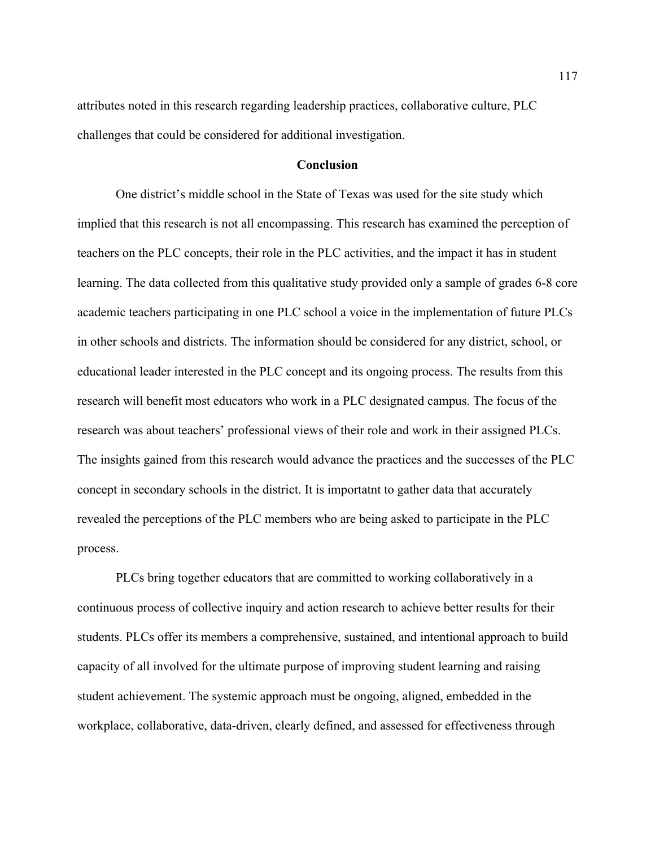attributes noted in this research regarding leadership practices, collaborative culture, PLC challenges that could be considered for additional investigation.

## **Conclusion**

One district's middle school in the State of Texas was used for the site study which implied that this research is not all encompassing. This research has examined the perception of teachers on the PLC concepts, their role in the PLC activities, and the impact it has in student learning. The data collected from this qualitative study provided only a sample of grades 6-8 core academic teachers participating in one PLC school a voice in the implementation of future PLCs in other schools and districts. The information should be considered for any district, school, or educational leader interested in the PLC concept and its ongoing process. The results from this research will benefit most educators who work in a PLC designated campus. The focus of the research was about teachers' professional views of their role and work in their assigned PLCs. The insights gained from this research would advance the practices and the successes of the PLC concept in secondary schools in the district. It is importatnt to gather data that accurately revealed the perceptions of the PLC members who are being asked to participate in the PLC process.

PLCs bring together educators that are committed to working collaboratively in a continuous process of collective inquiry and action research to achieve better results for their students. PLCs offer its members a comprehensive, sustained, and intentional approach to build capacity of all involved for the ultimate purpose of improving student learning and raising student achievement. The systemic approach must be ongoing, aligned, embedded in the workplace, collaborative, data-driven, clearly defined, and assessed for effectiveness through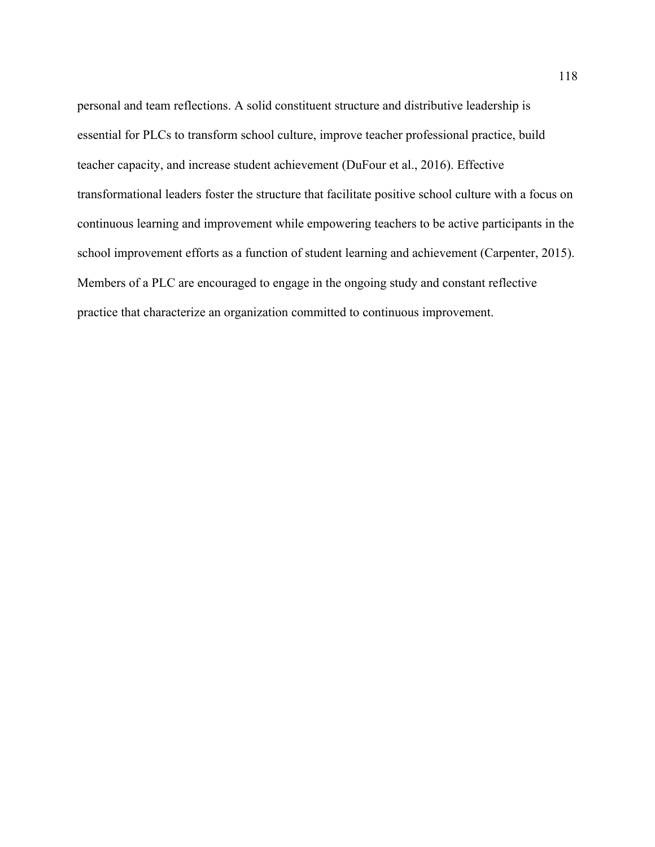personal and team reflections. A solid constituent structure and distributive leadership is essential for PLCs to transform school culture, improve teacher professional practice, build teacher capacity, and increase student achievement (DuFour et al., 2016). Effective transformational leaders foster the structure that facilitate positive school culture with a focus on continuous learning and improvement while empowering teachers to be active participants in the school improvement efforts as a function of student learning and achievement (Carpenter, 2015). Members of a PLC are encouraged to engage in the ongoing study and constant reflective practice that characterize an organization committed to continuous improvement.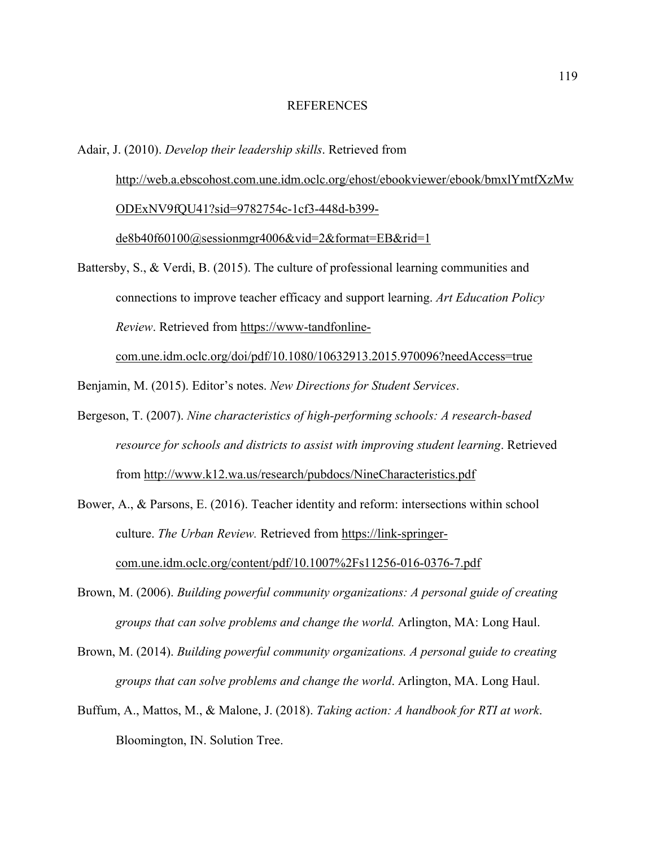#### REFERENCES

# Adair, J. (2010). *Develop their leadership skills*. Retrieved from http://web.a.ebscohost.com.une.idm.oclc.org/ehost/ebookviewer/ebook/bmxlYmtfXzMw ODExNV9fQU41?sid=9782754c-1cf3-448d-b399 de8b40f60100@sessionmgr4006&vid=2&format=EB&rid=1

Battersby, S., & Verdi, B. (2015). The culture of professional learning communities and connections to improve teacher efficacy and support learning. *Art Education Policy Review*. Retrieved from https://www-tandfonline-

com.une.idm.oclc.org/doi/pdf/10.1080/10632913.2015.970096?needAccess=true

Benjamin, M. (2015). Editor's notes. *New Directions for Student Services*.

Bergeson, T. (2007). *Nine characteristics of high-performing schools: A research-based resource for schools and districts to assist with improving student learning*. Retrieved from http://www.k12.wa.us/research/pubdocs/NineCharacteristics.pdf

Bower, A., & Parsons, E. (2016). Teacher identity and reform: intersections within school culture. *The Urban Review.* Retrieved from https://link-springercom.une.idm.oclc.org/content/pdf/10.1007%2Fs11256-016-0376-7.pdf

- Brown, M. (2006). *Building powerful community organizations: A personal guide of creating groups that can solve problems and change the world.* Arlington, MA: Long Haul.
- Brown, M. (2014). *Building powerful community organizations. A personal guide to creating groups that can solve problems and change the world*. Arlington, MA. Long Haul.
- Buffum, A., Mattos, M., & Malone, J. (2018). *Taking action: A handbook for RTI at work*. Bloomington, IN. Solution Tree.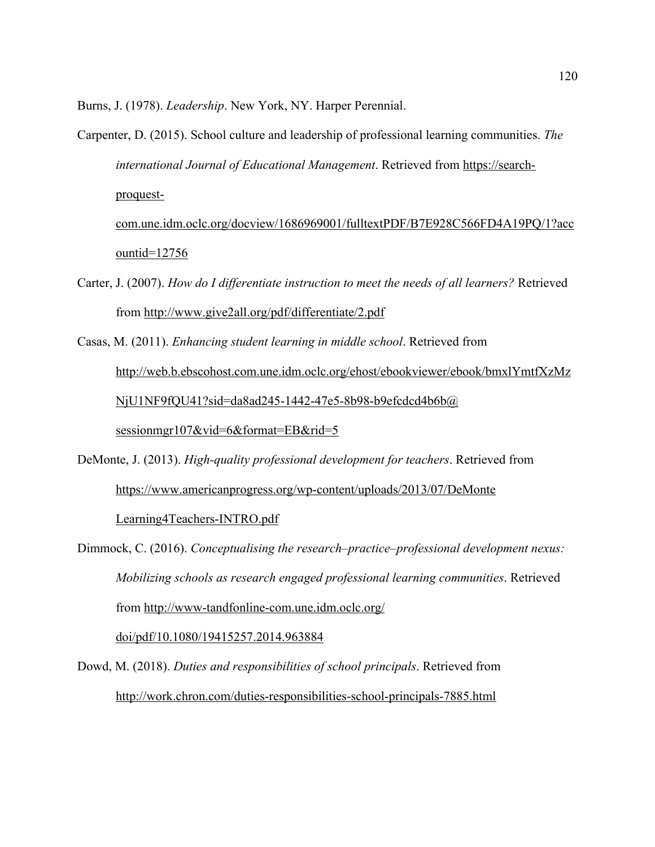Burns, J. (1978). *Leadership*. New York, NY. Harper Perennial.

- Carpenter, D. (2015). School culture and leadership of professional learning communities. *The international Journal of Educational Management*. Retrieved from https://searchproquestcom.une.idm.oclc.org/docview/1686969001/fulltextPDF/B7E928C566FD4A19PQ/1?acc ountid=12756
- Carter, J. (2007). *How do I differentiate instruction to meet the needs of all learners?* Retrieved from http://www.give2all.org/pdf/differentiate/2.pdf
- Casas, M. (2011). *Enhancing student learning in middle school*. Retrieved from http://web.b.ebscohost.com.une.idm.oclc.org/ehost/ebookviewer/ebook/bmxlYmtfXzMz NjU1NF9fQU41?sid=da8ad245-1442-47e5-8b98-b9efcdcd4b6b@ sessionmgr107&vid=6&format=EB&rid=5
- DeMonte, J. (2013). *High-quality professional development for teachers*. Retrieved from https://www.americanprogress.org/wp-content/uploads/2013/07/DeMonte Learning4Teachers-INTRO.pdf

Dimmock, C. (2016). *Conceptualising the research–practice–professional development nexus: Mobilizing schools as research engaged professional learning communities*. Retrieved from http://www-tandfonline-com.une.idm.oclc.org/

doi/pdf/10.1080/19415257.2014.963884

Dowd, M. (2018). *Duties and responsibilities of school principals*. Retrieved from http://work.chron.com/duties-responsibilities-school-principals-7885.html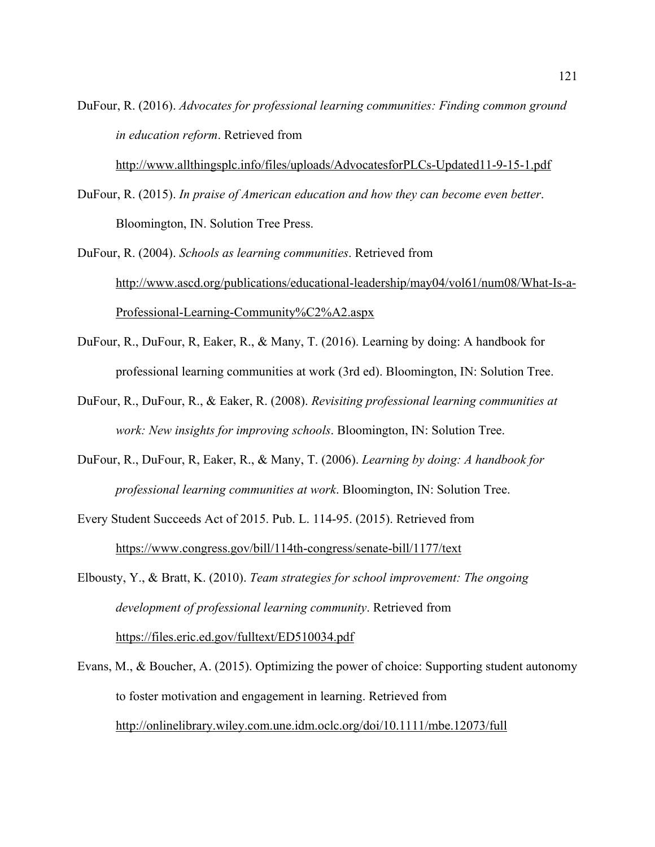DuFour, R. (2016). *Advocates for professional learning communities: Finding common ground in education reform*. Retrieved from

http://www.allthingsplc.info/files/uploads/AdvocatesforPLCs-Updated11-9-15-1.pdf

DuFour, R. (2015). *In praise of American education and how they can become even better*. Bloomington, IN. Solution Tree Press.

DuFour, R. (2004). *Schools as learning communities*. Retrieved from http://www.ascd.org/publications/educational-leadership/may04/vol61/num08/What-Is-a-Professional-Learning-Community%C2%A2.aspx

- DuFour, R., DuFour, R, Eaker, R., & Many, T. (2016). Learning by doing: A handbook for professional learning communities at work (3rd ed). Bloomington, IN: Solution Tree.
- DuFour, R., DuFour, R., & Eaker, R. (2008). *Revisiting professional learning communities at work: New insights for improving schools*. Bloomington, IN: Solution Tree.
- DuFour, R., DuFour, R, Eaker, R., & Many, T. (2006). *Learning by doing: A handbook for professional learning communities at work*. Bloomington, IN: Solution Tree.
- Every Student Succeeds Act of 2015. Pub. L. 114-95. (2015). Retrieved from https://www.congress.gov/bill/114th-congress/senate-bill/1177/text
- Elbousty, Y., & Bratt, K. (2010). *Team strategies for school improvement: The ongoing development of professional learning community*. Retrieved from https://files.eric.ed.gov/fulltext/ED510034.pdf
- Evans, M., & Boucher, A. (2015). Optimizing the power of choice: Supporting student autonomy to foster motivation and engagement in learning. Retrieved from http://onlinelibrary.wiley.com.une.idm.oclc.org/doi/10.1111/mbe.12073/full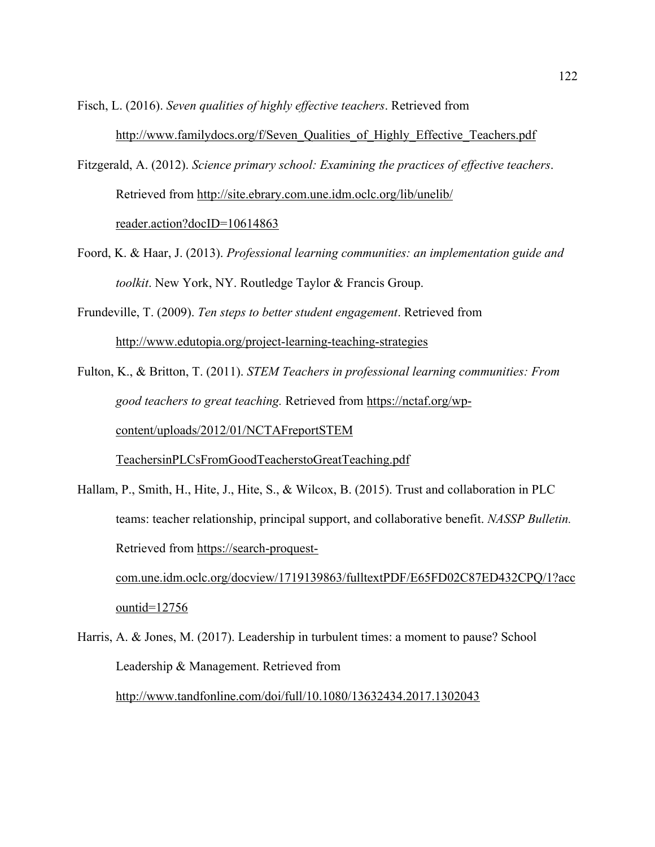Fisch, L. (2016). *Seven qualities of highly effective teachers*. Retrieved from http://www.familydocs.org/f/Seven\_Qualities\_of\_Highly\_Effective\_Teachers.pdf

- Fitzgerald, A. (2012). *Science primary school: Examining the practices of effective teachers*. Retrieved from http://site.ebrary.com.une.idm.oclc.org/lib/unelib/ reader.action?docID=10614863
- Foord, K. & Haar, J. (2013). *Professional learning communities: an implementation guide and toolkit*. New York, NY. Routledge Taylor & Francis Group.

Frundeville, T. (2009). *Ten steps to better student engagement*. Retrieved from http://www.edutopia.org/project-learning-teaching-strategies

Fulton, K., & Britton, T. (2011). *STEM Teachers in professional learning communities: From good teachers to great teaching.* Retrieved from https://nctaf.org/wpcontent/uploads/2012/01/NCTAFreportSTEM TeachersinPLCsFromGoodTeacherstoGreatTeaching.pdf

- Hallam, P., Smith, H., Hite, J., Hite, S., & Wilcox, B. (2015). Trust and collaboration in PLC teams: teacher relationship, principal support, and collaborative benefit. *NASSP Bulletin.* Retrieved from https://search-proquestcom.une.idm.oclc.org/docview/1719139863/fulltextPDF/E65FD02C87ED432CPQ/1?acc ountid=12756
- Harris, A. & Jones, M. (2017). Leadership in turbulent times: a moment to pause? School Leadership & Management. Retrieved from http://www.tandfonline.com/doi/full/10.1080/13632434.2017.1302043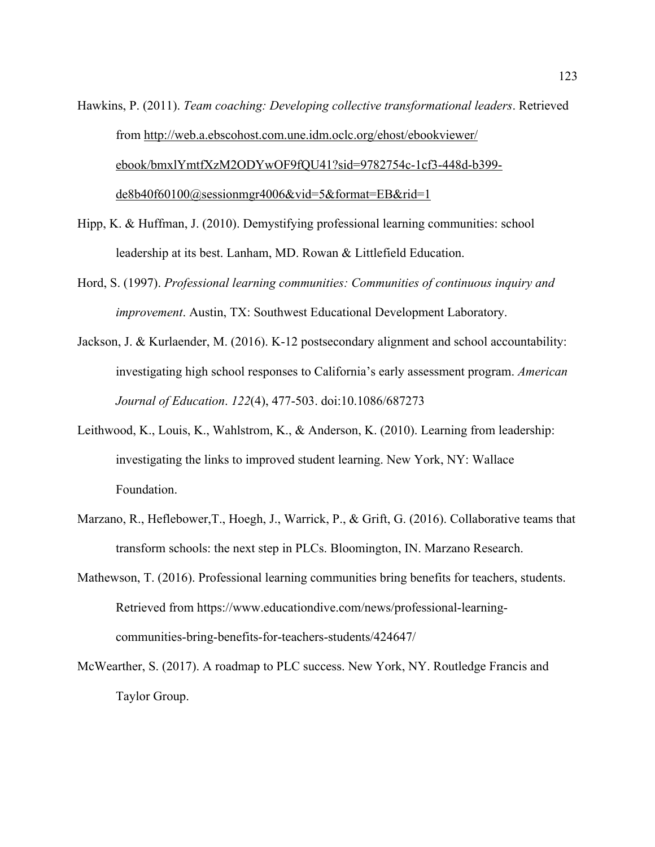- Hawkins, P. (2011). *Team coaching: Developing collective transformational leaders*. Retrieved from http://web.a.ebscohost.com.une.idm.oclc.org/ehost/ebookviewer/ ebook/bmxlYmtfXzM2ODYwOF9fQU41?sid=9782754c-1cf3-448d-b399 de8b40f60100@sessionmgr4006&vid=5&format=EB&rid=1
- Hipp, K. & Huffman, J. (2010). Demystifying professional learning communities: school leadership at its best. Lanham, MD. Rowan & Littlefield Education.
- Hord, S. (1997). *Professional learning communities: Communities of continuous inquiry and improvement*. Austin, TX: Southwest Educational Development Laboratory.
- Jackson, J. & Kurlaender, M. (2016). K-12 postsecondary alignment and school accountability: investigating high school responses to California's early assessment program. *American Journal of Education*. *122*(4), 477-503. doi:10.1086/687273
- Leithwood, K., Louis, K., Wahlstrom, K., & Anderson, K. (2010). Learning from leadership: investigating the links to improved student learning. New York, NY: Wallace Foundation.
- Marzano, R., Heflebower,T., Hoegh, J., Warrick, P., & Grift, G. (2016). Collaborative teams that transform schools: the next step in PLCs. Bloomington, IN. Marzano Research.
- Mathewson, T. (2016). Professional learning communities bring benefits for teachers, students. Retrieved from https://www.educationdive.com/news/professional-learningcommunities-bring-benefits-for-teachers-students/424647/
- McWearther, S. (2017). A roadmap to PLC success. New York, NY. Routledge Francis and Taylor Group.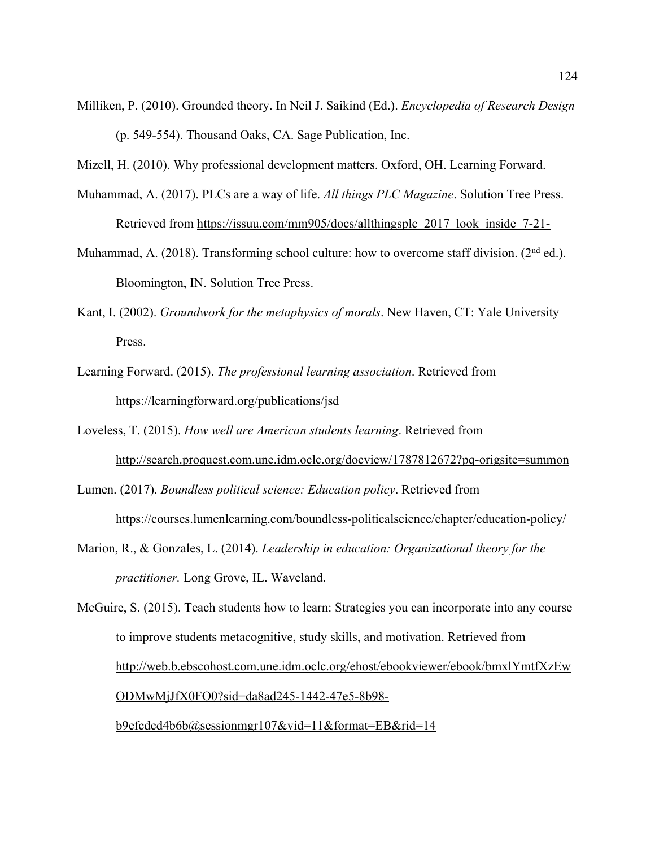Milliken, P. (2010). Grounded theory. In Neil J. Saikind (Ed.). *Encyclopedia of Research Design* (p. 549-554). Thousand Oaks, CA. Sage Publication, Inc.

Mizell, H. (2010). Why professional development matters. Oxford, OH. Learning Forward.

- Muhammad, A. (2017). PLCs are a way of life. *All things PLC Magazine*. Solution Tree Press. Retrieved from https://issuu.com/mm905/docs/allthingsplc\_2017\_look\_inside\_7-21-
- Muhammad, A. (2018). Transforming school culture: how to overcome staff division. ( $2<sup>nd</sup>$  ed.). Bloomington, IN. Solution Tree Press.
- Kant, I. (2002). *Groundwork for the metaphysics of morals*. New Haven, CT: Yale University Press.
- Learning Forward. (2015). *The professional learning association*. Retrieved from https://learningforward.org/publications/jsd

Loveless, T. (2015). *How well are American students learning*. Retrieved from http://search.proquest.com.une.idm.oclc.org/docview/1787812672?pq-origsite=summon

Lumen. (2017). *Boundless political science: Education policy*. Retrieved from https://courses.lumenlearning.com/boundless-politicalscience/chapter/education-policy/

Marion, R., & Gonzales, L. (2014). *Leadership in education: Organizational theory for the practitioner.* Long Grove, IL. Waveland.

McGuire, S. (2015). Teach students how to learn: Strategies you can incorporate into any course to improve students metacognitive, study skills, and motivation. Retrieved from http://web.b.ebscohost.com.une.idm.oclc.org/ehost/ebookviewer/ebook/bmxlYmtfXzEw ODMwMjJfX0FO0?sid=da8ad245-1442-47e5-8b98-

b9efcdcd4b6b@sessionmgr107&vid=11&format=EB&rid=14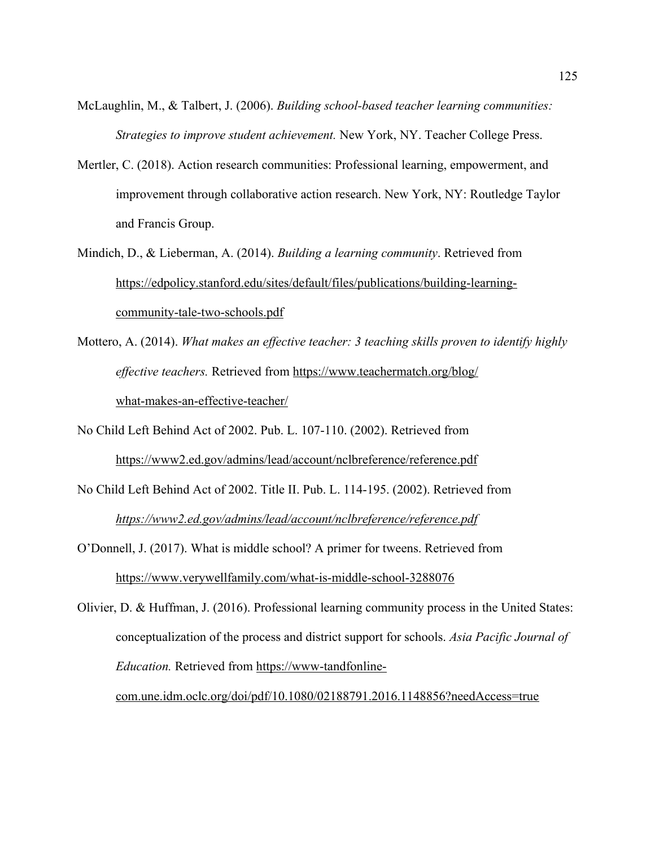- McLaughlin, M., & Talbert, J. (2006). *Building school-based teacher learning communities: Strategies to improve student achievement.* New York, NY. Teacher College Press.
- Mertler, C. (2018). Action research communities: Professional learning, empowerment, and improvement through collaborative action research. New York, NY: Routledge Taylor and Francis Group.
- Mindich, D., & Lieberman, A. (2014). *Building a learning community*. Retrieved from https://edpolicy.stanford.edu/sites/default/files/publications/building-learningcommunity-tale-two-schools.pdf
- Mottero, A. (2014). *What makes an effective teacher: 3 teaching skills proven to identify highly effective teachers.* Retrieved from https://www.teachermatch.org/blog/ what-makes-an-effective-teacher/
- No Child Left Behind Act of 2002. Pub. L. 107-110. (2002). Retrieved from https://www2.ed.gov/admins/lead/account/nclbreference/reference.pdf
- No Child Left Behind Act of 2002. Title II. Pub. L. 114-195. (2002). Retrieved from *https://www2.ed.gov/admins/lead/account/nclbreference/reference.pdf*
- O'Donnell, J. (2017). What is middle school? A primer for tweens. Retrieved from https://www.verywellfamily.com/what-is-middle-school-3288076

Olivier, D. & Huffman, J. (2016). Professional learning community process in the United States: conceptualization of the process and district support for schools. *Asia Pacific Journal of Education.* Retrieved from https://www-tandfonlinecom.une.idm.oclc.org/doi/pdf/10.1080/02188791.2016.1148856?needAccess=true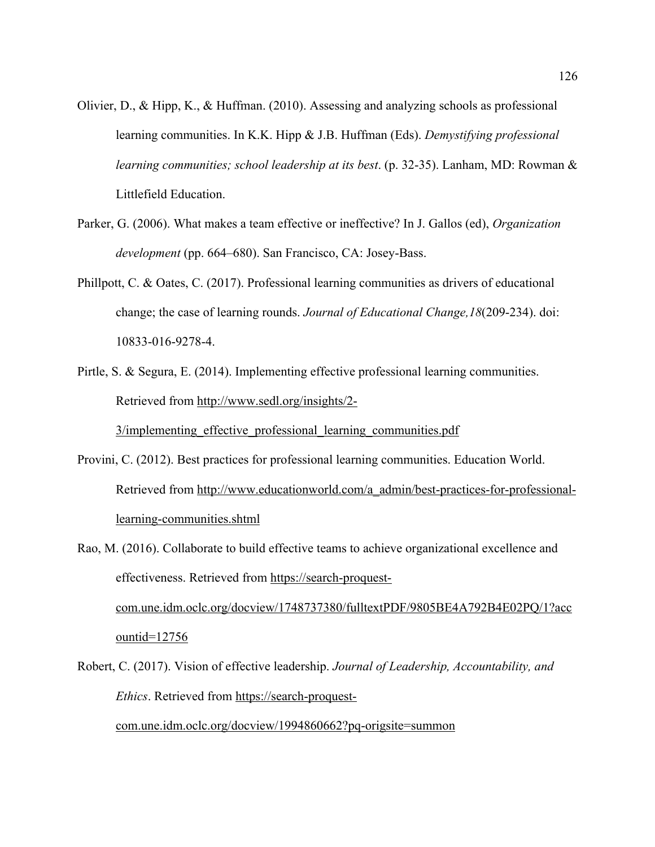- Olivier, D., & Hipp, K., & Huffman. (2010). Assessing and analyzing schools as professional learning communities. In K.K. Hipp & J.B. Huffman (Eds). *Demystifying professional learning communities; school leadership at its best*. (p. 32-35). Lanham, MD: Rowman & Littlefield Education.
- Parker, G. (2006). What makes a team effective or ineffective? In J. Gallos (ed), *Organization development* (pp. 664–680). San Francisco, CA: Josey-Bass.
- Phillpott, C. & Oates, C. (2017). Professional learning communities as drivers of educational change; the case of learning rounds. *Journal of Educational Change,18*(209-234). doi: 10833-016-9278-4.
- Pirtle, S. & Segura, E. (2014). Implementing effective professional learning communities. Retrieved from http://www.sedl.org/insights/2-

3/implementing effective professional learning communities.pdf

- Provini, C. (2012). Best practices for professional learning communities. Education World. Retrieved from http://www.educationworld.com/a\_admin/best-practices-for-professionallearning-communities.shtml
- Rao, M. (2016). Collaborate to build effective teams to achieve organizational excellence and effectiveness. Retrieved from https://search-proquestcom.une.idm.oclc.org/docview/1748737380/fulltextPDF/9805BE4A792B4E02PQ/1?acc ountid=12756
- Robert, C. (2017). Vision of effective leadership. *Journal of Leadership, Accountability, and Ethics*. Retrieved from https://search-proquest-

com.une.idm.oclc.org/docview/1994860662?pq-origsite=summon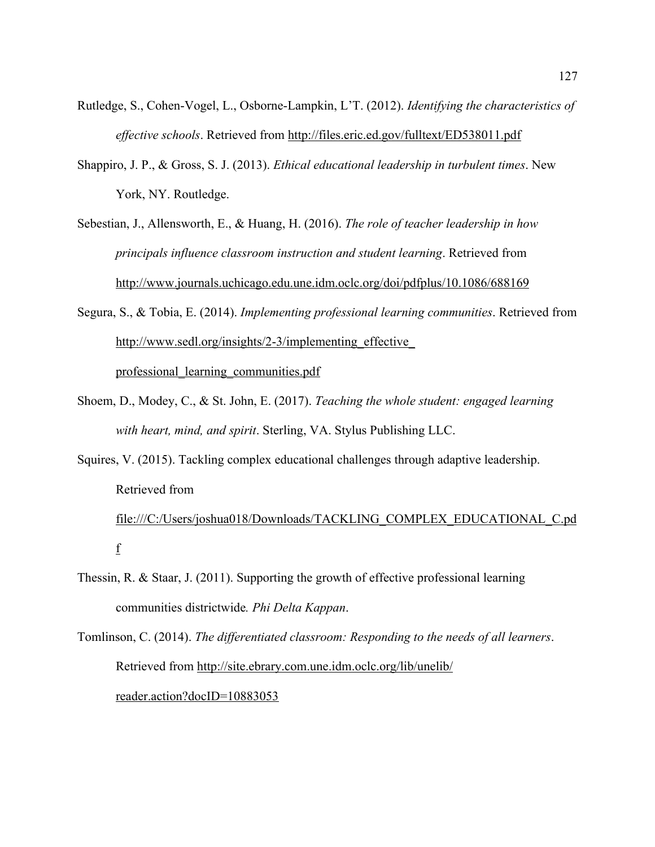- Rutledge, S., Cohen-Vogel, L., Osborne-Lampkin, L'T. (2012). *Identifying the characteristics of effective schools*. Retrieved from http://files.eric.ed.gov/fulltext/ED538011.pdf
- Shappiro, J. P., & Gross, S. J. (2013). *Ethical educational leadership in turbulent times*. New York, NY. Routledge.
- Sebestian, J., Allensworth, E., & Huang, H. (2016). *The role of teacher leadership in how principals influence classroom instruction and student learning*. Retrieved from http://www.journals.uchicago.edu.une.idm.oclc.org/doi/pdfplus/10.1086/688169
- Segura, S., & Tobia, E. (2014). *Implementing professional learning communities*. Retrieved from http://www.sedl.org/insights/2-3/implementing effective professional\_learning\_communities.pdf
- Shoem, D., Modey, C., & St. John, E. (2017). *Teaching the whole student: engaged learning with heart, mind, and spirit*. Sterling, VA. Stylus Publishing LLC.
- Squires, V. (2015). Tackling complex educational challenges through adaptive leadership. Retrieved from

file:///C:/Users/joshua018/Downloads/TACKLING\_COMPLEX\_EDUCATIONAL\_C.pd f

- Thessin, R. & Staar, J. (2011). Supporting the growth of effective professional learning communities districtwide*. Phi Delta Kappan*.
- Tomlinson, C. (2014). *The differentiated classroom: Responding to the needs of all learners*. Retrieved from http://site.ebrary.com.une.idm.oclc.org/lib/unelib/ reader.action?docID=10883053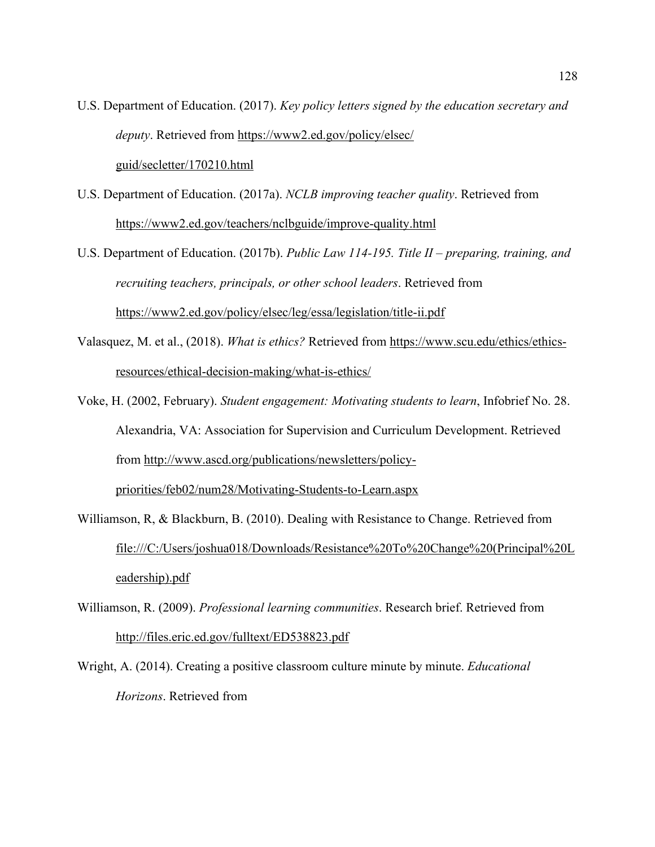- U.S. Department of Education. (2017). *Key policy letters signed by the education secretary and deputy*. Retrieved from https://www2.ed.gov/policy/elsec/ guid/secletter/170210.html
- U.S. Department of Education. (2017a). *NCLB improving teacher quality*. Retrieved from https://www2.ed.gov/teachers/nclbguide/improve-quality.html
- U.S. Department of Education. (2017b). *Public Law 114-195. Title II – preparing, training, and recruiting teachers, principals, or other school leaders*. Retrieved from https://www2.ed.gov/policy/elsec/leg/essa/legislation/title-ii.pdf
- Valasquez, M. et al., (2018). *What is ethics?* Retrieved from https://www.scu.edu/ethics/ethicsresources/ethical-decision-making/what-is-ethics/
- Voke, H. (2002, February). *Student engagement: Motivating students to learn*, Infobrief No. 28. Alexandria, VA: Association for Supervision and Curriculum Development. Retrieved from http://www.ascd.org/publications/newsletters/policypriorities/feb02/num28/Motivating-Students-to-Learn.aspx
- Williamson, R, & Blackburn, B. (2010). Dealing with Resistance to Change. Retrieved from file:///C:/Users/joshua018/Downloads/Resistance%20To%20Change%20(Principal%20L eadership).pdf
- Williamson, R. (2009). *Professional learning communities*. Research brief. Retrieved from http://files.eric.ed.gov/fulltext/ED538823.pdf
- Wright, A. (2014). Creating a positive classroom culture minute by minute. *Educational Horizons*. Retrieved from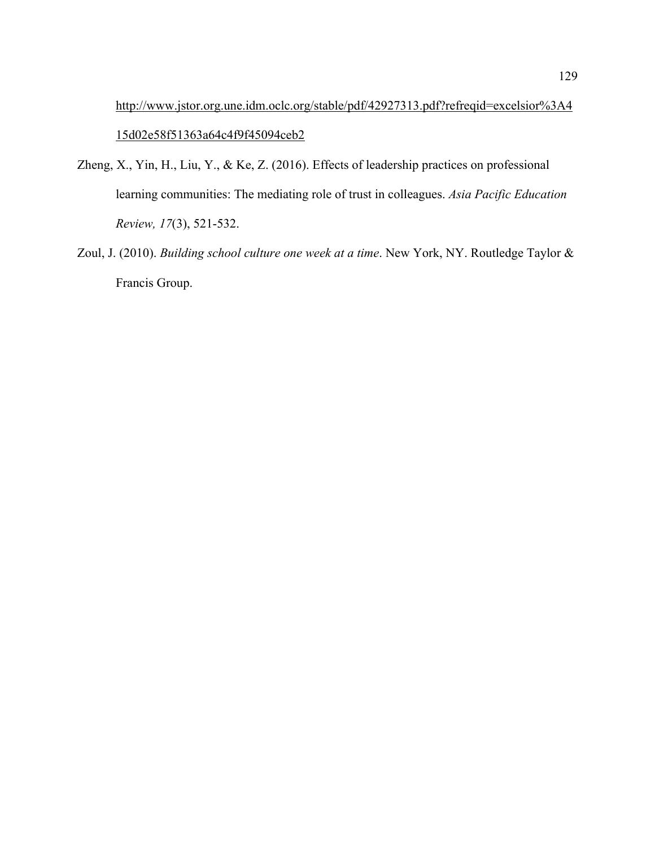http://www.jstor.org.une.idm.oclc.org/stable/pdf/42927313.pdf?refreqid=excelsior%3A4 15d02e58f51363a64c4f9f45094ceb2

- Zheng, X., Yin, H., Liu, Y., & Ke, Z. (2016). Effects of leadership practices on professional learning communities: The mediating role of trust in colleagues. *Asia Pacific Education Review, 17*(3), 521-532.
- Zoul, J. (2010). *Building school culture one week at a time*. New York, NY. Routledge Taylor & Francis Group.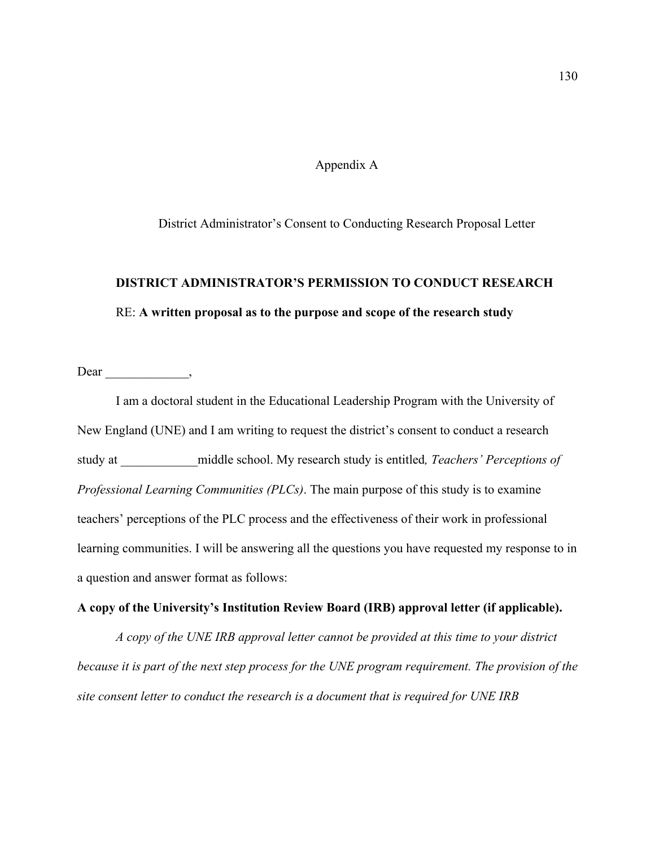## Appendix A

District Administrator's Consent to Conducting Research Proposal Letter

## **DISTRICT ADMINISTRATOR'S PERMISSION TO CONDUCT RESEARCH** RE: **A written proposal as to the purpose and scope of the research study**

Dear ,

I am a doctoral student in the Educational Leadership Program with the University of New England (UNE) and I am writing to request the district's consent to conduct a research study at \_\_\_\_\_\_\_\_\_\_\_\_middle school. My research study is entitled*, Teachers' Perceptions of Professional Learning Communities (PLCs)*. The main purpose of this study is to examine teachers' perceptions of the PLC process and the effectiveness of their work in professional learning communities. I will be answering all the questions you have requested my response to in a question and answer format as follows:

## **A copy of the University's Institution Review Board (IRB) approval letter (if applicable).**

*A copy of the UNE IRB approval letter cannot be provided at this time to your district because it is part of the next step process for the UNE program requirement. The provision of the site consent letter to conduct the research is a document that is required for UNE IRB*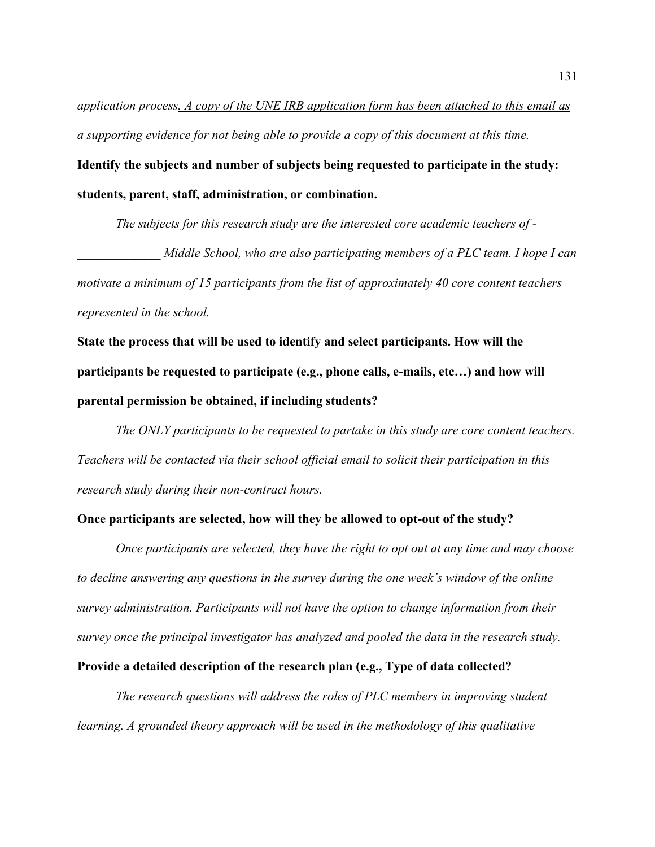*application process. A copy of the UNE IRB application form has been attached to this email as a supporting evidence for not being able to provide a copy of this document at this time.* 

**Identify the subjects and number of subjects being requested to participate in the study: students, parent, staff, administration, or combination.**

*The subjects for this research study are the interested core academic teachers of - Middle School, who are also participating members of a PLC team. I hope I can motivate a minimum of 15 participants from the list of approximately 40 core content teachers represented in the school.* 

**State the process that will be used to identify and select participants. How will the participants be requested to participate (e.g., phone calls, e-mails, etc…) and how will parental permission be obtained, if including students?**

*The ONLY participants to be requested to partake in this study are core content teachers. Teachers will be contacted via their school official email to solicit their participation in this research study during their non-contract hours.*

## **Once participants are selected, how will they be allowed to opt-out of the study?**

*Once participants are selected, they have the right to opt out at any time and may choose to decline answering any questions in the survey during the one week's window of the online survey administration. Participants will not have the option to change information from their survey once the principal investigator has analyzed and pooled the data in the research study.*

**Provide a detailed description of the research plan (e.g., Type of data collected?** 

*The research questions will address the roles of PLC members in improving student learning. A grounded theory approach will be used in the methodology of this qualitative*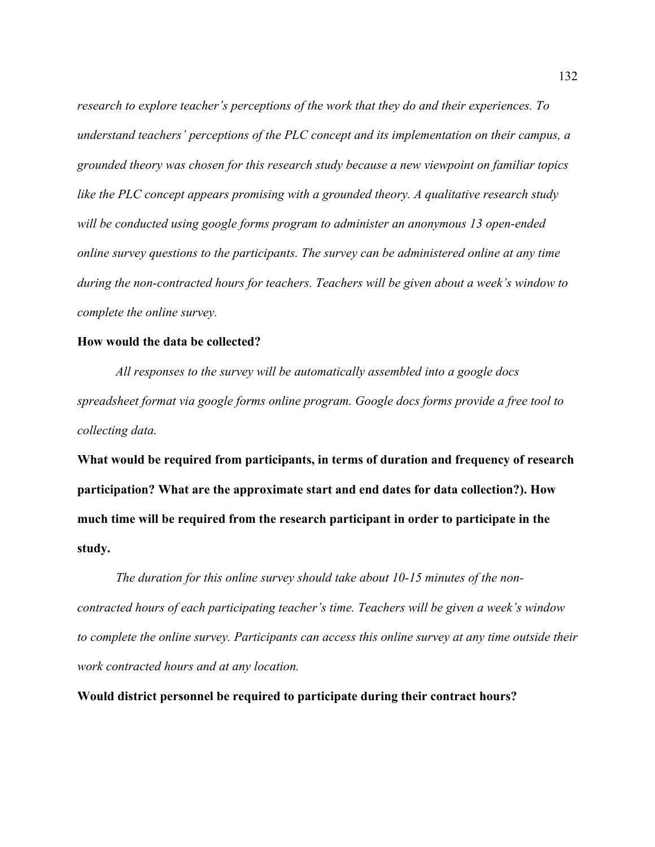*research to explore teacher's perceptions of the work that they do and their experiences. To understand teachers' perceptions of the PLC concept and its implementation on their campus, a grounded theory was chosen for this research study because a new viewpoint on familiar topics like the PLC concept appears promising with a grounded theory. A qualitative research study will be conducted using google forms program to administer an anonymous 13 open-ended online survey questions to the participants. The survey can be administered online at any time during the non-contracted hours for teachers. Teachers will be given about a week's window to complete the online survey.* 

## **How would the data be collected?**

*All responses to the survey will be automatically assembled into a google docs spreadsheet format via google forms online program. Google docs forms provide a free tool to collecting data.* 

**What would be required from participants, in terms of duration and frequency of research participation? What are the approximate start and end dates for data collection?). How much time will be required from the research participant in order to participate in the study.**

*The duration for this online survey should take about 10-15 minutes of the noncontracted hours of each participating teacher's time. Teachers will be given a week's window to complete the online survey. Participants can access this online survey at any time outside their work contracted hours and at any location.*

**Would district personnel be required to participate during their contract hours?**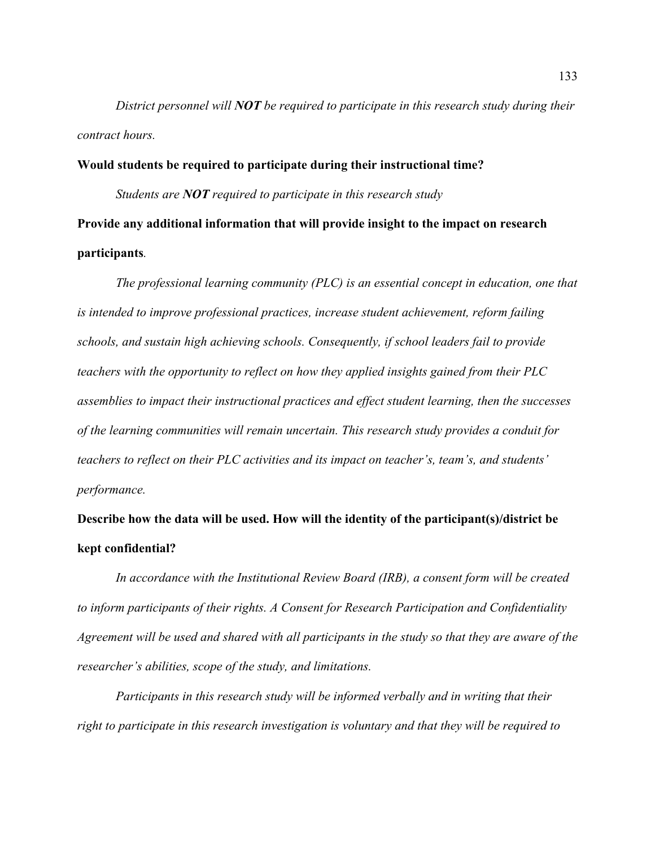*District personnel will NOT be required to participate in this research study during their contract hours.* 

**Would students be required to participate during their instructional time?** *Students are NOT required to participate in this research study*  **Provide any additional information that will provide insight to the impact on research participants***.*

*The professional learning community (PLC) is an essential concept in education, one that is intended to improve professional practices, increase student achievement, reform failing schools, and sustain high achieving schools. Consequently, if school leaders fail to provide teachers with the opportunity to reflect on how they applied insights gained from their PLC assemblies to impact their instructional practices and effect student learning, then the successes of the learning communities will remain uncertain. This research study provides a conduit for teachers to reflect on their PLC activities and its impact on teacher's, team's, and students' performance.*

**Describe how the data will be used. How will the identity of the participant(s)/district be kept confidential?**

*In accordance with the Institutional Review Board (IRB), a consent form will be created to inform participants of their rights. A Consent for Research Participation and Confidentiality Agreement will be used and shared with all participants in the study so that they are aware of the researcher's abilities, scope of the study, and limitations.* 

*Participants in this research study will be informed verbally and in writing that their right to participate in this research investigation is voluntary and that they will be required to*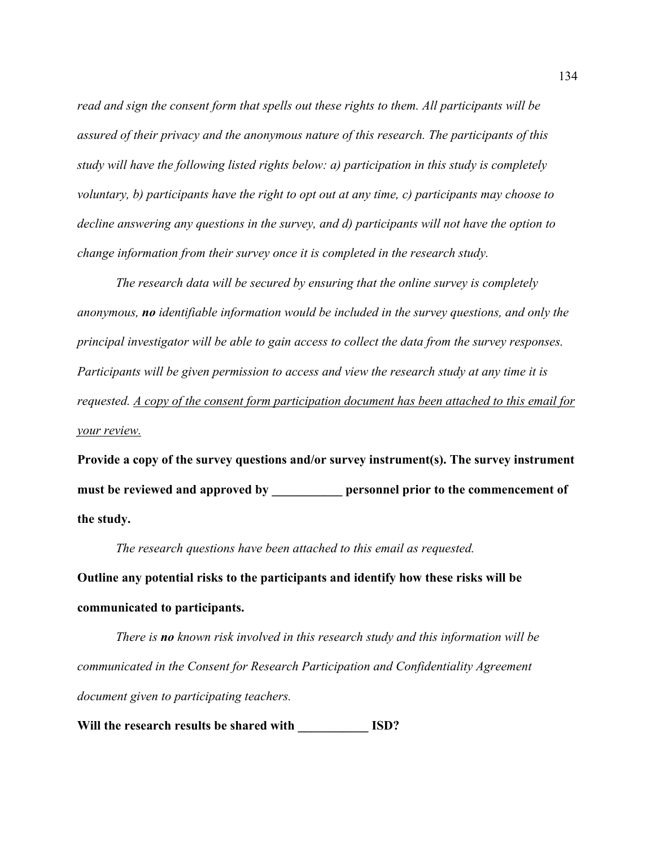*read and sign the consent form that spells out these rights to them. All participants will be assured of their privacy and the anonymous nature of this research. The participants of this study will have the following listed rights below: a) participation in this study is completely voluntary, b) participants have the right to opt out at any time, c) participants may choose to decline answering any questions in the survey, and d) participants will not have the option to change information from their survey once it is completed in the research study.* 

*The research data will be secured by ensuring that the online survey is completely anonymous, no identifiable information would be included in the survey questions, and only the principal investigator will be able to gain access to collect the data from the survey responses. Participants will be given permission to access and view the research study at any time it is requested. A copy of the consent form participation document has been attached to this email for your review.*

**Provide a copy of the survey questions and/or survey instrument(s). The survey instrument**  must be reviewed and approved by **personnel prior to the commencement of the study.**

*The research questions have been attached to this email as requested.*

**Outline any potential risks to the participants and identify how these risks will be communicated to participants.**

*There is no known risk involved in this research study and this information will be communicated in the Consent for Research Participation and Confidentiality Agreement document given to participating teachers.*

**Will the research results be shared with \_\_\_\_\_\_\_\_\_\_\_ ISD?**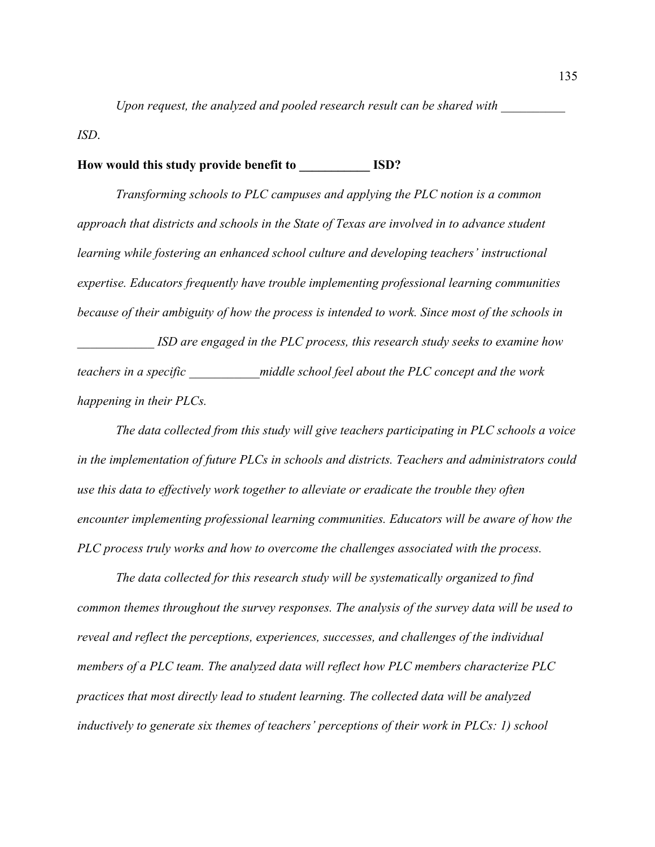*Upon request, the analyzed and pooled research result can be shared with* 

*ISD*.

## **How would this study provide benefit to \_\_\_\_\_\_\_\_\_\_\_ ISD?**

*Transforming schools to PLC campuses and applying the PLC notion is a common approach that districts and schools in the State of Texas are involved in to advance student learning while fostering an enhanced school culture and developing teachers' instructional expertise. Educators frequently have trouble implementing professional learning communities because of their ambiguity of how the process is intended to work. Since most of the schools in* 

*ISD are engaged in the PLC process, this research study seeks to examine how teachers in a specific \_\_\_\_\_\_\_\_\_\_\_middle school feel about the PLC concept and the work happening in their PLCs.* 

*The data collected from this study will give teachers participating in PLC schools a voice in the implementation of future PLCs in schools and districts. Teachers and administrators could use this data to effectively work together to alleviate or eradicate the trouble they often encounter implementing professional learning communities. Educators will be aware of how the PLC process truly works and how to overcome the challenges associated with the process.*

*The data collected for this research study will be systematically organized to find common themes throughout the survey responses. The analysis of the survey data will be used to reveal and reflect the perceptions, experiences, successes, and challenges of the individual members of a PLC team. The analyzed data will reflect how PLC members characterize PLC practices that most directly lead to student learning. The collected data will be analyzed inductively to generate six themes of teachers' perceptions of their work in PLCs: 1) school*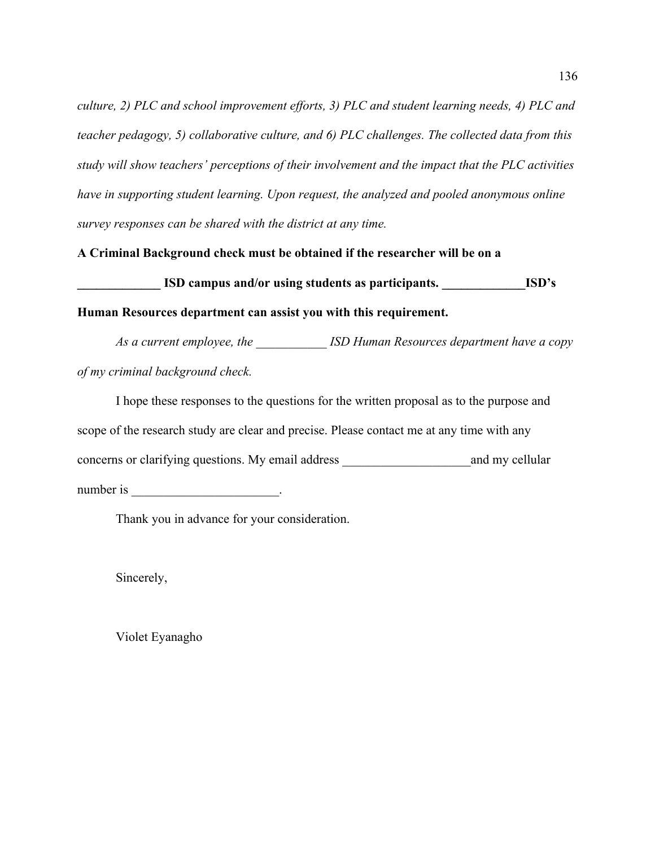*culture, 2) PLC and school improvement efforts, 3) PLC and student learning needs, 4) PLC and teacher pedagogy, 5) collaborative culture, and 6) PLC challenges. The collected data from this study will show teachers' perceptions of their involvement and the impact that the PLC activities have in supporting student learning. Upon request, the analyzed and pooled anonymous online survey responses can be shared with the district at any time.*

**A Criminal Background check must be obtained if the researcher will be on a** 

**ISD campus and/or using students as participants. ISD's** 

**Human Resources department can assist you with this requirement.**

*As a current employee, the \_\_\_\_\_\_\_\_\_\_\_ ISD Human Resources department have a copy of my criminal background check.*

I hope these responses to the questions for the written proposal as to the purpose and scope of the research study are clear and precise. Please contact me at any time with any concerns or clarifying questions. My email address and my cellular number is  $\cdot$ 

Thank you in advance for your consideration.

Sincerely,

Violet Eyanagho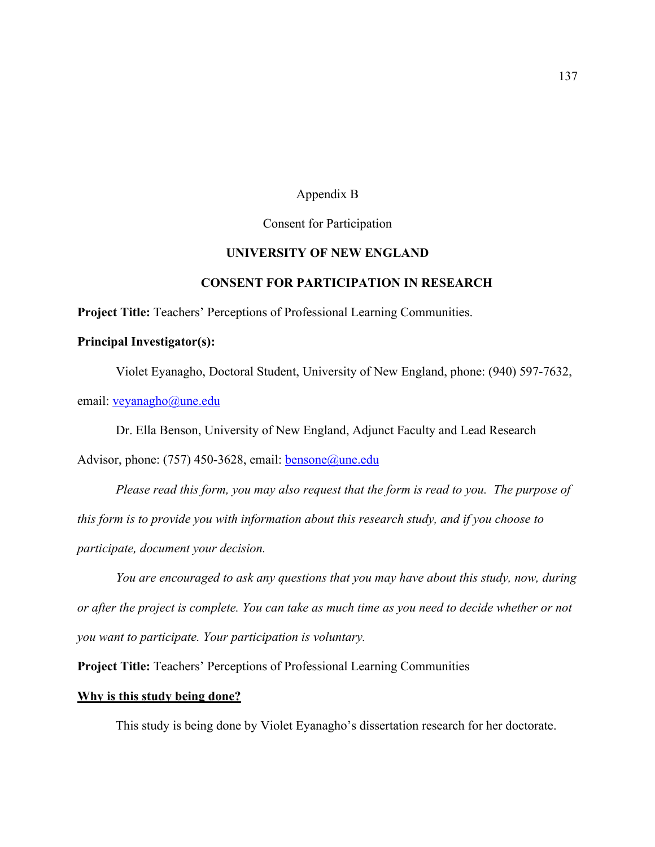# Appendix B

## Consent for Participation

# **UNIVERSITY OF NEW ENGLAND**

## **CONSENT FOR PARTICIPATION IN RESEARCH**

**Project Title:** Teachers' Perceptions of Professional Learning Communities.

## **Principal Investigator(s):**

Violet Eyanagho, Doctoral Student, University of New England, phone: (940) 597-7632,

email: veyanagho@une.edu

Dr. Ella Benson, University of New England, Adjunct Faculty and Lead Research

Advisor, phone: (757) 450-3628, email: bensone@une.edu

*Please read this form, you may also request that the form is read to you. The purpose of this form is to provide you with information about this research study, and if you choose to participate, document your decision.*

*You are encouraged to ask any questions that you may have about this study, now, during or after the project is complete. You can take as much time as you need to decide whether or not you want to participate. Your participation is voluntary.*

**Project Title:** Teachers' Perceptions of Professional Learning Communities

### **Why is this study being done?**

This study is being done by Violet Eyanagho's dissertation research for her doctorate.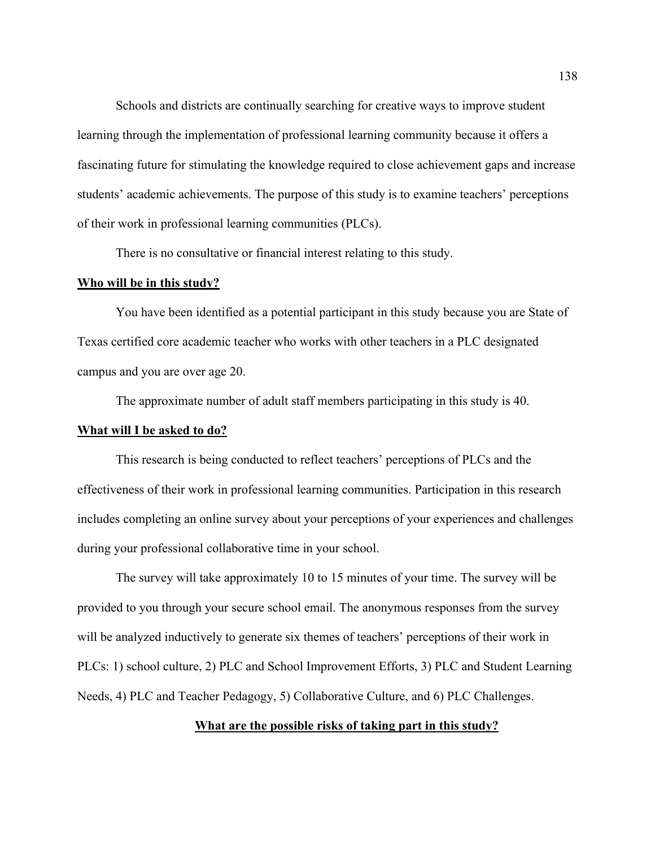Schools and districts are continually searching for creative ways to improve student learning through the implementation of professional learning community because it offers a fascinating future for stimulating the knowledge required to close achievement gaps and increase students' academic achievements. The purpose of this study is to examine teachers' perceptions of their work in professional learning communities (PLCs).

There is no consultative or financial interest relating to this study.

#### **Who will be in this study?**

You have been identified as a potential participant in this study because you are State of Texas certified core academic teacher who works with other teachers in a PLC designated campus and you are over age 20.

The approximate number of adult staff members participating in this study is 40.

#### **What will I be asked to do?**

This research is being conducted to reflect teachers' perceptions of PLCs and the effectiveness of their work in professional learning communities. Participation in this research includes completing an online survey about your perceptions of your experiences and challenges during your professional collaborative time in your school.

The survey will take approximately 10 to 15 minutes of your time. The survey will be provided to you through your secure school email. The anonymous responses from the survey will be analyzed inductively to generate six themes of teachers' perceptions of their work in PLCs: 1) school culture, 2) PLC and School Improvement Efforts, 3) PLC and Student Learning Needs, 4) PLC and Teacher Pedagogy, 5) Collaborative Culture, and 6) PLC Challenges.

### **What are the possible risks of taking part in this study?**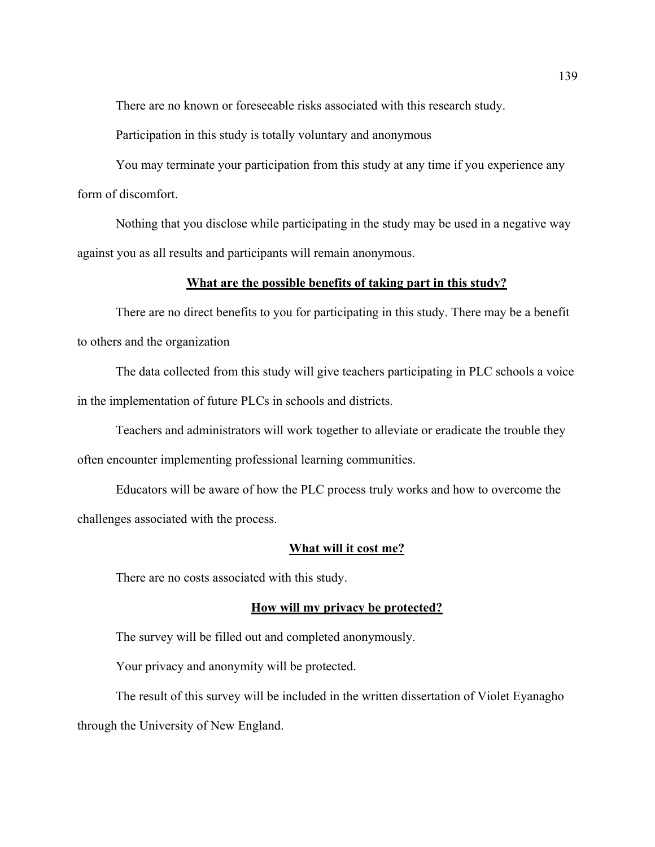There are no known or foreseeable risks associated with this research study.

Participation in this study is totally voluntary and anonymous

You may terminate your participation from this study at any time if you experience any form of discomfort.

Nothing that you disclose while participating in the study may be used in a negative way against you as all results and participants will remain anonymous.

### **What are the possible benefits of taking part in this study?**

There are no direct benefits to you for participating in this study. There may be a benefit to others and the organization

The data collected from this study will give teachers participating in PLC schools a voice in the implementation of future PLCs in schools and districts.

Teachers and administrators will work together to alleviate or eradicate the trouble they often encounter implementing professional learning communities.

Educators will be aware of how the PLC process truly works and how to overcome the challenges associated with the process.

### **What will it cost me?**

There are no costs associated with this study.

#### **How will my privacy be protected?**

The survey will be filled out and completed anonymously.

Your privacy and anonymity will be protected.

The result of this survey will be included in the written dissertation of Violet Eyanagho

through the University of New England.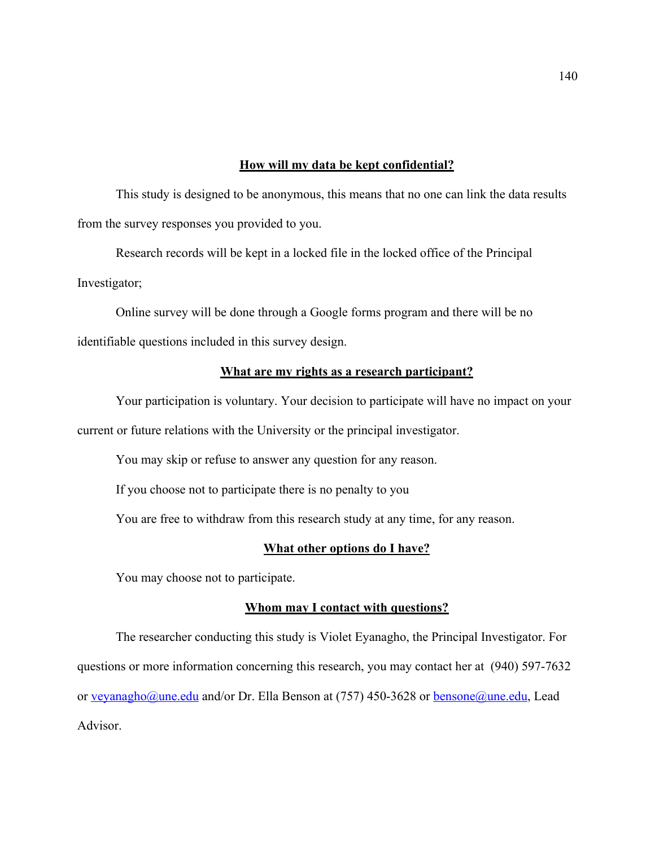## **How will my data be kept confidential?**

This study is designed to be anonymous, this means that no one can link the data results from the survey responses you provided to you.

Research records will be kept in a locked file in the locked office of the Principal Investigator;

Online survey will be done through a Google forms program and there will be no identifiable questions included in this survey design.

## **What are my rights as a research participant?**

Your participation is voluntary. Your decision to participate will have no impact on your current or future relations with the University or the principal investigator.

You may skip or refuse to answer any question for any reason.

If you choose not to participate there is no penalty to you

You are free to withdraw from this research study at any time, for any reason.

### **What other options do I have?**

You may choose not to participate.

### **Whom may I contact with questions?**

The researcher conducting this study is Violet Eyanagho, the Principal Investigator. For questions or more information concerning this research, you may contact her at (940) 597-7632 or veyanagho@une.edu and/or Dr. Ella Benson at (757) 450-3628 or bensone@une.edu, Lead Advisor.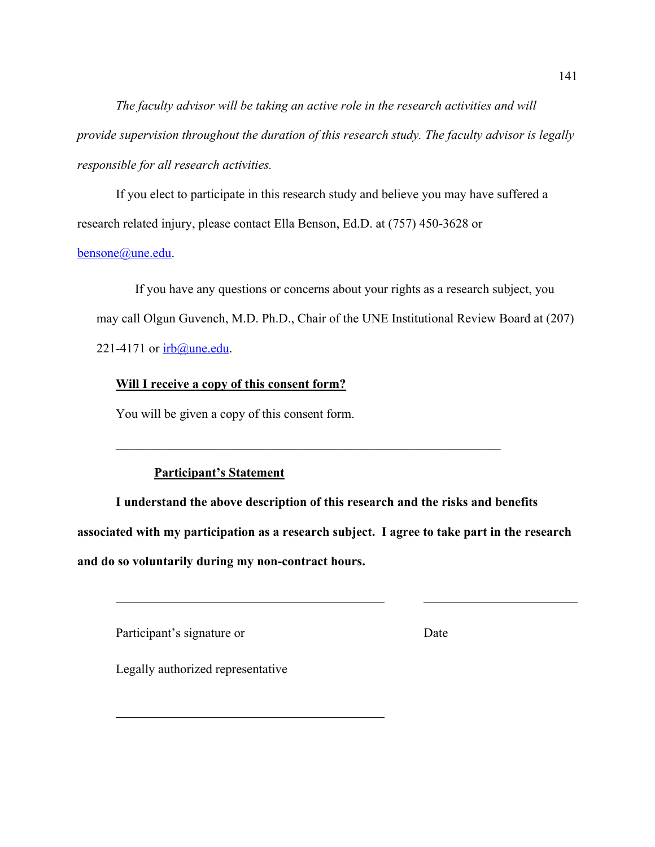*The faculty advisor will be taking an active role in the research activities and will provide supervision throughout the duration of this research study. The faculty advisor is legally responsible for all research activities.*

If you elect to participate in this research study and believe you may have suffered a research related injury, please contact Ella Benson, Ed.D. at (757) 450-3628 or

# bensone@une.edu.

If you have any questions or concerns about your rights as a research subject, you may call Olgun Guvench, M.D. Ph.D., Chair of the UNE Institutional Review Board at (207) 221-4171 or  $irb@$  une.edu.

# **Will I receive a copy of this consent form?**

You will be given a copy of this consent form.

# **Participant's Statement**

**I understand the above description of this research and the risks and benefits associated with my participation as a research subject. I agree to take part in the research and do so voluntarily during my non-contract hours.**

Participant's signature or Date

Legally authorized representative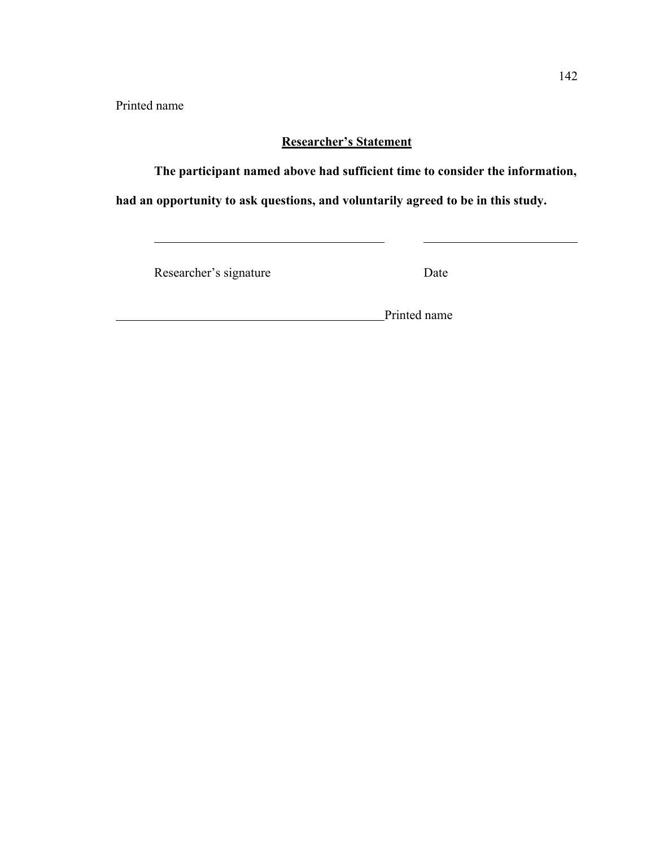Printed name

# **Researcher's Statement**

**The participant named above had sufficient time to consider the information,** 

**had an opportunity to ask questions, and voluntarily agreed to be in this study.**

Researcher's signature Date

**Printed name**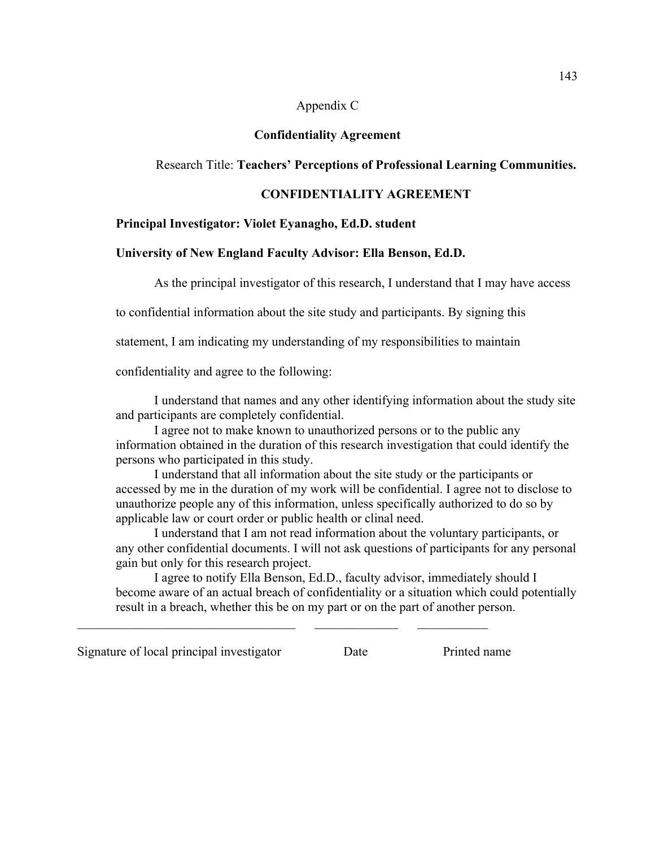## Appendix C

## **Confidentiality Agreement**

# Research Title: **Teachers' Perceptions of Professional Learning Communities.**

# **CONFIDENTIALITY AGREEMENT**

## **Principal Investigator: Violet Eyanagho, Ed.D. student**

## **University of New England Faculty Advisor: Ella Benson, Ed.D.**

As the principal investigator of this research, I understand that I may have access

to confidential information about the site study and participants. By signing this

statement, I am indicating my understanding of my responsibilities to maintain

confidentiality and agree to the following:

I understand that names and any other identifying information about the study site and participants are completely confidential.

I agree not to make known to unauthorized persons or to the public any information obtained in the duration of this research investigation that could identify the persons who participated in this study.

I understand that all information about the site study or the participants or accessed by me in the duration of my work will be confidential. I agree not to disclose to unauthorize people any of this information, unless specifically authorized to do so by applicable law or court order or public health or clinal need.

I understand that I am not read information about the voluntary participants, or any other confidential documents. I will not ask questions of participants for any personal gain but only for this research project.

I agree to notify Ella Benson, Ed.D., faculty advisor, immediately should I become aware of an actual breach of confidentiality or a situation which could potentially result in a breach, whether this be on my part or on the part of another person.

Signature of local principal investigator Date Printed name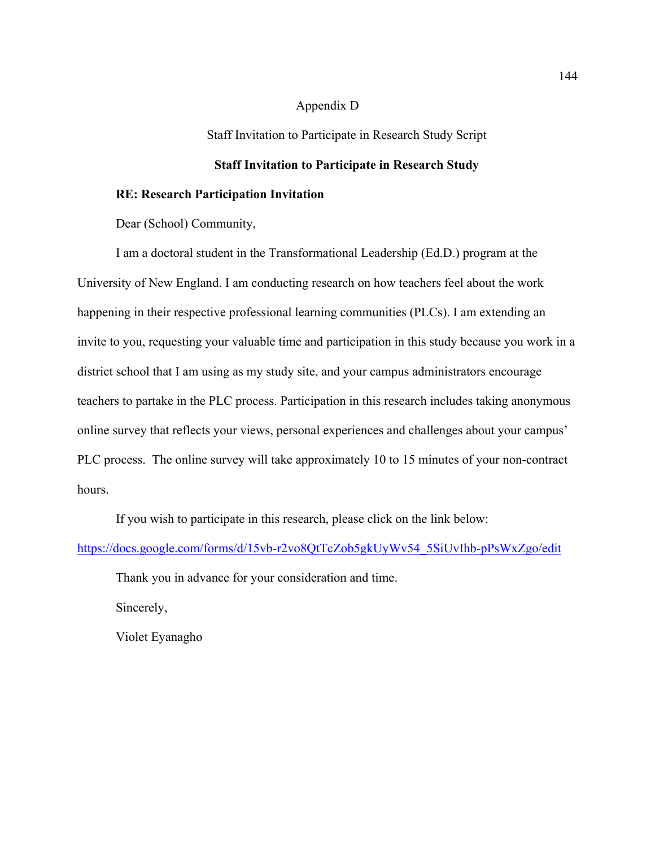## Appendix D

Staff Invitation to Participate in Research Study Script

# **Staff Invitation to Participate in Research Study**

## **RE: Research Participation Invitation**

Dear (School) Community,

I am a doctoral student in the Transformational Leadership (Ed.D.) program at the University of New England. I am conducting research on how teachers feel about the work happening in their respective professional learning communities (PLCs). I am extending an invite to you, requesting your valuable time and participation in this study because you work in a district school that I am using as my study site, and your campus administrators encourage teachers to partake in the PLC process. Participation in this research includes taking anonymous online survey that reflects your views, personal experiences and challenges about your campus' PLC process. The online survey will take approximately 10 to 15 minutes of your non-contract hours.

If you wish to participate in this research, please click on the link below:

https://docs.google.com/forms/d/15vb-r2vo8QtTcZob5gkUyWv54\_5SiUvIhb-pPsWxZgo/edit

Thank you in advance for your consideration and time.

Sincerely,

Violet Eyanagho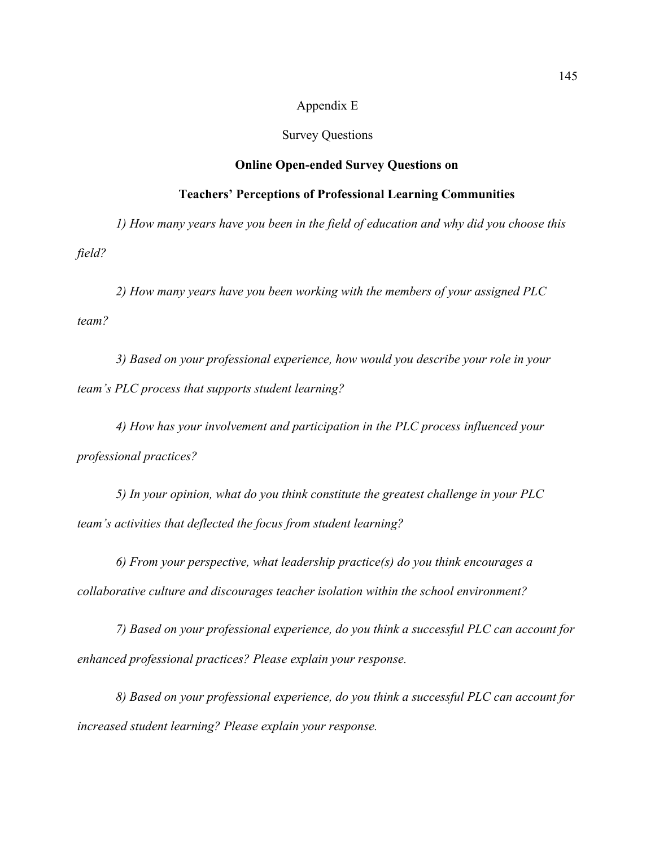## Appendix E

#### Survey Questions

## **Online Open-ended Survey Questions on**

### **Teachers' Perceptions of Professional Learning Communities**

*1) How many years have you been in the field of education and why did you choose this field?*

*2) How many years have you been working with the members of your assigned PLC team?*

*3) Based on your professional experience, how would you describe your role in your team's PLC process that supports student learning?*

*4) How has your involvement and participation in the PLC process influenced your professional practices?*

*5) In your opinion, what do you think constitute the greatest challenge in your PLC team's activities that deflected the focus from student learning?*

*6) From your perspective, what leadership practice(s) do you think encourages a collaborative culture and discourages teacher isolation within the school environment?*

*7) Based on your professional experience, do you think a successful PLC can account for enhanced professional practices? Please explain your response.*

*8) Based on your professional experience, do you think a successful PLC can account for increased student learning? Please explain your response.*